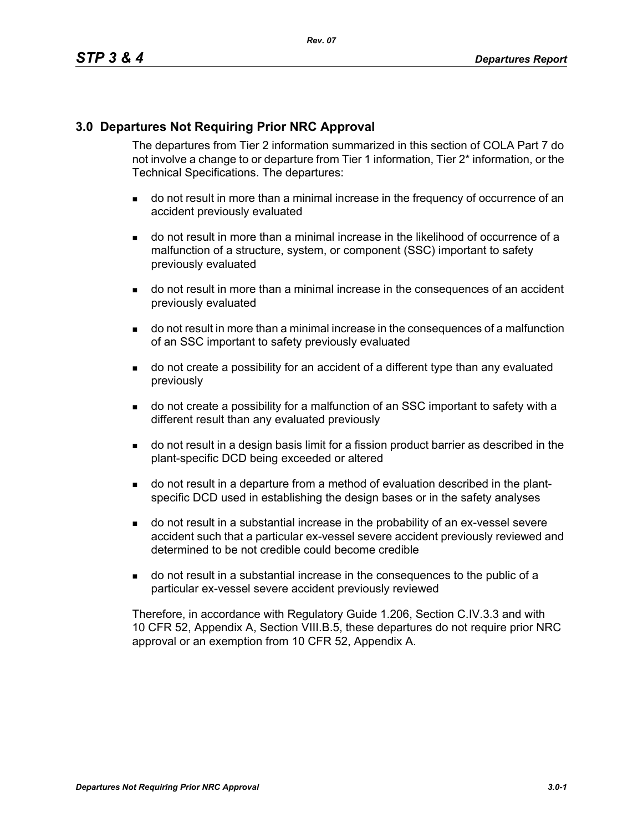### **3.0 Departures Not Requiring Prior NRC Approval**

The departures from Tier 2 information summarized in this section of COLA Part 7 do not involve a change to or departure from Tier 1 information, Tier 2\* information, or the Technical Specifications. The departures:

- do not result in more than a minimal increase in the frequency of occurrence of an accident previously evaluated
- do not result in more than a minimal increase in the likelihood of occurrence of a malfunction of a structure, system, or component (SSC) important to safety previously evaluated
- do not result in more than a minimal increase in the consequences of an accident previously evaluated
- do not result in more than a minimal increase in the consequences of a malfunction of an SSC important to safety previously evaluated
- do not create a possibility for an accident of a different type than any evaluated previously
- do not create a possibility for a malfunction of an SSC important to safety with a different result than any evaluated previously
- do not result in a design basis limit for a fission product barrier as described in the plant-specific DCD being exceeded or altered
- do not result in a departure from a method of evaluation described in the plantspecific DCD used in establishing the design bases or in the safety analyses
- do not result in a substantial increase in the probability of an ex-vessel severe accident such that a particular ex-vessel severe accident previously reviewed and determined to be not credible could become credible
- do not result in a substantial increase in the consequences to the public of a particular ex-vessel severe accident previously reviewed

Therefore, in accordance with Regulatory Guide 1.206, Section C.IV.3.3 and with 10 CFR 52, Appendix A, Section VIII.B.5, these departures do not require prior NRC approval or an exemption from 10 CFR 52, Appendix A.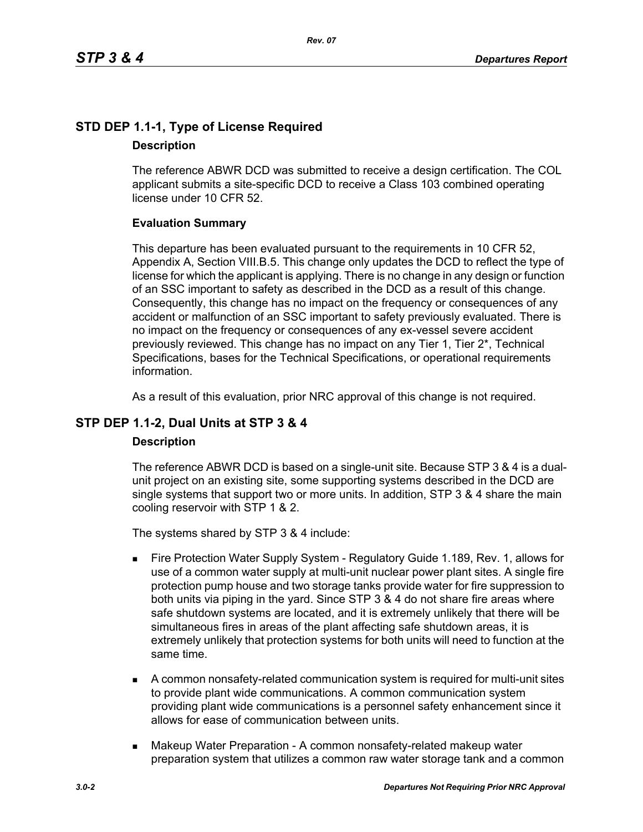# **STD DEP 1.1-1, Type of License Required Description**

The reference ABWR DCD was submitted to receive a design certification. The COL applicant submits a site-specific DCD to receive a Class 103 combined operating license under 10 CFR 52.

### **Evaluation Summary**

This departure has been evaluated pursuant to the requirements in 10 CFR 52, Appendix A, Section VIII.B.5. This change only updates the DCD to reflect the type of license for which the applicant is applying. There is no change in any design or function of an SSC important to safety as described in the DCD as a result of this change. Consequently, this change has no impact on the frequency or consequences of any accident or malfunction of an SSC important to safety previously evaluated. There is no impact on the frequency or consequences of any ex-vessel severe accident previously reviewed. This change has no impact on any Tier 1, Tier 2\*, Technical Specifications, bases for the Technical Specifications, or operational requirements information.

As a result of this evaluation, prior NRC approval of this change is not required.

# **STP DEP 1.1-2, Dual Units at STP 3 & 4**

### **Description**

The reference ABWR DCD is based on a single-unit site. Because STP 3 & 4 is a dualunit project on an existing site, some supporting systems described in the DCD are single systems that support two or more units. In addition, STP 3 & 4 share the main cooling reservoir with STP 1 & 2.

The systems shared by STP 3 & 4 include:

- Fire Protection Water Supply System Regulatory Guide 1.189, Rev. 1, allows for use of a common water supply at multi-unit nuclear power plant sites. A single fire protection pump house and two storage tanks provide water for fire suppression to both units via piping in the yard. Since STP 3 & 4 do not share fire areas where safe shutdown systems are located, and it is extremely unlikely that there will be simultaneous fires in areas of the plant affecting safe shutdown areas, it is extremely unlikely that protection systems for both units will need to function at the same time.
- A common nonsafety-related communication system is required for multi-unit sites to provide plant wide communications. A common communication system providing plant wide communications is a personnel safety enhancement since it allows for ease of communication between units.
- **Makeup Water Preparation A common nonsafety-related makeup water** preparation system that utilizes a common raw water storage tank and a common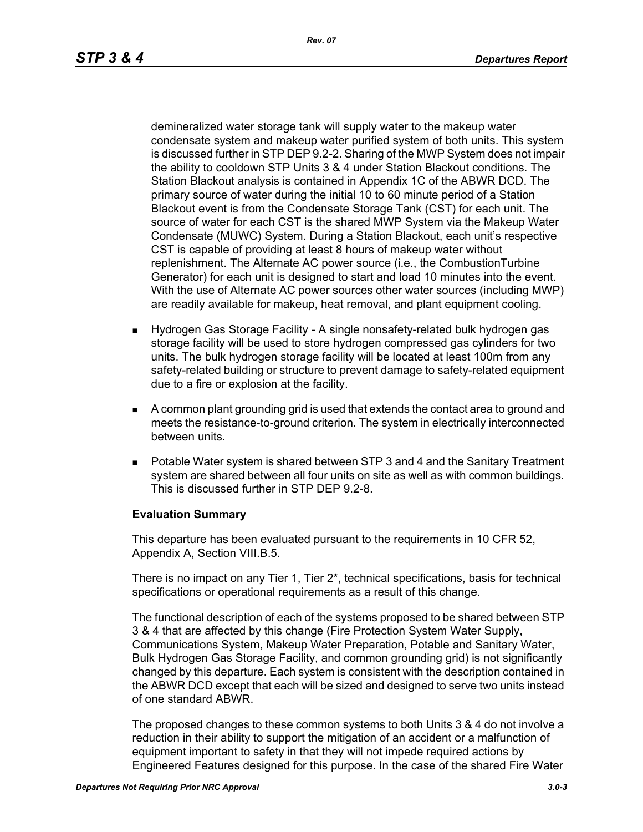demineralized water storage tank will supply water to the makeup water condensate system and makeup water purified system of both units. This system is discussed further in STP DEP 9.2-2. Sharing of the MWP System does not impair the ability to cooldown STP Units 3 & 4 under Station Blackout conditions. The Station Blackout analysis is contained in Appendix 1C of the ABWR DCD. The primary source of water during the initial 10 to 60 minute period of a Station Blackout event is from the Condensate Storage Tank (CST) for each unit. The source of water for each CST is the shared MWP System via the Makeup Water Condensate (MUWC) System. During a Station Blackout, each unit's respective CST is capable of providing at least 8 hours of makeup water without replenishment. The Alternate AC power source (i.e., the CombustionTurbine Generator) for each unit is designed to start and load 10 minutes into the event. With the use of Alternate AC power sources other water sources (including MWP) are readily available for makeup, heat removal, and plant equipment cooling.

- Hydrogen Gas Storage Facility A single nonsafety-related bulk hydrogen gas storage facility will be used to store hydrogen compressed gas cylinders for two units. The bulk hydrogen storage facility will be located at least 100m from any safety-related building or structure to prevent damage to safety-related equipment due to a fire or explosion at the facility.
- A common plant grounding grid is used that extends the contact area to ground and meets the resistance-to-ground criterion. The system in electrically interconnected between units.
- Potable Water system is shared between STP 3 and 4 and the Sanitary Treatment system are shared between all four units on site as well as with common buildings. This is discussed further in STP DEP 9.2-8.

### **Evaluation Summary**

This departure has been evaluated pursuant to the requirements in 10 CFR 52, Appendix A, Section VIII.B.5.

There is no impact on any Tier 1, Tier 2\*, technical specifications, basis for technical specifications or operational requirements as a result of this change.

The functional description of each of the systems proposed to be shared between STP 3 & 4 that are affected by this change (Fire Protection System Water Supply, Communications System, Makeup Water Preparation, Potable and Sanitary Water, Bulk Hydrogen Gas Storage Facility, and common grounding grid) is not significantly changed by this departure. Each system is consistent with the description contained in the ABWR DCD except that each will be sized and designed to serve two units instead of one standard ABWR.

The proposed changes to these common systems to both Units 3 & 4 do not involve a reduction in their ability to support the mitigation of an accident or a malfunction of equipment important to safety in that they will not impede required actions by Engineered Features designed for this purpose. In the case of the shared Fire Water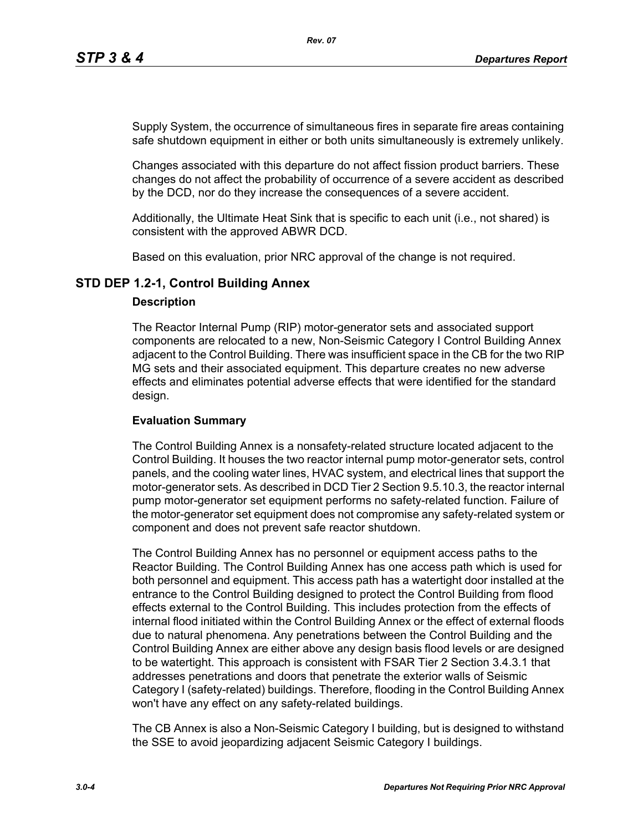Supply System, the occurrence of simultaneous fires in separate fire areas containing safe shutdown equipment in either or both units simultaneously is extremely unlikely.

Changes associated with this departure do not affect fission product barriers. These changes do not affect the probability of occurrence of a severe accident as described by the DCD, nor do they increase the consequences of a severe accident.

Additionally, the Ultimate Heat Sink that is specific to each unit (i.e., not shared) is consistent with the approved ABWR DCD.

Based on this evaluation, prior NRC approval of the change is not required.

### **STD DEP 1.2-1, Control Building Annex**

#### **Description**

The Reactor Internal Pump (RIP) motor-generator sets and associated support components are relocated to a new, Non-Seismic Category I Control Building Annex adjacent to the Control Building. There was insufficient space in the CB for the two RIP MG sets and their associated equipment. This departure creates no new adverse effects and eliminates potential adverse effects that were identified for the standard design.

### **Evaluation Summary**

The Control Building Annex is a nonsafety-related structure located adjacent to the Control Building. It houses the two reactor internal pump motor-generator sets, control panels, and the cooling water lines, HVAC system, and electrical lines that support the motor-generator sets. As described in DCD Tier 2 Section 9.5.10.3, the reactor internal pump motor-generator set equipment performs no safety-related function. Failure of the motor-generator set equipment does not compromise any safety-related system or component and does not prevent safe reactor shutdown.

The Control Building Annex has no personnel or equipment access paths to the Reactor Building. The Control Building Annex has one access path which is used for both personnel and equipment. This access path has a watertight door installed at the entrance to the Control Building designed to protect the Control Building from flood effects external to the Control Building. This includes protection from the effects of internal flood initiated within the Control Building Annex or the effect of external floods due to natural phenomena. Any penetrations between the Control Building and the Control Building Annex are either above any design basis flood levels or are designed to be watertight. This approach is consistent with FSAR Tier 2 Section 3.4.3.1 that addresses penetrations and doors that penetrate the exterior walls of Seismic Category I (safety-related) buildings. Therefore, flooding in the Control Building Annex won't have any effect on any safety-related buildings.

The CB Annex is also a Non-Seismic Category I building, but is designed to withstand the SSE to avoid jeopardizing adjacent Seismic Category I buildings.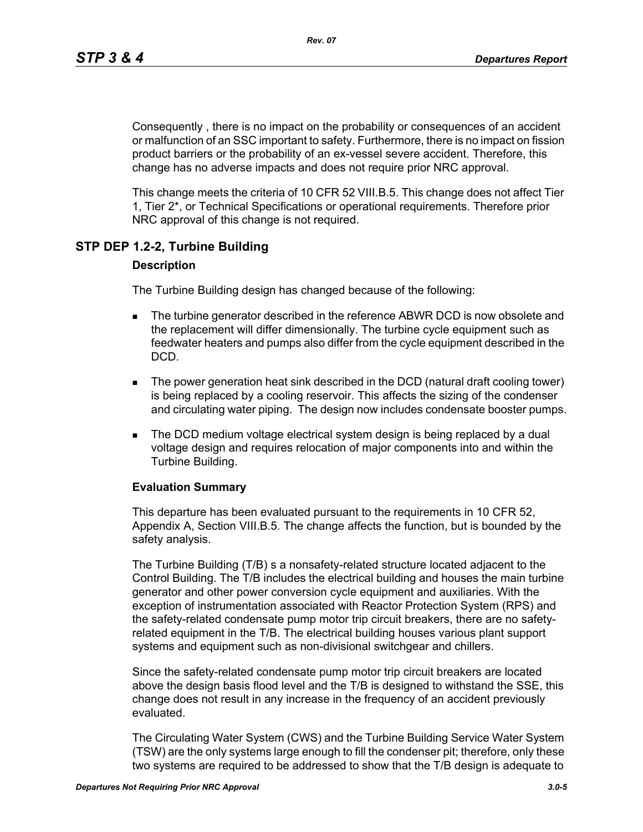Consequently , there is no impact on the probability or consequences of an accident or malfunction of an SSC important to safety. Furthermore, there is no impact on fission product barriers or the probability of an ex-vessel severe accident. Therefore, this change has no adverse impacts and does not require prior NRC approval.

This change meets the criteria of 10 CFR 52 VIII.B.5. This change does not affect Tier 1, Tier 2\*, or Technical Specifications or operational requirements. Therefore prior NRC approval of this change is not required.

### **STP DEP 1.2-2, Turbine Building**

#### **Description**

The Turbine Building design has changed because of the following:

- **The turbine generator described in the reference ABWR DCD is now obsolete and** the replacement will differ dimensionally. The turbine cycle equipment such as feedwater heaters and pumps also differ from the cycle equipment described in the DCD.
- The power generation heat sink described in the DCD (natural draft cooling tower) is being replaced by a cooling reservoir. This affects the sizing of the condenser and circulating water piping. The design now includes condensate booster pumps.
- **The DCD medium voltage electrical system design is being replaced by a dual** voltage design and requires relocation of major components into and within the Turbine Building.

#### **Evaluation Summary**

This departure has been evaluated pursuant to the requirements in 10 CFR 52, Appendix A, Section VIII.B.5. The change affects the function, but is bounded by the safety analysis.

The Turbine Building (T/B) s a nonsafety-related structure located adjacent to the Control Building. The T/B includes the electrical building and houses the main turbine generator and other power conversion cycle equipment and auxiliaries. With the exception of instrumentation associated with Reactor Protection System (RPS) and the safety-related condensate pump motor trip circuit breakers, there are no safetyrelated equipment in the T/B. The electrical building houses various plant support systems and equipment such as non-divisional switchgear and chillers.

Since the safety-related condensate pump motor trip circuit breakers are located above the design basis flood level and the T/B is designed to withstand the SSE, this change does not result in any increase in the frequency of an accident previously evaluated.

The Circulating Water System (CWS) and the Turbine Building Service Water System (TSW) are the only systems large enough to fill the condenser pit; therefore, only these two systems are required to be addressed to show that the T/B design is adequate to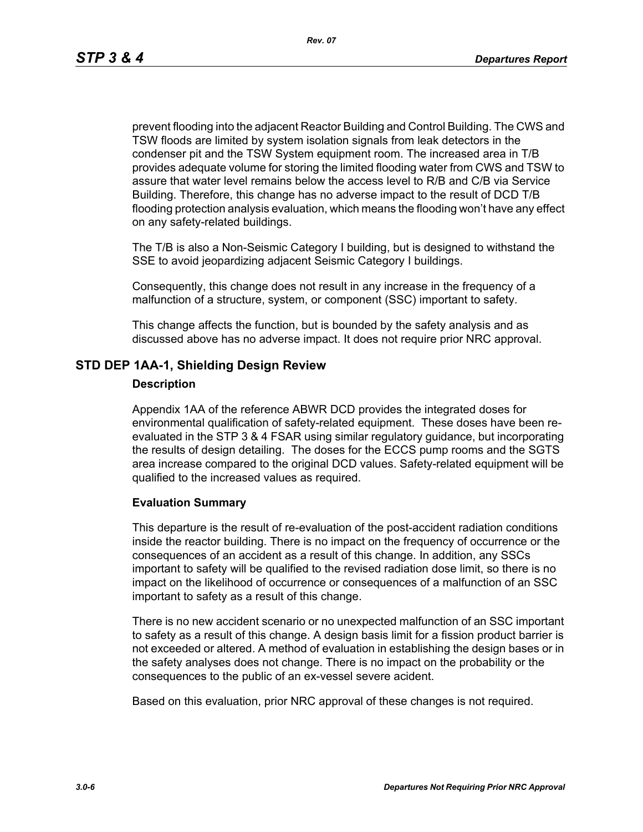*Rev. 07*

prevent flooding into the adjacent Reactor Building and Control Building. The CWS and TSW floods are limited by system isolation signals from leak detectors in the condenser pit and the TSW System equipment room. The increased area in T/B provides adequate volume for storing the limited flooding water from CWS and TSW to assure that water level remains below the access level to R/B and C/B via Service Building. Therefore, this change has no adverse impact to the result of DCD T/B flooding protection analysis evaluation, which means the flooding won't have any effect on any safety-related buildings.

The T/B is also a Non-Seismic Category I building, but is designed to withstand the SSE to avoid jeopardizing adjacent Seismic Category I buildings.

Consequently, this change does not result in any increase in the frequency of a malfunction of a structure, system, or component (SSC) important to safety.

This change affects the function, but is bounded by the safety analysis and as discussed above has no adverse impact. It does not require prior NRC approval.

### **STD DEP 1AA-1, Shielding Design Review**

#### **Description**

Appendix 1AA of the reference ABWR DCD provides the integrated doses for environmental qualification of safety-related equipment. These doses have been reevaluated in the STP 3 & 4 FSAR using similar regulatory guidance, but incorporating the results of design detailing. The doses for the ECCS pump rooms and the SGTS area increase compared to the original DCD values. Safety-related equipment will be qualified to the increased values as required.

### **Evaluation Summary**

This departure is the result of re-evaluation of the post-accident radiation conditions inside the reactor building. There is no impact on the frequency of occurrence or the consequences of an accident as a result of this change. In addition, any SSCs important to safety will be qualified to the revised radiation dose limit, so there is no impact on the likelihood of occurrence or consequences of a malfunction of an SSC important to safety as a result of this change.

There is no new accident scenario or no unexpected malfunction of an SSC important to safety as a result of this change. A design basis limit for a fission product barrier is not exceeded or altered. A method of evaluation in establishing the design bases or in the safety analyses does not change. There is no impact on the probability or the consequences to the public of an ex-vessel severe acident.

Based on this evaluation, prior NRC approval of these changes is not required.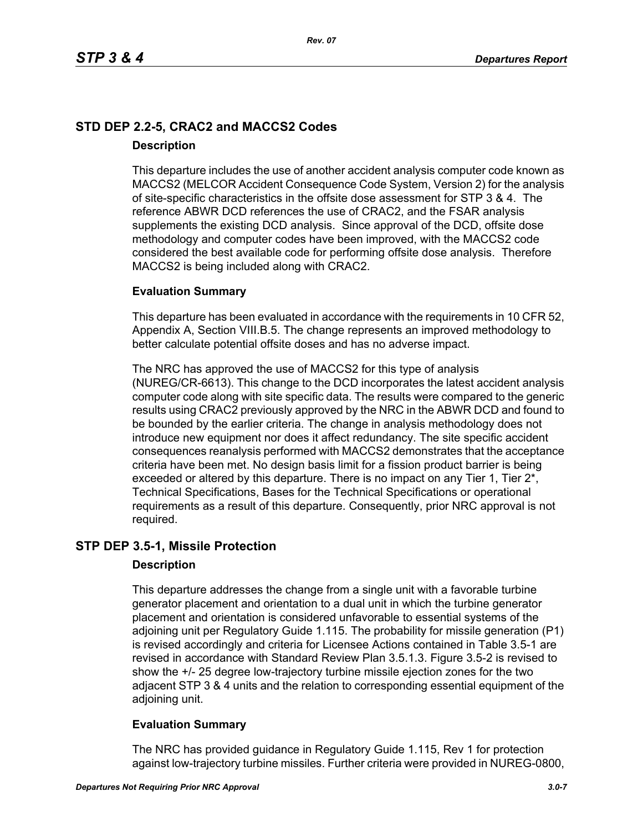# **STD DEP 2.2-5, CRAC2 and MACCS2 Codes Description**

This departure includes the use of another accident analysis computer code known as MACCS2 (MELCOR Accident Consequence Code System, Version 2) for the analysis of site-specific characteristics in the offsite dose assessment for STP 3 & 4. The reference ABWR DCD references the use of CRAC2, and the FSAR analysis supplements the existing DCD analysis. Since approval of the DCD, offsite dose methodology and computer codes have been improved, with the MACCS2 code considered the best available code for performing offsite dose analysis. Therefore MACCS2 is being included along with CRAC2.

### **Evaluation Summary**

This departure has been evaluated in accordance with the requirements in 10 CFR 52, Appendix A, Section VIII.B.5. The change represents an improved methodology to better calculate potential offsite doses and has no adverse impact.

The NRC has approved the use of MACCS2 for this type of analysis (NUREG/CR-6613). This change to the DCD incorporates the latest accident analysis computer code along with site specific data. The results were compared to the generic results using CRAC2 previously approved by the NRC in the ABWR DCD and found to be bounded by the earlier criteria. The change in analysis methodology does not introduce new equipment nor does it affect redundancy. The site specific accident consequences reanalysis performed with MACCS2 demonstrates that the acceptance criteria have been met. No design basis limit for a fission product barrier is being exceeded or altered by this departure. There is no impact on any Tier 1, Tier 2<sup>\*</sup>, Technical Specifications, Bases for the Technical Specifications or operational requirements as a result of this departure. Consequently, prior NRC approval is not required.

### **STP DEP 3.5-1, Missile Protection**

### **Description**

This departure addresses the change from a single unit with a favorable turbine generator placement and orientation to a dual unit in which the turbine generator placement and orientation is considered unfavorable to essential systems of the adjoining unit per Regulatory Guide 1.115. The probability for missile generation (P1) is revised accordingly and criteria for Licensee Actions contained in Table 3.5-1 are revised in accordance with Standard Review Plan 3.5.1.3. Figure 3.5-2 is revised to show the +/- 25 degree low-trajectory turbine missile ejection zones for the two adjacent STP 3 & 4 units and the relation to corresponding essential equipment of the adjoining unit.

### **Evaluation Summary**

The NRC has provided guidance in Regulatory Guide 1.115, Rev 1 for protection against low-trajectory turbine missiles. Further criteria were provided in NUREG-0800,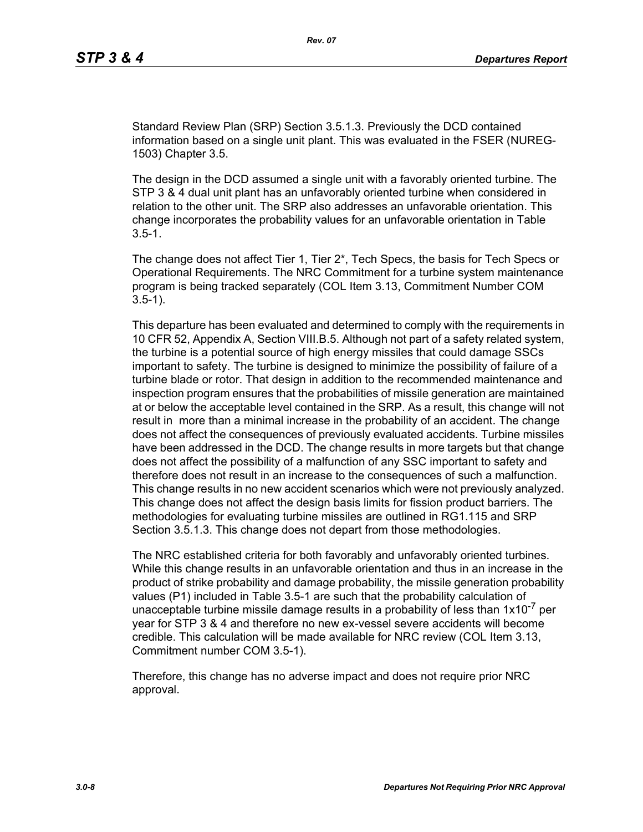Standard Review Plan (SRP) Section 3.5.1.3. Previously the DCD contained information based on a single unit plant. This was evaluated in the FSER (NUREG-1503) Chapter 3.5.

The design in the DCD assumed a single unit with a favorably oriented turbine. The STP 3 & 4 dual unit plant has an unfavorably oriented turbine when considered in relation to the other unit. The SRP also addresses an unfavorable orientation. This change incorporates the probability values for an unfavorable orientation in Table  $3.5 - 1.$ 

The change does not affect Tier 1, Tier 2\*, Tech Specs, the basis for Tech Specs or Operational Requirements. The NRC Commitment for a turbine system maintenance program is being tracked separately (COL Item 3.13, Commitment Number COM 3.5-1).

This departure has been evaluated and determined to comply with the requirements in 10 CFR 52, Appendix A, Section VIII.B.5. Although not part of a safety related system, the turbine is a potential source of high energy missiles that could damage SSCs important to safety. The turbine is designed to minimize the possibility of failure of a turbine blade or rotor. That design in addition to the recommended maintenance and inspection program ensures that the probabilities of missile generation are maintained at or below the acceptable level contained in the SRP. As a result, this change will not result in more than a minimal increase in the probability of an accident. The change does not affect the consequences of previously evaluated accidents. Turbine missiles have been addressed in the DCD. The change results in more targets but that change does not affect the possibility of a malfunction of any SSC important to safety and therefore does not result in an increase to the consequences of such a malfunction. This change results in no new accident scenarios which were not previously analyzed. This change does not affect the design basis limits for fission product barriers. The methodologies for evaluating turbine missiles are outlined in RG1.115 and SRP Section 3.5.1.3. This change does not depart from those methodologies.

The NRC established criteria for both favorably and unfavorably oriented turbines. While this change results in an unfavorable orientation and thus in an increase in the product of strike probability and damage probability, the missile generation probability values (P1) included in Table 3.5-1 are such that the probability calculation of unacceptable turbine missile damage results in a probability of less than  $1x10^{-7}$  per year for STP 3 & 4 and therefore no new ex-vessel severe accidents will become credible. This calculation will be made available for NRC review (COL Item 3.13, Commitment number COM 3.5-1).

Therefore, this change has no adverse impact and does not require prior NRC approval.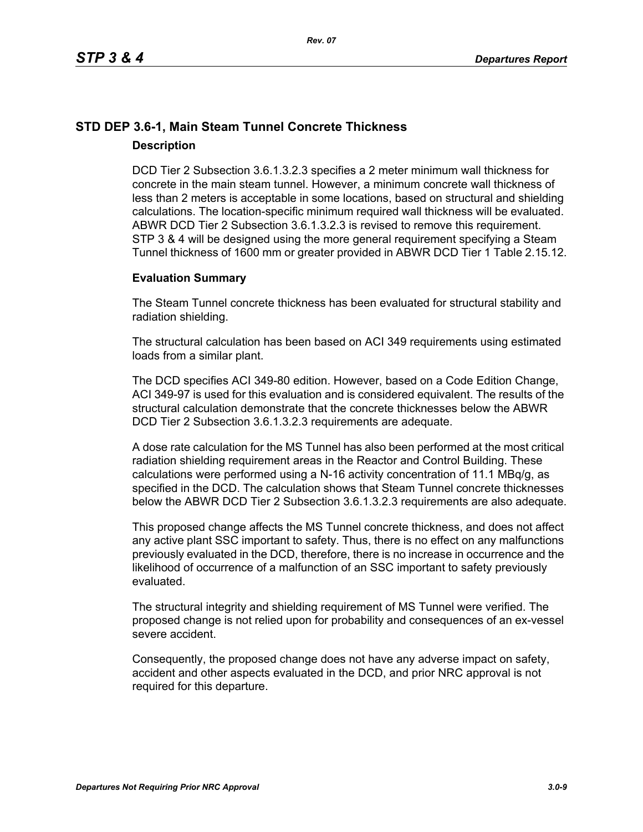# **STD DEP 3.6-1, Main Steam Tunnel Concrete Thickness Description**

DCD Tier 2 Subsection 3.6.1.3.2.3 specifies a 2 meter minimum wall thickness for concrete in the main steam tunnel. However, a minimum concrete wall thickness of less than 2 meters is acceptable in some locations, based on structural and shielding calculations. The location-specific minimum required wall thickness will be evaluated. ABWR DCD Tier 2 Subsection 3.6.1.3.2.3 is revised to remove this requirement. STP 3 & 4 will be designed using the more general requirement specifying a Steam Tunnel thickness of 1600 mm or greater provided in ABWR DCD Tier 1 Table 2.15.12.

### **Evaluation Summary**

The Steam Tunnel concrete thickness has been evaluated for structural stability and radiation shielding.

The structural calculation has been based on ACI 349 requirements using estimated loads from a similar plant.

The DCD specifies ACI 349-80 edition. However, based on a Code Edition Change, ACI 349-97 is used for this evaluation and is considered equivalent. The results of the structural calculation demonstrate that the concrete thicknesses below the ABWR DCD Tier 2 Subsection 3.6.1.3.2.3 requirements are adequate.

A dose rate calculation for the MS Tunnel has also been performed at the most critical radiation shielding requirement areas in the Reactor and Control Building. These calculations were performed using a N-16 activity concentration of 11.1 MBq/g, as specified in the DCD. The calculation shows that Steam Tunnel concrete thicknesses below the ABWR DCD Tier 2 Subsection 3.6.1.3.2.3 requirements are also adequate.

This proposed change affects the MS Tunnel concrete thickness, and does not affect any active plant SSC important to safety. Thus, there is no effect on any malfunctions previously evaluated in the DCD, therefore, there is no increase in occurrence and the likelihood of occurrence of a malfunction of an SSC important to safety previously evaluated.

The structural integrity and shielding requirement of MS Tunnel were verified. The proposed change is not relied upon for probability and consequences of an ex-vessel severe accident.

Consequently, the proposed change does not have any adverse impact on safety, accident and other aspects evaluated in the DCD, and prior NRC approval is not required for this departure.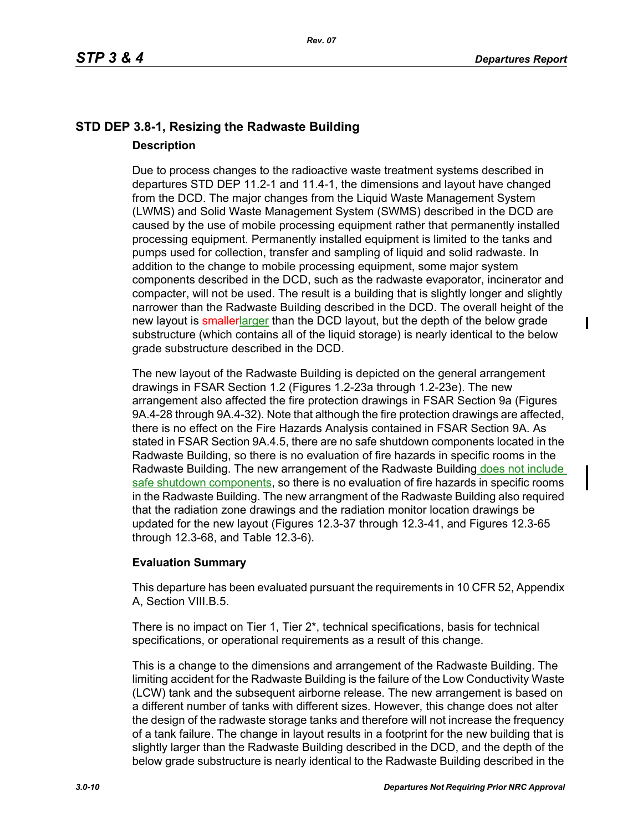$\blacksquare$ 

# **STD DEP 3.8-1, Resizing the Radwaste Building Description**

Due to process changes to the radioactive waste treatment systems described in departures STD DEP 11.2-1 and 11.4-1, the dimensions and layout have changed from the DCD. The major changes from the Liquid Waste Management System (LWMS) and Solid Waste Management System (SWMS) described in the DCD are caused by the use of mobile processing equipment rather that permanently installed processing equipment. Permanently installed equipment is limited to the tanks and pumps used for collection, transfer and sampling of liquid and solid radwaste. In addition to the change to mobile processing equipment, some major system components described in the DCD, such as the radwaste evaporator, incinerator and compacter, will not be used. The result is a building that is slightly longer and slightly narrower than the Radwaste Building described in the DCD. The overall height of the new layout is smallerlarger than the DCD layout, but the depth of the below grade substructure (which contains all of the liquid storage) is nearly identical to the below grade substructure described in the DCD.

The new layout of the Radwaste Building is depicted on the general arrangement drawings in FSAR Section 1.2 (Figures 1.2-23a through 1.2-23e). The new arrangement also affected the fire protection drawings in FSAR Section 9a (Figures 9A.4-28 through 9A.4-32). Note that although the fire protection drawings are affected, there is no effect on the Fire Hazards Analysis contained in FSAR Section 9A. As stated in FSAR Section 9A.4.5, there are no safe shutdown components located in the Radwaste Building, so there is no evaluation of fire hazards in specific rooms in the Radwaste Building. The new arrangement of the Radwaste Building does not include safe shutdown components, so there is no evaluation of fire hazards in specific rooms in the Radwaste Building. The new arrangment of the Radwaste Building also required that the radiation zone drawings and the radiation monitor location drawings be updated for the new layout (Figures 12.3-37 through 12.3-41, and Figures 12.3-65 through 12.3-68, and Table 12.3-6).

### **Evaluation Summary**

This departure has been evaluated pursuant the requirements in 10 CFR 52, Appendix A, Section VIII.B.5.

There is no impact on Tier 1, Tier 2\*, technical specifications, basis for technical specifications, or operational requirements as a result of this change.

This is a change to the dimensions and arrangement of the Radwaste Building. The limiting accident for the Radwaste Building is the failure of the Low Conductivity Waste (LCW) tank and the subsequent airborne release. The new arrangement is based on a different number of tanks with different sizes. However, this change does not alter the design of the radwaste storage tanks and therefore will not increase the frequency of a tank failure. The change in layout results in a footprint for the new building that is slightly larger than the Radwaste Building described in the DCD, and the depth of the below grade substructure is nearly identical to the Radwaste Building described in the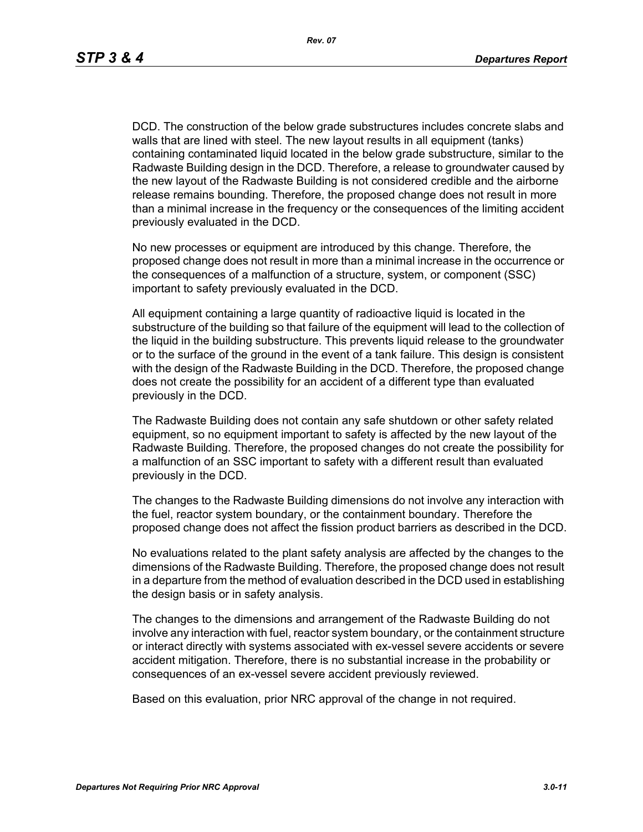DCD. The construction of the below grade substructures includes concrete slabs and walls that are lined with steel. The new layout results in all equipment (tanks) containing contaminated liquid located in the below grade substructure, similar to the Radwaste Building design in the DCD. Therefore, a release to groundwater caused by the new layout of the Radwaste Building is not considered credible and the airborne release remains bounding. Therefore, the proposed change does not result in more than a minimal increase in the frequency or the consequences of the limiting accident previously evaluated in the DCD.

No new processes or equipment are introduced by this change. Therefore, the proposed change does not result in more than a minimal increase in the occurrence or the consequences of a malfunction of a structure, system, or component (SSC) important to safety previously evaluated in the DCD.

All equipment containing a large quantity of radioactive liquid is located in the substructure of the building so that failure of the equipment will lead to the collection of the liquid in the building substructure. This prevents liquid release to the groundwater or to the surface of the ground in the event of a tank failure. This design is consistent with the design of the Radwaste Building in the DCD. Therefore, the proposed change does not create the possibility for an accident of a different type than evaluated previously in the DCD.

The Radwaste Building does not contain any safe shutdown or other safety related equipment, so no equipment important to safety is affected by the new layout of the Radwaste Building. Therefore, the proposed changes do not create the possibility for a malfunction of an SSC important to safety with a different result than evaluated previously in the DCD.

The changes to the Radwaste Building dimensions do not involve any interaction with the fuel, reactor system boundary, or the containment boundary. Therefore the proposed change does not affect the fission product barriers as described in the DCD.

No evaluations related to the plant safety analysis are affected by the changes to the dimensions of the Radwaste Building. Therefore, the proposed change does not result in a departure from the method of evaluation described in the DCD used in establishing the design basis or in safety analysis.

The changes to the dimensions and arrangement of the Radwaste Building do not involve any interaction with fuel, reactor system boundary, or the containment structure or interact directly with systems associated with ex-vessel severe accidents or severe accident mitigation. Therefore, there is no substantial increase in the probability or consequences of an ex-vessel severe accident previously reviewed.

Based on this evaluation, prior NRC approval of the change in not required.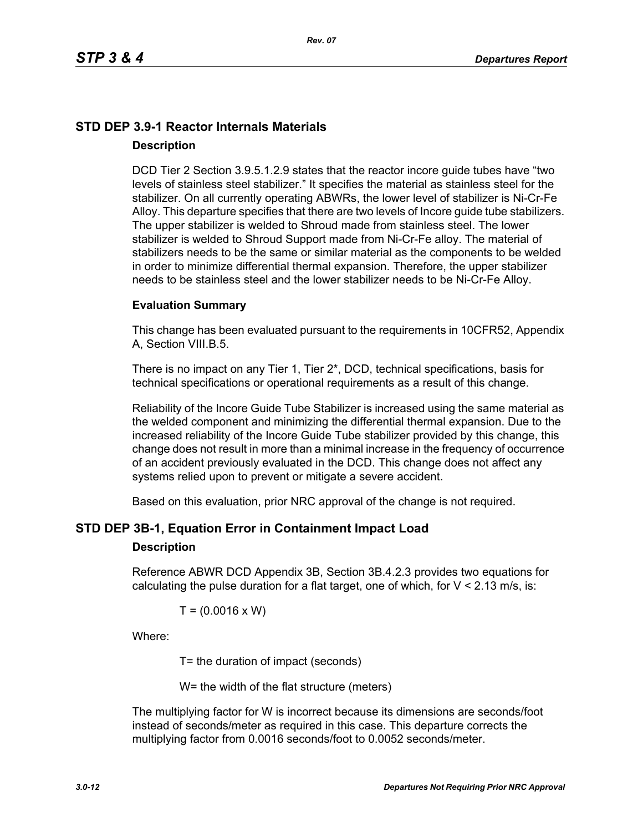# **STD DEP 3.9-1 Reactor Internals Materials Description**

DCD Tier 2 Section 3.9.5.1.2.9 states that the reactor incore guide tubes have "two levels of stainless steel stabilizer." It specifies the material as stainless steel for the stabilizer. On all currently operating ABWRs, the lower level of stabilizer is Ni-Cr-Fe Alloy. This departure specifies that there are two levels of Incore guide tube stabilizers. The upper stabilizer is welded to Shroud made from stainless steel. The lower stabilizer is welded to Shroud Support made from Ni-Cr-Fe alloy. The material of stabilizers needs to be the same or similar material as the components to be welded in order to minimize differential thermal expansion. Therefore, the upper stabilizer needs to be stainless steel and the lower stabilizer needs to be Ni-Cr-Fe Alloy.

#### **Evaluation Summary**

This change has been evaluated pursuant to the requirements in 10CFR52, Appendix A, Section VIII.B.5.

There is no impact on any Tier 1, Tier 2\*, DCD, technical specifications, basis for technical specifications or operational requirements as a result of this change.

Reliability of the Incore Guide Tube Stabilizer is increased using the same material as the welded component and minimizing the differential thermal expansion. Due to the increased reliability of the Incore Guide Tube stabilizer provided by this change, this change does not result in more than a minimal increase in the frequency of occurrence of an accident previously evaluated in the DCD. This change does not affect any systems relied upon to prevent or mitigate a severe accident.

Based on this evaluation, prior NRC approval of the change is not required.

### **STD DEP 3B-1, Equation Error in Containment Impact Load**

#### **Description**

Reference ABWR DCD Appendix 3B, Section 3B.4.2.3 provides two equations for calculating the pulse duration for a flat target, one of which, for  $V < 2.13$  m/s, is:

$$
T = (0.0016 \times W)
$$

Where:

T= the duration of impact (seconds)

W= the width of the flat structure (meters)

The multiplying factor for W is incorrect because its dimensions are seconds/foot instead of seconds/meter as required in this case. This departure corrects the multiplying factor from 0.0016 seconds/foot to 0.0052 seconds/meter.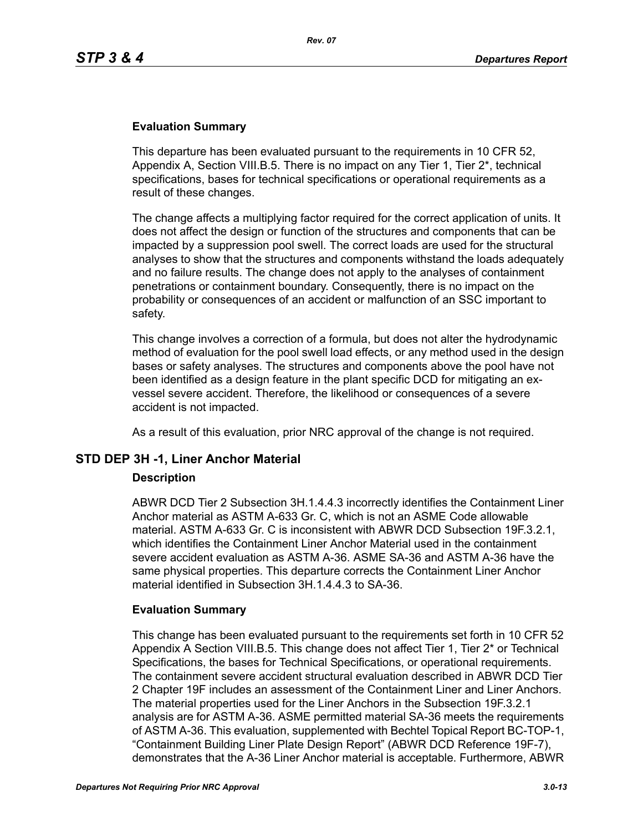### **Evaluation Summary**

This departure has been evaluated pursuant to the requirements in 10 CFR 52, Appendix A, Section VIII.B.5. There is no impact on any Tier 1, Tier 2\*, technical specifications, bases for technical specifications or operational requirements as a result of these changes.

The change affects a multiplying factor required for the correct application of units. It does not affect the design or function of the structures and components that can be impacted by a suppression pool swell. The correct loads are used for the structural analyses to show that the structures and components withstand the loads adequately and no failure results. The change does not apply to the analyses of containment penetrations or containment boundary. Consequently, there is no impact on the probability or consequences of an accident or malfunction of an SSC important to safety.

This change involves a correction of a formula, but does not alter the hydrodynamic method of evaluation for the pool swell load effects, or any method used in the design bases or safety analyses. The structures and components above the pool have not been identified as a design feature in the plant specific DCD for mitigating an exvessel severe accident. Therefore, the likelihood or consequences of a severe accident is not impacted.

As a result of this evaluation, prior NRC approval of the change is not required.

### **STD DEP 3H -1, Liner Anchor Material**

#### **Description**

ABWR DCD Tier 2 Subsection 3H.1.4.4.3 incorrectly identifies the Containment Liner Anchor material as ASTM A-633 Gr. C, which is not an ASME Code allowable material. ASTM A-633 Gr. C is inconsistent with ABWR DCD Subsection 19F.3.2.1, which identifies the Containment Liner Anchor Material used in the containment severe accident evaluation as ASTM A-36. ASME SA-36 and ASTM A-36 have the same physical properties. This departure corrects the Containment Liner Anchor material identified in Subsection 3H.1.4.4.3 to SA-36.

#### **Evaluation Summary**

This change has been evaluated pursuant to the requirements set forth in 10 CFR 52 Appendix A Section VIII.B.5. This change does not affect Tier 1, Tier 2\* or Technical Specifications, the bases for Technical Specifications, or operational requirements. The containment severe accident structural evaluation described in ABWR DCD Tier 2 Chapter 19F includes an assessment of the Containment Liner and Liner Anchors. The material properties used for the Liner Anchors in the Subsection 19F.3.2.1 analysis are for ASTM A-36. ASME permitted material SA-36 meets the requirements of ASTM A-36. This evaluation, supplemented with Bechtel Topical Report BC-TOP-1, "Containment Building Liner Plate Design Report" (ABWR DCD Reference 19F-7), demonstrates that the A-36 Liner Anchor material is acceptable. Furthermore, ABWR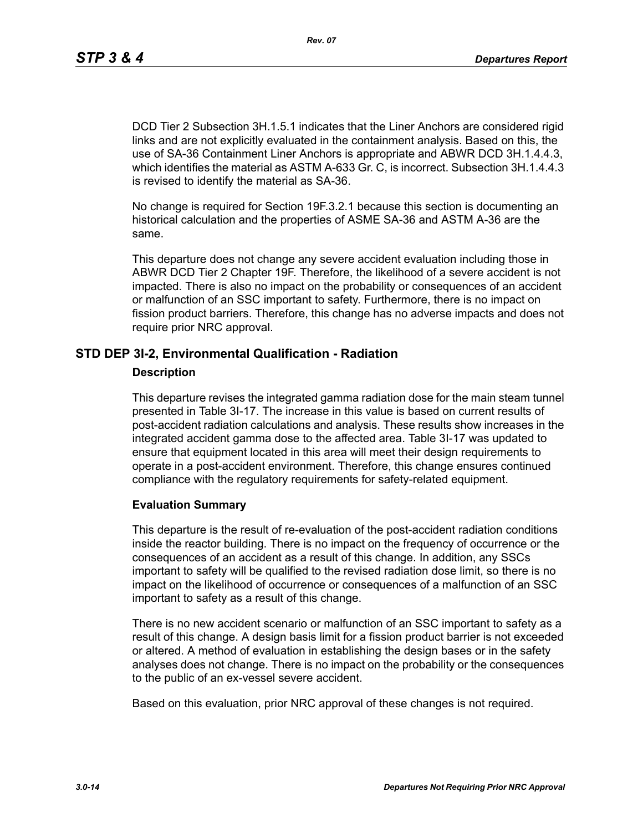DCD Tier 2 Subsection 3H.1.5.1 indicates that the Liner Anchors are considered rigid links and are not explicitly evaluated in the containment analysis. Based on this, the use of SA-36 Containment Liner Anchors is appropriate and ABWR DCD 3H.1.4.4.3, which identifies the material as ASTM A-633 Gr. C, is incorrect. Subsection 3H.1.4.4.3 is revised to identify the material as SA-36.

No change is required for Section 19F.3.2.1 because this section is documenting an historical calculation and the properties of ASME SA-36 and ASTM A-36 are the same.

This departure does not change any severe accident evaluation including those in ABWR DCD Tier 2 Chapter 19F. Therefore, the likelihood of a severe accident is not impacted. There is also no impact on the probability or consequences of an accident or malfunction of an SSC important to safety. Furthermore, there is no impact on fission product barriers. Therefore, this change has no adverse impacts and does not require prior NRC approval.

### **STD DEP 3I-2, Environmental Qualification - Radiation**

#### **Description**

This departure revises the integrated gamma radiation dose for the main steam tunnel presented in Table 3I-17. The increase in this value is based on current results of post-accident radiation calculations and analysis. These results show increases in the integrated accident gamma dose to the affected area. Table 3I-17 was updated to ensure that equipment located in this area will meet their design requirements to operate in a post-accident environment. Therefore, this change ensures continued compliance with the regulatory requirements for safety-related equipment.

#### **Evaluation Summary**

This departure is the result of re-evaluation of the post-accident radiation conditions inside the reactor building. There is no impact on the frequency of occurrence or the consequences of an accident as a result of this change. In addition, any SSCs important to safety will be qualified to the revised radiation dose limit, so there is no impact on the likelihood of occurrence or consequences of a malfunction of an SSC important to safety as a result of this change.

There is no new accident scenario or malfunction of an SSC important to safety as a result of this change. A design basis limit for a fission product barrier is not exceeded or altered. A method of evaluation in establishing the design bases or in the safety analyses does not change. There is no impact on the probability or the consequences to the public of an ex-vessel severe accident.

Based on this evaluation, prior NRC approval of these changes is not required.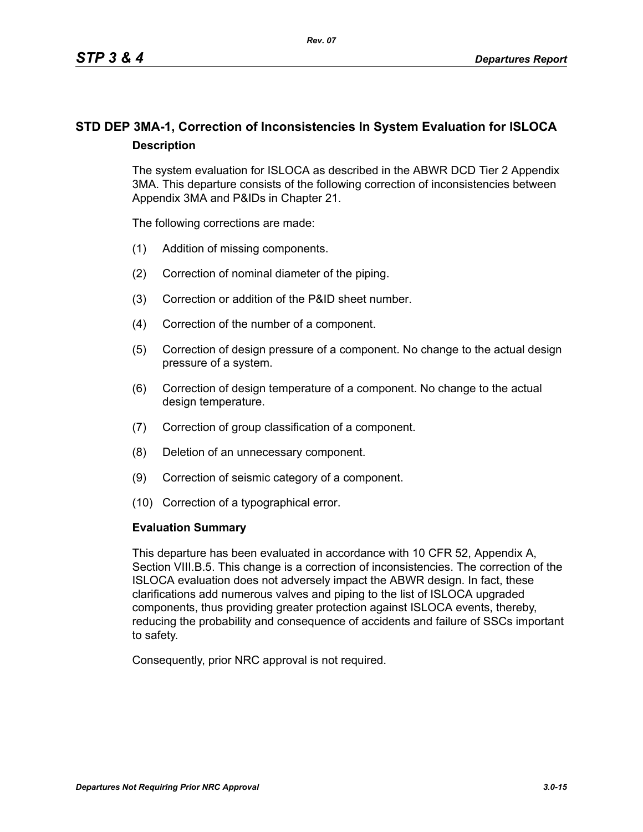# **STD DEP 3MA-1, Correction of Inconsistencies In System Evaluation for ISLOCA Description**

The system evaluation for ISLOCA as described in the ABWR DCD Tier 2 Appendix 3MA. This departure consists of the following correction of inconsistencies between Appendix 3MA and P&IDs in Chapter 21.

The following corrections are made:

- (1) Addition of missing components.
- (2) Correction of nominal diameter of the piping.
- (3) Correction or addition of the P&ID sheet number.
- (4) Correction of the number of a component.
- (5) Correction of design pressure of a component. No change to the actual design pressure of a system.
- (6) Correction of design temperature of a component. No change to the actual design temperature.
- (7) Correction of group classification of a component.
- (8) Deletion of an unnecessary component.
- (9) Correction of seismic category of a component.
- (10) Correction of a typographical error.

#### **Evaluation Summary**

This departure has been evaluated in accordance with 10 CFR 52, Appendix A, Section VIII.B.5. This change is a correction of inconsistencies. The correction of the ISLOCA evaluation does not adversely impact the ABWR design. In fact, these clarifications add numerous valves and piping to the list of ISLOCA upgraded components, thus providing greater protection against ISLOCA events, thereby, reducing the probability and consequence of accidents and failure of SSCs important to safety.

Consequently, prior NRC approval is not required.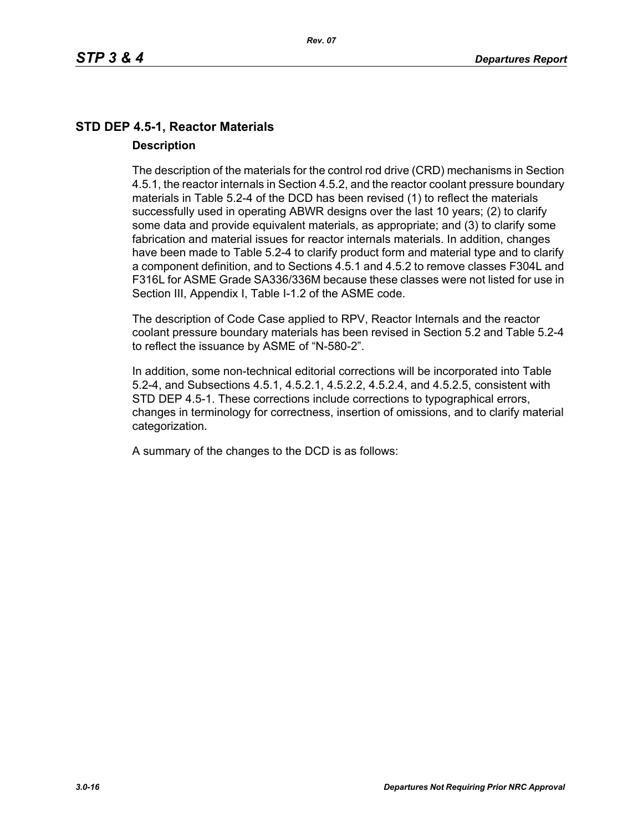# **STD DEP 4.5-1, Reactor Materials Description**

The description of the materials for the control rod drive (CRD) mechanisms in Section 4.5.1, the reactor internals in Section 4.5.2, and the reactor coolant pressure boundary materials in Table 5.2-4 of the DCD has been revised (1) to reflect the materials successfully used in operating ABWR designs over the last 10 years; (2) to clarify some data and provide equivalent materials, as appropriate; and (3) to clarify some fabrication and material issues for reactor internals materials. In addition, changes have been made to Table 5.2-4 to clarify product form and material type and to clarify a component definition, and to Sections 4.5.1 and 4.5.2 to remove classes F304L and F316L for ASME Grade SA336/336M because these classes were not listed for use in Section III, Appendix I, Table I-1.2 of the ASME code.

The description of Code Case applied to RPV, Reactor Internals and the reactor coolant pressure boundary materials has been revised in Section 5.2 and Table 5.2-4 to reflect the issuance by ASME of "N-580-2".

In addition, some non-technical editorial corrections will be incorporated into Table 5.2-4, and Subsections 4.5.1, 4.5.2.1, 4.5.2.2, 4.5.2.4, and 4.5.2.5, consistent with STD DEP 4.5-1. These corrections include corrections to typographical errors, changes in terminology for correctness, insertion of omissions, and to clarify material categorization.

A summary of the changes to the DCD is as follows: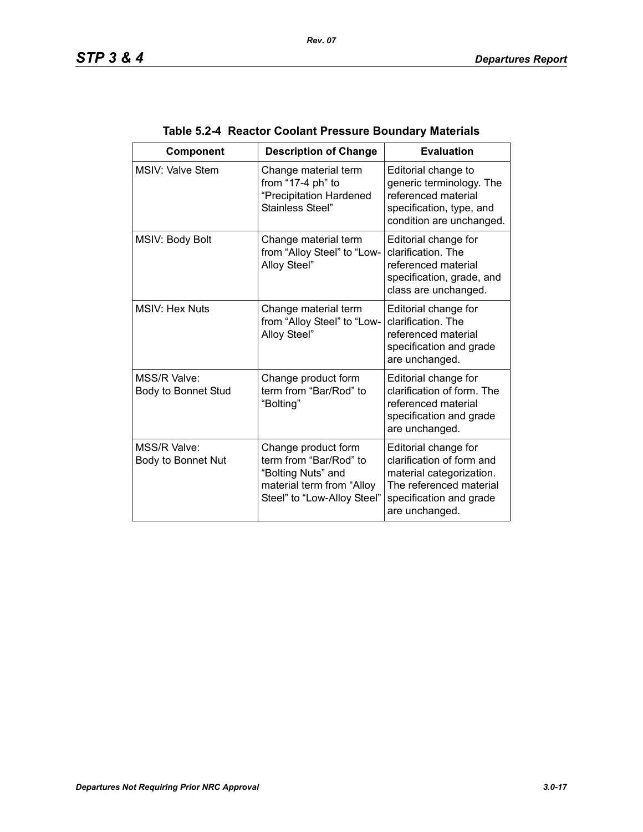| Component                           | <b>Description of Change</b>                                                                                                    | <b>Evaluation</b>                                                                                                                                     |
|-------------------------------------|---------------------------------------------------------------------------------------------------------------------------------|-------------------------------------------------------------------------------------------------------------------------------------------------------|
| <b>MSIV: Valve Stem</b>             | Change material term<br>from "17-4 ph" to<br>"Precipitation Hardened<br>Stainless Steel"                                        | Editorial change to<br>generic terminology. The<br>referenced material<br>specification, type, and<br>condition are unchanged.                        |
| MSIV: Body Bolt                     | Change material term<br>from "Alloy Steel" to "Low-<br>Alloy Steel"                                                             | Editorial change for<br>clarification. The<br>referenced material<br>specification, grade, and<br>class are unchanged.                                |
| <b>MSIV: Hex Nuts</b>               | Change material term<br>from "Alloy Steel" to "Low-<br>Alloy Steel"                                                             | Editorial change for<br>clarification. The<br>referenced material<br>specification and grade<br>are unchanged.                                        |
| MSS/R Valve:<br>Body to Bonnet Stud | Change product form<br>term from "Bar/Rod" to<br>"Bolting"                                                                      | Editorial change for<br>clarification of form. The<br>referenced material<br>specification and grade<br>are unchanged.                                |
| MSS/R Valve:<br>Body to Bonnet Nut  | Change product form<br>term from "Bar/Rod" to<br>"Bolting Nuts" and<br>material term from "Alloy<br>Steel" to "Low-Alloy Steel" | Editorial change for<br>clarification of form and<br>material categorization.<br>The referenced material<br>specification and grade<br>are unchanged. |

# **Table 5.2-4 Reactor Coolant Pressure Boundary Materials**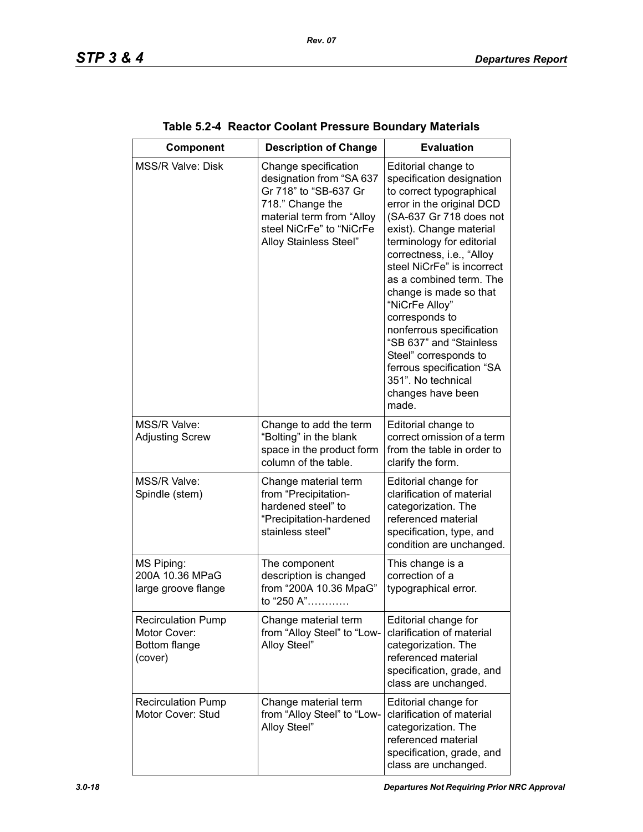| Component                                                             | <b>Description of Change</b>                                                                                                                                                     | <b>Evaluation</b>                                                                                                                                                                                                                                                                                                                                                                                                                                                                                                 |
|-----------------------------------------------------------------------|----------------------------------------------------------------------------------------------------------------------------------------------------------------------------------|-------------------------------------------------------------------------------------------------------------------------------------------------------------------------------------------------------------------------------------------------------------------------------------------------------------------------------------------------------------------------------------------------------------------------------------------------------------------------------------------------------------------|
| <b>MSS/R Valve: Disk</b>                                              | Change specification<br>designation from "SA 637<br>Gr 718" to "SB-637 Gr<br>718." Change the<br>material term from "Alloy<br>steel NiCrFe" to "NiCrFe<br>Alloy Stainless Steel" | Editorial change to<br>specification designation<br>to correct typographical<br>error in the original DCD<br>(SA-637 Gr 718 does not<br>exist). Change material<br>terminology for editorial<br>correctness, i.e., "Alloy<br>steel NiCrFe" is incorrect<br>as a combined term. The<br>change is made so that<br>"NiCrFe Alloy"<br>corresponds to<br>nonferrous specification<br>"SB 637" and "Stainless<br>Steel" corresponds to<br>ferrous specification "SA<br>351". No technical<br>changes have been<br>made. |
| MSS/R Valve:<br><b>Adjusting Screw</b>                                | Change to add the term<br>"Bolting" in the blank<br>space in the product form<br>column of the table.                                                                            | Editorial change to<br>correct omission of a term<br>from the table in order to<br>clarify the form.                                                                                                                                                                                                                                                                                                                                                                                                              |
| MSS/R Valve:<br>Spindle (stem)                                        | Change material term<br>from "Precipitation-<br>hardened steel" to<br>"Precipitation-hardened<br>stainless steel"                                                                | Editorial change for<br>clarification of material<br>categorization. The<br>referenced material<br>specification, type, and<br>condition are unchanged.                                                                                                                                                                                                                                                                                                                                                           |
| MS Piping:<br>200A 10.36 MPaG<br>large groove flange                  | The component<br>description is changed<br>from "200A 10.36 MpaG"<br>to "250 A"                                                                                                  | This change is a<br>correction of a<br>typographical error.                                                                                                                                                                                                                                                                                                                                                                                                                                                       |
| <b>Recirculation Pump</b><br>Motor Cover:<br>Bottom flange<br>(cover) | Change material term<br>from "Alloy Steel" to "Low-<br>Alloy Steel"                                                                                                              | Editorial change for<br>clarification of material<br>categorization. The<br>referenced material<br>specification, grade, and<br>class are unchanged.                                                                                                                                                                                                                                                                                                                                                              |
| <b>Recirculation Pump</b><br>Motor Cover: Stud                        | Change material term<br>from "Alloy Steel" to "Low-<br>Alloy Steel"                                                                                                              | Editorial change for<br>clarification of material<br>categorization. The<br>referenced material<br>specification, grade, and<br>class are unchanged.                                                                                                                                                                                                                                                                                                                                                              |

| Table 5.2-4 Reactor Coolant Pressure Boundary Materials |  |
|---------------------------------------------------------|--|
|---------------------------------------------------------|--|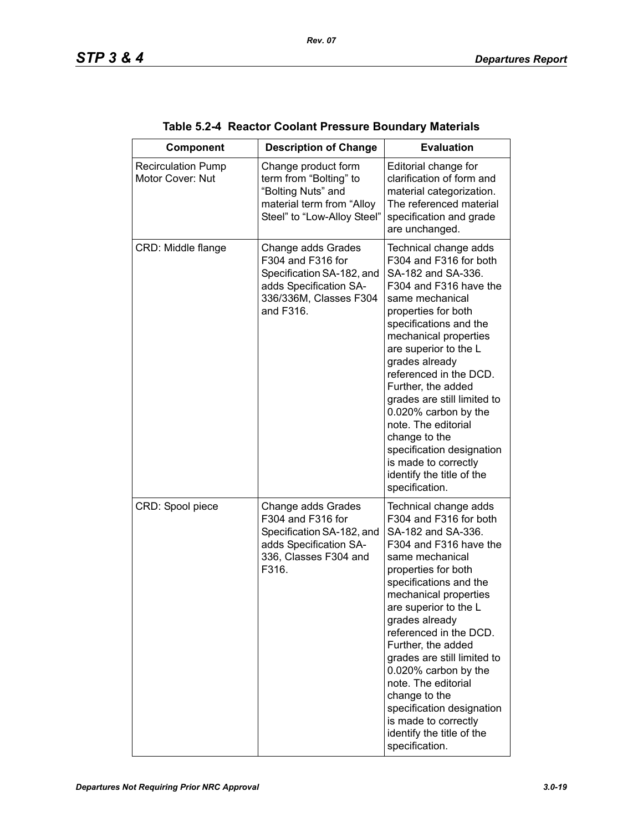| Component                                     | <b>Description of Change</b>                                                                                                          | <b>Evaluation</b>                                                                                                                                                                                                                                                                                                                                                                                                                                                                          |
|-----------------------------------------------|---------------------------------------------------------------------------------------------------------------------------------------|--------------------------------------------------------------------------------------------------------------------------------------------------------------------------------------------------------------------------------------------------------------------------------------------------------------------------------------------------------------------------------------------------------------------------------------------------------------------------------------------|
| <b>Recirculation Pump</b><br>Motor Cover: Nut | Change product form<br>term from "Bolting" to<br>"Bolting Nuts" and<br>material term from "Alloy<br>Steel" to "Low-Alloy Steel"       | Editorial change for<br>clarification of form and<br>material categorization.<br>The referenced material<br>specification and grade<br>are unchanged.                                                                                                                                                                                                                                                                                                                                      |
| CRD: Middle flange                            | Change adds Grades<br>F304 and F316 for<br>Specification SA-182, and<br>adds Specification SA-<br>336/336M, Classes F304<br>and F316. | Technical change adds<br>F304 and F316 for both<br>SA-182 and SA-336.<br>F304 and F316 have the<br>same mechanical<br>properties for both<br>specifications and the<br>mechanical properties<br>are superior to the L<br>grades already<br>referenced in the DCD.<br>Further, the added<br>grades are still limited to<br>0.020% carbon by the<br>note. The editorial<br>change to the<br>specification designation<br>is made to correctly<br>identify the title of the<br>specification. |
| CRD: Spool piece                              | Change adds Grades<br>F304 and F316 for<br>Specification SA-182, and<br>adds Specification SA-<br>336, Classes F304 and<br>F316.      | Technical change adds<br>F304 and F316 for both<br>SA-182 and SA-336.<br>F304 and F316 have the<br>same mechanical<br>properties for both<br>specifications and the<br>mechanical properties<br>are superior to the L<br>grades already<br>referenced in the DCD.<br>Further, the added<br>grades are still limited to<br>0.020% carbon by the<br>note. The editorial<br>change to the<br>specification designation<br>is made to correctly<br>identify the title of the<br>specification. |

|  | Table 5.2-4 Reactor Coolant Pressure Boundary Materials |  |  |  |
|--|---------------------------------------------------------|--|--|--|
|--|---------------------------------------------------------|--|--|--|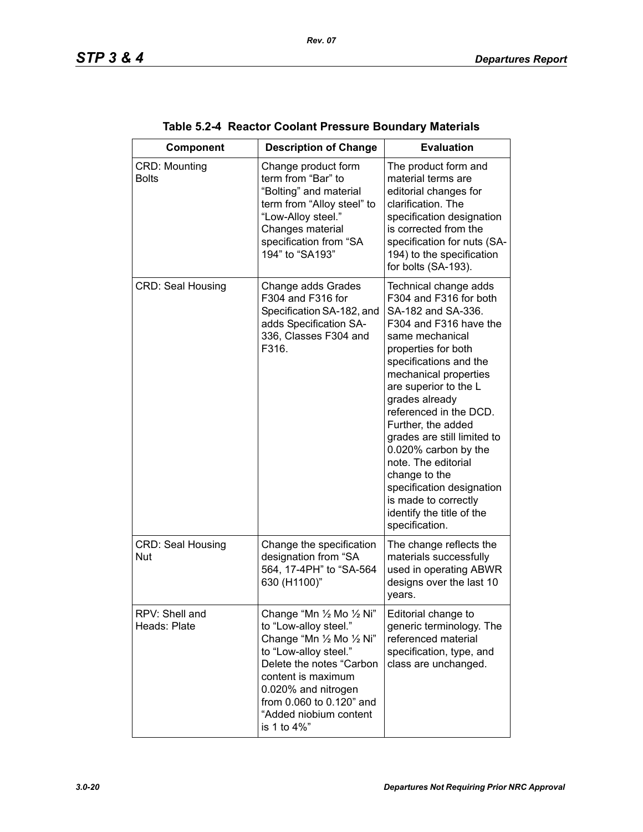| Component                            | <b>Description of Change</b>                                                                                                                                                                                                                           | <b>Evaluation</b>                                                                                                                                                                                                                                                                                                                                                                                                                                                                          |
|--------------------------------------|--------------------------------------------------------------------------------------------------------------------------------------------------------------------------------------------------------------------------------------------------------|--------------------------------------------------------------------------------------------------------------------------------------------------------------------------------------------------------------------------------------------------------------------------------------------------------------------------------------------------------------------------------------------------------------------------------------------------------------------------------------------|
| <b>CRD: Mounting</b><br><b>Bolts</b> | Change product form<br>term from "Bar" to<br>"Bolting" and material<br>term from "Alloy steel" to<br>"Low-Alloy steel."<br>Changes material<br>specification from "SA<br>194" to "SA193"                                                               | The product form and<br>material terms are<br>editorial changes for<br>clarification. The<br>specification designation<br>is corrected from the<br>specification for nuts (SA-<br>194) to the specification<br>for bolts (SA-193).                                                                                                                                                                                                                                                         |
| <b>CRD: Seal Housing</b>             | Change adds Grades<br>F304 and F316 for<br>Specification SA-182, and<br>adds Specification SA-<br>336, Classes F304 and<br>F316.                                                                                                                       | Technical change adds<br>F304 and F316 for both<br>SA-182 and SA-336.<br>F304 and F316 have the<br>same mechanical<br>properties for both<br>specifications and the<br>mechanical properties<br>are superior to the L<br>grades already<br>referenced in the DCD.<br>Further, the added<br>grades are still limited to<br>0.020% carbon by the<br>note. The editorial<br>change to the<br>specification designation<br>is made to correctly<br>identify the title of the<br>specification. |
| <b>CRD: Seal Housing</b><br>Nut      | Change the specification<br>designation from "SA<br>564, 17-4PH" to "SA-564<br>630 (H1100)"                                                                                                                                                            | The change reflects the<br>materials successfully<br>used in operating ABWR<br>designs over the last 10<br>years.                                                                                                                                                                                                                                                                                                                                                                          |
| RPV: Shell and<br>Heads: Plate       | Change "Mn 1/2 Mo 1/2 Ni"<br>to "Low-alloy steel."<br>Change "Mn 1/2 Mo 1/2 Ni"<br>to "Low-alloy steel."<br>Delete the notes "Carbon<br>content is maximum<br>0.020% and nitrogen<br>from 0.060 to 0.120" and<br>"Added niobium content<br>is 1 to 4%" | Editorial change to<br>generic terminology. The<br>referenced material<br>specification, type, and<br>class are unchanged.                                                                                                                                                                                                                                                                                                                                                                 |

| Table 5.2-4 Reactor Coolant Pressure Boundary Materials |  |
|---------------------------------------------------------|--|
|---------------------------------------------------------|--|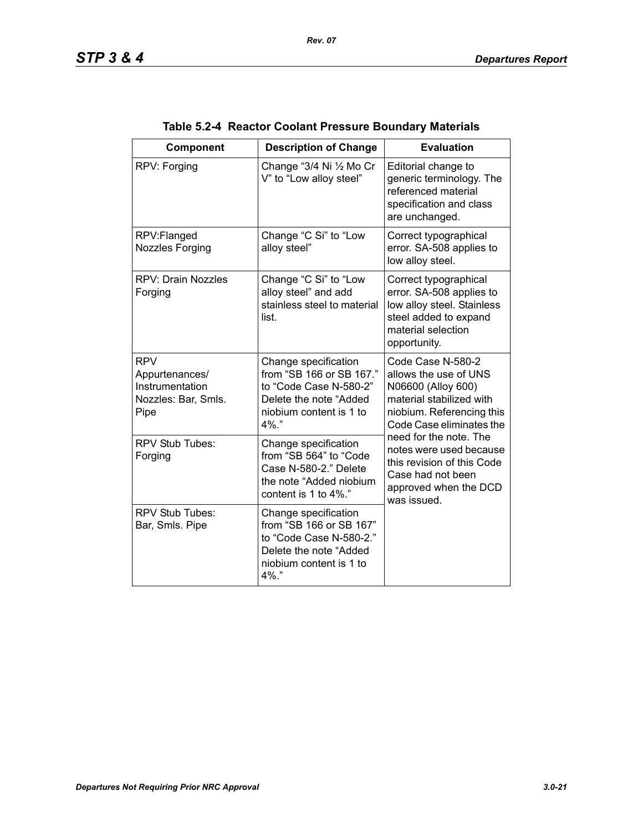| Component                                                                      | <b>Description of Change</b>                                                                                                            | <b>Evaluation</b>                                                                                                                                                                                                                                                                                     |
|--------------------------------------------------------------------------------|-----------------------------------------------------------------------------------------------------------------------------------------|-------------------------------------------------------------------------------------------------------------------------------------------------------------------------------------------------------------------------------------------------------------------------------------------------------|
| RPV: Forging                                                                   | Change "3/4 Ni 1/2 Mo Cr<br>V" to "Low alloy steel"                                                                                     | Editorial change to<br>generic terminology. The<br>referenced material<br>specification and class<br>are unchanged.                                                                                                                                                                                   |
| RPV:Flanged<br><b>Nozzles Forging</b>                                          | Change "C Si" to "Low<br>alloy steel"                                                                                                   | Correct typographical<br>error. SA-508 applies to<br>low alloy steel.                                                                                                                                                                                                                                 |
| <b>RPV: Drain Nozzles</b><br>Forging                                           | Change "C Si" to "Low<br>alloy steel" and add<br>stainless steel to material<br>list.                                                   | Correct typographical<br>error. SA-508 applies to<br>low alloy steel. Stainless<br>steel added to expand<br>material selection<br>opportunity.                                                                                                                                                        |
| <b>RPV</b><br>Appurtenances/<br>Instrumentation<br>Nozzles: Bar, Smls.<br>Pipe | Change specification<br>from "SB 166 or SB 167."<br>to "Code Case N-580-2"<br>Delete the note "Added<br>niobium content is 1 to<br>4%." | Code Case N-580-2<br>allows the use of UNS<br>N06600 (Alloy 600)<br>material stabilized with<br>niobium. Referencing this<br>Code Case eliminates the<br>need for the note. The<br>notes were used because<br>this revision of this Code<br>Case had not been<br>approved when the DCD<br>was issued. |
| <b>RPV Stub Tubes:</b><br>Forging                                              | Change specification<br>from "SB 564" to "Code<br>Case N-580-2." Delete<br>the note "Added niobium<br>content is 1 to 4%."              |                                                                                                                                                                                                                                                                                                       |
| <b>RPV Stub Tubes:</b><br>Bar, Smls. Pipe                                      | Change specification<br>from "SB 166 or SB 167"<br>to "Code Case N-580-2."<br>Delete the note "Added<br>niobium content is 1 to<br>4%." |                                                                                                                                                                                                                                                                                                       |

| Table 5.2-4 Reactor Coolant Pressure Boundary Materials |  |
|---------------------------------------------------------|--|
|                                                         |  |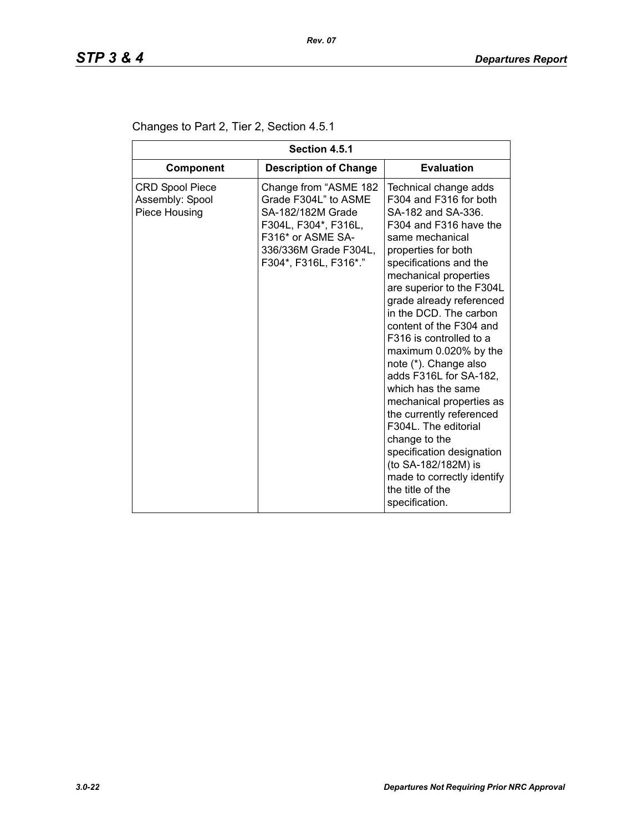| Section 4.5.1                                              |                                                                                                                                                                   |                                                                                                                                                                                                                                                                                                                                                                                                                                                                                                                                                                                                                                                                  |  |
|------------------------------------------------------------|-------------------------------------------------------------------------------------------------------------------------------------------------------------------|------------------------------------------------------------------------------------------------------------------------------------------------------------------------------------------------------------------------------------------------------------------------------------------------------------------------------------------------------------------------------------------------------------------------------------------------------------------------------------------------------------------------------------------------------------------------------------------------------------------------------------------------------------------|--|
| <b>Component</b>                                           | <b>Description of Change</b>                                                                                                                                      | <b>Evaluation</b>                                                                                                                                                                                                                                                                                                                                                                                                                                                                                                                                                                                                                                                |  |
| <b>CRD Spool Piece</b><br>Assembly: Spool<br>Piece Housing | Change from "ASME 182<br>Grade F304L" to ASME<br>SA-182/182M Grade<br>F304L, F304*, F316L,<br>F316* or ASME SA-<br>336/336M Grade F304L,<br>F304*, F316L, F316*." | Technical change adds<br>F304 and F316 for both<br>SA-182 and SA-336.<br>F304 and F316 have the<br>same mechanical<br>properties for both<br>specifications and the<br>mechanical properties<br>are superior to the F304L<br>grade already referenced<br>in the DCD. The carbon<br>content of the F304 and<br>F316 is controlled to a<br>maximum 0.020% by the<br>note (*). Change also<br>adds F316L for SA-182,<br>which has the same<br>mechanical properties as<br>the currently referenced<br>F304L. The editorial<br>change to the<br>specification designation<br>(to SA-182/182M) is<br>made to correctly identify<br>the title of the<br>specification. |  |

### Changes to Part 2, Tier 2, Section 4.5.1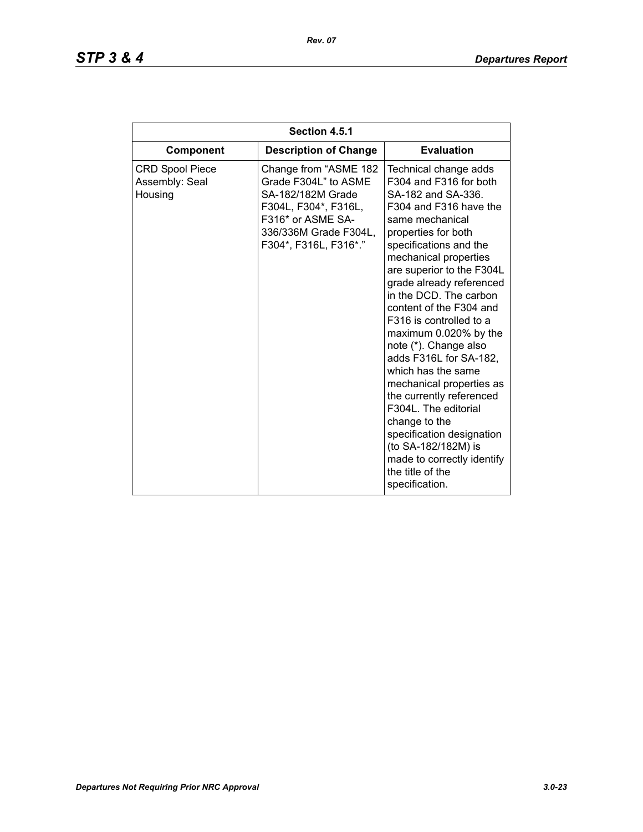# *STP 3 & 4 Departures Report*

| Section 4.5.1                                       |                                                                                                                                                                   |                                                                                                                                                                                                                                                                                                                                                                                                                                                                                                                                                                                                                                                                  |  |
|-----------------------------------------------------|-------------------------------------------------------------------------------------------------------------------------------------------------------------------|------------------------------------------------------------------------------------------------------------------------------------------------------------------------------------------------------------------------------------------------------------------------------------------------------------------------------------------------------------------------------------------------------------------------------------------------------------------------------------------------------------------------------------------------------------------------------------------------------------------------------------------------------------------|--|
| Component                                           | <b>Description of Change</b>                                                                                                                                      | <b>Evaluation</b>                                                                                                                                                                                                                                                                                                                                                                                                                                                                                                                                                                                                                                                |  |
| <b>CRD Spool Piece</b><br>Assembly: Seal<br>Housing | Change from "ASME 182<br>Grade F304L" to ASME<br>SA-182/182M Grade<br>F304L, F304*, F316L,<br>F316* or ASME SA-<br>336/336M Grade F304L,<br>F304*, F316L, F316*." | Technical change adds<br>F304 and F316 for both<br>SA-182 and SA-336.<br>F304 and F316 have the<br>same mechanical<br>properties for both<br>specifications and the<br>mechanical properties<br>are superior to the F304L<br>grade already referenced<br>in the DCD. The carbon<br>content of the F304 and<br>F316 is controlled to a<br>maximum 0.020% by the<br>note (*). Change also<br>adds F316L for SA-182,<br>which has the same<br>mechanical properties as<br>the currently referenced<br>F304L. The editorial<br>change to the<br>specification designation<br>(to SA-182/182M) is<br>made to correctly identify<br>the title of the<br>specification. |  |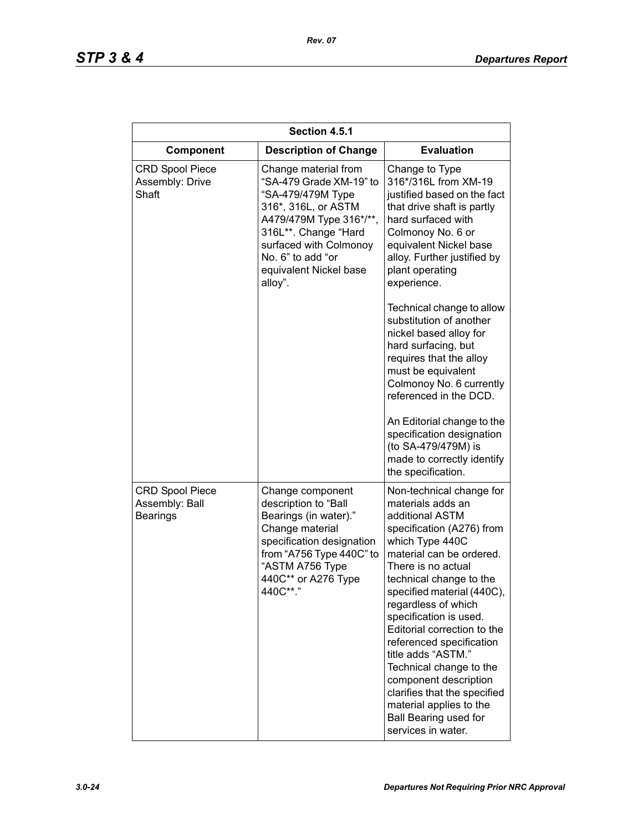| Section 4.5.1                                               |                                                                                                                                                                                                                                    |                                                                                                                                                                                                                                                                                                                                                                                                                                                                                                                                    |  |
|-------------------------------------------------------------|------------------------------------------------------------------------------------------------------------------------------------------------------------------------------------------------------------------------------------|------------------------------------------------------------------------------------------------------------------------------------------------------------------------------------------------------------------------------------------------------------------------------------------------------------------------------------------------------------------------------------------------------------------------------------------------------------------------------------------------------------------------------------|--|
| Component                                                   | <b>Description of Change</b>                                                                                                                                                                                                       | <b>Evaluation</b>                                                                                                                                                                                                                                                                                                                                                                                                                                                                                                                  |  |
| <b>CRD Spool Piece</b><br>Assembly: Drive<br>Shaft          | Change material from<br>"SA-479 Grade XM-19" to<br>"SA-479/479M Type<br>316*, 316L, or ASTM<br>A479/479M Type 316*/**,<br>316L**. Change "Hard<br>surfaced with Colmonoy<br>No. 6" to add "or<br>equivalent Nickel base<br>alloy". | Change to Type<br>316*/316L from XM-19<br>justified based on the fact<br>that drive shaft is partly<br>hard surfaced with<br>Colmonoy No. 6 or<br>equivalent Nickel base<br>alloy. Further justified by<br>plant operating<br>experience.                                                                                                                                                                                                                                                                                          |  |
|                                                             |                                                                                                                                                                                                                                    | Technical change to allow<br>substitution of another<br>nickel based alloy for<br>hard surfacing, but<br>requires that the alloy<br>must be equivalent<br>Colmonoy No. 6 currently<br>referenced in the DCD.<br>An Editorial change to the<br>specification designation<br>(to SA-479/479M) is<br>made to correctly identify<br>the specification.                                                                                                                                                                                 |  |
| <b>CRD Spool Piece</b><br>Assembly: Ball<br><b>Bearings</b> | Change component<br>description to "Ball<br>Bearings (in water)."<br>Change material<br>specification designation<br>from "A756 Type 440C" to<br>"ASTM A756 Type<br>440C** or A276 Type<br>440C**."                                | Non-technical change for<br>materials adds an<br>additional ASTM<br>specification (A276) from<br>which Type 440C<br>material can be ordered.<br>There is no actual<br>technical change to the<br>specified material (440C),<br>regardless of which<br>specification is used.<br>Editorial correction to the<br>referenced specification<br>title adds "ASTM."<br>Technical change to the<br>component description<br>clarifies that the specified<br>material applies to the<br><b>Ball Bearing used for</b><br>services in water. |  |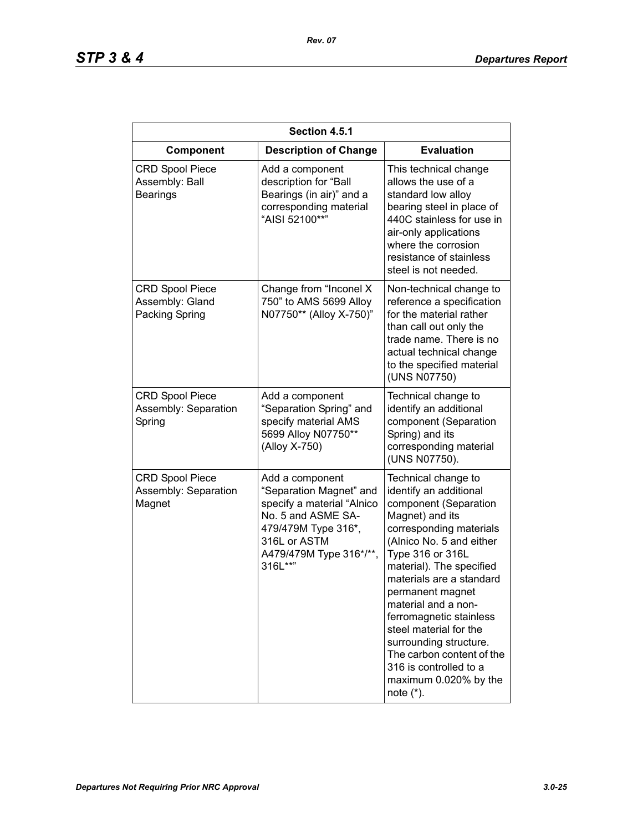| Section 4.5.1                                               |                                                                                                                                                                             |                                                                                                                                                                                                                                                                                                                                                                                                                                                        |
|-------------------------------------------------------------|-----------------------------------------------------------------------------------------------------------------------------------------------------------------------------|--------------------------------------------------------------------------------------------------------------------------------------------------------------------------------------------------------------------------------------------------------------------------------------------------------------------------------------------------------------------------------------------------------------------------------------------------------|
| Component                                                   | <b>Description of Change</b>                                                                                                                                                | <b>Evaluation</b>                                                                                                                                                                                                                                                                                                                                                                                                                                      |
| <b>CRD Spool Piece</b><br>Assembly: Ball<br><b>Bearings</b> | Add a component<br>description for "Ball<br>Bearings (in air)" and a<br>corresponding material<br>"AISI 52100**"                                                            | This technical change<br>allows the use of a<br>standard low alloy<br>bearing steel in place of<br>440C stainless for use in<br>air-only applications<br>where the corrosion<br>resistance of stainless<br>steel is not needed.                                                                                                                                                                                                                        |
| <b>CRD Spool Piece</b><br>Assembly: Gland<br>Packing Spring | Change from "Inconel X<br>750" to AMS 5699 Alloy<br>N07750** (Alloy X-750)"                                                                                                 | Non-technical change to<br>reference a specification<br>for the material rather<br>than call out only the<br>trade name. There is no<br>actual technical change<br>to the specified material<br>(UNS N07750)                                                                                                                                                                                                                                           |
| <b>CRD Spool Piece</b><br>Assembly: Separation<br>Spring    | Add a component<br>"Separation Spring" and<br>specify material AMS<br>5699 Alloy N07750**<br>(Alloy X-750)                                                                  | Technical change to<br>identify an additional<br>component (Separation<br>Spring) and its<br>corresponding material<br>(UNS N07750).                                                                                                                                                                                                                                                                                                                   |
| <b>CRD Spool Piece</b><br>Assembly: Separation<br>Magnet    | Add a component<br>"Separation Magnet" and<br>specify a material "Alnico<br>No. 5 and ASME SA-<br>479/479M Type 316*,<br>316L or ASTM<br>A479/479M Type 316*/**,<br>316L**" | Technical change to<br>identify an additional<br>component (Separation<br>Magnet) and its<br>corresponding materials<br>(Alnico No. 5 and either<br>Type 316 or 316L<br>material). The specified<br>materials are a standard<br>permanent magnet<br>material and a non-<br>ferromagnetic stainless<br>steel material for the<br>surrounding structure.<br>The carbon content of the<br>316 is controlled to a<br>maximum 0.020% by the<br>note $(*)$ . |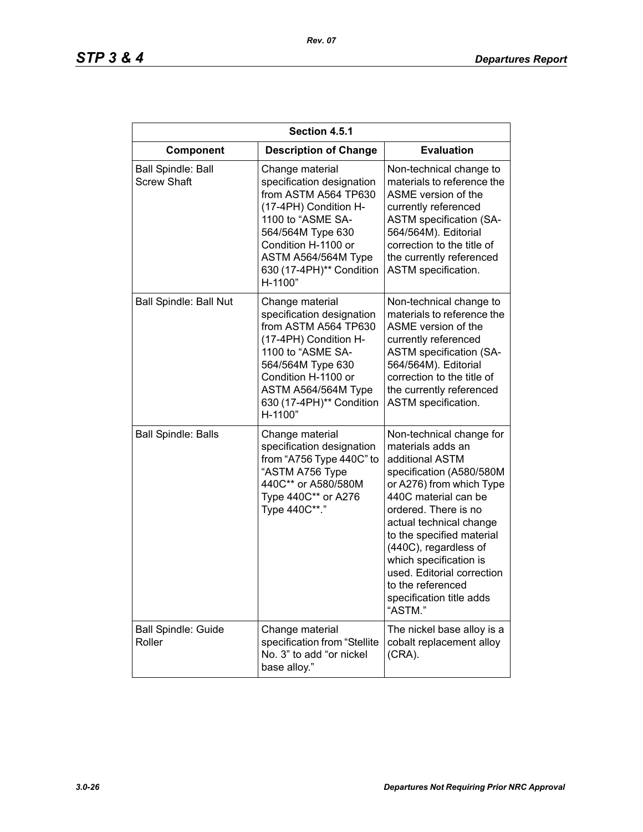| Section 4.5.1                                   |                                                                                                                                                                                                                              |                                                                                                                                                                                                                                                                                                                                                                               |
|-------------------------------------------------|------------------------------------------------------------------------------------------------------------------------------------------------------------------------------------------------------------------------------|-------------------------------------------------------------------------------------------------------------------------------------------------------------------------------------------------------------------------------------------------------------------------------------------------------------------------------------------------------------------------------|
| Component                                       | <b>Description of Change</b>                                                                                                                                                                                                 | <b>Evaluation</b>                                                                                                                                                                                                                                                                                                                                                             |
| <b>Ball Spindle: Ball</b><br><b>Screw Shaft</b> | Change material<br>specification designation<br>from ASTM A564 TP630<br>(17-4PH) Condition H-<br>1100 to "ASME SA-<br>564/564M Type 630<br>Condition H-1100 or<br>ASTM A564/564M Type<br>630 (17-4PH)** Condition<br>H-1100" | Non-technical change to<br>materials to reference the<br>ASME version of the<br>currently referenced<br><b>ASTM specification (SA-</b><br>564/564M). Editorial<br>correction to the title of<br>the currently referenced<br>ASTM specification.                                                                                                                               |
| <b>Ball Spindle: Ball Nut</b>                   | Change material<br>specification designation<br>from ASTM A564 TP630<br>(17-4PH) Condition H-<br>1100 to "ASME SA-<br>564/564M Type 630<br>Condition H-1100 or<br>ASTM A564/564M Type<br>630 (17-4PH)** Condition<br>H-1100" | Non-technical change to<br>materials to reference the<br>ASME version of the<br>currently referenced<br><b>ASTM specification (SA-</b><br>564/564M). Editorial<br>correction to the title of<br>the currently referenced<br><b>ASTM</b> specification.                                                                                                                        |
| <b>Ball Spindle: Balls</b>                      | Change material<br>specification designation<br>from "A756 Type 440C" to<br>"ASTM A756 Type<br>440C** or A580/580M<br>Type 440C** or A276<br>Type 440C**."                                                                   | Non-technical change for<br>materials adds an<br>additional ASTM<br>specification (A580/580M<br>or A276) from which Type<br>440C material can be<br>ordered. There is no<br>actual technical change<br>to the specified material<br>(440C), regardless of<br>which specification is<br>used. Editorial correction<br>to the referenced<br>specification title adds<br>"ASTM." |
| <b>Ball Spindle: Guide</b><br>Roller            | Change material<br>specification from "Stellite<br>No. 3" to add "or nickel<br>base alloy."                                                                                                                                  | The nickel base alloy is a<br>cobalt replacement alloy<br>$(CRA)$ .                                                                                                                                                                                                                                                                                                           |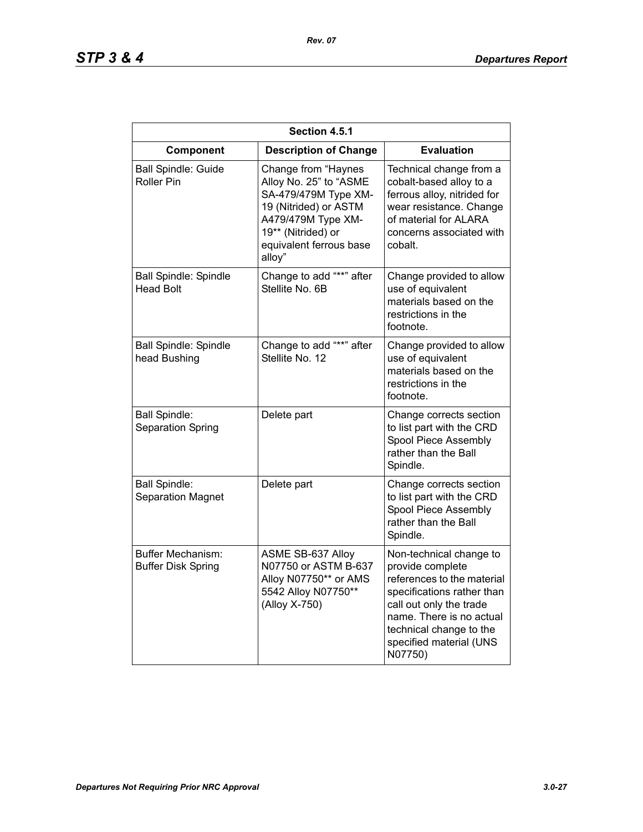# *STP 3 & 4 Departures Report*

| Section 4.5.1                                    |                                                                                                                                                                                 |                                                                                                                                                                                                                                 |
|--------------------------------------------------|---------------------------------------------------------------------------------------------------------------------------------------------------------------------------------|---------------------------------------------------------------------------------------------------------------------------------------------------------------------------------------------------------------------------------|
| Component                                        | <b>Description of Change</b>                                                                                                                                                    | <b>Evaluation</b>                                                                                                                                                                                                               |
| <b>Ball Spindle: Guide</b><br><b>Roller Pin</b>  | Change from "Haynes<br>Alloy No. 25" to "ASME<br>SA-479/479M Type XM-<br>19 (Nitrided) or ASTM<br>A479/479M Type XM-<br>19** (Nitrided) or<br>equivalent ferrous base<br>alloy" | Technical change from a<br>cobalt-based alloy to a<br>ferrous alloy, nitrided for<br>wear resistance. Change<br>of material for ALARA<br>concerns associated with<br>cobalt.                                                    |
| <b>Ball Spindle: Spindle</b><br><b>Head Bolt</b> | Change to add "**" after<br>Stellite No. 6B                                                                                                                                     | Change provided to allow<br>use of equivalent<br>materials based on the<br>restrictions in the<br>footnote.                                                                                                                     |
| <b>Ball Spindle: Spindle</b><br>head Bushing     | Change to add "**" after<br>Stellite No. 12                                                                                                                                     | Change provided to allow<br>use of equivalent<br>materials based on the<br>restrictions in the<br>footnote.                                                                                                                     |
| <b>Ball Spindle:</b><br>Separation Spring        | Delete part                                                                                                                                                                     | Change corrects section<br>to list part with the CRD<br>Spool Piece Assembly<br>rather than the Ball<br>Spindle.                                                                                                                |
| <b>Ball Spindle:</b><br>Separation Magnet        | Delete part                                                                                                                                                                     | Change corrects section<br>to list part with the CRD<br>Spool Piece Assembly<br>rather than the Ball<br>Spindle.                                                                                                                |
| Buffer Mechanism:<br><b>Buffer Disk Spring</b>   | ASME SB-637 Alloy<br>N07750 or ASTM B-637<br>Alloy N07750** or AMS<br>5542 Alloy N07750**<br>(Alloy X-750)                                                                      | Non-technical change to<br>provide complete<br>references to the material<br>specifications rather than<br>call out only the trade<br>name. There is no actual<br>technical change to the<br>specified material (UNS<br>N07750) |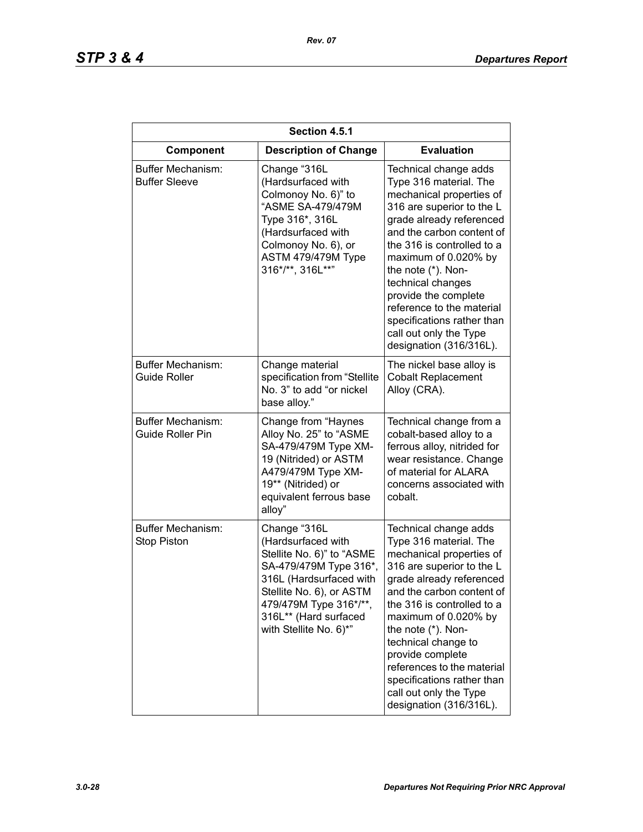| Section 4.5.1                                  |                                                                                                                                                                                                                               |                                                                                                                                                                                                                                                                                                                                                                                                            |
|------------------------------------------------|-------------------------------------------------------------------------------------------------------------------------------------------------------------------------------------------------------------------------------|------------------------------------------------------------------------------------------------------------------------------------------------------------------------------------------------------------------------------------------------------------------------------------------------------------------------------------------------------------------------------------------------------------|
| Component                                      | <b>Description of Change</b>                                                                                                                                                                                                  | <b>Evaluation</b>                                                                                                                                                                                                                                                                                                                                                                                          |
| Buffer Mechanism:<br><b>Buffer Sleeve</b>      | Change "316L<br>(Hardsurfaced with<br>Colmonoy No. 6)" to<br>"ASME SA-479/479M<br>Type 316*, 316L<br>(Hardsurfaced with<br>Colmonoy No. 6), or<br>ASTM 479/479M Type<br>316*/**, 316L**"                                      | Technical change adds<br>Type 316 material. The<br>mechanical properties of<br>316 are superior to the L<br>grade already referenced<br>and the carbon content of<br>the 316 is controlled to a<br>maximum of 0.020% by<br>the note (*). Non-<br>technical changes<br>provide the complete<br>reference to the material<br>specifications rather than<br>call out only the Type<br>designation (316/316L). |
| Buffer Mechanism:<br><b>Guide Roller</b>       | Change material<br>specification from "Stellite<br>No. 3" to add "or nickel<br>base alloy."                                                                                                                                   | The nickel base alloy is<br><b>Cobalt Replacement</b><br>Alloy (CRA).                                                                                                                                                                                                                                                                                                                                      |
| Buffer Mechanism:<br><b>Guide Roller Pin</b>   | Change from "Haynes<br>Alloy No. 25" to "ASME<br>SA-479/479M Type XM-<br>19 (Nitrided) or ASTM<br>A479/479M Type XM-<br>19** (Nitrided) or<br>equivalent ferrous base<br>alloy"                                               | Technical change from a<br>cobalt-based alloy to a<br>ferrous alloy, nitrided for<br>wear resistance. Change<br>of material for ALARA<br>concerns associated with<br>cobalt.                                                                                                                                                                                                                               |
| <b>Buffer Mechanism:</b><br><b>Stop Piston</b> | Change "316L<br>(Hardsurfaced with<br>Stellite No. 6)" to "ASME<br>SA-479/479M Type 316*,<br>316L (Hardsurfaced with<br>Stellite No. 6), or ASTM<br>479/479M Type 316*/**,<br>316L** (Hard surfaced<br>with Stellite No. 6)*" | Technical change adds<br>Type 316 material. The<br>mechanical properties of<br>316 are superior to the L<br>grade already referenced<br>and the carbon content of<br>the 316 is controlled to a<br>maximum of 0.020% by<br>the note (*). Non-<br>technical change to<br>provide complete<br>references to the material<br>specifications rather than<br>call out only the Type<br>designation (316/316L).  |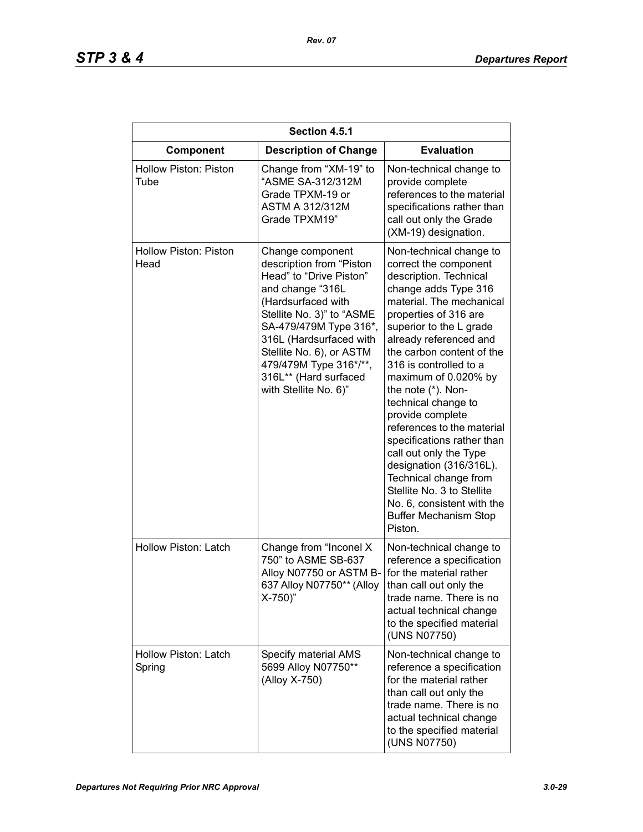| Section 4.5.1                        |                                                                                                                                                                                                                                                                                                             |                                                                                                                                                                                                                                                                                                                                                                                                                                                                                                                                                                                                               |
|--------------------------------------|-------------------------------------------------------------------------------------------------------------------------------------------------------------------------------------------------------------------------------------------------------------------------------------------------------------|---------------------------------------------------------------------------------------------------------------------------------------------------------------------------------------------------------------------------------------------------------------------------------------------------------------------------------------------------------------------------------------------------------------------------------------------------------------------------------------------------------------------------------------------------------------------------------------------------------------|
| Component                            | <b>Description of Change</b>                                                                                                                                                                                                                                                                                | <b>Evaluation</b>                                                                                                                                                                                                                                                                                                                                                                                                                                                                                                                                                                                             |
| <b>Hollow Piston: Piston</b><br>Tube | Change from "XM-19" to<br>"ASME SA-312/312M<br>Grade TPXM-19 or<br><b>ASTM A 312/312M</b><br>Grade TPXM19"                                                                                                                                                                                                  | Non-technical change to<br>provide complete<br>references to the material<br>specifications rather than<br>call out only the Grade<br>(XM-19) designation.                                                                                                                                                                                                                                                                                                                                                                                                                                                    |
| <b>Hollow Piston: Piston</b><br>Head | Change component<br>description from "Piston<br>Head" to "Drive Piston"<br>and change "316L<br>(Hardsurfaced with<br>Stellite No. 3)" to "ASME<br>SA-479/479M Type 316*,<br>316L (Hardsurfaced with<br>Stellite No. 6), or ASTM<br>479/479M Type 316*/**,<br>316L** (Hard surfaced<br>with Stellite No. 6)" | Non-technical change to<br>correct the component<br>description. Technical<br>change adds Type 316<br>material. The mechanical<br>properties of 316 are<br>superior to the L grade<br>already referenced and<br>the carbon content of the<br>316 is controlled to a<br>maximum of 0.020% by<br>the note (*). Non-<br>technical change to<br>provide complete<br>references to the material<br>specifications rather than<br>call out only the Type<br>designation (316/316L).<br>Technical change from<br>Stellite No. 3 to Stellite<br>No. 6, consistent with the<br><b>Buffer Mechanism Stop</b><br>Piston. |
| <b>Hollow Piston: Latch</b>          | Change from "Inconel X<br>750" to ASME SB-637<br>Alloy N07750 or ASTM B-<br>637 Alloy N07750** (Alloy<br>$X-750$                                                                                                                                                                                            | Non-technical change to<br>reference a specification<br>for the material rather<br>than call out only the<br>trade name. There is no<br>actual technical change<br>to the specified material<br>(UNS N07750)                                                                                                                                                                                                                                                                                                                                                                                                  |
| Hollow Piston: Latch<br>Spring       | Specify material AMS<br>5699 Alloy N07750**<br>(Alloy X-750)                                                                                                                                                                                                                                                | Non-technical change to<br>reference a specification<br>for the material rather<br>than call out only the<br>trade name. There is no<br>actual technical change<br>to the specified material<br>(UNS N07750)                                                                                                                                                                                                                                                                                                                                                                                                  |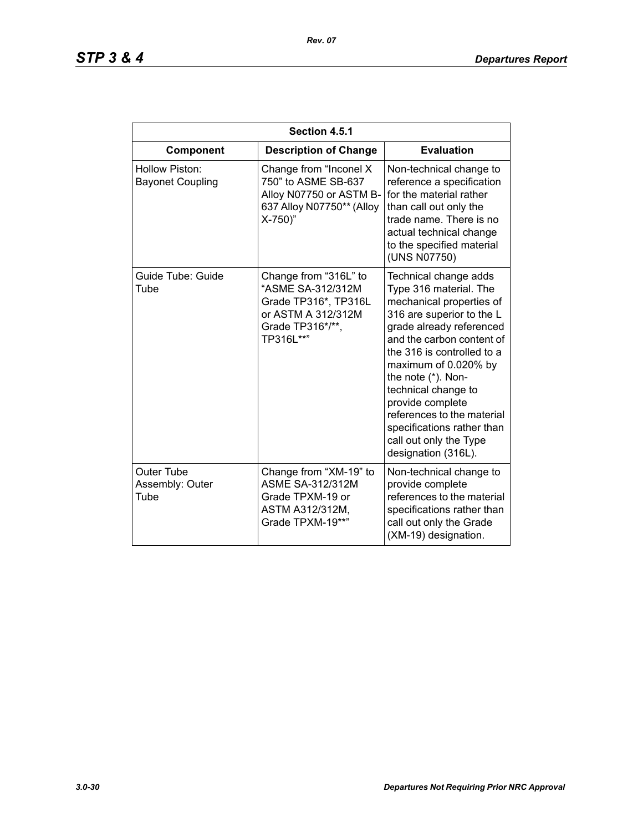| Section 4.5.1                                |                                                                                                                           |                                                                                                                                                                                                                                                                                                                                                                                                       |  |
|----------------------------------------------|---------------------------------------------------------------------------------------------------------------------------|-------------------------------------------------------------------------------------------------------------------------------------------------------------------------------------------------------------------------------------------------------------------------------------------------------------------------------------------------------------------------------------------------------|--|
| Component                                    | <b>Description of Change</b>                                                                                              | <b>Evaluation</b>                                                                                                                                                                                                                                                                                                                                                                                     |  |
| Hollow Piston:<br><b>Bayonet Coupling</b>    | Change from "Inconel X<br>750" to ASME SB-637<br>Alloy N07750 or ASTM B-<br>637 Alloy N07750** (Alloy<br>X-750)"          | Non-technical change to<br>reference a specification<br>for the material rather<br>than call out only the<br>trade name. There is no<br>actual technical change<br>to the specified material<br>(UNS N07750)                                                                                                                                                                                          |  |
| Guide Tube: Guide<br>Tube                    | Change from "316L" to<br>"ASME SA-312/312M<br>Grade TP316*, TP316L<br>or ASTM A 312/312M<br>Grade TP316*/**,<br>TP316L**" | Technical change adds<br>Type 316 material. The<br>mechanical properties of<br>316 are superior to the L<br>grade already referenced<br>and the carbon content of<br>the 316 is controlled to a<br>maximum of 0.020% by<br>the note (*). Non-<br>technical change to<br>provide complete<br>references to the material<br>specifications rather than<br>call out only the Type<br>designation (316L). |  |
| <b>Outer Tube</b><br>Assembly: Outer<br>Tube | Change from "XM-19" to<br><b>ASME SA-312/312M</b><br>Grade TPXM-19 or<br>ASTM A312/312M,<br>Grade TPXM-19**"              | Non-technical change to<br>provide complete<br>references to the material<br>specifications rather than<br>call out only the Grade<br>(XM-19) designation.                                                                                                                                                                                                                                            |  |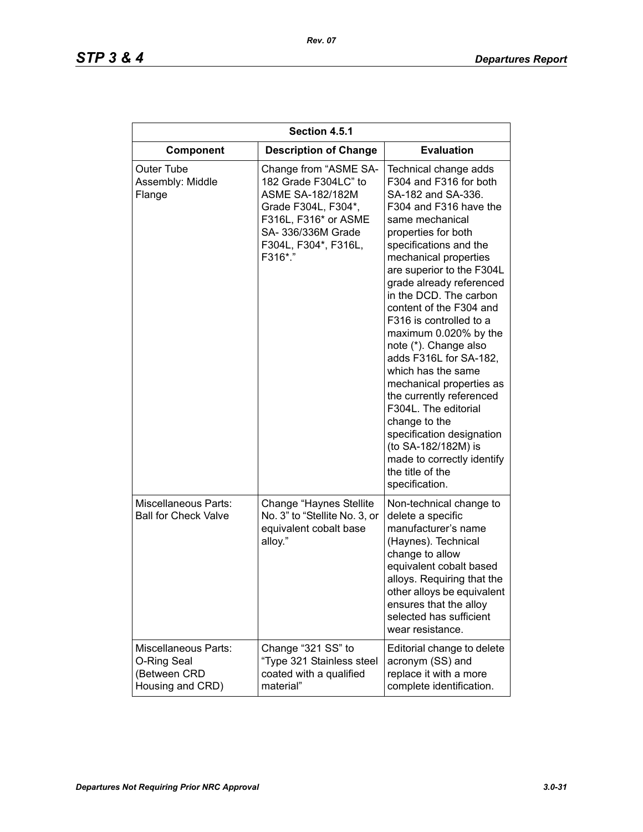| Section 4.5.1                                                           |                                                                                                                                                                                  |                                                                                                                                                                                                                                                                                                                                                                                                                                                                                                                                                                                                                                                                  |
|-------------------------------------------------------------------------|----------------------------------------------------------------------------------------------------------------------------------------------------------------------------------|------------------------------------------------------------------------------------------------------------------------------------------------------------------------------------------------------------------------------------------------------------------------------------------------------------------------------------------------------------------------------------------------------------------------------------------------------------------------------------------------------------------------------------------------------------------------------------------------------------------------------------------------------------------|
| Component                                                               | <b>Description of Change</b>                                                                                                                                                     | <b>Evaluation</b>                                                                                                                                                                                                                                                                                                                                                                                                                                                                                                                                                                                                                                                |
| Outer Tube<br>Assembly: Middle<br>Flange                                | Change from "ASME SA-<br>182 Grade F304LC" to<br><b>ASME SA-182/182M</b><br>Grade F304L, F304*,<br>F316L, F316* or ASME<br>SA- 336/336M Grade<br>F304L, F304*, F316L,<br>F316*." | Technical change adds<br>F304 and F316 for both<br>SA-182 and SA-336.<br>F304 and F316 have the<br>same mechanical<br>properties for both<br>specifications and the<br>mechanical properties<br>are superior to the F304L<br>grade already referenced<br>in the DCD. The carbon<br>content of the F304 and<br>F316 is controlled to a<br>maximum 0.020% by the<br>note (*). Change also<br>adds F316L for SA-182,<br>which has the same<br>mechanical properties as<br>the currently referenced<br>F304L. The editorial<br>change to the<br>specification designation<br>(to SA-182/182M) is<br>made to correctly identify<br>the title of the<br>specification. |
| <b>Miscellaneous Parts:</b><br><b>Ball for Check Valve</b>              | Change "Haynes Stellite"<br>No. 3" to "Stellite No. 3, or<br>equivalent cobalt base<br>alloy."                                                                                   | Non-technical change to<br>delete a specific<br>manufacturer's name<br>(Haynes). Technical<br>change to allow<br>equivalent cobalt based<br>alloys. Requiring that the<br>other alloys be equivalent<br>ensures that the alloy<br>selected has sufficient<br>wear resistance.                                                                                                                                                                                                                                                                                                                                                                                    |
| Miscellaneous Parts:<br>O-Ring Seal<br>(Between CRD<br>Housing and CRD) | Change "321 SS" to<br>"Type 321 Stainless steel<br>coated with a qualified<br>material"                                                                                          | Editorial change to delete<br>acronym (SS) and<br>replace it with a more<br>complete identification.                                                                                                                                                                                                                                                                                                                                                                                                                                                                                                                                                             |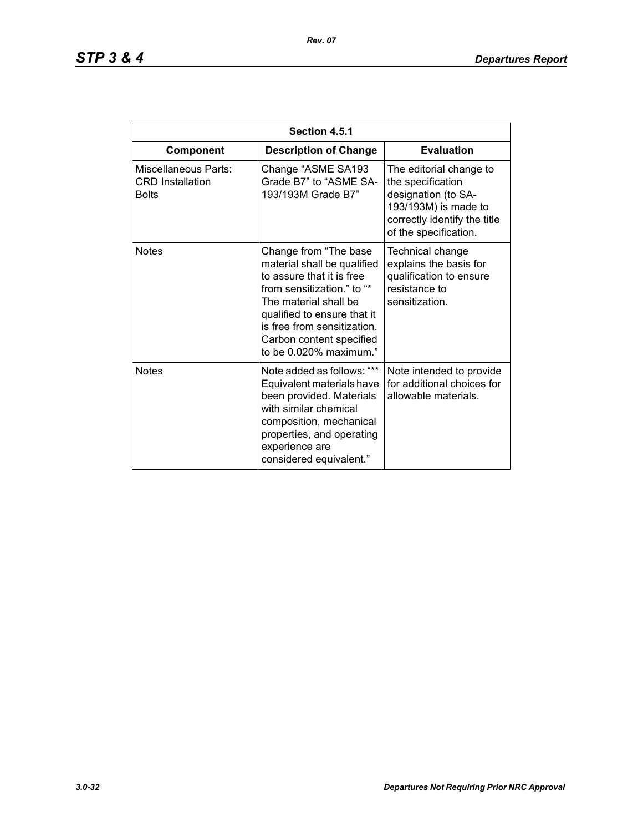| Section 4.5.1                                                   |                                                                                                                                                                                                                                                              |                                                                                                                                                      |
|-----------------------------------------------------------------|--------------------------------------------------------------------------------------------------------------------------------------------------------------------------------------------------------------------------------------------------------------|------------------------------------------------------------------------------------------------------------------------------------------------------|
| Component                                                       | <b>Description of Change</b>                                                                                                                                                                                                                                 | <b>Evaluation</b>                                                                                                                                    |
| Miscellaneous Parts:<br><b>CRD</b> Installation<br><b>Bolts</b> | Change "ASME SA193<br>Grade B7" to "ASME SA-<br>193/193M Grade B7"                                                                                                                                                                                           | The editorial change to<br>the specification<br>designation (to SA-<br>193/193M) is made to<br>correctly identify the title<br>of the specification. |
| <b>Notes</b>                                                    | Change from "The base<br>material shall be qualified<br>to assure that it is free<br>from sensitization." to "*<br>The material shall be<br>qualified to ensure that it<br>is free from sensitization.<br>Carbon content specified<br>to be 0.020% maximum." | Technical change<br>explains the basis for<br>qualification to ensure<br>resistance to<br>sensitization.                                             |
| <b>Notes</b>                                                    | Note added as follows: "**<br>Equivalent materials have<br>been provided. Materials<br>with similar chemical<br>composition, mechanical<br>properties, and operating<br>experience are<br>considered equivalent."                                            | Note intended to provide<br>for additional choices for<br>allowable materials.                                                                       |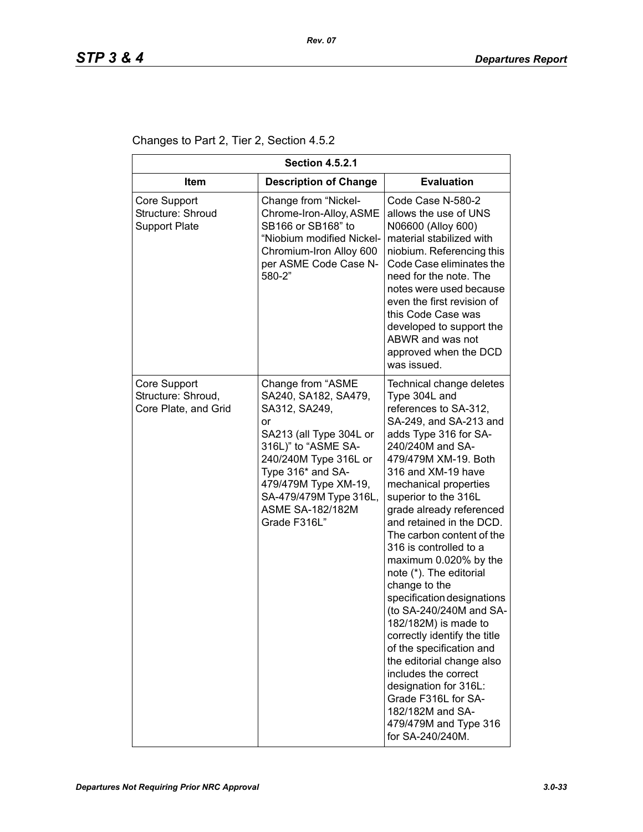Changes to Part 2, Tier 2, Section 4.5.2

| <b>Section 4.5.2.1</b>                                     |                                                                                                                                                                                                                                                               |                                                                                                                                                                                                                                                                                                                                                                                                                                                                                                                                                                                                                                                                                                                                                 |  |
|------------------------------------------------------------|---------------------------------------------------------------------------------------------------------------------------------------------------------------------------------------------------------------------------------------------------------------|-------------------------------------------------------------------------------------------------------------------------------------------------------------------------------------------------------------------------------------------------------------------------------------------------------------------------------------------------------------------------------------------------------------------------------------------------------------------------------------------------------------------------------------------------------------------------------------------------------------------------------------------------------------------------------------------------------------------------------------------------|--|
| ltem                                                       | <b>Description of Change</b>                                                                                                                                                                                                                                  | <b>Evaluation</b>                                                                                                                                                                                                                                                                                                                                                                                                                                                                                                                                                                                                                                                                                                                               |  |
| Core Support<br>Structure: Shroud<br><b>Support Plate</b>  | Change from "Nickel-<br>Chrome-Iron-Alloy, ASME<br>SB166 or SB168" to<br>"Niobium modified Nickel-<br>Chromium-Iron Alloy 600<br>per ASME Code Case N-<br>580-2"                                                                                              | Code Case N-580-2<br>allows the use of UNS<br>N06600 (Alloy 600)<br>material stabilized with<br>niobium. Referencing this<br>Code Case eliminates the<br>need for the note. The<br>notes were used because<br>even the first revision of<br>this Code Case was<br>developed to support the<br>ABWR and was not<br>approved when the DCD<br>was issued.                                                                                                                                                                                                                                                                                                                                                                                          |  |
| Core Support<br>Structure: Shroud,<br>Core Plate, and Grid | Change from "ASME<br>SA240, SA182, SA479,<br>SA312, SA249,<br>or<br>SA213 (all Type 304L or<br>316L)" to "ASME SA-<br>240/240M Type 316L or<br>Type 316* and SA-<br>479/479M Type XM-19,<br>SA-479/479M Type 316L,<br><b>ASME SA-182/182M</b><br>Grade F316L" | Technical change deletes<br>Type 304L and<br>references to SA-312,<br>SA-249, and SA-213 and<br>adds Type 316 for SA-<br>240/240M and SA-<br>479/479M XM-19. Both<br>316 and XM-19 have<br>mechanical properties<br>superior to the 316L<br>grade already referenced<br>and retained in the DCD.<br>The carbon content of the<br>316 is controlled to a<br>maximum 0.020% by the<br>note (*). The editorial<br>change to the<br>specification designations<br>(to SA-240/240M and SA-<br>182/182M) is made to<br>correctly identify the title<br>of the specification and<br>the editorial change also<br>includes the correct<br>designation for 316L:<br>Grade F316L for SA-<br>182/182M and SA-<br>479/479M and Type 316<br>for SA-240/240M. |  |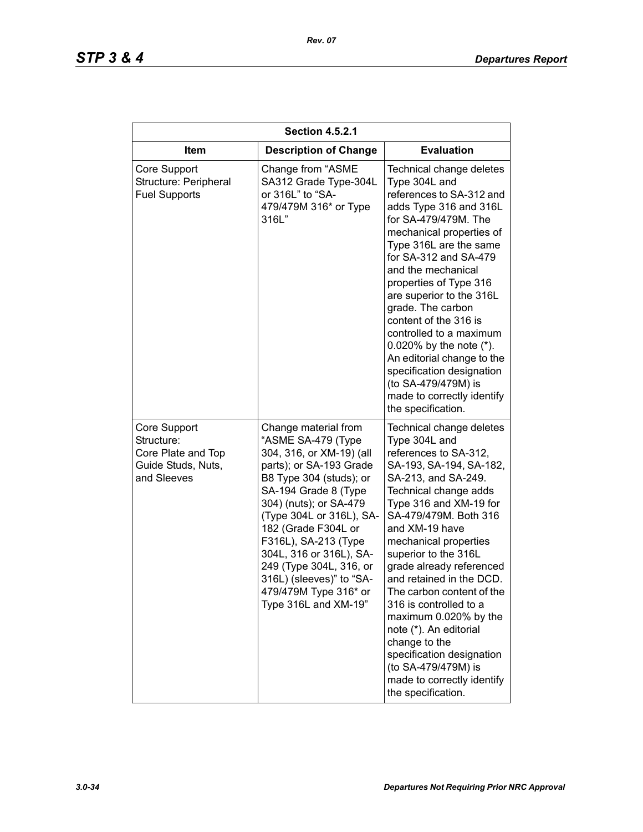| <b>Section 4.5.2.1</b>                                                                |                                                                                                                                                                                                                                                                                                                                                                                              |                                                                                                                                                                                                                                                                                                                                                                                                                                                                                                                                                                |
|---------------------------------------------------------------------------------------|----------------------------------------------------------------------------------------------------------------------------------------------------------------------------------------------------------------------------------------------------------------------------------------------------------------------------------------------------------------------------------------------|----------------------------------------------------------------------------------------------------------------------------------------------------------------------------------------------------------------------------------------------------------------------------------------------------------------------------------------------------------------------------------------------------------------------------------------------------------------------------------------------------------------------------------------------------------------|
| Item                                                                                  | <b>Description of Change</b>                                                                                                                                                                                                                                                                                                                                                                 | <b>Evaluation</b>                                                                                                                                                                                                                                                                                                                                                                                                                                                                                                                                              |
| Core Support<br>Structure: Peripheral<br><b>Fuel Supports</b>                         | Change from "ASME<br>SA312 Grade Type-304L<br>or 316L" to "SA-<br>479/479M 316* or Type<br>316L"                                                                                                                                                                                                                                                                                             | Technical change deletes<br>Type 304L and<br>references to SA-312 and<br>adds Type 316 and 316L<br>for SA-479/479M. The<br>mechanical properties of<br>Type 316L are the same<br>for SA-312 and SA-479<br>and the mechanical<br>properties of Type 316<br>are superior to the 316L<br>grade. The carbon<br>content of the 316 is<br>controlled to a maximum<br>0.020% by the note $(*)$ .<br>An editorial change to the<br>specification designation<br>(to SA-479/479M) is<br>made to correctly identify<br>the specification.                                |
| Core Support<br>Structure:<br>Core Plate and Top<br>Guide Studs, Nuts,<br>and Sleeves | Change material from<br>"ASME SA-479 (Type<br>304, 316, or XM-19) (all<br>parts); or SA-193 Grade<br>B8 Type 304 (studs); or<br>SA-194 Grade 8 (Type<br>304) (nuts); or SA-479<br>(Type 304L or 316L), SA-<br>182 (Grade F304L or<br>F316L), SA-213 (Type<br>304L, 316 or 316L), SA-<br>249 (Type 304L, 316, or<br>316L) (sleeves)" to "SA-<br>479/479M Type 316* or<br>Type 316L and XM-19" | Technical change deletes<br>Type 304L and<br>references to SA-312,<br>SA-193, SA-194, SA-182,<br>SA-213, and SA-249.<br>Technical change adds<br>Type 316 and XM-19 for<br>SA-479/479M. Both 316<br>and XM-19 have<br>mechanical properties<br>superior to the 316L<br>grade already referenced<br>and retained in the DCD.<br>The carbon content of the<br>316 is controlled to a<br>maximum 0.020% by the<br>note (*). An editorial<br>change to the<br>specification designation<br>(to SA-479/479M) is<br>made to correctly identify<br>the specification. |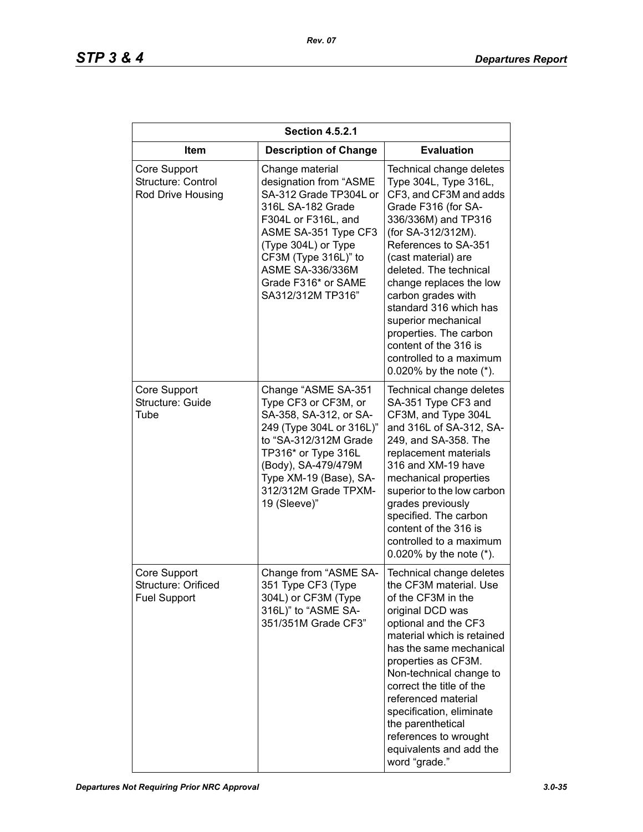| <b>Section 4.5.2.1</b>                                     |                                                                                                                                                                                                                                                               |                                                                                                                                                                                                                                                                                                                                                                                                                                        |
|------------------------------------------------------------|---------------------------------------------------------------------------------------------------------------------------------------------------------------------------------------------------------------------------------------------------------------|----------------------------------------------------------------------------------------------------------------------------------------------------------------------------------------------------------------------------------------------------------------------------------------------------------------------------------------------------------------------------------------------------------------------------------------|
| ltem                                                       | <b>Description of Change</b>                                                                                                                                                                                                                                  | <b>Evaluation</b>                                                                                                                                                                                                                                                                                                                                                                                                                      |
| Core Support<br>Structure: Control<br>Rod Drive Housing    | Change material<br>designation from "ASME<br>SA-312 Grade TP304L or<br>316L SA-182 Grade<br>F304L or F316L, and<br>ASME SA-351 Type CF3<br>(Type 304L) or Type<br>CF3M (Type 316L)" to<br><b>ASME SA-336/336M</b><br>Grade F316* or SAME<br>SA312/312M TP316" | Technical change deletes<br>Type 304L, Type 316L,<br>CF3, and CF3M and adds<br>Grade F316 (for SA-<br>336/336M) and TP316<br>(for SA-312/312M).<br>References to SA-351<br>(cast material) are<br>deleted. The technical<br>change replaces the low<br>carbon grades with<br>standard 316 which has<br>superior mechanical<br>properties. The carbon<br>content of the 316 is<br>controlled to a maximum<br>0.020% by the note $(*)$ . |
| Core Support<br>Structure: Guide<br>Tube                   | Change "ASME SA-351<br>Type CF3 or CF3M, or<br>SA-358, SA-312, or SA-<br>249 (Type 304L or 316L)"<br>to "SA-312/312M Grade<br>TP316* or Type 316L<br>(Body), SA-479/479M<br>Type XM-19 (Base), SA-<br>312/312M Grade TPXM-<br>19 (Sleeve)"                    | Technical change deletes<br>SA-351 Type CF3 and<br>CF3M, and Type 304L<br>and 316L of SA-312, SA-<br>249, and SA-358. The<br>replacement materials<br>316 and XM-19 have<br>mechanical properties<br>superior to the low carbon<br>grades previously<br>specified. The carbon<br>content of the 316 is<br>controlled to a maximum<br>0.020% by the note $(*)$ .                                                                        |
| Core Support<br>Structure: Orificed<br><b>Fuel Support</b> | Change from "ASME SA-<br>351 Type CF3 (Type<br>304L) or CF3M (Type<br>316L)" to "ASME SA-<br>351/351M Grade CF3"                                                                                                                                              | Technical change deletes<br>the CF3M material. Use<br>of the CF3M in the<br>original DCD was<br>optional and the CF3<br>material which is retained<br>has the same mechanical<br>properties as CF3M.<br>Non-technical change to<br>correct the title of the<br>referenced material<br>specification, eliminate<br>the parenthetical<br>references to wrought<br>equivalents and add the<br>word "grade."                               |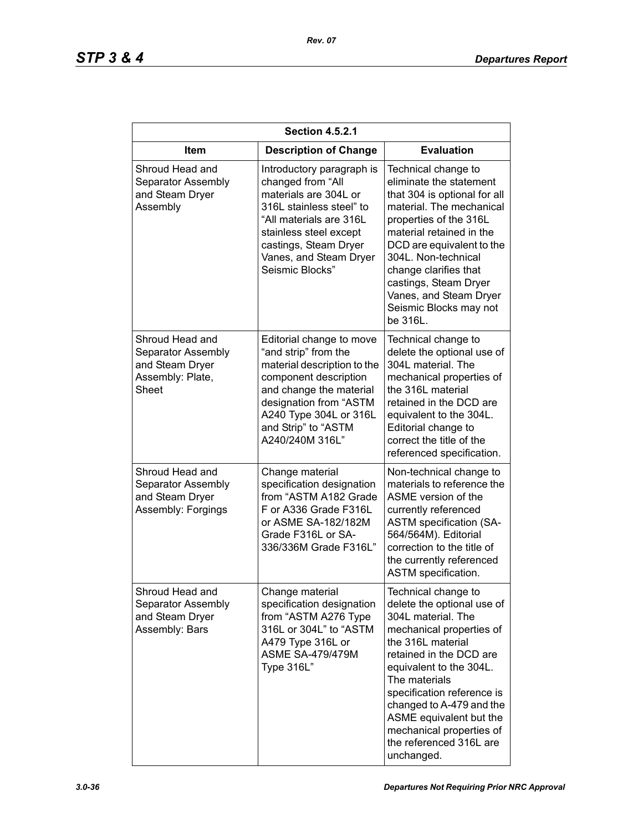| <b>Section 4.5.2.1</b>                                                                |                                                                                                                                                                                                                                   |                                                                                                                                                                                                                                                                                                                                                           |
|---------------------------------------------------------------------------------------|-----------------------------------------------------------------------------------------------------------------------------------------------------------------------------------------------------------------------------------|-----------------------------------------------------------------------------------------------------------------------------------------------------------------------------------------------------------------------------------------------------------------------------------------------------------------------------------------------------------|
| <b>Item</b>                                                                           | <b>Description of Change</b>                                                                                                                                                                                                      | <b>Evaluation</b>                                                                                                                                                                                                                                                                                                                                         |
| Shroud Head and<br>Separator Assembly<br>and Steam Dryer<br>Assembly                  | Introductory paragraph is<br>changed from "All<br>materials are 304L or<br>316L stainless steel" to<br>"All materials are 316L<br>stainless steel except<br>castings, Steam Dryer<br>Vanes, and Steam Dryer<br>Seismic Blocks"    | Technical change to<br>eliminate the statement<br>that 304 is optional for all<br>material. The mechanical<br>properties of the 316L<br>material retained in the<br>DCD are equivalent to the<br>304L. Non-technical<br>change clarifies that<br>castings, Steam Dryer<br>Vanes, and Steam Dryer<br>Seismic Blocks may not<br>be 316L.                    |
| Shroud Head and<br>Separator Assembly<br>and Steam Dryer<br>Assembly: Plate,<br>Sheet | Editorial change to move<br>"and strip" from the<br>material description to the<br>component description<br>and change the material<br>designation from "ASTM<br>A240 Type 304L or 316L<br>and Strip" to "ASTM<br>A240/240M 316L" | Technical change to<br>delete the optional use of<br>304L material. The<br>mechanical properties of<br>the 316L material<br>retained in the DCD are<br>equivalent to the 304L.<br>Editorial change to<br>correct the title of the<br>referenced specification.                                                                                            |
| Shroud Head and<br>Separator Assembly<br>and Steam Dryer<br>Assembly: Forgings        | Change material<br>specification designation<br>from "ASTM A182 Grade<br>F or A336 Grade F316L<br>or ASME SA-182/182M<br>Grade F316L or SA-<br>336/336M Grade F316L"                                                              | Non-technical change to<br>materials to reference the<br>ASME version of the<br>currently referenced<br><b>ASTM specification (SA-</b><br>564/564M). Editorial<br>correction to the title of<br>the currently referenced<br>ASTM specification.                                                                                                           |
| Shroud Head and<br>Separator Assembly<br>and Steam Dryer<br>Assembly: Bars            | Change material<br>specification designation<br>from "ASTM A276 Type<br>316L or 304L" to "ASTM<br>A479 Type 316L or<br><b>ASME SA-479/479M</b><br>Type 316L"                                                                      | Technical change to<br>delete the optional use of<br>304L material. The<br>mechanical properties of<br>the 316L material<br>retained in the DCD are<br>equivalent to the 304L.<br>The materials<br>specification reference is<br>changed to A-479 and the<br>ASME equivalent but the<br>mechanical properties of<br>the referenced 316L are<br>unchanged. |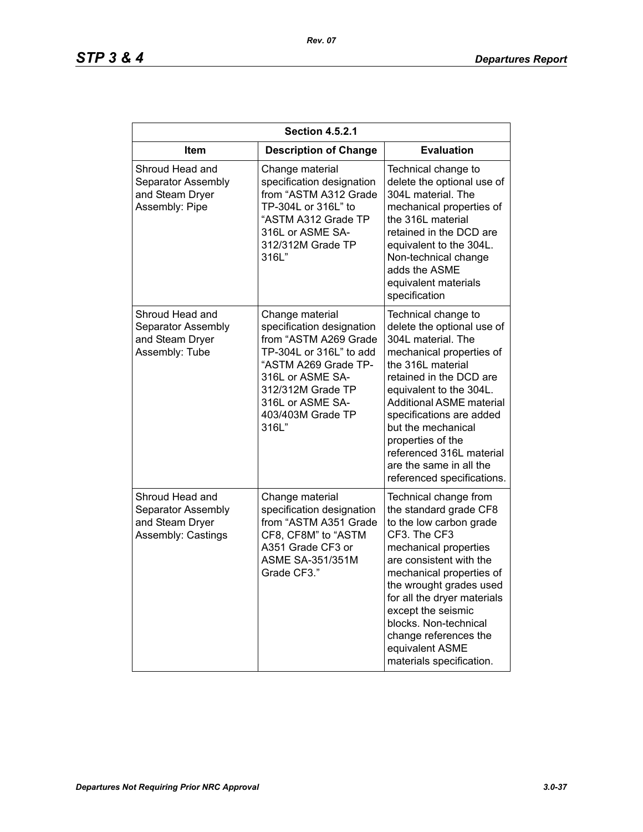| <b>Section 4.5.2.1</b>                                                         |                                                                                                                                                                                                                     |                                                                                                                                                                                                                                                                                                                                                                               |  |
|--------------------------------------------------------------------------------|---------------------------------------------------------------------------------------------------------------------------------------------------------------------------------------------------------------------|-------------------------------------------------------------------------------------------------------------------------------------------------------------------------------------------------------------------------------------------------------------------------------------------------------------------------------------------------------------------------------|--|
| <b>Item</b>                                                                    | <b>Description of Change</b>                                                                                                                                                                                        | <b>Evaluation</b>                                                                                                                                                                                                                                                                                                                                                             |  |
| Shroud Head and<br>Separator Assembly<br>and Steam Dryer<br>Assembly: Pipe     | Change material<br>specification designation<br>from "ASTM A312 Grade<br>TP-304L or 316L" to<br>"ASTM A312 Grade TP<br>316L or ASME SA-<br>312/312M Grade TP<br>316L"                                               | Technical change to<br>delete the optional use of<br>304L material. The<br>mechanical properties of<br>the 316L material<br>retained in the DCD are<br>equivalent to the 304L.<br>Non-technical change<br>adds the ASME<br>equivalent materials<br>specification                                                                                                              |  |
| Shroud Head and<br>Separator Assembly<br>and Steam Dryer<br>Assembly: Tube     | Change material<br>specification designation<br>from "ASTM A269 Grade<br>TP-304L or 316L" to add<br>"ASTM A269 Grade TP-<br>316L or ASME SA-<br>312/312M Grade TP<br>316L or ASME SA-<br>403/403M Grade TP<br>316L" | Technical change to<br>delete the optional use of<br>304L material. The<br>mechanical properties of<br>the 316L material<br>retained in the DCD are<br>equivalent to the 304L.<br><b>Additional ASME material</b><br>specifications are added<br>but the mechanical<br>properties of the<br>referenced 316L material<br>are the same in all the<br>referenced specifications. |  |
| Shroud Head and<br>Separator Assembly<br>and Steam Dryer<br>Assembly: Castings | Change material<br>specification designation<br>from "ASTM A351 Grade<br>CF8, CF8M" to "ASTM<br>A351 Grade CF3 or<br><b>ASME SA-351/351M</b><br>Grade CF3."                                                         | Technical change from<br>the standard grade CF8<br>to the low carbon grade<br>CF3. The CF3<br>mechanical properties<br>are consistent with the<br>mechanical properties of<br>the wrought grades used<br>for all the dryer materials<br>except the seismic<br>blocks. Non-technical<br>change references the<br>equivalent ASME<br>materials specification.                   |  |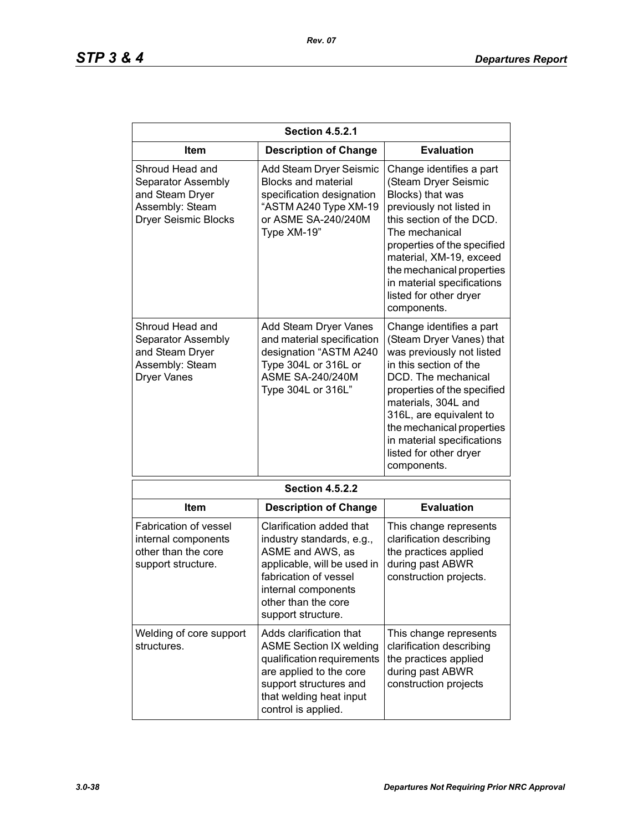| <b>Section 4.5.2.1</b>                                                                                     |                                                                                                                                                                                                       |                                                                                                                                                                                                                                                                                                                         |
|------------------------------------------------------------------------------------------------------------|-------------------------------------------------------------------------------------------------------------------------------------------------------------------------------------------------------|-------------------------------------------------------------------------------------------------------------------------------------------------------------------------------------------------------------------------------------------------------------------------------------------------------------------------|
| Item                                                                                                       | <b>Description of Change</b>                                                                                                                                                                          | <b>Evaluation</b>                                                                                                                                                                                                                                                                                                       |
| Shroud Head and<br>Separator Assembly<br>and Steam Dryer<br>Assembly: Steam<br><b>Dryer Seismic Blocks</b> | Add Steam Dryer Seismic<br><b>Blocks and material</b><br>specification designation<br>"ASTM A240 Type XM-19<br>or ASME SA-240/240M<br>Type XM-19"                                                     | Change identifies a part<br>(Steam Dryer Seismic<br>Blocks) that was<br>previously not listed in<br>this section of the DCD.<br>The mechanical<br>properties of the specified<br>material, XM-19, exceed<br>the mechanical properties<br>in material specifications<br>listed for other dryer<br>components.            |
| Shroud Head and<br>Separator Assembly<br>and Steam Dryer<br>Assembly: Steam<br><b>Dryer Vanes</b>          | Add Steam Dryer Vanes<br>and material specification<br>designation "ASTM A240<br>Type 304L or 316L or<br><b>ASME SA-240/240M</b><br>Type 304L or 316L"                                                | Change identifies a part<br>(Steam Dryer Vanes) that<br>was previously not listed<br>in this section of the<br>DCD. The mechanical<br>properties of the specified<br>materials, 304L and<br>316L, are equivalent to<br>the mechanical properties<br>in material specifications<br>listed for other dryer<br>components. |
|                                                                                                            | <b>Section 4.5.2.2</b>                                                                                                                                                                                |                                                                                                                                                                                                                                                                                                                         |
| Item                                                                                                       | <b>Description of Change</b>                                                                                                                                                                          | <b>Evaluation</b>                                                                                                                                                                                                                                                                                                       |
| <b>Fabrication of vessel</b><br>internal components<br>other than the core<br>support structure.           | Clarification added that<br>industry standards, e.g.,<br>ASME and AWS, as<br>applicable, will be used in<br>fabrication of vessel<br>internal components<br>other than the core<br>support structure. | This change represents<br>clarification describing<br>the practices applied<br>during past ABWR<br>construction projects.                                                                                                                                                                                               |
| Welding of core support<br>structures.                                                                     | Adds clarification that<br><b>ASME Section IX welding</b><br>qualification requirements<br>are applied to the core<br>support structures and<br>that welding heat input<br>control is applied.        | This change represents<br>clarification describing<br>the practices applied<br>during past ABWR<br>construction projects                                                                                                                                                                                                |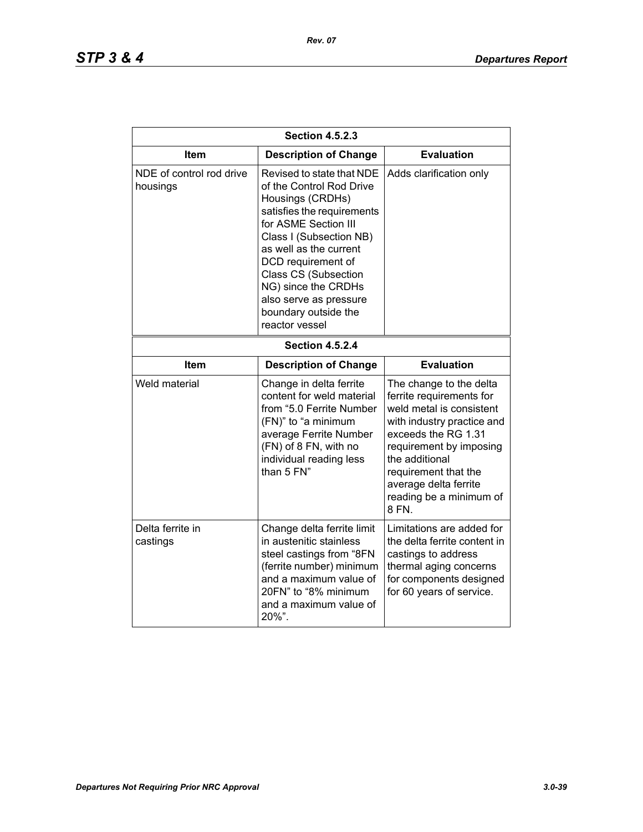| <b>Section 4.5.2.3</b>               |                                                                                                                                                                                                                                                                                                                                      |                                                                                                                                                                                                                                                                        |
|--------------------------------------|--------------------------------------------------------------------------------------------------------------------------------------------------------------------------------------------------------------------------------------------------------------------------------------------------------------------------------------|------------------------------------------------------------------------------------------------------------------------------------------------------------------------------------------------------------------------------------------------------------------------|
| Item                                 | <b>Description of Change</b>                                                                                                                                                                                                                                                                                                         | <b>Evaluation</b>                                                                                                                                                                                                                                                      |
| NDE of control rod drive<br>housings | Revised to state that NDE<br>of the Control Rod Drive<br>Housings (CRDHs)<br>satisfies the requirements<br>for ASME Section III<br>Class I (Subsection NB)<br>as well as the current<br>DCD requirement of<br><b>Class CS (Subsection</b><br>NG) since the CRDHs<br>also serve as pressure<br>boundary outside the<br>reactor vessel | Adds clarification only                                                                                                                                                                                                                                                |
| <b>Section 4.5.2.4</b>               |                                                                                                                                                                                                                                                                                                                                      |                                                                                                                                                                                                                                                                        |
| Item                                 | <b>Description of Change</b>                                                                                                                                                                                                                                                                                                         | <b>Evaluation</b>                                                                                                                                                                                                                                                      |
| Weld material                        | Change in delta ferrite<br>content for weld material<br>from "5.0 Ferrite Number<br>(FN)" to "a minimum<br>average Ferrite Number<br>(FN) of 8 FN, with no<br>individual reading less<br>than 5 FN"                                                                                                                                  | The change to the delta<br>ferrite requirements for<br>weld metal is consistent<br>with industry practice and<br>exceeds the RG 1.31<br>requirement by imposing<br>the additional<br>requirement that the<br>average delta ferrite<br>reading be a minimum of<br>8 FN. |
| Delta ferrite in<br>castings         | Change delta ferrite limit<br>in austenitic stainless<br>steel castings from "8FN<br>(ferrite number) minimum<br>and a maximum value of<br>20FN" to "8% minimum<br>and a maximum value of<br>20%".                                                                                                                                   | Limitations are added for<br>the delta ferrite content in<br>castings to address<br>thermal aging concerns<br>for components designed<br>for 60 years of service.                                                                                                      |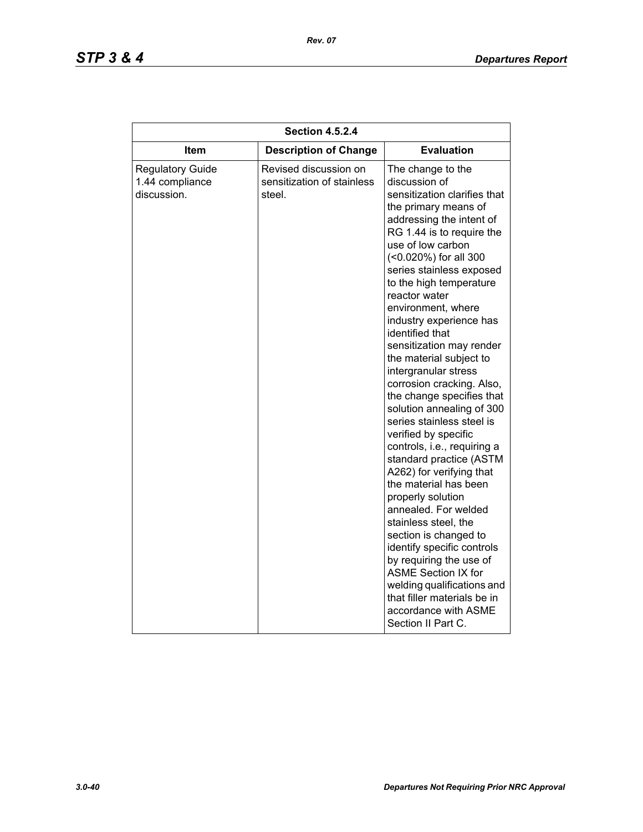| <b>Section 4.5.2.4</b>                                    |                                                               |                                                                                                                                                                                                                                                                                                                                                                                                                                                                                                                                                                                                                                                                                                                                                                                                                                                                                                                                                                                         |
|-----------------------------------------------------------|---------------------------------------------------------------|-----------------------------------------------------------------------------------------------------------------------------------------------------------------------------------------------------------------------------------------------------------------------------------------------------------------------------------------------------------------------------------------------------------------------------------------------------------------------------------------------------------------------------------------------------------------------------------------------------------------------------------------------------------------------------------------------------------------------------------------------------------------------------------------------------------------------------------------------------------------------------------------------------------------------------------------------------------------------------------------|
| Item                                                      | <b>Description of Change</b>                                  | <b>Evaluation</b>                                                                                                                                                                                                                                                                                                                                                                                                                                                                                                                                                                                                                                                                                                                                                                                                                                                                                                                                                                       |
| <b>Regulatory Guide</b><br>1.44 compliance<br>discussion. | Revised discussion on<br>sensitization of stainless<br>steel. | The change to the<br>discussion of<br>sensitization clarifies that<br>the primary means of<br>addressing the intent of<br>RG 1.44 is to require the<br>use of low carbon<br>(<0.020%) for all 300<br>series stainless exposed<br>to the high temperature<br>reactor water<br>environment, where<br>industry experience has<br>identified that<br>sensitization may render<br>the material subject to<br>intergranular stress<br>corrosion cracking. Also,<br>the change specifies that<br>solution annealing of 300<br>series stainless steel is<br>verified by specific<br>controls, i.e., requiring a<br>standard practice (ASTM<br>A262) for verifying that<br>the material has been<br>properly solution<br>annealed. For welded<br>stainless steel, the<br>section is changed to<br>identify specific controls<br>by requiring the use of<br><b>ASME Section IX for</b><br>welding qualifications and<br>that filler materials be in<br>accordance with ASME<br>Section II Part C. |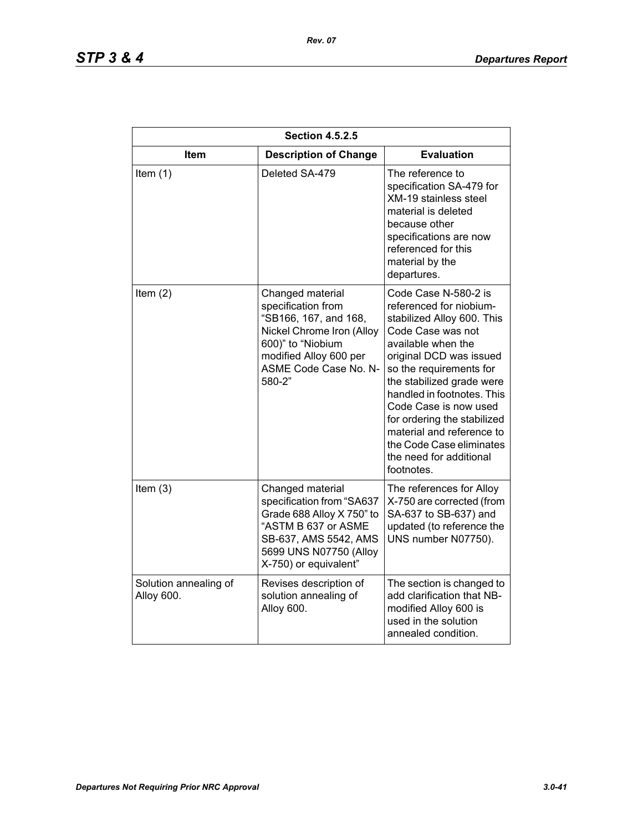| <b>Section 4.5.2.5</b>              |                                                                                                                                                                                |                                                                                                                                                                                                                                                                                                                                                                                                     |
|-------------------------------------|--------------------------------------------------------------------------------------------------------------------------------------------------------------------------------|-----------------------------------------------------------------------------------------------------------------------------------------------------------------------------------------------------------------------------------------------------------------------------------------------------------------------------------------------------------------------------------------------------|
| Item                                | <b>Description of Change</b>                                                                                                                                                   | <b>Evaluation</b>                                                                                                                                                                                                                                                                                                                                                                                   |
| Item $(1)$                          | Deleted SA-479                                                                                                                                                                 | The reference to<br>specification SA-479 for<br><b>XM-19 stainless steel</b><br>material is deleted<br>because other<br>specifications are now<br>referenced for this<br>material by the<br>departures.                                                                                                                                                                                             |
| Item $(2)$                          | Changed material<br>specification from<br>"SB166, 167, and 168,<br>Nickel Chrome Iron (Alloy<br>600)" to "Niobium<br>modified Alloy 600 per<br>ASME Code Case No. N-<br>580-2" | Code Case N-580-2 is<br>referenced for niobium-<br>stabilized Alloy 600. This<br>Code Case was not<br>available when the<br>original DCD was issued<br>so the requirements for<br>the stabilized grade were<br>handled in footnotes. This<br>Code Case is now used<br>for ordering the stabilized<br>material and reference to<br>the Code Case eliminates<br>the need for additional<br>footnotes. |
| Item $(3)$                          | Changed material<br>specification from "SA637<br>Grade 688 Alloy X 750" to<br>"ASTM B 637 or ASME<br>SB-637, AMS 5542, AMS<br>5699 UNS N07750 (Alloy<br>X-750) or equivalent"  | The references for Alloy<br>X-750 are corrected (from<br>SA-637 to SB-637) and<br>updated (to reference the<br>UNS number N07750).                                                                                                                                                                                                                                                                  |
| Solution annealing of<br>Alloy 600. | Revises description of<br>solution annealing of<br>Alloy 600.                                                                                                                  | The section is changed to<br>add clarification that NB-<br>modified Alloy 600 is<br>used in the solution<br>annealed condition.                                                                                                                                                                                                                                                                     |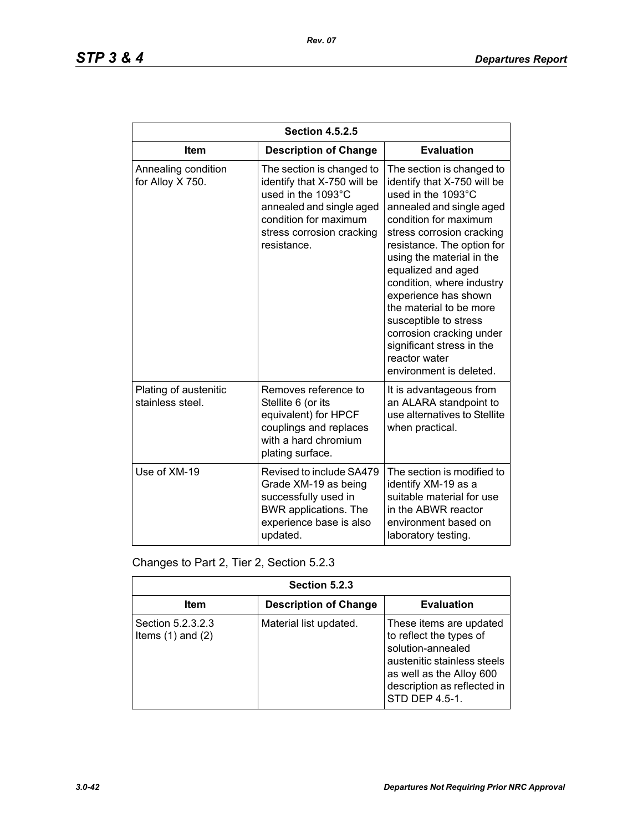| <b>Section 4.5.2.5</b>                    |                                                                                                                                                                                 |                                                                                                                                                                                                                                                                                                                                                                                                                                                                 |
|-------------------------------------------|---------------------------------------------------------------------------------------------------------------------------------------------------------------------------------|-----------------------------------------------------------------------------------------------------------------------------------------------------------------------------------------------------------------------------------------------------------------------------------------------------------------------------------------------------------------------------------------------------------------------------------------------------------------|
| <b>Item</b>                               | <b>Description of Change</b>                                                                                                                                                    | <b>Evaluation</b>                                                                                                                                                                                                                                                                                                                                                                                                                                               |
| Annealing condition<br>for Alloy X 750.   | The section is changed to<br>identify that X-750 will be<br>used in the 1093°C<br>annealed and single aged<br>condition for maximum<br>stress corrosion cracking<br>resistance. | The section is changed to<br>identify that X-750 will be<br>used in the 1093°C<br>annealed and single aged<br>condition for maximum<br>stress corrosion cracking<br>resistance. The option for<br>using the material in the<br>equalized and aged<br>condition, where industry<br>experience has shown<br>the material to be more<br>susceptible to stress<br>corrosion cracking under<br>significant stress in the<br>reactor water<br>environment is deleted. |
| Plating of austenitic<br>stainless steel. | Removes reference to<br>Stellite 6 (or its<br>equivalent) for HPCF<br>couplings and replaces<br>with a hard chromium<br>plating surface.                                        | It is advantageous from<br>an ALARA standpoint to<br>use alternatives to Stellite<br>when practical.                                                                                                                                                                                                                                                                                                                                                            |
| Use of XM-19                              | Revised to include SA479<br>Grade XM-19 as being<br>successfully used in<br>BWR applications. The<br>experience base is also<br>updated.                                        | The section is modified to<br>identify XM-19 as a<br>suitable material for use<br>in the ABWR reactor<br>environment based on<br>laboratory testing.                                                                                                                                                                                                                                                                                                            |

Changes to Part 2, Tier 2, Section 5.2.3

| Section 5.2.3                              |                              |                                                                                                                                                                                     |
|--------------------------------------------|------------------------------|-------------------------------------------------------------------------------------------------------------------------------------------------------------------------------------|
| Item                                       | <b>Description of Change</b> | <b>Evaluation</b>                                                                                                                                                                   |
| Section 5.2.3.2.3<br>Items $(1)$ and $(2)$ | Material list updated.       | These items are updated<br>to reflect the types of<br>solution-annealed<br>austenitic stainless steels<br>as well as the Alloy 600<br>description as reflected in<br>STD DEP 4.5-1. |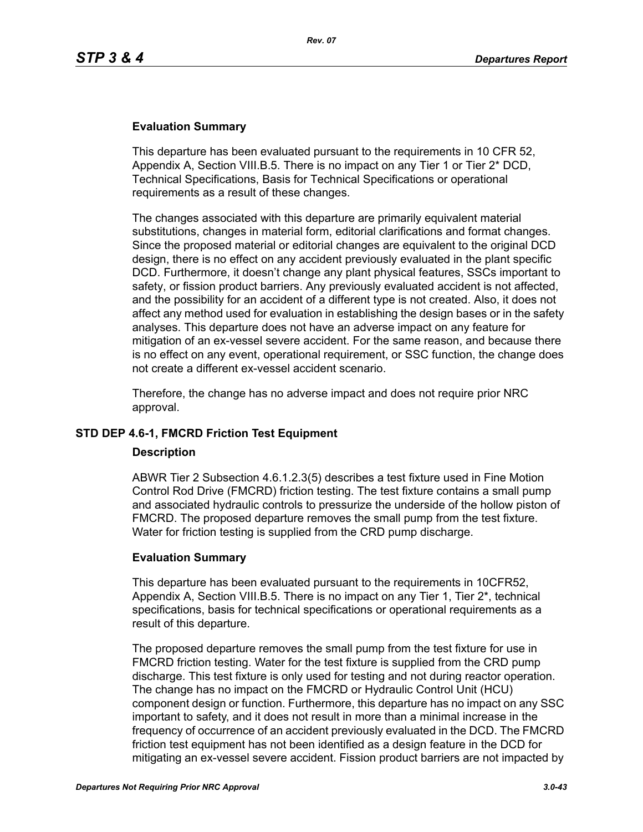## **Evaluation Summary**

This departure has been evaluated pursuant to the requirements in 10 CFR 52, Appendix A, Section VIII.B.5. There is no impact on any Tier 1 or Tier 2\* DCD, Technical Specifications, Basis for Technical Specifications or operational requirements as a result of these changes.

The changes associated with this departure are primarily equivalent material substitutions, changes in material form, editorial clarifications and format changes. Since the proposed material or editorial changes are equivalent to the original DCD design, there is no effect on any accident previously evaluated in the plant specific DCD. Furthermore, it doesn't change any plant physical features, SSCs important to safety, or fission product barriers. Any previously evaluated accident is not affected, and the possibility for an accident of a different type is not created. Also, it does not affect any method used for evaluation in establishing the design bases or in the safety analyses. This departure does not have an adverse impact on any feature for mitigation of an ex-vessel severe accident. For the same reason, and because there is no effect on any event, operational requirement, or SSC function, the change does not create a different ex-vessel accident scenario.

Therefore, the change has no adverse impact and does not require prior NRC approval.

# **STD DEP 4.6-1, FMCRD Friction Test Equipment**

#### **Description**

ABWR Tier 2 Subsection 4.6.1.2.3(5) describes a test fixture used in Fine Motion Control Rod Drive (FMCRD) friction testing. The test fixture contains a small pump and associated hydraulic controls to pressurize the underside of the hollow piston of FMCRD. The proposed departure removes the small pump from the test fixture. Water for friction testing is supplied from the CRD pump discharge.

#### **Evaluation Summary**

This departure has been evaluated pursuant to the requirements in 10CFR52, Appendix A, Section VIII.B.5. There is no impact on any Tier 1, Tier 2\*, technical specifications, basis for technical specifications or operational requirements as a result of this departure.

The proposed departure removes the small pump from the test fixture for use in FMCRD friction testing. Water for the test fixture is supplied from the CRD pump discharge. This test fixture is only used for testing and not during reactor operation. The change has no impact on the FMCRD or Hydraulic Control Unit (HCU) component design or function. Furthermore, this departure has no impact on any SSC important to safety, and it does not result in more than a minimal increase in the frequency of occurrence of an accident previously evaluated in the DCD. The FMCRD friction test equipment has not been identified as a design feature in the DCD for mitigating an ex-vessel severe accident. Fission product barriers are not impacted by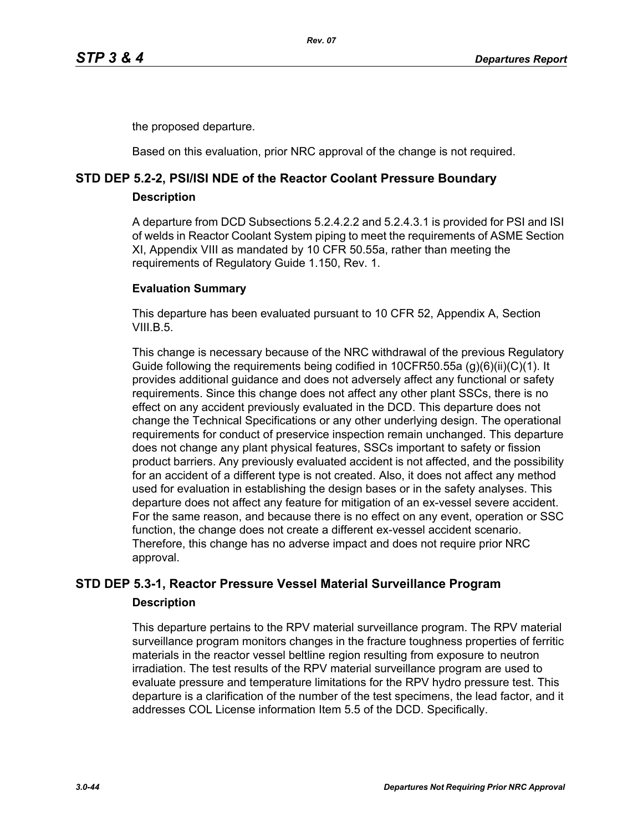the proposed departure.

Based on this evaluation, prior NRC approval of the change is not required.

# **STD DEP 5.2-2, PSI/ISI NDE of the Reactor Coolant Pressure Boundary**

# **Description**

A departure from DCD Subsections 5.2.4.2.2 and 5.2.4.3.1 is provided for PSI and ISI of welds in Reactor Coolant System piping to meet the requirements of ASME Section XI, Appendix VIII as mandated by 10 CFR 50.55a, rather than meeting the requirements of Regulatory Guide 1.150, Rev. 1.

# **Evaluation Summary**

This departure has been evaluated pursuant to 10 CFR 52, Appendix A, Section VIII.B.5

This change is necessary because of the NRC withdrawal of the previous Regulatory Guide following the requirements being codified in 10CFR50.55a (g)(6)(ii)(C)(1). It provides additional guidance and does not adversely affect any functional or safety requirements. Since this change does not affect any other plant SSCs, there is no effect on any accident previously evaluated in the DCD. This departure does not change the Technical Specifications or any other underlying design. The operational requirements for conduct of preservice inspection remain unchanged. This departure does not change any plant physical features, SSCs important to safety or fission product barriers. Any previously evaluated accident is not affected, and the possibility for an accident of a different type is not created. Also, it does not affect any method used for evaluation in establishing the design bases or in the safety analyses. This departure does not affect any feature for mitigation of an ex-vessel severe accident. For the same reason, and because there is no effect on any event, operation or SSC function, the change does not create a different ex-vessel accident scenario. Therefore, this change has no adverse impact and does not require prior NRC approval.

# **STD DEP 5.3-1, Reactor Pressure Vessel Material Surveillance Program Description**

This departure pertains to the RPV material surveillance program. The RPV material surveillance program monitors changes in the fracture toughness properties of ferritic materials in the reactor vessel beltline region resulting from exposure to neutron irradiation. The test results of the RPV material surveillance program are used to evaluate pressure and temperature limitations for the RPV hydro pressure test. This departure is a clarification of the number of the test specimens, the lead factor, and it addresses COL License information Item 5.5 of the DCD. Specifically.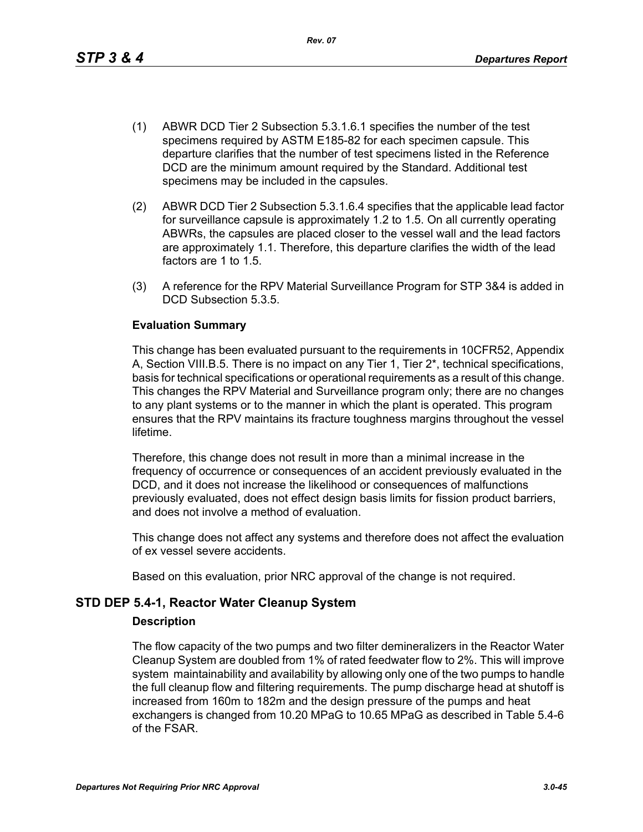This change has been evaluated pursuant to the requirements in 10CFR52, Appendix A, Section VIII.B.5. There is no impact on any Tier 1, Tier 2\*, technical specifications, basis for technical specifications or operational requirements as a result of this change. This changes the RPV Material and Surveillance program only; there are no changes to any plant systems or to the manner in which the plant is operated. This program ensures that the RPV maintains its fracture toughness margins throughout the vessel lifetime.

(1) ABWR DCD Tier 2 Subsection 5.3.1.6.1 specifies the number of the test specimens required by ASTM E185-82 for each specimen capsule. This departure clarifies that the number of test specimens listed in the Reference DCD are the minimum amount required by the Standard. Additional test

*Rev. 07*

(2) ABWR DCD Tier 2 Subsection 5.3.1.6.4 specifies that the applicable lead factor for surveillance capsule is approximately 1.2 to 1.5. On all currently operating ABWRs, the capsules are placed closer to the vessel wall and the lead factors are approximately 1.1. Therefore, this departure clarifies the width of the lead

(3) A reference for the RPV Material Surveillance Program for STP 3&4 is added in

specimens may be included in the capsules.

Therefore, this change does not result in more than a minimal increase in the frequency of occurrence or consequences of an accident previously evaluated in the DCD, and it does not increase the likelihood or consequences of malfunctions previously evaluated, does not effect design basis limits for fission product barriers, and does not involve a method of evaluation.

This change does not affect any systems and therefore does not affect the evaluation of ex vessel severe accidents.

Based on this evaluation, prior NRC approval of the change is not required.

# **STD DEP 5.4-1, Reactor Water Cleanup System**

factors are 1 to 1.5.

**Evaluation Summary**

DCD Subsection 5.3.5.

#### **Description**

The flow capacity of the two pumps and two filter demineralizers in the Reactor Water Cleanup System are doubled from 1% of rated feedwater flow to 2%. This will improve system maintainability and availability by allowing only one of the two pumps to handle the full cleanup flow and filtering requirements. The pump discharge head at shutoff is increased from 160m to 182m and the design pressure of the pumps and heat exchangers is changed from 10.20 MPaG to 10.65 MPaG as described in Table 5.4-6 of the FSAR.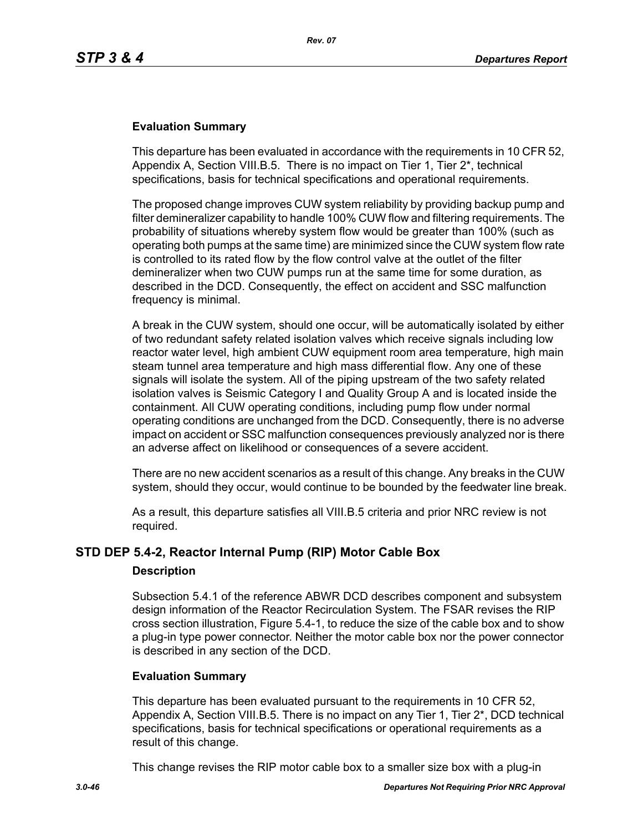## **Evaluation Summary**

This departure has been evaluated in accordance with the requirements in 10 CFR 52, Appendix A, Section VIII.B.5. There is no impact on Tier 1, Tier 2\*, technical specifications, basis for technical specifications and operational requirements.

The proposed change improves CUW system reliability by providing backup pump and filter demineralizer capability to handle 100% CUW flow and filtering requirements. The probability of situations whereby system flow would be greater than 100% (such as operating both pumps at the same time) are minimized since the CUW system flow rate is controlled to its rated flow by the flow control valve at the outlet of the filter demineralizer when two CUW pumps run at the same time for some duration, as described in the DCD. Consequently, the effect on accident and SSC malfunction frequency is minimal.

A break in the CUW system, should one occur, will be automatically isolated by either of two redundant safety related isolation valves which receive signals including low reactor water level, high ambient CUW equipment room area temperature, high main steam tunnel area temperature and high mass differential flow. Any one of these signals will isolate the system. All of the piping upstream of the two safety related isolation valves is Seismic Category I and Quality Group A and is located inside the containment. All CUW operating conditions, including pump flow under normal operating conditions are unchanged from the DCD. Consequently, there is no adverse impact on accident or SSC malfunction consequences previously analyzed nor is there an adverse affect on likelihood or consequences of a severe accident.

There are no new accident scenarios as a result of this change. Any breaks in the CUW system, should they occur, would continue to be bounded by the feedwater line break.

As a result, this departure satisfies all VIII.B.5 criteria and prior NRC review is not required.

# **STD DEP 5.4-2, Reactor Internal Pump (RIP) Motor Cable Box**

#### **Description**

Subsection 5.4.1 of the reference ABWR DCD describes component and subsystem design information of the Reactor Recirculation System. The FSAR revises the RIP cross section illustration, Figure 5.4-1, to reduce the size of the cable box and to show a plug-in type power connector. Neither the motor cable box nor the power connector is described in any section of the DCD.

#### **Evaluation Summary**

This departure has been evaluated pursuant to the requirements in 10 CFR 52, Appendix A, Section VIII.B.5. There is no impact on any Tier 1, Tier 2\*, DCD technical specifications, basis for technical specifications or operational requirements as a result of this change.

This change revises the RIP motor cable box to a smaller size box with a plug-in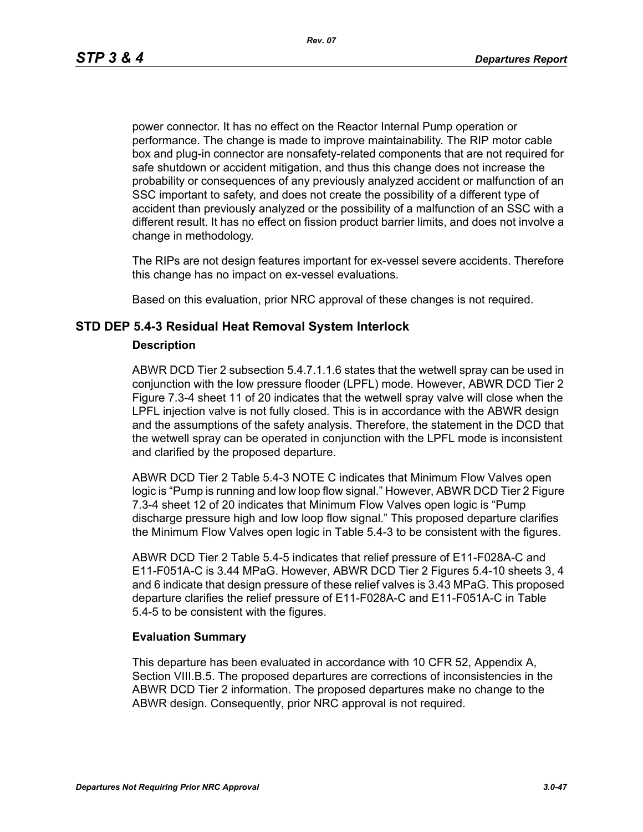power connector. It has no effect on the Reactor Internal Pump operation or performance. The change is made to improve maintainability. The RIP motor cable box and plug-in connector are nonsafety-related components that are not required for safe shutdown or accident mitigation, and thus this change does not increase the probability or consequences of any previously analyzed accident or malfunction of an SSC important to safety, and does not create the possibility of a different type of accident than previously analyzed or the possibility of a malfunction of an SSC with a different result. It has no effect on fission product barrier limits, and does not involve a change in methodology.

The RIPs are not design features important for ex-vessel severe accidents. Therefore this change has no impact on ex-vessel evaluations.

Based on this evaluation, prior NRC approval of these changes is not required.

### **STD DEP 5.4-3 Residual Heat Removal System Interlock**

#### **Description**

ABWR DCD Tier 2 subsection 5.4.7.1.1.6 states that the wetwell spray can be used in conjunction with the low pressure flooder (LPFL) mode. However, ABWR DCD Tier 2 Figure 7.3-4 sheet 11 of 20 indicates that the wetwell spray valve will close when the LPFL injection valve is not fully closed. This is in accordance with the ABWR design and the assumptions of the safety analysis. Therefore, the statement in the DCD that the wetwell spray can be operated in conjunction with the LPFL mode is inconsistent and clarified by the proposed departure.

ABWR DCD Tier 2 Table 5.4-3 NOTE C indicates that Minimum Flow Valves open logic is "Pump is running and low loop flow signal." However, ABWR DCD Tier 2 Figure 7.3-4 sheet 12 of 20 indicates that Minimum Flow Valves open logic is "Pump discharge pressure high and low loop flow signal." This proposed departure clarifies the Minimum Flow Valves open logic in Table 5.4-3 to be consistent with the figures.

ABWR DCD Tier 2 Table 5.4-5 indicates that relief pressure of E11-F028A-C and E11-F051A-C is 3.44 MPaG. However, ABWR DCD Tier 2 Figures 5.4-10 sheets 3, 4 and 6 indicate that design pressure of these relief valves is 3.43 MPaG. This proposed departure clarifies the relief pressure of E11-F028A-C and E11-F051A-C in Table 5.4-5 to be consistent with the figures.

#### **Evaluation Summary**

This departure has been evaluated in accordance with 10 CFR 52, Appendix A, Section VIII.B.5. The proposed departures are corrections of inconsistencies in the ABWR DCD Tier 2 information. The proposed departures make no change to the ABWR design. Consequently, prior NRC approval is not required.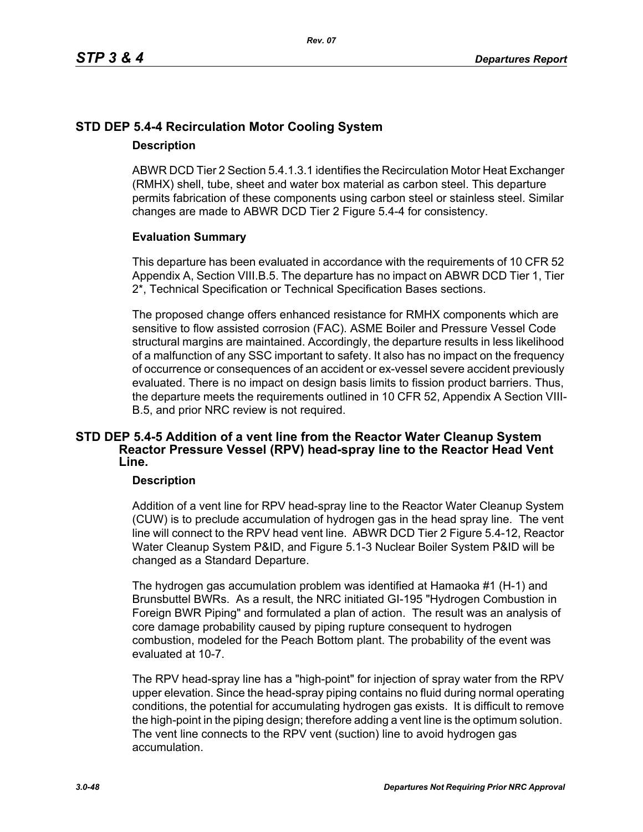# **STD DEP 5.4-4 Recirculation Motor Cooling System**

# **Description**

ABWR DCD Tier 2 Section 5.4.1.3.1 identifies the Recirculation Motor Heat Exchanger (RMHX) shell, tube, sheet and water box material as carbon steel. This departure permits fabrication of these components using carbon steel or stainless steel. Similar changes are made to ABWR DCD Tier 2 Figure 5.4-4 for consistency.

# **Evaluation Summary**

This departure has been evaluated in accordance with the requirements of 10 CFR 52 Appendix A, Section VIII.B.5. The departure has no impact on ABWR DCD Tier 1, Tier 2\*, Technical Specification or Technical Specification Bases sections.

The proposed change offers enhanced resistance for RMHX components which are sensitive to flow assisted corrosion (FAC). ASME Boiler and Pressure Vessel Code structural margins are maintained. Accordingly, the departure results in less likelihood of a malfunction of any SSC important to safety. It also has no impact on the frequency of occurrence or consequences of an accident or ex-vessel severe accident previously evaluated. There is no impact on design basis limits to fission product barriers. Thus, the departure meets the requirements outlined in 10 CFR 52, Appendix A Section VIII-B.5, and prior NRC review is not required.

# **STD DEP 5.4-5 Addition of a vent line from the Reactor Water Cleanup System Reactor Pressure Vessel (RPV) head-spray line to the Reactor Head Vent Line.**

# **Description**

Addition of a vent line for RPV head-spray line to the Reactor Water Cleanup System (CUW) is to preclude accumulation of hydrogen gas in the head spray line. The vent line will connect to the RPV head vent line. ABWR DCD Tier 2 Figure 5.4-12, Reactor Water Cleanup System P&ID, and Figure 5.1-3 Nuclear Boiler System P&ID will be changed as a Standard Departure.

The hydrogen gas accumulation problem was identified at Hamaoka #1 (H-1) and Brunsbuttel BWRs. As a result, the NRC initiated GI-195 "Hydrogen Combustion in Foreign BWR Piping" and formulated a plan of action. The result was an analysis of core damage probability caused by piping rupture consequent to hydrogen combustion, modeled for the Peach Bottom plant. The probability of the event was evaluated at 10-7.

The RPV head-spray line has a "high-point" for injection of spray water from the RPV upper elevation. Since the head-spray piping contains no fluid during normal operating conditions, the potential for accumulating hydrogen gas exists. It is difficult to remove the high-point in the piping design; therefore adding a vent line is the optimum solution. The vent line connects to the RPV vent (suction) line to avoid hydrogen gas accumulation.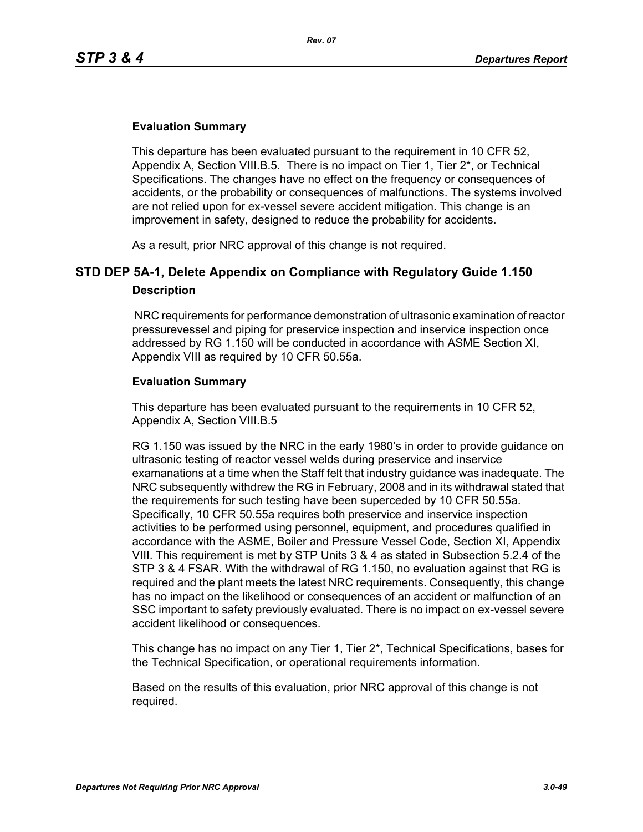# **Evaluation Summary**

This departure has been evaluated pursuant to the requirement in 10 CFR 52, Appendix A, Section VIII.B.5. There is no impact on Tier 1, Tier 2\*, or Technical Specifications. The changes have no effect on the frequency or consequences of accidents, or the probability or consequences of malfunctions. The systems involved are not relied upon for ex-vessel severe accident mitigation. This change is an improvement in safety, designed to reduce the probability for accidents.

As a result, prior NRC approval of this change is not required.

# **STD DEP 5A-1, Delete Appendix on Compliance with Regulatory Guide 1.150 Description**

 NRC requirements for performance demonstration of ultrasonic examination of reactor pressurevessel and piping for preservice inspection and inservice inspection once addressed by RG 1.150 will be conducted in accordance with ASME Section XI, Appendix VIII as required by 10 CFR 50.55a.

### **Evaluation Summary**

This departure has been evaluated pursuant to the requirements in 10 CFR 52, Appendix A, Section VIII.B.5

RG 1.150 was issued by the NRC in the early 1980's in order to provide guidance on ultrasonic testing of reactor vessel welds during preservice and inservice examanations at a time when the Staff felt that industry guidance was inadequate. The NRC subsequently withdrew the RG in February, 2008 and in its withdrawal stated that the requirements for such testing have been superceded by 10 CFR 50.55a. Specifically, 10 CFR 50.55a requires both preservice and inservice inspection activities to be performed using personnel, equipment, and procedures qualified in accordance with the ASME, Boiler and Pressure Vessel Code, Section XI, Appendix VIII. This requirement is met by STP Units 3 & 4 as stated in Subsection 5.2.4 of the STP 3 & 4 FSAR. With the withdrawal of RG 1.150, no evaluation against that RG is required and the plant meets the latest NRC requirements. Consequently, this change has no impact on the likelihood or consequences of an accident or malfunction of an SSC important to safety previously evaluated. There is no impact on ex-vessel severe accident likelihood or consequences.

This change has no impact on any Tier 1, Tier 2\*, Technical Specifications, bases for the Technical Specification, or operational requirements information.

Based on the results of this evaluation, prior NRC approval of this change is not required.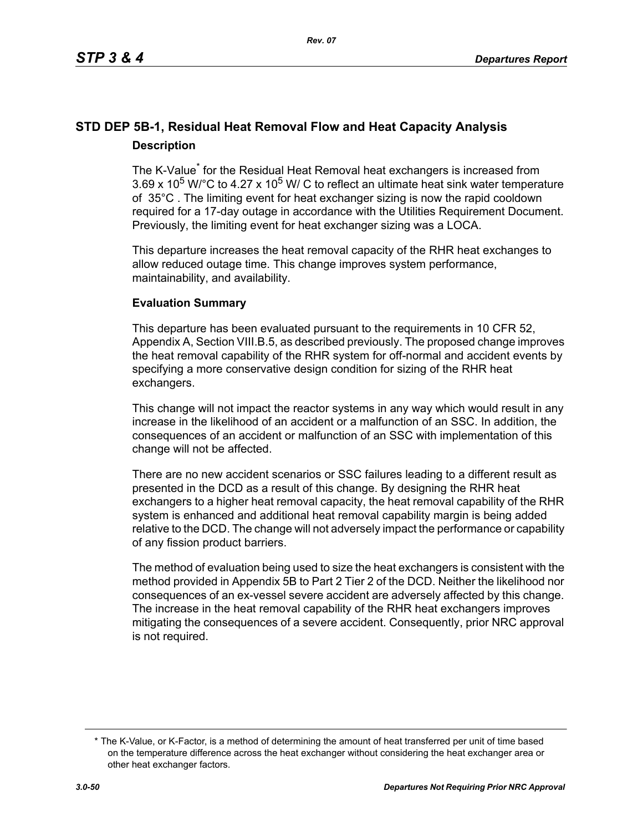# **STD DEP 5B-1, Residual Heat Removal Flow and Heat Capacity Analysis Description**

The K-Value<sup>\*</sup> for the Residual Heat Removal heat exchangers is increased from 3.69 x 10<sup>5</sup> W/°C to 4.27 x 10<sup>5</sup> W/ C to reflect an ultimate heat sink water temperature of 35°C . The limiting event for heat exchanger sizing is now the rapid cooldown required for a 17-day outage in accordance with the Utilities Requirement Document. Previously, the limiting event for heat exchanger sizing was a LOCA.

This departure increases the heat removal capacity of the RHR heat exchanges to allow reduced outage time. This change improves system performance, maintainability, and availability.

# **Evaluation Summary**

This departure has been evaluated pursuant to the requirements in 10 CFR 52, Appendix A, Section VIII.B.5, as described previously. The proposed change improves the heat removal capability of the RHR system for off-normal and accident events by specifying a more conservative design condition for sizing of the RHR heat exchangers.

This change will not impact the reactor systems in any way which would result in any increase in the likelihood of an accident or a malfunction of an SSC. In addition, the consequences of an accident or malfunction of an SSC with implementation of this change will not be affected.

There are no new accident scenarios or SSC failures leading to a different result as presented in the DCD as a result of this change. By designing the RHR heat exchangers to a higher heat removal capacity, the heat removal capability of the RHR system is enhanced and additional heat removal capability margin is being added relative to the DCD. The change will not adversely impact the performance or capability of any fission product barriers.

The method of evaluation being used to size the heat exchangers is consistent with the method provided in Appendix 5B to Part 2 Tier 2 of the DCD. Neither the likelihood nor consequences of an ex-vessel severe accident are adversely affected by this change. The increase in the heat removal capability of the RHR heat exchangers improves mitigating the consequences of a severe accident. Consequently, prior NRC approval is not required.

<sup>\*</sup> The K-Value, or K-Factor, is a method of determining the amount of heat transferred per unit of time based on the temperature difference across the heat exchanger without considering the heat exchanger area or other heat exchanger factors.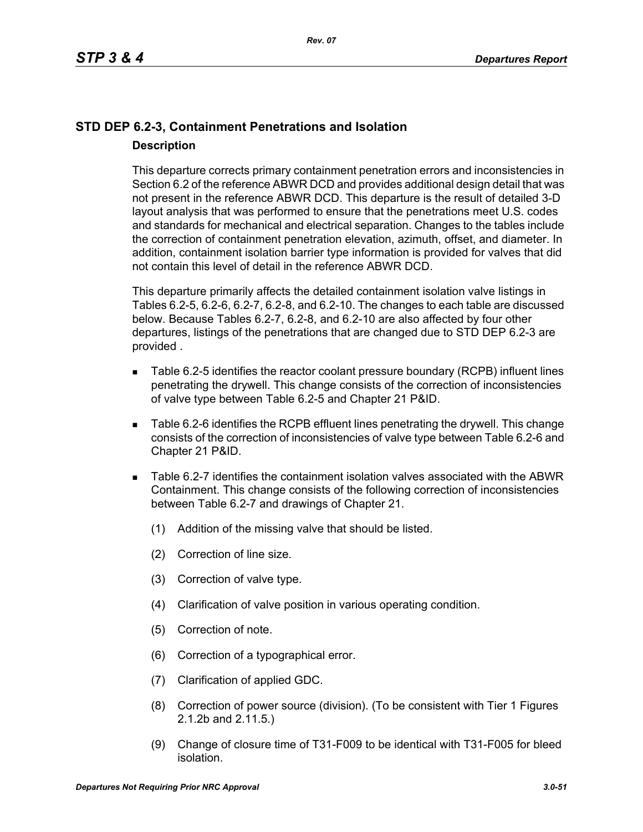# **STD DEP 6.2-3, Containment Penetrations and Isolation Description**

This departure corrects primary containment penetration errors and inconsistencies in Section 6.2 of the reference ABWR DCD and provides additional design detail that was not present in the reference ABWR DCD. This departure is the result of detailed 3-D layout analysis that was performed to ensure that the penetrations meet U.S. codes and standards for mechanical and electrical separation. Changes to the tables include the correction of containment penetration elevation, azimuth, offset, and diameter. In addition, containment isolation barrier type information is provided for valves that did not contain this level of detail in the reference ABWR DCD.

This departure primarily affects the detailed containment isolation valve listings in Tables 6.2-5, 6.2-6, 6.2-7, 6.2-8, and 6.2-10. The changes to each table are discussed below. Because Tables 6.2-7, 6.2-8, and 6.2-10 are also affected by four other departures, listings of the penetrations that are changed due to STD DEP 6.2-3 are provided .

- Table 6.2-5 identifies the reactor coolant pressure boundary (RCPB) influent lines penetrating the drywell. This change consists of the correction of inconsistencies of valve type between Table 6.2-5 and Chapter 21 P&ID.
- Table 6.2-6 identifies the RCPB effluent lines penetrating the drywell. This change consists of the correction of inconsistencies of valve type between Table 6.2-6 and Chapter 21 P&ID.
- Table 6.2-7 identifies the containment isolation valves associated with the ABWR Containment. This change consists of the following correction of inconsistencies between Table 6.2-7 and drawings of Chapter 21.
	- (1) Addition of the missing valve that should be listed.
	- (2) Correction of line size.
	- (3) Correction of valve type.
	- (4) Clarification of valve position in various operating condition.
	- (5) Correction of note.
	- (6) Correction of a typographical error.
	- (7) Clarification of applied GDC.
	- (8) Correction of power source (division). (To be consistent with Tier 1 Figures 2.1.2b and 2.11.5.)
	- (9) Change of closure time of T31-F009 to be identical with T31-F005 for bleed isolation.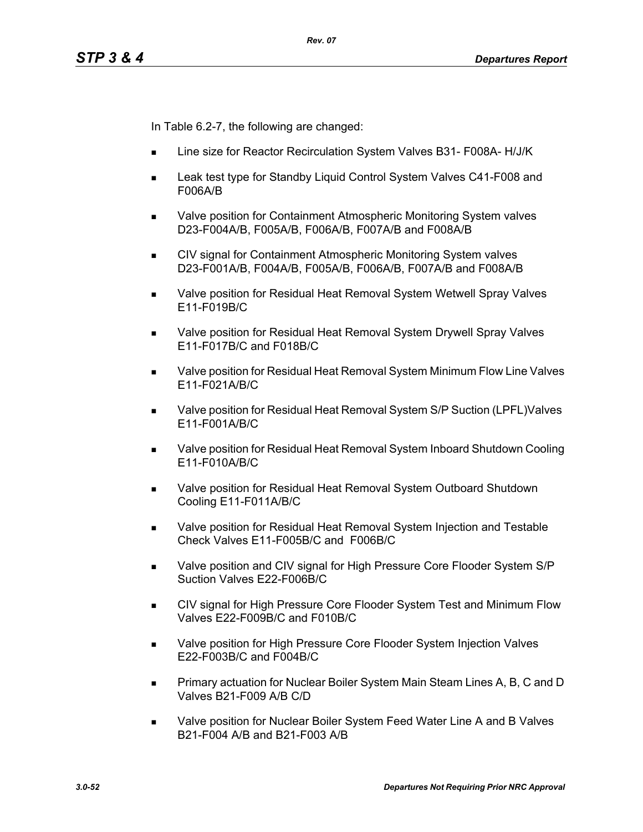In Table 6.2-7, the following are changed:

- Line size for Reactor Recirculation System Valves B31- F008A- H/J/K
- Leak test type for Standby Liquid Control System Valves C41-F008 and F006A/B
- Valve position for Containment Atmospheric Monitoring System valves D23-F004A/B, F005A/B, F006A/B, F007A/B and F008A/B
- **CIV signal for Containment Atmospheric Monitoring System valves** D23-F001A/B, F004A/B, F005A/B, F006A/B, F007A/B and F008A/B
- **Notable 20 as Valve position for Residual Heat Removal System Wetwell Spray Valves** E11-F019B/C
- Valve position for Residual Heat Removal System Drywell Spray Valves E11-F017B/C and F018B/C
- Valve position for Residual Heat Removal System Minimum Flow Line Valves E11-F021A/B/C
- Valve position for Residual Heat Removal System S/P Suction (LPFL)Valves E11-F001A/B/C
- Valve position for Residual Heat Removal System Inboard Shutdown Cooling E11-F010A/B/C
- Valve position for Residual Heat Removal System Outboard Shutdown Cooling E11-F011A/B/C
- **Nalve position for Residual Heat Removal System Injection and Testable** Check Valves E11-F005B/C and F006B/C
- Valve position and CIV signal for High Pressure Core Flooder System S/P Suction Valves E22-F006B/C
- CIV signal for High Pressure Core Flooder System Test and Minimum Flow Valves E22-F009B/C and F010B/C
- **Nalve position for High Pressure Core Flooder System Injection Valves** E22-F003B/C and F004B/C
- **Primary actuation for Nuclear Boiler System Main Steam Lines A, B, C and D** Valves B21-F009 A/B C/D
- Valve position for Nuclear Boiler System Feed Water Line A and B Valves B21-F004 A/B and B21-F003 A/B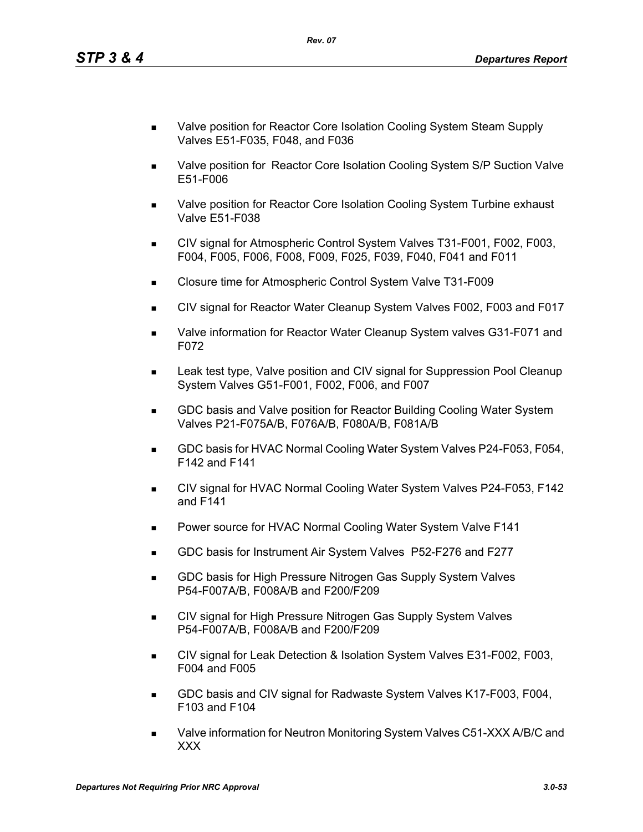- Valve position for Reactor Core Isolation Cooling System Steam Supply Valves E51-F035, F048, and F036
- **Nalve position for Reactor Core Isolation Cooling System S/P Suction Valve** E51-F006
- Valve position for Reactor Core Isolation Cooling System Turbine exhaust Valve E51-F038
- CIV signal for Atmospheric Control System Valves T31-F001, F002, F003, F004, F005, F006, F008, F009, F025, F039, F040, F041 and F011
- Closure time for Atmospheric Control System Valve T31-F009
- CIV signal for Reactor Water Cleanup System Valves F002, F003 and F017
- Valve information for Reactor Water Cleanup System valves G31-F071 and F072
- Leak test type, Valve position and CIV signal for Suppression Pool Cleanup System Valves G51-F001, F002, F006, and F007
- GDC basis and Valve position for Reactor Building Cooling Water System Valves P21-F075A/B, F076A/B, F080A/B, F081A/B
- GDC basis for HVAC Normal Cooling Water System Valves P24-F053, F054, F142 and F141
- CIV signal for HVAC Normal Cooling Water System Valves P24-F053, F142 and F141
- **Power source for HVAC Normal Cooling Water System Valve F141**
- GDC basis for Instrument Air System Valves P52-F276 and F277
- **GDC basis for High Pressure Nitrogen Gas Supply System Valves** P54-F007A/B, F008A/B and F200/F209
- CIV signal for High Pressure Nitrogen Gas Supply System Valves P54-F007A/B, F008A/B and F200/F209
- CIV signal for Leak Detection & Isolation System Valves E31-F002, F003, F004 and F005
- GDC basis and CIV signal for Radwaste System Valves K17-F003, F004, F103 and F104
- Valve information for Neutron Monitoring System Valves C51-XXX A/B/C and XXX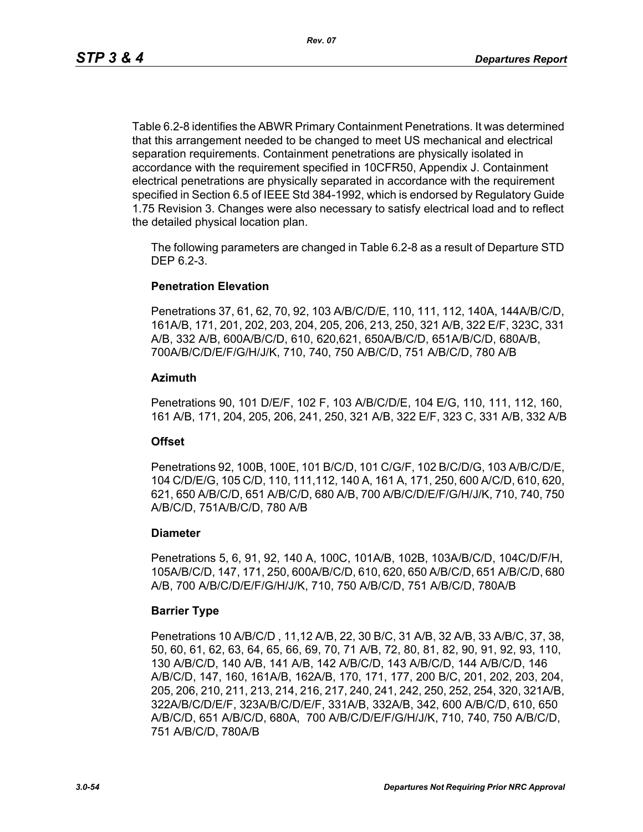Table 6.2-8 identifies the ABWR Primary Containment Penetrations. It was determined that this arrangement needed to be changed to meet US mechanical and electrical separation requirements. Containment penetrations are physically isolated in accordance with the requirement specified in 10CFR50, Appendix J. Containment electrical penetrations are physically separated in accordance with the requirement specified in Section 6.5 of IEEE Std 384-1992, which is endorsed by Regulatory Guide 1.75 Revision 3. Changes were also necessary to satisfy electrical load and to reflect the detailed physical location plan.

The following parameters are changed in Table 6.2-8 as a result of Departure STD DEP 6.2-3.

### **Penetration Elevation**

Penetrations 37, 61, 62, 70, 92, 103 A/B/C/D/E, 110, 111, 112, 140A, 144A/B/C/D, 161A/B, 171, 201, 202, 203, 204, 205, 206, 213, 250, 321 A/B, 322 E/F, 323C, 331 A/B, 332 A/B, 600A/B/C/D, 610, 620,621, 650A/B/C/D, 651A/B/C/D, 680A/B, 700A/B/C/D/E/F/G/H/J/K, 710, 740, 750 A/B/C/D, 751 A/B/C/D, 780 A/B

#### **Azimuth**

Penetrations 90, 101 D/E/F, 102 F, 103 A/B/C/D/E, 104 E/G, 110, 111, 112, 160, 161 A/B, 171, 204, 205, 206, 241, 250, 321 A/B, 322 E/F, 323 C, 331 A/B, 332 A/B

#### **Offset**

Penetrations 92, 100B, 100E, 101 B/C/D, 101 C/G/F, 102 B/C/D/G, 103 A/B/C/D/E, 104 C/D/E/G, 105 C/D, 110, 111,112, 140 A, 161 A, 171, 250, 600 A/C/D, 610, 620, 621, 650 A/B/C/D, 651 A/B/C/D, 680 A/B, 700 A/B/C/D/E/F/G/H/J/K, 710, 740, 750 A/B/C/D, 751A/B/C/D, 780 A/B

#### **Diameter**

Penetrations 5, 6, 91, 92, 140 A, 100C, 101A/B, 102B, 103A/B/C/D, 104C/D/F/H, 105A/B/C/D, 147, 171, 250, 600A/B/C/D, 610, 620, 650 A/B/C/D, 651 A/B/C/D, 680 A/B, 700 A/B/C/D/E/F/G/H/J/K, 710, 750 A/B/C/D, 751 A/B/C/D, 780A/B

#### **Barrier Type**

Penetrations 10 A/B/C/D , 11,12 A/B, 22, 30 B/C, 31 A/B, 32 A/B, 33 A/B/C, 37, 38, 50, 60, 61, 62, 63, 64, 65, 66, 69, 70, 71 A/B, 72, 80, 81, 82, 90, 91, 92, 93, 110, 130 A/B/C/D, 140 A/B, 141 A/B, 142 A/B/C/D, 143 A/B/C/D, 144 A/B/C/D, 146 A/B/C/D, 147, 160, 161A/B, 162A/B, 170, 171, 177, 200 B/C, 201, 202, 203, 204, 205, 206, 210, 211, 213, 214, 216, 217, 240, 241, 242, 250, 252, 254, 320, 321A/B, 322A/B/C/D/E/F, 323A/B/C/D/E/F, 331A/B, 332A/B, 342, 600 A/B/C/D, 610, 650 A/B/C/D, 651 A/B/C/D, 680A, 700 A/B/C/D/E/F/G/H/J/K, 710, 740, 750 A/B/C/D, 751 A/B/C/D, 780A/B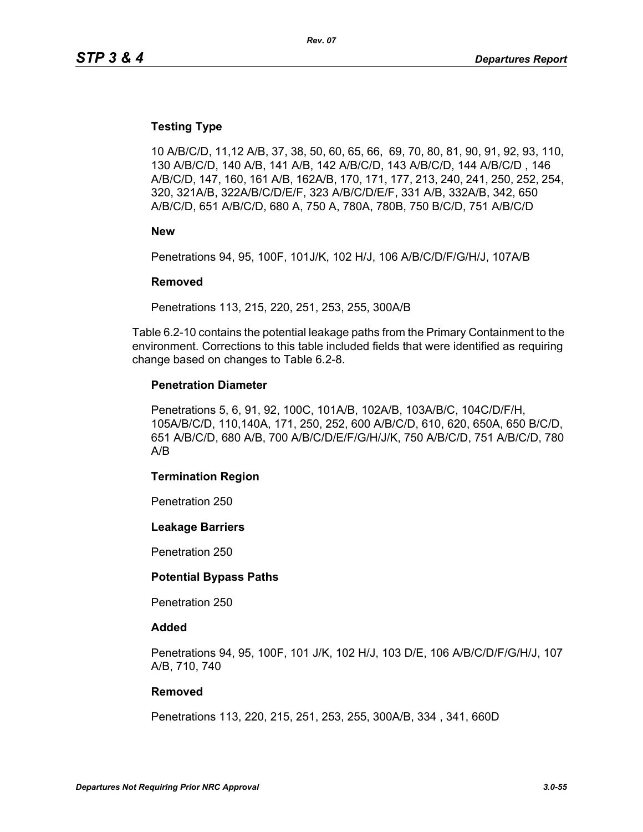### **Testing Type**

10 A/B/C/D, 11,12 A/B, 37, 38, 50, 60, 65, 66, 69, 70, 80, 81, 90, 91, 92, 93, 110, 130 A/B/C/D, 140 A/B, 141 A/B, 142 A/B/C/D, 143 A/B/C/D, 144 A/B/C/D , 146 A/B/C/D, 147, 160, 161 A/B, 162A/B, 170, 171, 177, 213, 240, 241, 250, 252, 254, 320, 321A/B, 322A/B/C/D/E/F, 323 A/B/C/D/E/F, 331 A/B, 332A/B, 342, 650 A/B/C/D, 651 A/B/C/D, 680 A, 750 A, 780A, 780B, 750 B/C/D, 751 A/B/C/D

**New**

Penetrations 94, 95, 100F, 101J/K, 102 H/J, 106 A/B/C/D/F/G/H/J, 107A/B

#### **Removed**

Penetrations 113, 215, 220, 251, 253, 255, 300A/B

Table 6.2-10 contains the potential leakage paths from the Primary Containment to the environment. Corrections to this table included fields that were identified as requiring change based on changes to Table 6.2-8.

#### **Penetration Diameter**

Penetrations 5, 6, 91, 92, 100C, 101A/B, 102A/B, 103A/B/C, 104C/D/F/H, 105A/B/C/D, 110,140A, 171, 250, 252, 600 A/B/C/D, 610, 620, 650A, 650 B/C/D, 651 A/B/C/D, 680 A/B, 700 A/B/C/D/E/F/G/H/J/K, 750 A/B/C/D, 751 A/B/C/D, 780 A/B

#### **Termination Region**

Penetration 250

#### **Leakage Barriers**

Penetration 250

#### **Potential Bypass Paths**

Penetration 250

#### **Added**

Penetrations 94, 95, 100F, 101 J/K, 102 H/J, 103 D/E, 106 A/B/C/D/F/G/H/J, 107 A/B, 710, 740

#### **Removed**

Penetrations 113, 220, 215, 251, 253, 255, 300A/B, 334 , 341, 660D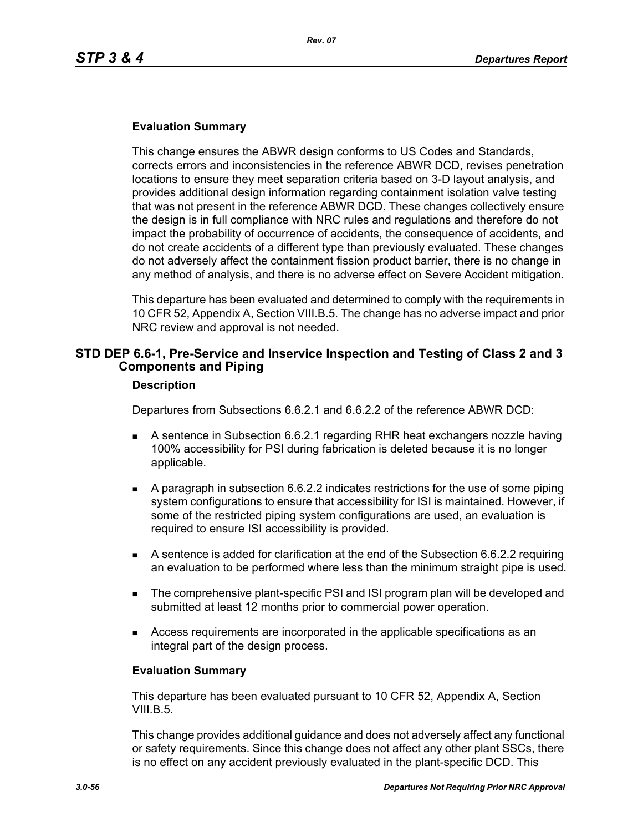### **Evaluation Summary**

This change ensures the ABWR design conforms to US Codes and Standards, corrects errors and inconsistencies in the reference ABWR DCD, revises penetration locations to ensure they meet separation criteria based on 3-D layout analysis, and provides additional design information regarding containment isolation valve testing that was not present in the reference ABWR DCD. These changes collectively ensure the design is in full compliance with NRC rules and regulations and therefore do not impact the probability of occurrence of accidents, the consequence of accidents, and do not create accidents of a different type than previously evaluated. These changes do not adversely affect the containment fission product barrier, there is no change in any method of analysis, and there is no adverse effect on Severe Accident mitigation.

This departure has been evaluated and determined to comply with the requirements in 10 CFR 52, Appendix A, Section VIII.B.5. The change has no adverse impact and prior NRC review and approval is not needed.

# **STD DEP 6.6-1, Pre-Service and Inservice Inspection and Testing of Class 2 and 3 Components and Piping**

#### **Description**

Departures from Subsections 6.6.2.1 and 6.6.2.2 of the reference ABWR DCD:

- A sentence in Subsection 6.6.2.1 regarding RHR heat exchangers nozzle having 100% accessibility for PSI during fabrication is deleted because it is no longer applicable.
- A paragraph in subsection 6.6.2.2 indicates restrictions for the use of some piping system configurations to ensure that accessibility for ISI is maintained. However, if some of the restricted piping system configurations are used, an evaluation is required to ensure ISI accessibility is provided.
- A sentence is added for clarification at the end of the Subsection 6.6.2.2 requiring an evaluation to be performed where less than the minimum straight pipe is used.
- **The comprehensive plant-specific PSI and ISI program plan will be developed and** submitted at least 12 months prior to commercial power operation.
- Access requirements are incorporated in the applicable specifications as an integral part of the design process.

#### **Evaluation Summary**

This departure has been evaluated pursuant to 10 CFR 52, Appendix A, Section VIII.B.5.

This change provides additional guidance and does not adversely affect any functional or safety requirements. Since this change does not affect any other plant SSCs, there is no effect on any accident previously evaluated in the plant-specific DCD. This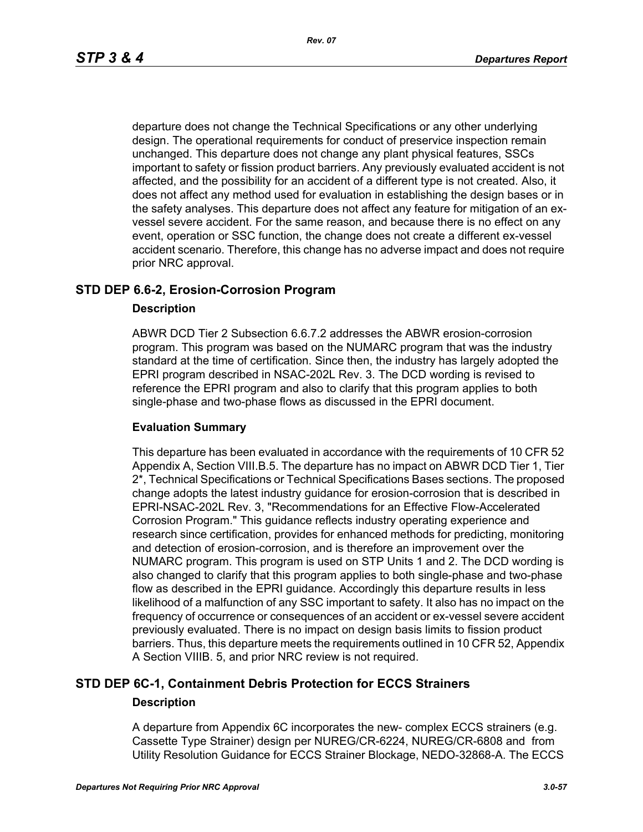departure does not change the Technical Specifications or any other underlying design. The operational requirements for conduct of preservice inspection remain unchanged. This departure does not change any plant physical features, SSCs important to safety or fission product barriers. Any previously evaluated accident is not affected, and the possibility for an accident of a different type is not created. Also, it does not affect any method used for evaluation in establishing the design bases or in the safety analyses. This departure does not affect any feature for mitigation of an exvessel severe accident. For the same reason, and because there is no effect on any event, operation or SSC function, the change does not create a different ex-vessel accident scenario. Therefore, this change has no adverse impact and does not require prior NRC approval.

# **STD DEP 6.6-2, Erosion-Corrosion Program**

#### **Description**

ABWR DCD Tier 2 Subsection 6.6.7.2 addresses the ABWR erosion-corrosion program. This program was based on the NUMARC program that was the industry standard at the time of certification. Since then, the industry has largely adopted the EPRI program described in NSAC-202L Rev. 3. The DCD wording is revised to reference the EPRI program and also to clarify that this program applies to both single-phase and two-phase flows as discussed in the EPRI document.

#### **Evaluation Summary**

This departure has been evaluated in accordance with the requirements of 10 CFR 52 Appendix A, Section VIII.B.5. The departure has no impact on ABWR DCD Tier 1, Tier 2\*, Technical Specifications or Technical Specifications Bases sections. The proposed change adopts the latest industry guidance for erosion-corrosion that is described in EPRI-NSAC-202L Rev. 3, "Recommendations for an Effective Flow-Accelerated Corrosion Program." This guidance reflects industry operating experience and research since certification, provides for enhanced methods for predicting, monitoring and detection of erosion-corrosion, and is therefore an improvement over the NUMARC program. This program is used on STP Units 1 and 2. The DCD wording is also changed to clarify that this program applies to both single-phase and two-phase flow as described in the EPRI guidance. Accordingly this departure results in less likelihood of a malfunction of any SSC important to safety. It also has no impact on the frequency of occurrence or consequences of an accident or ex-vessel severe accident previously evaluated. There is no impact on design basis limits to fission product barriers. Thus, this departure meets the requirements outlined in 10 CFR 52, Appendix A Section VIIIB. 5, and prior NRC review is not required.

# **STD DEP 6C-1, Containment Debris Protection for ECCS Strainers**

#### **Description**

A departure from Appendix 6C incorporates the new- complex ECCS strainers (e.g. Cassette Type Strainer) design per NUREG/CR-6224, NUREG/CR-6808 and from Utility Resolution Guidance for ECCS Strainer Blockage, NEDO-32868-A. The ECCS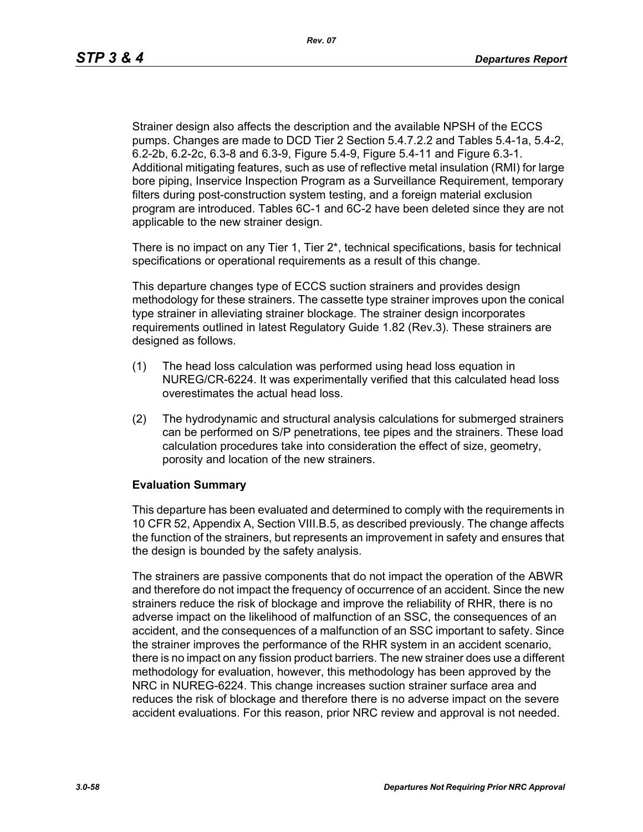Strainer design also affects the description and the available NPSH of the ECCS pumps. Changes are made to DCD Tier 2 Section 5.4.7.2.2 and Tables 5.4-1a, 5.4-2, 6.2-2b, 6.2-2c, 6.3-8 and 6.3-9, Figure 5.4-9, Figure 5.4-11 and Figure 6.3-1. Additional mitigating features, such as use of reflective metal insulation (RMI) for large bore piping, Inservice Inspection Program as a Surveillance Requirement, temporary filters during post-construction system testing, and a foreign material exclusion program are introduced. Tables 6C-1 and 6C-2 have been deleted since they are not applicable to the new strainer design.

There is no impact on any Tier 1, Tier  $2^*$ , technical specifications, basis for technical specifications or operational requirements as a result of this change.

This departure changes type of ECCS suction strainers and provides design methodology for these strainers. The cassette type strainer improves upon the conical type strainer in alleviating strainer blockage. The strainer design incorporates requirements outlined in latest Regulatory Guide 1.82 (Rev.3). These strainers are designed as follows.

- (1) The head loss calculation was performed using head loss equation in NUREG/CR-6224. It was experimentally verified that this calculated head loss overestimates the actual head loss.
- (2) The hydrodynamic and structural analysis calculations for submerged strainers can be performed on S/P penetrations, tee pipes and the strainers. These load calculation procedures take into consideration the effect of size, geometry, porosity and location of the new strainers.

#### **Evaluation Summary**

This departure has been evaluated and determined to comply with the requirements in 10 CFR 52, Appendix A, Section VIII.B.5, as described previously. The change affects the function of the strainers, but represents an improvement in safety and ensures that the design is bounded by the safety analysis.

The strainers are passive components that do not impact the operation of the ABWR and therefore do not impact the frequency of occurrence of an accident. Since the new strainers reduce the risk of blockage and improve the reliability of RHR, there is no adverse impact on the likelihood of malfunction of an SSC, the consequences of an accident, and the consequences of a malfunction of an SSC important to safety. Since the strainer improves the performance of the RHR system in an accident scenario, there is no impact on any fission product barriers. The new strainer does use a different methodology for evaluation, however, this methodology has been approved by the NRC in NUREG-6224. This change increases suction strainer surface area and reduces the risk of blockage and therefore there is no adverse impact on the severe accident evaluations. For this reason, prior NRC review and approval is not needed.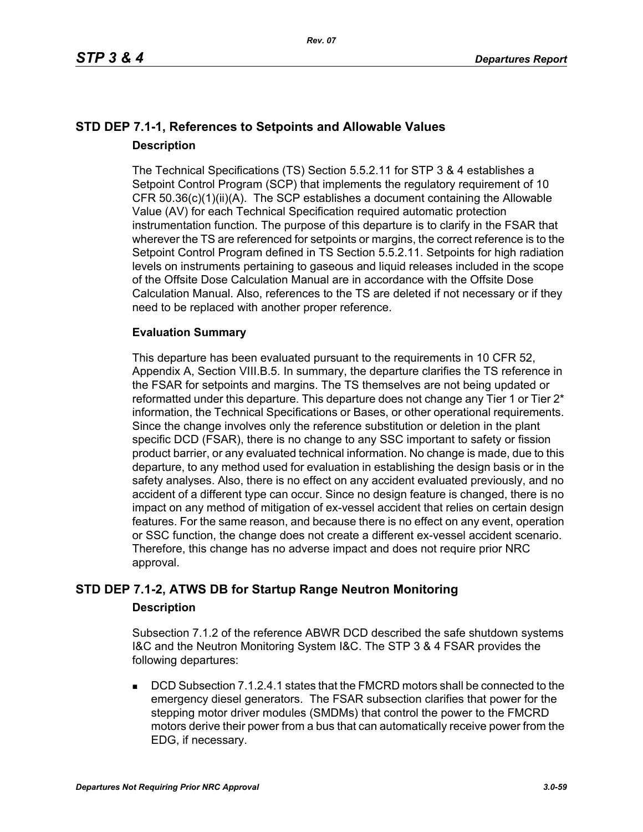# **STD DEP 7.1-1, References to Setpoints and Allowable Values Description**

The Technical Specifications (TS) Section 5.5.2.11 for STP 3 & 4 establishes a Setpoint Control Program (SCP) that implements the regulatory requirement of 10 CFR 50.36(c)(1)(ii)(A). The SCP establishes a document containing the Allowable Value (AV) for each Technical Specification required automatic protection instrumentation function. The purpose of this departure is to clarify in the FSAR that wherever the TS are referenced for setpoints or margins, the correct reference is to the Setpoint Control Program defined in TS Section 5.5.2.11. Setpoints for high radiation levels on instruments pertaining to gaseous and liquid releases included in the scope of the Offsite Dose Calculation Manual are in accordance with the Offsite Dose Calculation Manual. Also, references to the TS are deleted if not necessary or if they need to be replaced with another proper reference.

# **Evaluation Summary**

This departure has been evaluated pursuant to the requirements in 10 CFR 52, Appendix A, Section VIII.B.5. In summary, the departure clarifies the TS reference in the FSAR for setpoints and margins. The TS themselves are not being updated or reformatted under this departure. This departure does not change any Tier 1 or Tier 2<sup>\*</sup> information, the Technical Specifications or Bases, or other operational requirements. Since the change involves only the reference substitution or deletion in the plant specific DCD (FSAR), there is no change to any SSC important to safety or fission product barrier, or any evaluated technical information. No change is made, due to this departure, to any method used for evaluation in establishing the design basis or in the safety analyses. Also, there is no effect on any accident evaluated previously, and no accident of a different type can occur. Since no design feature is changed, there is no impact on any method of mitigation of ex-vessel accident that relies on certain design features. For the same reason, and because there is no effect on any event, operation or SSC function, the change does not create a different ex-vessel accident scenario. Therefore, this change has no adverse impact and does not require prior NRC approval.

# **STD DEP 7.1-2, ATWS DB for Startup Range Neutron Monitoring**

# **Description**

Subsection 7.1.2 of the reference ABWR DCD described the safe shutdown systems I&C and the Neutron Monitoring System I&C. The STP 3 & 4 FSAR provides the following departures:

 DCD Subsection 7.1.2.4.1 states that the FMCRD motors shall be connected to the emergency diesel generators. The FSAR subsection clarifies that power for the stepping motor driver modules (SMDMs) that control the power to the FMCRD motors derive their power from a bus that can automatically receive power from the EDG, if necessary.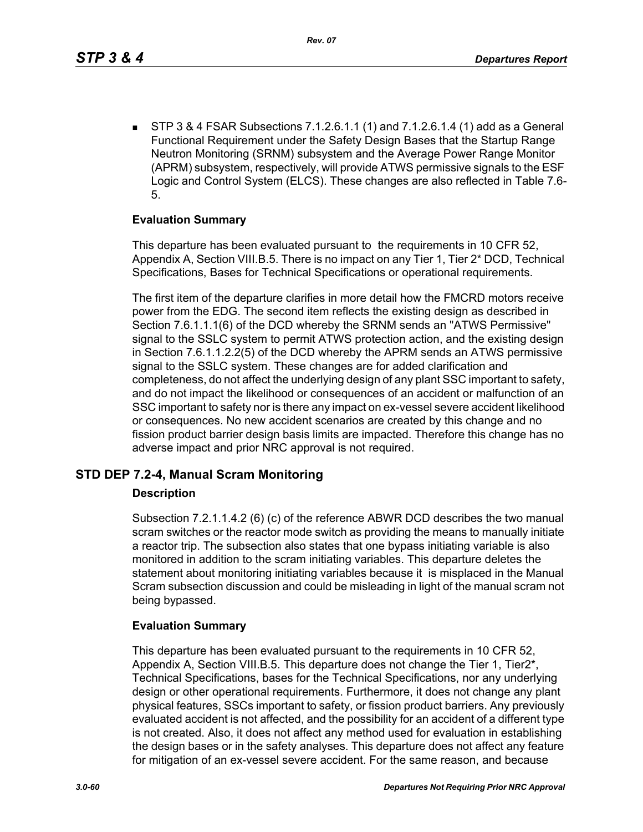STP 3 & 4 FSAR Subsections 7.1.2.6.1.1 (1) and 7.1.2.6.1.4 (1) add as a General Functional Requirement under the Safety Design Bases that the Startup Range Neutron Monitoring (SRNM) subsystem and the Average Power Range Monitor (APRM) subsystem, respectively, will provide ATWS permissive signals to the ESF Logic and Control System (ELCS). These changes are also reflected in Table 7.6- 5.

### **Evaluation Summary**

This departure has been evaluated pursuant to the requirements in 10 CFR 52, Appendix A, Section VIII.B.5. There is no impact on any Tier 1, Tier 2\* DCD, Technical Specifications, Bases for Technical Specifications or operational requirements.

The first item of the departure clarifies in more detail how the FMCRD motors receive power from the EDG. The second item reflects the existing design as described in Section 7.6.1.1.1(6) of the DCD whereby the SRNM sends an "ATWS Permissive" signal to the SSLC system to permit ATWS protection action, and the existing design in Section 7.6.1.1.2.2(5) of the DCD whereby the APRM sends an ATWS permissive signal to the SSLC system. These changes are for added clarification and completeness, do not affect the underlying design of any plant SSC important to safety, and do not impact the likelihood or consequences of an accident or malfunction of an SSC important to safety nor is there any impact on ex-vessel severe accident likelihood or consequences. No new accident scenarios are created by this change and no fission product barrier design basis limits are impacted. Therefore this change has no adverse impact and prior NRC approval is not required.

# **STD DEP 7.2-4, Manual Scram Monitoring**

#### **Description**

Subsection 7.2.1.1.4.2 (6) (c) of the reference ABWR DCD describes the two manual scram switches or the reactor mode switch as providing the means to manually initiate a reactor trip. The subsection also states that one bypass initiating variable is also monitored in addition to the scram initiating variables. This departure deletes the statement about monitoring initiating variables because it is misplaced in the Manual Scram subsection discussion and could be misleading in light of the manual scram not being bypassed.

#### **Evaluation Summary**

This departure has been evaluated pursuant to the requirements in 10 CFR 52, Appendix A, Section VIII.B.5. This departure does not change the Tier 1, Tier2\*, Technical Specifications, bases for the Technical Specifications, nor any underlying design or other operational requirements. Furthermore, it does not change any plant physical features, SSCs important to safety, or fission product barriers. Any previously evaluated accident is not affected, and the possibility for an accident of a different type is not created. Also, it does not affect any method used for evaluation in establishing the design bases or in the safety analyses. This departure does not affect any feature for mitigation of an ex-vessel severe accident. For the same reason, and because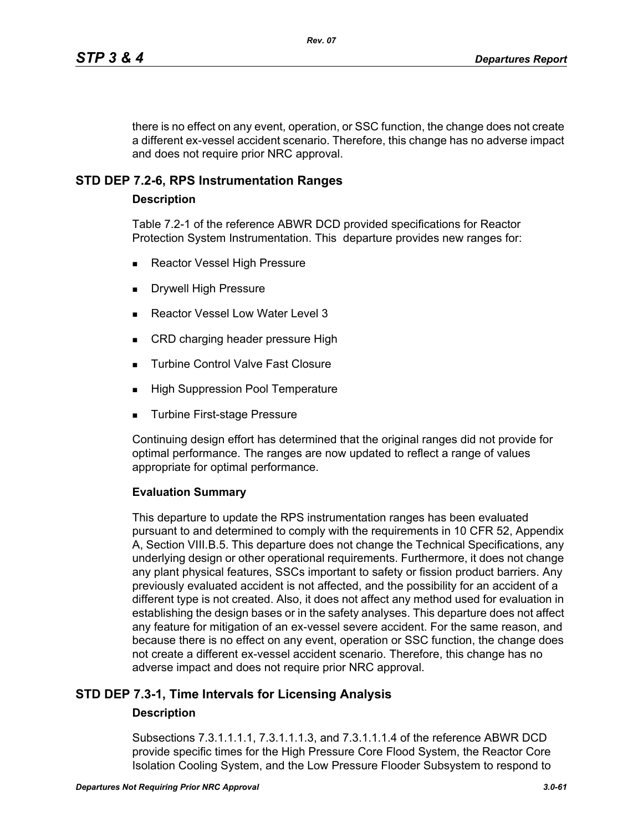there is no effect on any event, operation, or SSC function, the change does not create a different ex-vessel accident scenario. Therefore, this change has no adverse impact and does not require prior NRC approval.

# **STD DEP 7.2-6, RPS Instrumentation Ranges**

#### **Description**

Table 7.2-1 of the reference ABWR DCD provided specifications for Reactor Protection System Instrumentation. This departure provides new ranges for:

- Reactor Vessel High Pressure
- Drywell High Pressure
- Reactor Vessel Low Water Level 3
- CRD charging header pressure High
- **Turbine Control Valve Fast Closure**
- **High Suppression Pool Temperature**
- **Turbine First-stage Pressure**

Continuing design effort has determined that the original ranges did not provide for optimal performance. The ranges are now updated to reflect a range of values appropriate for optimal performance.

#### **Evaluation Summary**

This departure to update the RPS instrumentation ranges has been evaluated pursuant to and determined to comply with the requirements in 10 CFR 52, Appendix A, Section VIII.B.5. This departure does not change the Technical Specifications, any underlying design or other operational requirements. Furthermore, it does not change any plant physical features, SSCs important to safety or fission product barriers. Any previously evaluated accident is not affected, and the possibility for an accident of a different type is not created. Also, it does not affect any method used for evaluation in establishing the design bases or in the safety analyses. This departure does not affect any feature for mitigation of an ex-vessel severe accident. For the same reason, and because there is no effect on any event, operation or SSC function, the change does not create a different ex-vessel accident scenario. Therefore, this change has no adverse impact and does not require prior NRC approval.

# **STD DEP 7.3-1, Time Intervals for Licensing Analysis**

# **Description**

Subsections 7.3.1.1.1.1, 7.3.1.1.1.3, and 7.3.1.1.1.4 of the reference ABWR DCD provide specific times for the High Pressure Core Flood System, the Reactor Core Isolation Cooling System, and the Low Pressure Flooder Subsystem to respond to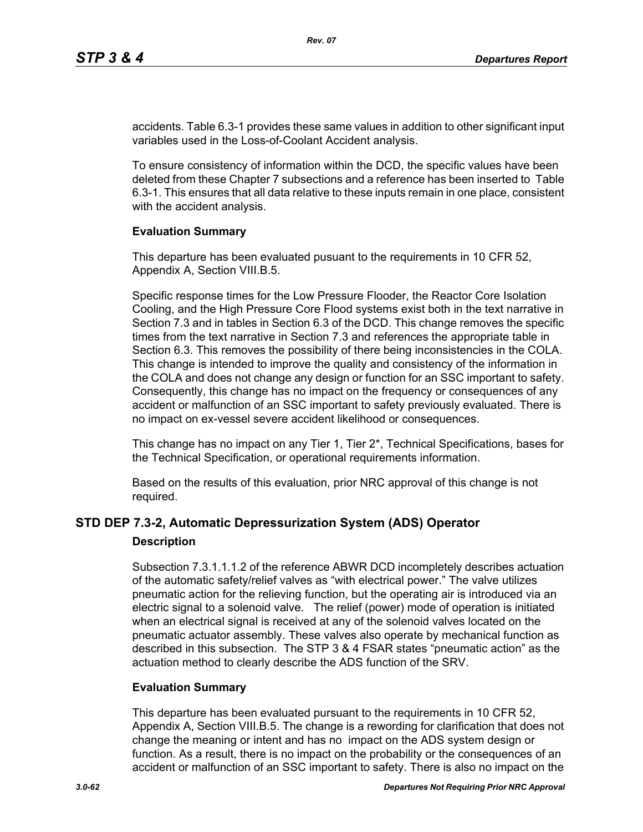accidents. Table 6.3-1 provides these same values in addition to other significant input variables used in the Loss-of-Coolant Accident analysis.

To ensure consistency of information within the DCD, the specific values have been deleted from these Chapter 7 subsections and a reference has been inserted to Table 6.3-1. This ensures that all data relative to these inputs remain in one place, consistent with the accident analysis.

#### **Evaluation Summary**

This departure has been evaluated pusuant to the requirements in 10 CFR 52, Appendix A, Section VIII.B.5.

Specific response times for the Low Pressure Flooder, the Reactor Core Isolation Cooling, and the High Pressure Core Flood systems exist both in the text narrative in Section 7.3 and in tables in Section 6.3 of the DCD. This change removes the specific times from the text narrative in Section 7.3 and references the appropriate table in Section 6.3. This removes the possibility of there being inconsistencies in the COLA. This change is intended to improve the quality and consistency of the information in the COLA and does not change any design or function for an SSC important to safety. Consequently, this change has no impact on the frequency or consequences of any accident or malfunction of an SSC important to safety previously evaluated. There is no impact on ex-vessel severe accident likelihood or consequences.

This change has no impact on any Tier 1, Tier 2\*, Technical Specifications, bases for the Technical Specification, or operational requirements information.

Based on the results of this evaluation, prior NRC approval of this change is not required.

# **STD DEP 7.3-2, Automatic Depressurization System (ADS) Operator**

#### **Description**

Subsection 7.3.1.1.1.2 of the reference ABWR DCD incompletely describes actuation of the automatic safety/relief valves as "with electrical power." The valve utilizes pneumatic action for the relieving function, but the operating air is introduced via an electric signal to a solenoid valve. The relief (power) mode of operation is initiated when an electrical signal is received at any of the solenoid valves located on the pneumatic actuator assembly. These valves also operate by mechanical function as described in this subsection. The STP 3 & 4 FSAR states "pneumatic action" as the actuation method to clearly describe the ADS function of the SRV.

# **Evaluation Summary**

This departure has been evaluated pursuant to the requirements in 10 CFR 52, Appendix A, Section VIII.B.5. The change is a rewording for clarification that does not change the meaning or intent and has no impact on the ADS system design or function. As a result, there is no impact on the probability or the consequences of an accident or malfunction of an SSC important to safety. There is also no impact on the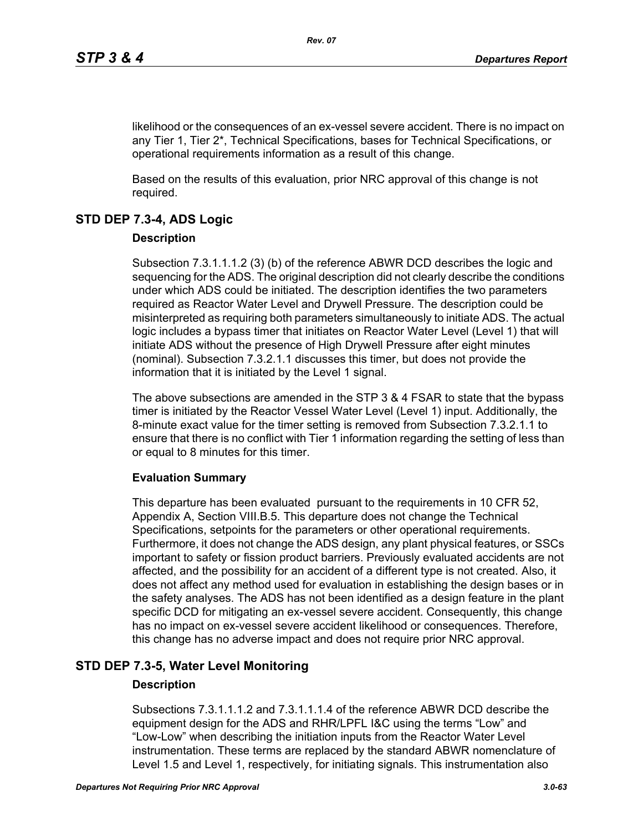likelihood or the consequences of an ex-vessel severe accident. There is no impact on any Tier 1, Tier 2\*, Technical Specifications, bases for Technical Specifications, or operational requirements information as a result of this change.

Based on the results of this evaluation, prior NRC approval of this change is not required.

# **STD DEP 7.3-4, ADS Logic**

# **Description**

Subsection 7.3.1.1.1.2 (3) (b) of the reference ABWR DCD describes the logic and sequencing for the ADS. The original description did not clearly describe the conditions under which ADS could be initiated. The description identifies the two parameters required as Reactor Water Level and Drywell Pressure. The description could be misinterpreted as requiring both parameters simultaneously to initiate ADS. The actual logic includes a bypass timer that initiates on Reactor Water Level (Level 1) that will initiate ADS without the presence of High Drywell Pressure after eight minutes (nominal). Subsection 7.3.2.1.1 discusses this timer, but does not provide the information that it is initiated by the Level 1 signal.

The above subsections are amended in the STP 3 & 4 FSAR to state that the bypass timer is initiated by the Reactor Vessel Water Level (Level 1) input. Additionally, the 8-minute exact value for the timer setting is removed from Subsection 7.3.2.1.1 to ensure that there is no conflict with Tier 1 information regarding the setting of less than or equal to 8 minutes for this timer.

# **Evaluation Summary**

This departure has been evaluated pursuant to the requirements in 10 CFR 52, Appendix A, Section VIII.B.5. This departure does not change the Technical Specifications, setpoints for the parameters or other operational requirements. Furthermore, it does not change the ADS design, any plant physical features, or SSCs important to safety or fission product barriers. Previously evaluated accidents are not affected, and the possibility for an accident of a different type is not created. Also, it does not affect any method used for evaluation in establishing the design bases or in the safety analyses. The ADS has not been identified as a design feature in the plant specific DCD for mitigating an ex-vessel severe accident. Consequently, this change has no impact on ex-vessel severe accident likelihood or consequences. Therefore, this change has no adverse impact and does not require prior NRC approval.

# **STD DEP 7.3-5, Water Level Monitoring**

# **Description**

Subsections 7.3.1.1.1.2 and 7.3.1.1.1.4 of the reference ABWR DCD describe the equipment design for the ADS and RHR/LPFL I&C using the terms "Low" and "Low-Low" when describing the initiation inputs from the Reactor Water Level instrumentation. These terms are replaced by the standard ABWR nomenclature of Level 1.5 and Level 1, respectively, for initiating signals. This instrumentation also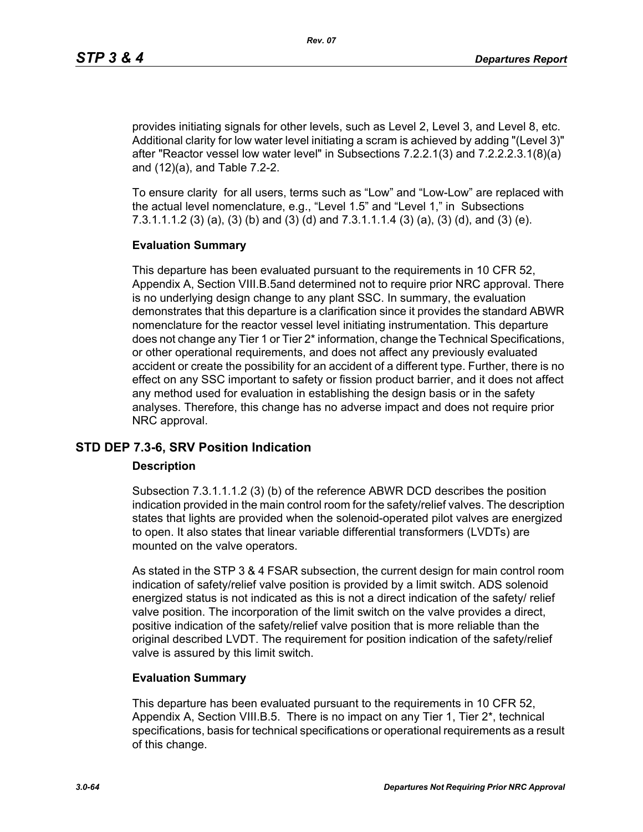provides initiating signals for other levels, such as Level 2, Level 3, and Level 8, etc. Additional clarity for low water level initiating a scram is achieved by adding "(Level 3)" after "Reactor vessel low water level" in Subsections 7.2.2.1(3) and 7.2.2.2.3.1(8)(a) and (12)(a), and Table 7.2-2.

To ensure clarity for all users, terms such as "Low" and "Low-Low" are replaced with the actual level nomenclature, e.g., "Level 1.5" and "Level 1," in Subsections 7.3.1.1.1.2 (3) (a), (3) (b) and (3) (d) and 7.3.1.1.1.4 (3) (a), (3) (d), and (3) (e).

### **Evaluation Summary**

This departure has been evaluated pursuant to the requirements in 10 CFR 52, Appendix A, Section VIII.B.5and determined not to require prior NRC approval. There is no underlying design change to any plant SSC. In summary, the evaluation demonstrates that this departure is a clarification since it provides the standard ABWR nomenclature for the reactor vessel level initiating instrumentation. This departure does not change any Tier 1 or Tier 2\* information, change the Technical Specifications, or other operational requirements, and does not affect any previously evaluated accident or create the possibility for an accident of a different type. Further, there is no effect on any SSC important to safety or fission product barrier, and it does not affect any method used for evaluation in establishing the design basis or in the safety analyses. Therefore, this change has no adverse impact and does not require prior NRC approval.

# **STD DEP 7.3-6, SRV Position Indication**

#### **Description**

Subsection 7.3.1.1.1.2 (3) (b) of the reference ABWR DCD describes the position indication provided in the main control room for the safety/relief valves. The description states that lights are provided when the solenoid-operated pilot valves are energized to open. It also states that linear variable differential transformers (LVDTs) are mounted on the valve operators.

As stated in the STP 3 & 4 FSAR subsection, the current design for main control room indication of safety/relief valve position is provided by a limit switch. ADS solenoid energized status is not indicated as this is not a direct indication of the safety/ relief valve position. The incorporation of the limit switch on the valve provides a direct, positive indication of the safety/relief valve position that is more reliable than the original described LVDT. The requirement for position indication of the safety/relief valve is assured by this limit switch.

# **Evaluation Summary**

This departure has been evaluated pursuant to the requirements in 10 CFR 52, Appendix A, Section VIII.B.5. There is no impact on any Tier 1, Tier 2\*, technical specifications, basis for technical specifications or operational requirements as a result of this change.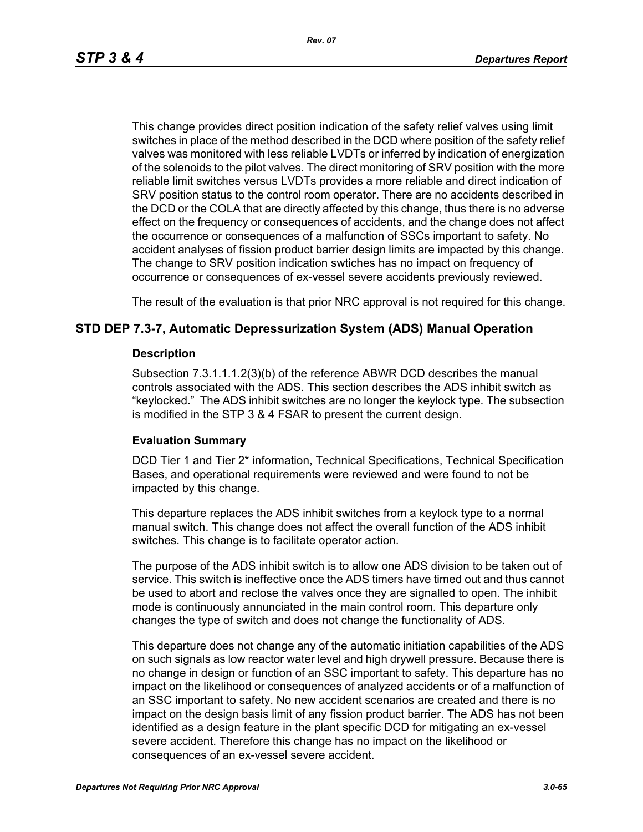*Rev. 07*

This change provides direct position indication of the safety relief valves using limit switches in place of the method described in the DCD where position of the safety relief valves was monitored with less reliable LVDTs or inferred by indication of energization of the solenoids to the pilot valves. The direct monitoring of SRV position with the more reliable limit switches versus LVDTs provides a more reliable and direct indication of SRV position status to the control room operator. There are no accidents described in the DCD or the COLA that are directly affected by this change, thus there is no adverse effect on the frequency or consequences of accidents, and the change does not affect the occurrence or consequences of a malfunction of SSCs important to safety. No accident analyses of fission product barrier design limits are impacted by this change. The change to SRV position indication swtiches has no impact on frequency of occurrence or consequences of ex-vessel severe accidents previously reviewed.

The result of the evaluation is that prior NRC approval is not required for this change.

# **STD DEP 7.3-7, Automatic Depressurization System (ADS) Manual Operation**

#### **Description**

Subsection 7.3.1.1.1.2(3)(b) of the reference ABWR DCD describes the manual controls associated with the ADS. This section describes the ADS inhibit switch as "keylocked." The ADS inhibit switches are no longer the keylock type. The subsection is modified in the STP 3 & 4 FSAR to present the current design.

#### **Evaluation Summary**

DCD Tier 1 and Tier 2\* information, Technical Specifications, Technical Specification Bases, and operational requirements were reviewed and were found to not be impacted by this change.

This departure replaces the ADS inhibit switches from a keylock type to a normal manual switch. This change does not affect the overall function of the ADS inhibit switches. This change is to facilitate operator action.

The purpose of the ADS inhibit switch is to allow one ADS division to be taken out of service. This switch is ineffective once the ADS timers have timed out and thus cannot be used to abort and reclose the valves once they are signalled to open. The inhibit mode is continuously annunciated in the main control room. This departure only changes the type of switch and does not change the functionality of ADS.

This departure does not change any of the automatic initiation capabilities of the ADS on such signals as low reactor water level and high drywell pressure. Because there is no change in design or function of an SSC important to safety. This departure has no impact on the likelihood or consequences of analyzed accidents or of a malfunction of an SSC important to safety. No new accident scenarios are created and there is no impact on the design basis limit of any fission product barrier. The ADS has not been identified as a design feature in the plant specific DCD for mitigating an ex-vessel severe accident. Therefore this change has no impact on the likelihood or consequences of an ex-vessel severe accident.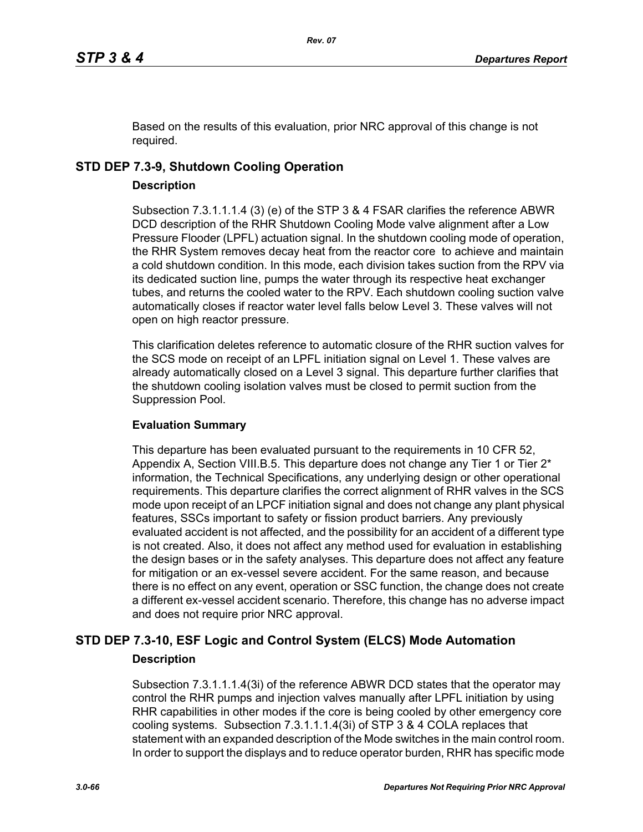Based on the results of this evaluation, prior NRC approval of this change is not required.

# **STD DEP 7.3-9, Shutdown Cooling Operation**

# **Description**

Subsection 7.3.1.1.1.4 (3) (e) of the STP 3 & 4 FSAR clarifies the reference ABWR DCD description of the RHR Shutdown Cooling Mode valve alignment after a Low Pressure Flooder (LPFL) actuation signal. In the shutdown cooling mode of operation, the RHR System removes decay heat from the reactor core to achieve and maintain a cold shutdown condition. In this mode, each division takes suction from the RPV via its dedicated suction line, pumps the water through its respective heat exchanger tubes, and returns the cooled water to the RPV. Each shutdown cooling suction valve automatically closes if reactor water level falls below Level 3. These valves will not open on high reactor pressure.

This clarification deletes reference to automatic closure of the RHR suction valves for the SCS mode on receipt of an LPFL initiation signal on Level 1. These valves are already automatically closed on a Level 3 signal. This departure further clarifies that the shutdown cooling isolation valves must be closed to permit suction from the Suppression Pool.

# **Evaluation Summary**

This departure has been evaluated pursuant to the requirements in 10 CFR 52, Appendix A, Section VIII.B.5. This departure does not change any Tier 1 or Tier  $2^*$ information, the Technical Specifications, any underlying design or other operational requirements. This departure clarifies the correct alignment of RHR valves in the SCS mode upon receipt of an LPCF initiation signal and does not change any plant physical features, SSCs important to safety or fission product barriers. Any previously evaluated accident is not affected, and the possibility for an accident of a different type is not created. Also, it does not affect any method used for evaluation in establishing the design bases or in the safety analyses. This departure does not affect any feature for mitigation or an ex-vessel severe accident. For the same reason, and because there is no effect on any event, operation or SSC function, the change does not create a different ex-vessel accident scenario. Therefore, this change has no adverse impact and does not require prior NRC approval.

# **STD DEP 7.3-10, ESF Logic and Control System (ELCS) Mode Automation Description**

Subsection 7.3.1.1.1.4(3i) of the reference ABWR DCD states that the operator may control the RHR pumps and injection valves manually after LPFL initiation by using RHR capabilities in other modes if the core is being cooled by other emergency core cooling systems. Subsection 7.3.1.1.1.4(3i) of STP 3 & 4 COLA replaces that statement with an expanded description of the Mode switches in the main control room. In order to support the displays and to reduce operator burden, RHR has specific mode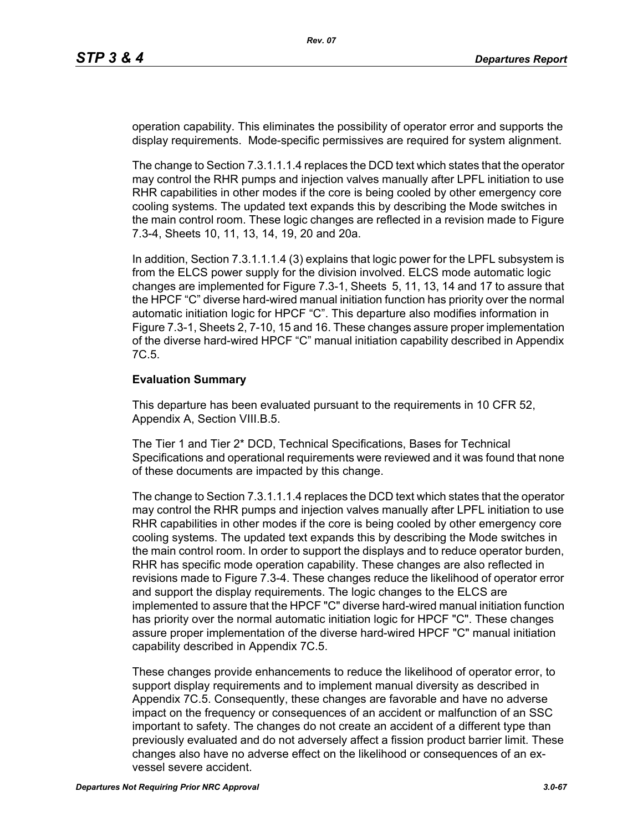operation capability. This eliminates the possibility of operator error and supports the display requirements. Mode-specific permissives are required for system alignment.

The change to Section 7.3.1.1.1.4 replaces the DCD text which states that the operator may control the RHR pumps and injection valves manually after LPFL initiation to use RHR capabilities in other modes if the core is being cooled by other emergency core cooling systems. The updated text expands this by describing the Mode switches in the main control room. These logic changes are reflected in a revision made to Figure 7.3-4, Sheets 10, 11, 13, 14, 19, 20 and 20a.

In addition, Section 7.3.1.1.1.4 (3) explains that logic power for the LPFL subsystem is from the ELCS power supply for the division involved. ELCS mode automatic logic changes are implemented for Figure 7.3-1, Sheets 5, 11, 13, 14 and 17 to assure that the HPCF "C" diverse hard-wired manual initiation function has priority over the normal automatic initiation logic for HPCF "C". This departure also modifies information in Figure 7.3-1, Sheets 2, 7-10, 15 and 16. These changes assure proper implementation of the diverse hard-wired HPCF "C" manual initiation capability described in Appendix 7C.5.

#### **Evaluation Summary**

This departure has been evaluated pursuant to the requirements in 10 CFR 52, Appendix A, Section VIII.B.5.

The Tier 1 and Tier 2\* DCD, Technical Specifications, Bases for Technical Specifications and operational requirements were reviewed and it was found that none of these documents are impacted by this change.

The change to Section 7.3.1.1.1.4 replaces the DCD text which states that the operator may control the RHR pumps and injection valves manually after LPFL initiation to use RHR capabilities in other modes if the core is being cooled by other emergency core cooling systems. The updated text expands this by describing the Mode switches in the main control room. In order to support the displays and to reduce operator burden, RHR has specific mode operation capability. These changes are also reflected in revisions made to Figure 7.3-4. These changes reduce the likelihood of operator error and support the display requirements. The logic changes to the ELCS are implemented to assure that the HPCF "C" diverse hard-wired manual initiation function has priority over the normal automatic initiation logic for HPCF "C". These changes assure proper implementation of the diverse hard-wired HPCF "C" manual initiation capability described in Appendix 7C.5.

These changes provide enhancements to reduce the likelihood of operator error, to support display requirements and to implement manual diversity as described in Appendix 7C.5. Consequently, these changes are favorable and have no adverse impact on the frequency or consequences of an accident or malfunction of an SSC important to safety. The changes do not create an accident of a different type than previously evaluated and do not adversely affect a fission product barrier limit. These changes also have no adverse effect on the likelihood or consequences of an exvessel severe accident.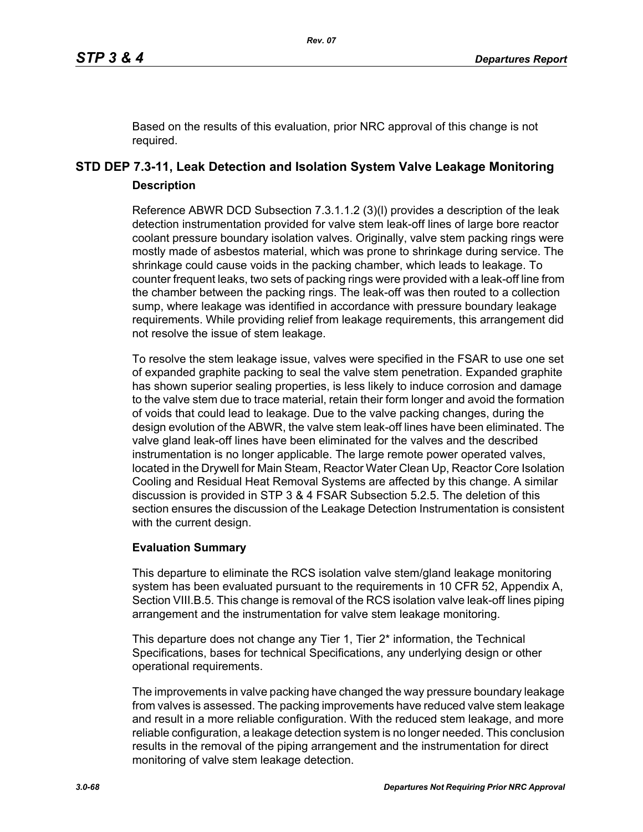Based on the results of this evaluation, prior NRC approval of this change is not required.

# **STD DEP 7.3-11, Leak Detection and Isolation System Valve Leakage Monitoring Description**

Reference ABWR DCD Subsection 7.3.1.1.2 (3)(l) provides a description of the leak detection instrumentation provided for valve stem leak-off lines of large bore reactor coolant pressure boundary isolation valves. Originally, valve stem packing rings were mostly made of asbestos material, which was prone to shrinkage during service. The shrinkage could cause voids in the packing chamber, which leads to leakage. To counter frequent leaks, two sets of packing rings were provided with a leak-off line from the chamber between the packing rings. The leak-off was then routed to a collection sump, where leakage was identified in accordance with pressure boundary leakage requirements. While providing relief from leakage requirements, this arrangement did not resolve the issue of stem leakage.

To resolve the stem leakage issue, valves were specified in the FSAR to use one set of expanded graphite packing to seal the valve stem penetration. Expanded graphite has shown superior sealing properties, is less likely to induce corrosion and damage to the valve stem due to trace material, retain their form longer and avoid the formation of voids that could lead to leakage. Due to the valve packing changes, during the design evolution of the ABWR, the valve stem leak-off lines have been eliminated. The valve gland leak-off lines have been eliminated for the valves and the described instrumentation is no longer applicable. The large remote power operated valves, located in the Drywell for Main Steam, Reactor Water Clean Up, Reactor Core Isolation Cooling and Residual Heat Removal Systems are affected by this change. A similar discussion is provided in STP 3 & 4 FSAR Subsection 5.2.5. The deletion of this section ensures the discussion of the Leakage Detection Instrumentation is consistent with the current design.

# **Evaluation Summary**

This departure to eliminate the RCS isolation valve stem/gland leakage monitoring system has been evaluated pursuant to the requirements in 10 CFR 52, Appendix A, Section VIII.B.5. This change is removal of the RCS isolation valve leak-off lines piping arrangement and the instrumentation for valve stem leakage monitoring.

This departure does not change any Tier 1, Tier 2<sup>\*</sup> information, the Technical Specifications, bases for technical Specifications, any underlying design or other operational requirements.

The improvements in valve packing have changed the way pressure boundary leakage from valves is assessed. The packing improvements have reduced valve stem leakage and result in a more reliable configuration. With the reduced stem leakage, and more reliable configuration, a leakage detection system is no longer needed. This conclusion results in the removal of the piping arrangement and the instrumentation for direct monitoring of valve stem leakage detection.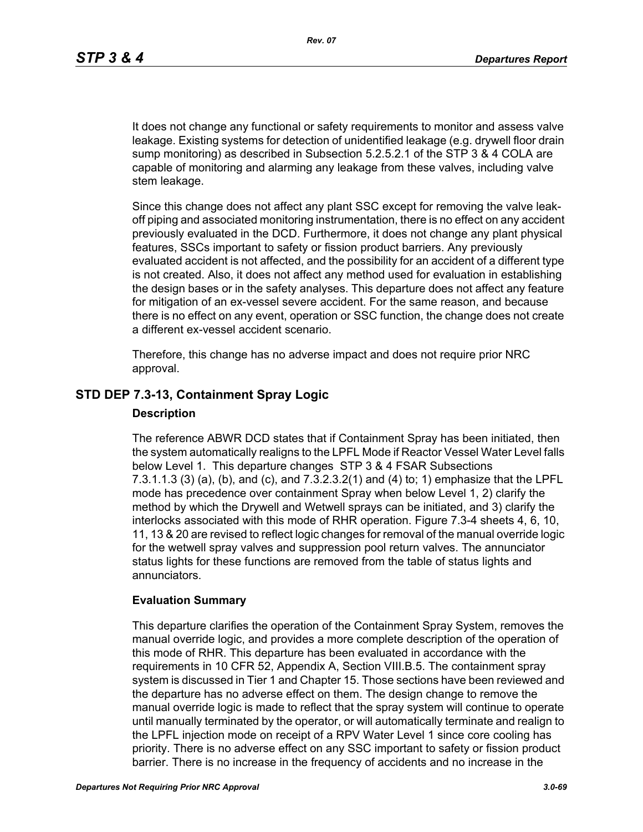It does not change any functional or safety requirements to monitor and assess valve leakage. Existing systems for detection of unidentified leakage (e.g. drywell floor drain sump monitoring) as described in Subsection 5.2.5.2.1 of the STP 3 & 4 COLA are capable of monitoring and alarming any leakage from these valves, including valve stem leakage.

Since this change does not affect any plant SSC except for removing the valve leakoff piping and associated monitoring instrumentation, there is no effect on any accident previously evaluated in the DCD. Furthermore, it does not change any plant physical features, SSCs important to safety or fission product barriers. Any previously evaluated accident is not affected, and the possibility for an accident of a different type is not created. Also, it does not affect any method used for evaluation in establishing the design bases or in the safety analyses. This departure does not affect any feature for mitigation of an ex-vessel severe accident. For the same reason, and because there is no effect on any event, operation or SSC function, the change does not create a different ex-vessel accident scenario.

Therefore, this change has no adverse impact and does not require prior NRC approval.

# **STD DEP 7.3-13, Containment Spray Logic**

#### **Description**

The reference ABWR DCD states that if Containment Spray has been initiated, then the system automatically realigns to the LPFL Mode if Reactor Vessel Water Level falls below Level 1. This departure changes STP 3 & 4 FSAR Subsections 7.3.1.1.3 (3) (a), (b), and (c), and 7.3.2.3.2(1) and (4) to; 1) emphasize that the LPFL mode has precedence over containment Spray when below Level 1, 2) clarify the method by which the Drywell and Wetwell sprays can be initiated, and 3) clarify the interlocks associated with this mode of RHR operation. Figure 7.3-4 sheets 4, 6, 10, 11, 13 & 20 are revised to reflect logic changes for removal of the manual override logic for the wetwell spray valves and suppression pool return valves. The annunciator status lights for these functions are removed from the table of status lights and annunciators.

#### **Evaluation Summary**

This departure clarifies the operation of the Containment Spray System, removes the manual override logic, and provides a more complete description of the operation of this mode of RHR. This departure has been evaluated in accordance with the requirements in 10 CFR 52, Appendix A, Section VIII.B.5. The containment spray system is discussed in Tier 1 and Chapter 15. Those sections have been reviewed and the departure has no adverse effect on them. The design change to remove the manual override logic is made to reflect that the spray system will continue to operate until manually terminated by the operator, or will automatically terminate and realign to the LPFL injection mode on receipt of a RPV Water Level 1 since core cooling has priority. There is no adverse effect on any SSC important to safety or fission product barrier. There is no increase in the frequency of accidents and no increase in the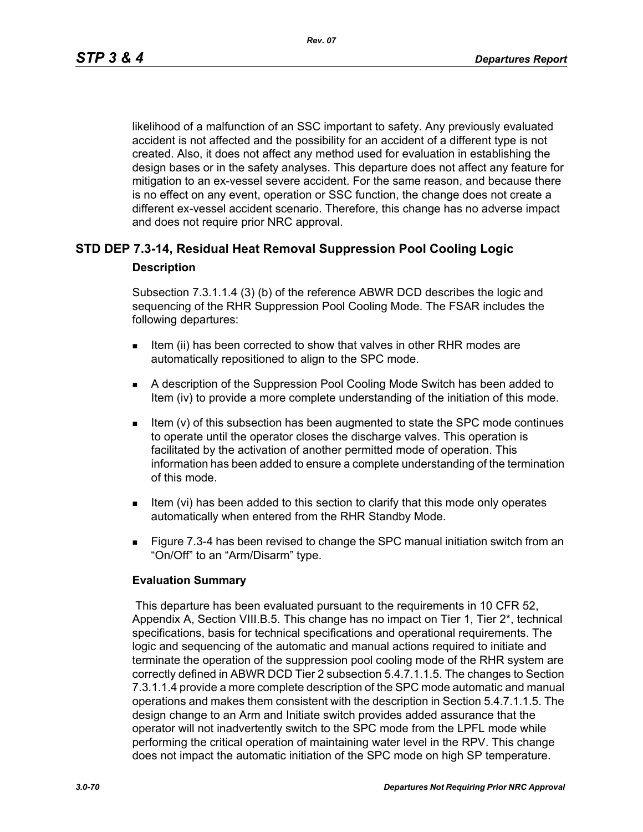likelihood of a malfunction of an SSC important to safety. Any previously evaluated accident is not affected and the possibility for an accident of a different type is not created. Also, it does not affect any method used for evaluation in establishing the design bases or in the safety analyses. This departure does not affect any feature for mitigation to an ex-vessel severe accident. For the same reason, and because there is no effect on any event, operation or SSC function, the change does not create a different ex-vessel accident scenario. Therefore, this change has no adverse impact and does not require prior NRC approval.

# **STD DEP 7.3-14, Residual Heat Removal Suppression Pool Cooling Logic Description**

Subsection 7.3.1.1.4 (3) (b) of the reference ABWR DCD describes the logic and sequencing of the RHR Suppression Pool Cooling Mode. The FSAR includes the following departures:

- Item (ii) has been corrected to show that valves in other RHR modes are automatically repositioned to align to the SPC mode.
- A description of the Suppression Pool Cooling Mode Switch has been added to Item (iv) to provide a more complete understanding of the initiation of this mode.
- Item (v) of this subsection has been augmented to state the SPC mode continues to operate until the operator closes the discharge valves. This operation is facilitated by the activation of another permitted mode of operation. This information has been added to ensure a complete understanding of the termination of this mode.
- Item (vi) has been added to this section to clarify that this mode only operates automatically when entered from the RHR Standby Mode.
- **Figure 7.3-4 has been revised to change the SPC manual initiation switch from an** "On/Off" to an "Arm/Disarm" type.

# **Evaluation Summary**

 This departure has been evaluated pursuant to the requirements in 10 CFR 52, Appendix A, Section VIII.B.5. This change has no impact on Tier 1, Tier 2\*, technical specifications, basis for technical specifications and operational requirements. The logic and sequencing of the automatic and manual actions required to initiate and terminate the operation of the suppression pool cooling mode of the RHR system are correctly defined in ABWR DCD Tier 2 subsection 5.4.7.1.1.5. The changes to Section 7.3.1.1.4 provide a more complete description of the SPC mode automatic and manual operations and makes them consistent with the description in Section 5.4.7.1.1.5. The design change to an Arm and Initiate switch provides added assurance that the operator will not inadvertently switch to the SPC mode from the LPFL mode while performing the critical operation of maintaining water level in the RPV. This change does not impact the automatic initiation of the SPC mode on high SP temperature.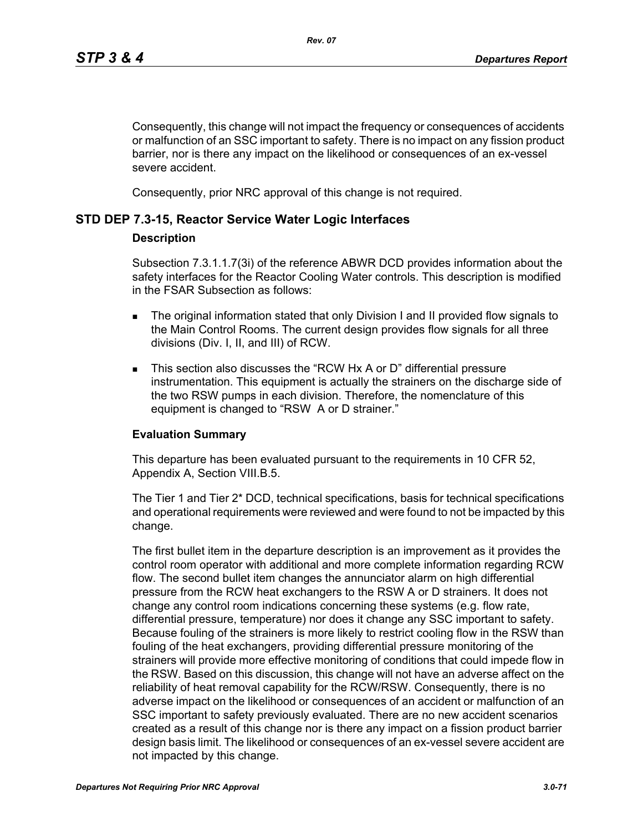Consequently, this change will not impact the frequency or consequences of accidents or malfunction of an SSC important to safety. There is no impact on any fission product barrier, nor is there any impact on the likelihood or consequences of an ex-vessel severe accident.

Consequently, prior NRC approval of this change is not required.

# **STD DEP 7.3-15, Reactor Service Water Logic Interfaces**

#### **Description**

Subsection 7.3.1.1.7(3i) of the reference ABWR DCD provides information about the safety interfaces for the Reactor Cooling Water controls. This description is modified in the FSAR Subsection as follows:

- The original information stated that only Division I and II provided flow signals to the Main Control Rooms. The current design provides flow signals for all three divisions (Div. I, II, and III) of RCW.
- This section also discusses the "RCW Hx A or D" differential pressure instrumentation. This equipment is actually the strainers on the discharge side of the two RSW pumps in each division. Therefore, the nomenclature of this equipment is changed to "RSW A or D strainer."

#### **Evaluation Summary**

This departure has been evaluated pursuant to the requirements in 10 CFR 52, Appendix A, Section VIII.B.5.

The Tier 1 and Tier 2\* DCD, technical specifications, basis for technical specifications and operational requirements were reviewed and were found to not be impacted by this change.

The first bullet item in the departure description is an improvement as it provides the control room operator with additional and more complete information regarding RCW flow. The second bullet item changes the annunciator alarm on high differential pressure from the RCW heat exchangers to the RSW A or D strainers. It does not change any control room indications concerning these systems (e.g. flow rate, differential pressure, temperature) nor does it change any SSC important to safety. Because fouling of the strainers is more likely to restrict cooling flow in the RSW than fouling of the heat exchangers, providing differential pressure monitoring of the strainers will provide more effective monitoring of conditions that could impede flow in the RSW. Based on this discussion, this change will not have an adverse affect on the reliability of heat removal capability for the RCW/RSW. Consequently, there is no adverse impact on the likelihood or consequences of an accident or malfunction of an SSC important to safety previously evaluated. There are no new accident scenarios created as a result of this change nor is there any impact on a fission product barrier design basis limit. The likelihood or consequences of an ex-vessel severe accident are not impacted by this change.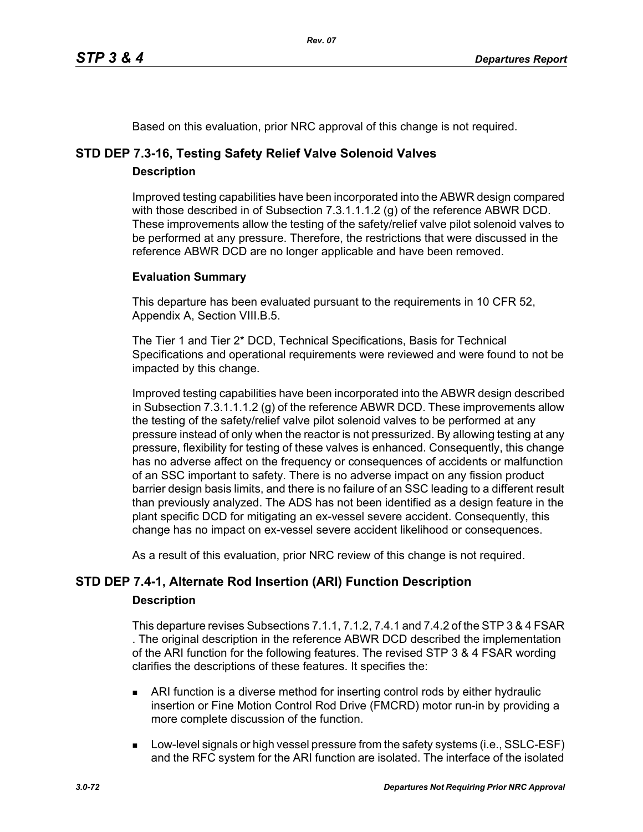Based on this evaluation, prior NRC approval of this change is not required.

# **STD DEP 7.3-16, Testing Safety Relief Valve Solenoid Valves**

# **Description**

Improved testing capabilities have been incorporated into the ABWR design compared with those described in of Subsection 7.3.1.1.1.2 (g) of the reference ABWR DCD. These improvements allow the testing of the safety/relief valve pilot solenoid valves to be performed at any pressure. Therefore, the restrictions that were discussed in the reference ABWR DCD are no longer applicable and have been removed.

# **Evaluation Summary**

This departure has been evaluated pursuant to the requirements in 10 CFR 52, Appendix A, Section VIII.B.5.

The Tier 1 and Tier 2\* DCD, Technical Specifications, Basis for Technical Specifications and operational requirements were reviewed and were found to not be impacted by this change.

Improved testing capabilities have been incorporated into the ABWR design described in Subsection 7.3.1.1.1.2 (g) of the reference ABWR DCD. These improvements allow the testing of the safety/relief valve pilot solenoid valves to be performed at any pressure instead of only when the reactor is not pressurized. By allowing testing at any pressure, flexibility for testing of these valves is enhanced. Consequently, this change has no adverse affect on the frequency or consequences of accidents or malfunction of an SSC important to safety. There is no adverse impact on any fission product barrier design basis limits, and there is no failure of an SSC leading to a different result than previously analyzed. The ADS has not been identified as a design feature in the plant specific DCD for mitigating an ex-vessel severe accident. Consequently, this change has no impact on ex-vessel severe accident likelihood or consequences.

As a result of this evaluation, prior NRC review of this change is not required.

# **STD DEP 7.4-1, Alternate Rod Insertion (ARI) Function Description**

# **Description**

This departure revises Subsections 7.1.1, 7.1.2, 7.4.1 and 7.4.2 of the STP 3 & 4 FSAR . The original description in the reference ABWR DCD described the implementation of the ARI function for the following features. The revised STP 3 & 4 FSAR wording clarifies the descriptions of these features. It specifies the:

- ARI function is a diverse method for inserting control rods by either hydraulic insertion or Fine Motion Control Rod Drive (FMCRD) motor run-in by providing a more complete discussion of the function.
- **Low-level signals or high vessel pressure from the safety systems (i.e., SSLC-ESF)** and the RFC system for the ARI function are isolated. The interface of the isolated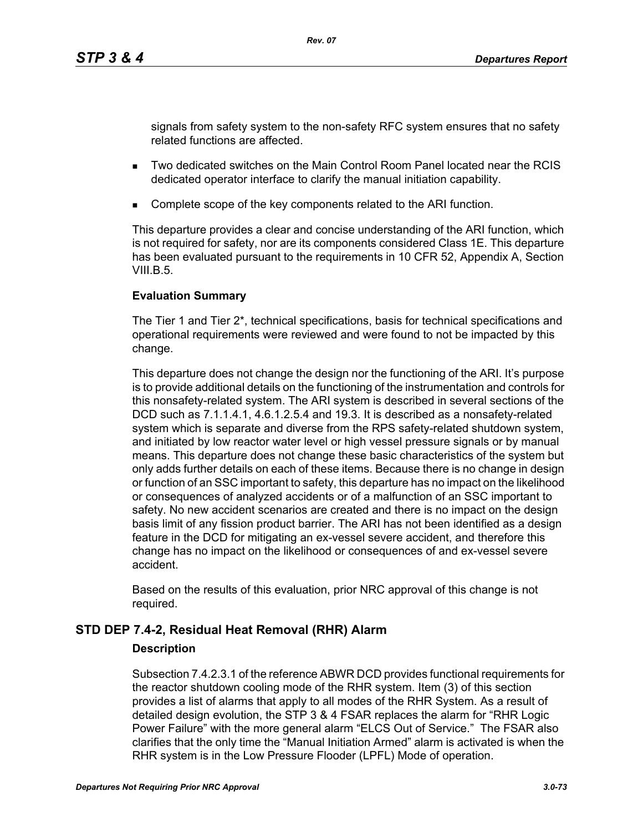signals from safety system to the non-safety RFC system ensures that no safety related functions are affected.

- Two dedicated switches on the Main Control Room Panel located near the RCIS dedicated operator interface to clarify the manual initiation capability.
- Complete scope of the key components related to the ARI function.

This departure provides a clear and concise understanding of the ARI function, which is not required for safety, nor are its components considered Class 1E. This departure has been evaluated pursuant to the requirements in 10 CFR 52, Appendix A, Section  $VIII$  B.5.

# **Evaluation Summary**

The Tier 1 and Tier 2\*, technical specifications, basis for technical specifications and operational requirements were reviewed and were found to not be impacted by this change.

This departure does not change the design nor the functioning of the ARI. It's purpose is to provide additional details on the functioning of the instrumentation and controls for this nonsafety-related system. The ARI system is described in several sections of the DCD such as 7.1.1.4.1, 4.6.1.2.5.4 and 19.3. It is described as a nonsafety-related system which is separate and diverse from the RPS safety-related shutdown system, and initiated by low reactor water level or high vessel pressure signals or by manual means. This departure does not change these basic characteristics of the system but only adds further details on each of these items. Because there is no change in design or function of an SSC important to safety, this departure has no impact on the likelihood or consequences of analyzed accidents or of a malfunction of an SSC important to safety. No new accident scenarios are created and there is no impact on the design basis limit of any fission product barrier. The ARI has not been identified as a design feature in the DCD for mitigating an ex-vessel severe accident, and therefore this change has no impact on the likelihood or consequences of and ex-vessel severe accident.

Based on the results of this evaluation, prior NRC approval of this change is not required.

# **STD DEP 7.4-2, Residual Heat Removal (RHR) Alarm**

# **Description**

Subsection 7.4.2.3.1 of the reference ABWR DCD provides functional requirements for the reactor shutdown cooling mode of the RHR system. Item (3) of this section provides a list of alarms that apply to all modes of the RHR System. As a result of detailed design evolution, the STP 3 & 4 FSAR replaces the alarm for "RHR Logic Power Failure" with the more general alarm "ELCS Out of Service." The FSAR also clarifies that the only time the "Manual Initiation Armed" alarm is activated is when the RHR system is in the Low Pressure Flooder (LPFL) Mode of operation.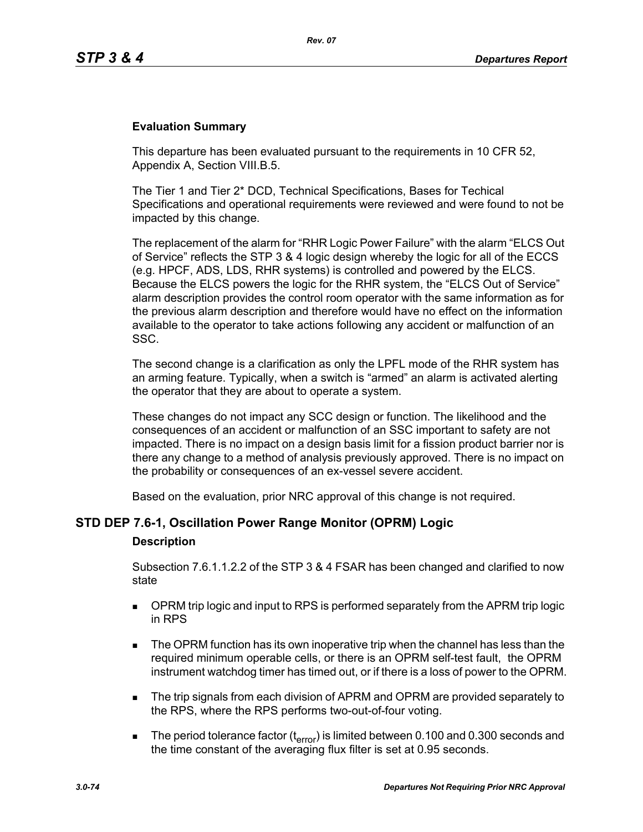### **Evaluation Summary**

This departure has been evaluated pursuant to the requirements in 10 CFR 52, Appendix A, Section VIII.B.5.

The Tier 1 and Tier 2\* DCD, Technical Specifications, Bases for Techical Specifications and operational requirements were reviewed and were found to not be impacted by this change.

The replacement of the alarm for "RHR Logic Power Failure" with the alarm "ELCS Out of Service" reflects the STP 3 & 4 logic design whereby the logic for all of the ECCS (e.g. HPCF, ADS, LDS, RHR systems) is controlled and powered by the ELCS. Because the ELCS powers the logic for the RHR system, the "ELCS Out of Service" alarm description provides the control room operator with the same information as for the previous alarm description and therefore would have no effect on the information available to the operator to take actions following any accident or malfunction of an SSC.

The second change is a clarification as only the LPFL mode of the RHR system has an arming feature. Typically, when a switch is "armed" an alarm is activated alerting the operator that they are about to operate a system.

These changes do not impact any SCC design or function. The likelihood and the consequences of an accident or malfunction of an SSC important to safety are not impacted. There is no impact on a design basis limit for a fission product barrier nor is there any change to a method of analysis previously approved. There is no impact on the probability or consequences of an ex-vessel severe accident.

Based on the evaluation, prior NRC approval of this change is not required.

# **STD DEP 7.6-1, Oscillation Power Range Monitor (OPRM) Logic**

#### **Description**

Subsection 7.6.1.1.2.2 of the STP 3 & 4 FSAR has been changed and clarified to now state

- **DPRM trip logic and input to RPS is performed separately from the APRM trip logic** in RPS
- The OPRM function has its own inoperative trip when the channel has less than the required minimum operable cells, or there is an OPRM self-test fault, the OPRM instrument watchdog timer has timed out, or if there is a loss of power to the OPRM.
- The trip signals from each division of APRM and OPRM are provided separately to the RPS, where the RPS performs two-out-of-four voting.
- The period tolerance factor ( $t_{\text{error}}$ ) is limited between 0.100 and 0.300 seconds and the time constant of the averaging flux filter is set at 0.95 seconds.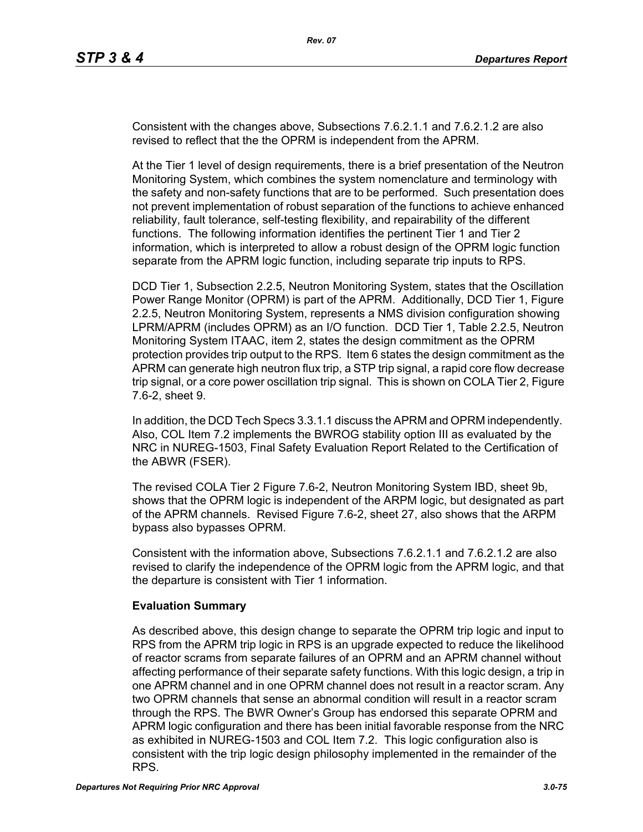Consistent with the changes above, Subsections 7.6.2.1.1 and 7.6.2.1.2 are also revised to reflect that the the OPRM is independent from the APRM.

At the Tier 1 level of design requirements, there is a brief presentation of the Neutron Monitoring System, which combines the system nomenclature and terminology with the safety and non-safety functions that are to be performed. Such presentation does not prevent implementation of robust separation of the functions to achieve enhanced reliability, fault tolerance, self-testing flexibility, and repairability of the different functions. The following information identifies the pertinent Tier 1 and Tier 2 information, which is interpreted to allow a robust design of the OPRM logic function separate from the APRM logic function, including separate trip inputs to RPS.

DCD Tier 1, Subsection 2.2.5, Neutron Monitoring System, states that the Oscillation Power Range Monitor (OPRM) is part of the APRM. Additionally, DCD Tier 1, Figure 2.2.5, Neutron Monitoring System, represents a NMS division configuration showing LPRM/APRM (includes OPRM) as an I/O function. DCD Tier 1, Table 2.2.5, Neutron Monitoring System ITAAC, item 2, states the design commitment as the OPRM protection provides trip output to the RPS. Item 6 states the design commitment as the APRM can generate high neutron flux trip, a STP trip signal, a rapid core flow decrease trip signal, or a core power oscillation trip signal. This is shown on COLA Tier 2, Figure 7.6-2, sheet 9.

In addition, the DCD Tech Specs 3.3.1.1 discuss the APRM and OPRM independently. Also, COL Item 7.2 implements the BWROG stability option III as evaluated by the NRC in NUREG-1503, Final Safety Evaluation Report Related to the Certification of the ABWR (FSER).

The revised COLA Tier 2 Figure 7.6-2, Neutron Monitoring System IBD, sheet 9b, shows that the OPRM logic is independent of the ARPM logic, but designated as part of the APRM channels. Revised Figure 7.6-2, sheet 27, also shows that the ARPM bypass also bypasses OPRM.

Consistent with the information above, Subsections 7.6.2.1.1 and 7.6.2.1.2 are also revised to clarify the independence of the OPRM logic from the APRM logic, and that the departure is consistent with Tier 1 information.

# **Evaluation Summary**

As described above, this design change to separate the OPRM trip logic and input to RPS from the APRM trip logic in RPS is an upgrade expected to reduce the likelihood of reactor scrams from separate failures of an OPRM and an APRM channel without affecting performance of their separate safety functions. With this logic design, a trip in one APRM channel and in one OPRM channel does not result in a reactor scram. Any two OPRM channels that sense an abnormal condition will result in a reactor scram through the RPS. The BWR Owner's Group has endorsed this separate OPRM and APRM logic configuration and there has been initial favorable response from the NRC as exhibited in NUREG-1503 and COL Item 7.2. This logic configuration also is consistent with the trip logic design philosophy implemented in the remainder of the RPS.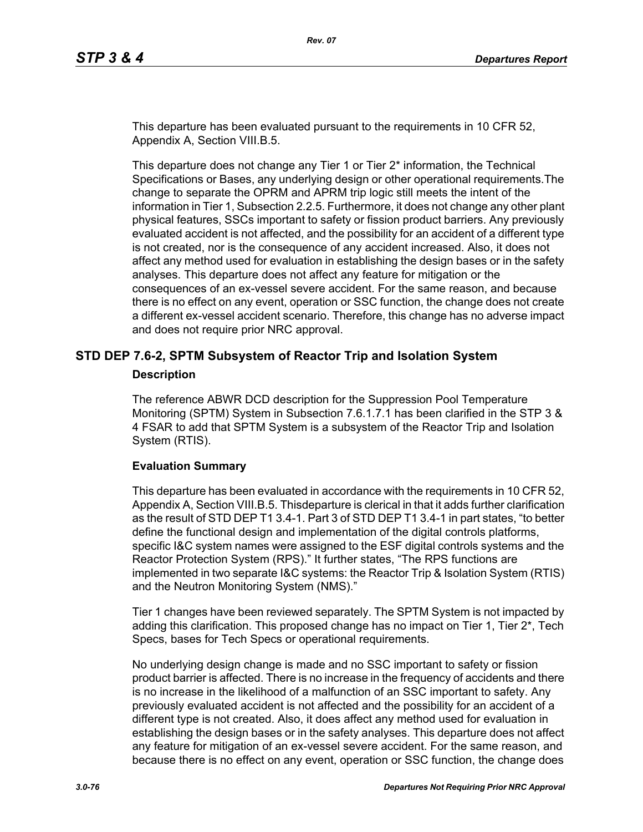This departure has been evaluated pursuant to the requirements in 10 CFR 52, Appendix A, Section VIII.B.5.

This departure does not change any Tier 1 or Tier 2\* information, the Technical Specifications or Bases, any underlying design or other operational requirements.The change to separate the OPRM and APRM trip logic still meets the intent of the information in Tier 1, Subsection 2.2.5. Furthermore, it does not change any other plant physical features, SSCs important to safety or fission product barriers. Any previously evaluated accident is not affected, and the possibility for an accident of a different type is not created, nor is the consequence of any accident increased. Also, it does not affect any method used for evaluation in establishing the design bases or in the safety analyses. This departure does not affect any feature for mitigation or the consequences of an ex-vessel severe accident. For the same reason, and because there is no effect on any event, operation or SSC function, the change does not create a different ex-vessel accident scenario. Therefore, this change has no adverse impact and does not require prior NRC approval.

# **STD DEP 7.6-2, SPTM Subsystem of Reactor Trip and Isolation System**

#### **Description**

The reference ABWR DCD description for the Suppression Pool Temperature Monitoring (SPTM) System in Subsection 7.6.1.7.1 has been clarified in the STP 3 & 4 FSAR to add that SPTM System is a subsystem of the Reactor Trip and Isolation System (RTIS).

#### **Evaluation Summary**

This departure has been evaluated in accordance with the requirements in 10 CFR 52, Appendix A, Section VIII.B.5. Thisdeparture is clerical in that it adds further clarification as the result of STD DEP T1 3.4-1. Part 3 of STD DEP T1 3.4-1 in part states, "to better define the functional design and implementation of the digital controls platforms, specific I&C system names were assigned to the ESF digital controls systems and the Reactor Protection System (RPS)." It further states, "The RPS functions are implemented in two separate I&C systems: the Reactor Trip & Isolation System (RTIS) and the Neutron Monitoring System (NMS)."

Tier 1 changes have been reviewed separately. The SPTM System is not impacted by adding this clarification. This proposed change has no impact on Tier 1, Tier  $2^*$ , Tech Specs, bases for Tech Specs or operational requirements.

No underlying design change is made and no SSC important to safety or fission product barrier is affected. There is no increase in the frequency of accidents and there is no increase in the likelihood of a malfunction of an SSC important to safety. Any previously evaluated accident is not affected and the possibility for an accident of a different type is not created. Also, it does affect any method used for evaluation in establishing the design bases or in the safety analyses. This departure does not affect any feature for mitigation of an ex-vessel severe accident. For the same reason, and because there is no effect on any event, operation or SSC function, the change does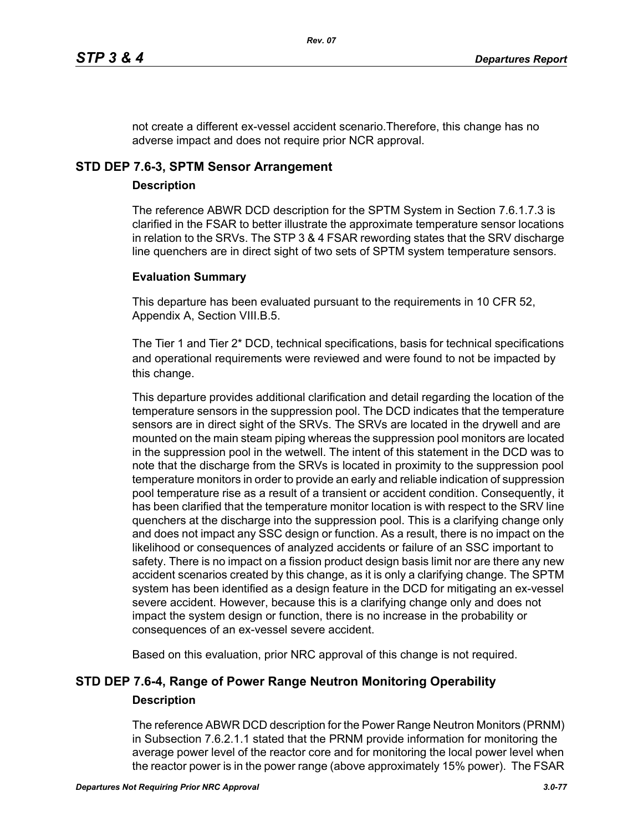not create a different ex-vessel accident scenario.Therefore, this change has no adverse impact and does not require prior NCR approval.

# **STD DEP 7.6-3, SPTM Sensor Arrangement**

# **Description**

The reference ABWR DCD description for the SPTM System in Section 7.6.1.7.3 is clarified in the FSAR to better illustrate the approximate temperature sensor locations in relation to the SRVs. The STP 3 & 4 FSAR rewording states that the SRV discharge line quenchers are in direct sight of two sets of SPTM system temperature sensors.

# **Evaluation Summary**

This departure has been evaluated pursuant to the requirements in 10 CFR 52, Appendix A, Section VIII.B.5.

The Tier 1 and Tier 2\* DCD, technical specifications, basis for technical specifications and operational requirements were reviewed and were found to not be impacted by this change.

This departure provides additional clarification and detail regarding the location of the temperature sensors in the suppression pool. The DCD indicates that the temperature sensors are in direct sight of the SRVs. The SRVs are located in the drywell and are mounted on the main steam piping whereas the suppression pool monitors are located in the suppression pool in the wetwell. The intent of this statement in the DCD was to note that the discharge from the SRVs is located in proximity to the suppression pool temperature monitors in order to provide an early and reliable indication of suppression pool temperature rise as a result of a transient or accident condition. Consequently, it has been clarified that the temperature monitor location is with respect to the SRV line quenchers at the discharge into the suppression pool. This is a clarifying change only and does not impact any SSC design or function. As a result, there is no impact on the likelihood or consequences of analyzed accidents or failure of an SSC important to safety. There is no impact on a fission product design basis limit nor are there any new accident scenarios created by this change, as it is only a clarifying change. The SPTM system has been identified as a design feature in the DCD for mitigating an ex-vessel severe accident. However, because this is a clarifying change only and does not impact the system design or function, there is no increase in the probability or consequences of an ex-vessel severe accident.

Based on this evaluation, prior NRC approval of this change is not required.

# **STD DEP 7.6-4, Range of Power Range Neutron Monitoring Operability Description**

The reference ABWR DCD description for the Power Range Neutron Monitors (PRNM) in Subsection 7.6.2.1.1 stated that the PRNM provide information for monitoring the average power level of the reactor core and for monitoring the local power level when the reactor power is in the power range (above approximately 15% power). The FSAR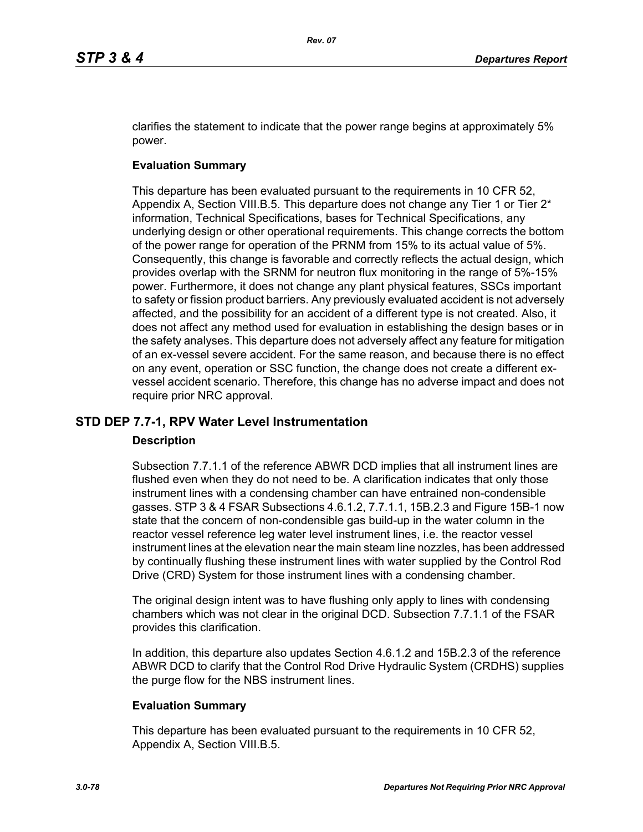clarifies the statement to indicate that the power range begins at approximately 5% power.

# **Evaluation Summary**

This departure has been evaluated pursuant to the requirements in 10 CFR 52, Appendix A, Section VIII.B.5. This departure does not change any Tier 1 or Tier  $2^*$ information, Technical Specifications, bases for Technical Specifications, any underlying design or other operational requirements. This change corrects the bottom of the power range for operation of the PRNM from 15% to its actual value of 5%. Consequently, this change is favorable and correctly reflects the actual design, which provides overlap with the SRNM for neutron flux monitoring in the range of 5%-15% power. Furthermore, it does not change any plant physical features, SSCs important to safety or fission product barriers. Any previously evaluated accident is not adversely affected, and the possibility for an accident of a different type is not created. Also, it does not affect any method used for evaluation in establishing the design bases or in the safety analyses. This departure does not adversely affect any feature for mitigation of an ex-vessel severe accident. For the same reason, and because there is no effect on any event, operation or SSC function, the change does not create a different exvessel accident scenario. Therefore, this change has no adverse impact and does not require prior NRC approval.

# **STD DEP 7.7-1, RPV Water Level Instrumentation**

# **Description**

Subsection 7.7.1.1 of the reference ABWR DCD implies that all instrument lines are flushed even when they do not need to be. A clarification indicates that only those instrument lines with a condensing chamber can have entrained non-condensible gasses. STP 3 & 4 FSAR Subsections 4.6.1.2, 7.7.1.1, 15B.2.3 and Figure 15B-1 now state that the concern of non-condensible gas build-up in the water column in the reactor vessel reference leg water level instrument lines, i.e. the reactor vessel instrument lines at the elevation near the main steam line nozzles, has been addressed by continually flushing these instrument lines with water supplied by the Control Rod Drive (CRD) System for those instrument lines with a condensing chamber.

The original design intent was to have flushing only apply to lines with condensing chambers which was not clear in the original DCD. Subsection 7.7.1.1 of the FSAR provides this clarification.

In addition, this departure also updates Section 4.6.1.2 and 15B.2.3 of the reference ABWR DCD to clarify that the Control Rod Drive Hydraulic System (CRDHS) supplies the purge flow for the NBS instrument lines.

# **Evaluation Summary**

This departure has been evaluated pursuant to the requirements in 10 CFR 52, Appendix A, Section VIII.B.5.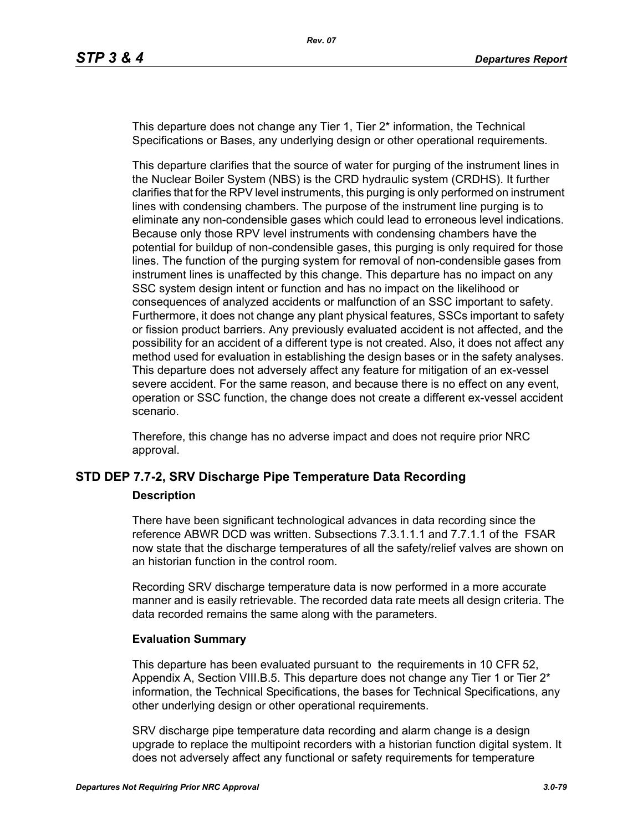This departure does not change any Tier 1, Tier 2\* information, the Technical Specifications or Bases, any underlying design or other operational requirements.

This departure clarifies that the source of water for purging of the instrument lines in the Nuclear Boiler System (NBS) is the CRD hydraulic system (CRDHS). It further clarifies that for the RPV level instruments, this purging is only performed on instrument lines with condensing chambers. The purpose of the instrument line purging is to eliminate any non-condensible gases which could lead to erroneous level indications. Because only those RPV level instruments with condensing chambers have the potential for buildup of non-condensible gases, this purging is only required for those lines. The function of the purging system for removal of non-condensible gases from instrument lines is unaffected by this change. This departure has no impact on any SSC system design intent or function and has no impact on the likelihood or consequences of analyzed accidents or malfunction of an SSC important to safety. Furthermore, it does not change any plant physical features, SSCs important to safety or fission product barriers. Any previously evaluated accident is not affected, and the possibility for an accident of a different type is not created. Also, it does not affect any method used for evaluation in establishing the design bases or in the safety analyses. This departure does not adversely affect any feature for mitigation of an ex-vessel severe accident. For the same reason, and because there is no effect on any event, operation or SSC function, the change does not create a different ex-vessel accident scenario.

Therefore, this change has no adverse impact and does not require prior NRC approval.

# **STD DEP 7.7-2, SRV Discharge Pipe Temperature Data Recording**

#### **Description**

There have been significant technological advances in data recording since the reference ABWR DCD was written. Subsections 7.3.1.1.1 and 7.7.1.1 of the FSAR now state that the discharge temperatures of all the safety/relief valves are shown on an historian function in the control room.

Recording SRV discharge temperature data is now performed in a more accurate manner and is easily retrievable. The recorded data rate meets all design criteria. The data recorded remains the same along with the parameters.

#### **Evaluation Summary**

This departure has been evaluated pursuant to the requirements in 10 CFR 52, Appendix A, Section VIII.B.5. This departure does not change any Tier 1 or Tier  $2^*$ information, the Technical Specifications, the bases for Technical Specifications, any other underlying design or other operational requirements.

SRV discharge pipe temperature data recording and alarm change is a design upgrade to replace the multipoint recorders with a historian function digital system. It does not adversely affect any functional or safety requirements for temperature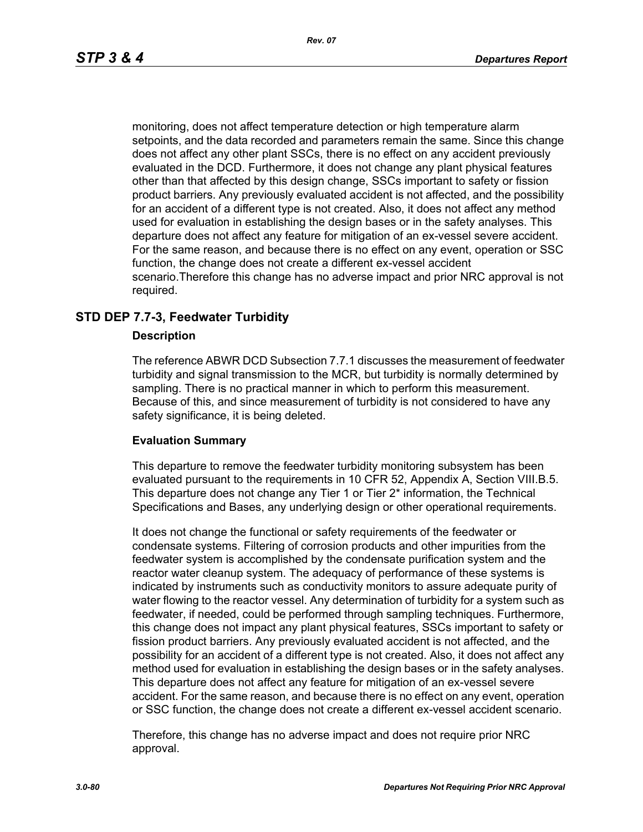monitoring, does not affect temperature detection or high temperature alarm setpoints, and the data recorded and parameters remain the same. Since this change does not affect any other plant SSCs, there is no effect on any accident previously evaluated in the DCD. Furthermore, it does not change any plant physical features other than that affected by this design change, SSCs important to safety or fission product barriers. Any previously evaluated accident is not affected, and the possibility for an accident of a different type is not created. Also, it does not affect any method used for evaluation in establishing the design bases or in the safety analyses. This departure does not affect any feature for mitigation of an ex-vessel severe accident. For the same reason, and because there is no effect on any event, operation or SSC function, the change does not create a different ex-vessel accident scenario.Therefore this change has no adverse impact and prior NRC approval is not required.

# **STD DEP 7.7-3, Feedwater Turbidity**

#### **Description**

The reference ABWR DCD Subsection 7.7.1 discusses the measurement of feedwater turbidity and signal transmission to the MCR, but turbidity is normally determined by sampling. There is no practical manner in which to perform this measurement. Because of this, and since measurement of turbidity is not considered to have any safety significance, it is being deleted.

#### **Evaluation Summary**

This departure to remove the feedwater turbidity monitoring subsystem has been evaluated pursuant to the requirements in 10 CFR 52, Appendix A, Section VIII.B.5. This departure does not change any Tier 1 or Tier 2\* information, the Technical Specifications and Bases, any underlying design or other operational requirements.

It does not change the functional or safety requirements of the feedwater or condensate systems. Filtering of corrosion products and other impurities from the feedwater system is accomplished by the condensate purification system and the reactor water cleanup system. The adequacy of performance of these systems is indicated by instruments such as conductivity monitors to assure adequate purity of water flowing to the reactor vessel. Any determination of turbidity for a system such as feedwater, if needed, could be performed through sampling techniques. Furthermore, this change does not impact any plant physical features, SSCs important to safety or fission product barriers. Any previously evaluated accident is not affected, and the possibility for an accident of a different type is not created. Also, it does not affect any method used for evaluation in establishing the design bases or in the safety analyses. This departure does not affect any feature for mitigation of an ex-vessel severe accident. For the same reason, and because there is no effect on any event, operation or SSC function, the change does not create a different ex-vessel accident scenario.

Therefore, this change has no adverse impact and does not require prior NRC approval.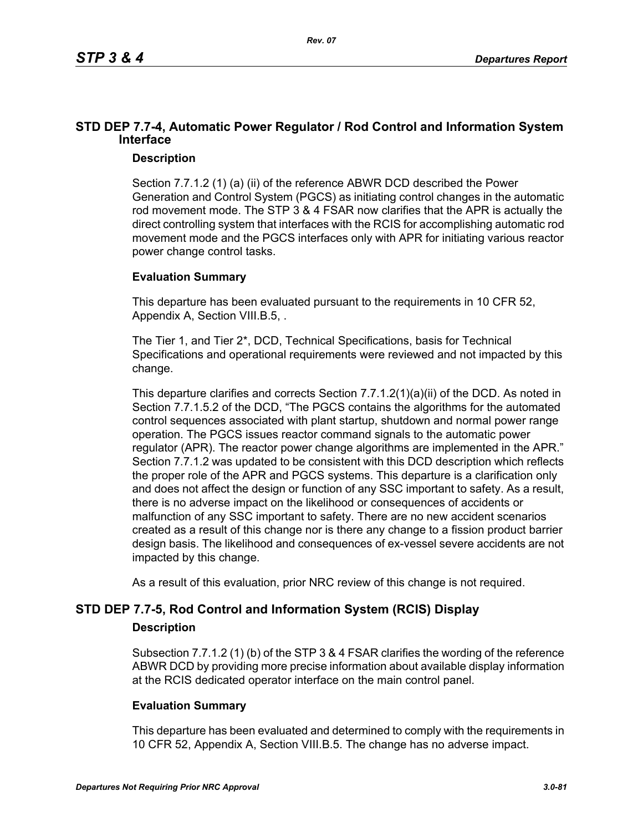# **STD DEP 7.7-4, Automatic Power Regulator / Rod Control and Information System Interface**

# **Description**

Section 7.7.1.2 (1) (a) (ii) of the reference ABWR DCD described the Power Generation and Control System (PGCS) as initiating control changes in the automatic rod movement mode. The STP 3 & 4 FSAR now clarifies that the APR is actually the direct controlling system that interfaces with the RCIS for accomplishing automatic rod movement mode and the PGCS interfaces only with APR for initiating various reactor power change control tasks.

# **Evaluation Summary**

This departure has been evaluated pursuant to the requirements in 10 CFR 52, Appendix A, Section VIII.B.5, .

The Tier 1, and Tier 2\*, DCD, Technical Specifications, basis for Technical Specifications and operational requirements were reviewed and not impacted by this change.

This departure clarifies and corrects Section 7.7.1.2(1)(a)(ii) of the DCD. As noted in Section 7.7.1.5.2 of the DCD, "The PGCS contains the algorithms for the automated control sequences associated with plant startup, shutdown and normal power range operation. The PGCS issues reactor command signals to the automatic power regulator (APR). The reactor power change algorithms are implemented in the APR." Section 7.7.1.2 was updated to be consistent with this DCD description which reflects the proper role of the APR and PGCS systems. This departure is a clarification only and does not affect the design or function of any SSC important to safety. As a result, there is no adverse impact on the likelihood or consequences of accidents or malfunction of any SSC important to safety. There are no new accident scenarios created as a result of this change nor is there any change to a fission product barrier design basis. The likelihood and consequences of ex-vessel severe accidents are not impacted by this change.

As a result of this evaluation, prior NRC review of this change is not required.

# **STD DEP 7.7-5, Rod Control and Information System (RCIS) Display**

# **Description**

Subsection 7.7.1.2 (1) (b) of the STP 3 & 4 FSAR clarifies the wording of the reference ABWR DCD by providing more precise information about available display information at the RCIS dedicated operator interface on the main control panel.

# **Evaluation Summary**

This departure has been evaluated and determined to comply with the requirements in 10 CFR 52, Appendix A, Section VIII.B.5. The change has no adverse impact.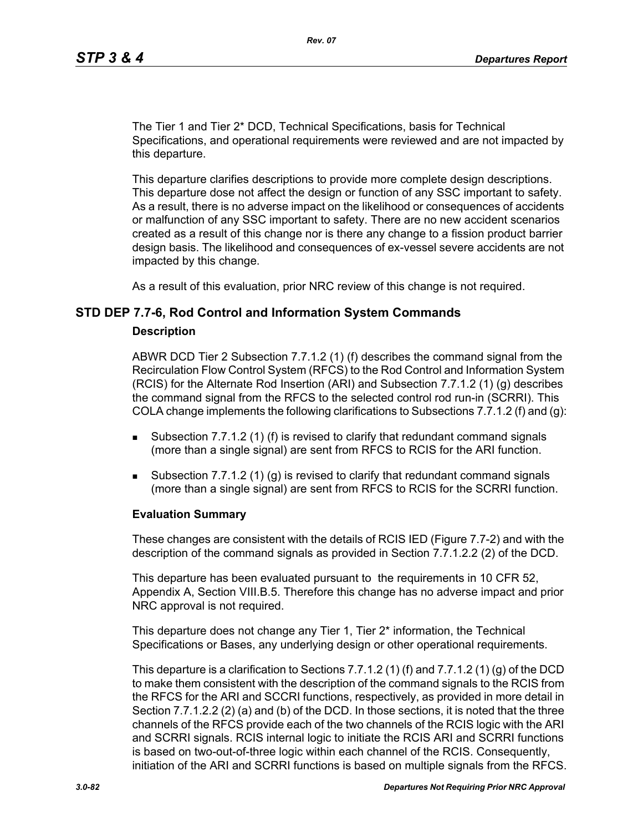The Tier 1 and Tier 2\* DCD, Technical Specifications, basis for Technical Specifications, and operational requirements were reviewed and are not impacted by this departure.

This departure clarifies descriptions to provide more complete design descriptions. This departure dose not affect the design or function of any SSC important to safety. As a result, there is no adverse impact on the likelihood or consequences of accidents or malfunction of any SSC important to safety. There are no new accident scenarios created as a result of this change nor is there any change to a fission product barrier design basis. The likelihood and consequences of ex-vessel severe accidents are not impacted by this change.

As a result of this evaluation, prior NRC review of this change is not required.

#### **STD DEP 7.7-6, Rod Control and Information System Commands**

#### **Description**

ABWR DCD Tier 2 Subsection 7.7.1.2 (1) (f) describes the command signal from the Recirculation Flow Control System (RFCS) to the Rod Control and Information System (RCIS) for the Alternate Rod Insertion (ARI) and Subsection 7.7.1.2 (1) (g) describes the command signal from the RFCS to the selected control rod run-in (SCRRI). This COLA change implements the following clarifications to Subsections 7.7.1.2 (f) and (q):

- **Subsection 7.7.1.2 (1) (f) is revised to clarify that redundant command signals** (more than a single signal) are sent from RFCS to RCIS for the ARI function.
- Subsection 7.7.1.2 (1) (g) is revised to clarify that redundant command signals (more than a single signal) are sent from RFCS to RCIS for the SCRRI function.

#### **Evaluation Summary**

These changes are consistent with the details of RCIS IED (Figure 7.7-2) and with the description of the command signals as provided in Section 7.7.1.2.2 (2) of the DCD.

This departure has been evaluated pursuant to the requirements in 10 CFR 52, Appendix A, Section VIII.B.5. Therefore this change has no adverse impact and prior NRC approval is not required.

This departure does not change any Tier 1, Tier 2\* information, the Technical Specifications or Bases, any underlying design or other operational requirements.

This departure is a clarification to Sections 7.7.1.2 (1) (f) and 7.7.1.2 (1) (g) of the DCD to make them consistent with the description of the command signals to the RCIS from the RFCS for the ARI and SCCRI functions, respectively, as provided in more detail in Section 7.7.1.2.2 (2) (a) and (b) of the DCD. In those sections, it is noted that the three channels of the RFCS provide each of the two channels of the RCIS logic with the ARI and SCRRI signals. RCIS internal logic to initiate the RCIS ARI and SCRRI functions is based on two-out-of-three logic within each channel of the RCIS. Consequently, initiation of the ARI and SCRRI functions is based on multiple signals from the RFCS.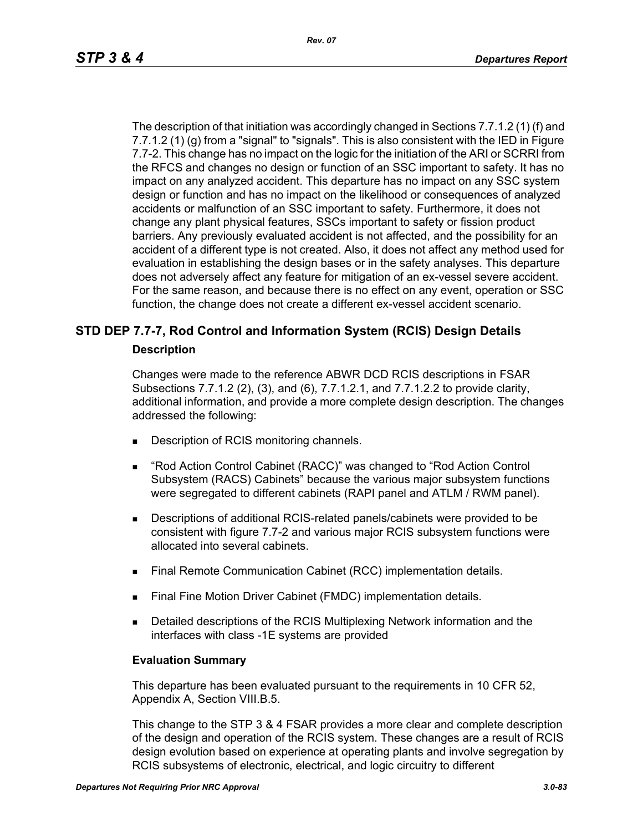The description of that initiation was accordingly changed in Sections 7.7.1.2 (1) (f) and 7.7.1.2 (1) (g) from a "signal" to "signals". This is also consistent with the IED in Figure 7.7-2. This change has no impact on the logic for the initiation of the ARI or SCRRI from the RFCS and changes no design or function of an SSC important to safety. It has no impact on any analyzed accident. This departure has no impact on any SSC system design or function and has no impact on the likelihood or consequences of analyzed accidents or malfunction of an SSC important to safety. Furthermore, it does not change any plant physical features, SSCs important to safety or fission product barriers. Any previously evaluated accident is not affected, and the possibility for an accident of a different type is not created. Also, it does not affect any method used for evaluation in establishing the design bases or in the safety analyses. This departure does not adversely affect any feature for mitigation of an ex-vessel severe accident. For the same reason, and because there is no effect on any event, operation or SSC function, the change does not create a different ex-vessel accident scenario.

# **STD DEP 7.7-7, Rod Control and Information System (RCIS) Design Details**

#### **Description**

Changes were made to the reference ABWR DCD RCIS descriptions in FSAR Subsections 7.7.1.2 (2), (3), and (6), 7.7.1.2.1, and 7.7.1.2.2 to provide clarity, additional information, and provide a more complete design description. The changes addressed the following:

- Description of RCIS monitoring channels.
- "Rod Action Control Cabinet (RACC)" was changed to "Rod Action Control Subsystem (RACS) Cabinets" because the various major subsystem functions were segregated to different cabinets (RAPI panel and ATLM / RWM panel).
- Descriptions of additional RCIS-related panels/cabinets were provided to be consistent with figure 7.7-2 and various major RCIS subsystem functions were allocated into several cabinets.
- **Final Remote Communication Cabinet (RCC) implementation details.**
- Final Fine Motion Driver Cabinet (FMDC) implementation details.
- **Detailed descriptions of the RCIS Multiplexing Network information and the** interfaces with class -1E systems are provided

#### **Evaluation Summary**

This departure has been evaluated pursuant to the requirements in 10 CFR 52, Appendix A, Section VIII.B.5.

This change to the STP 3 & 4 FSAR provides a more clear and complete description of the design and operation of the RCIS system. These changes are a result of RCIS design evolution based on experience at operating plants and involve segregation by RCIS subsystems of electronic, electrical, and logic circuitry to different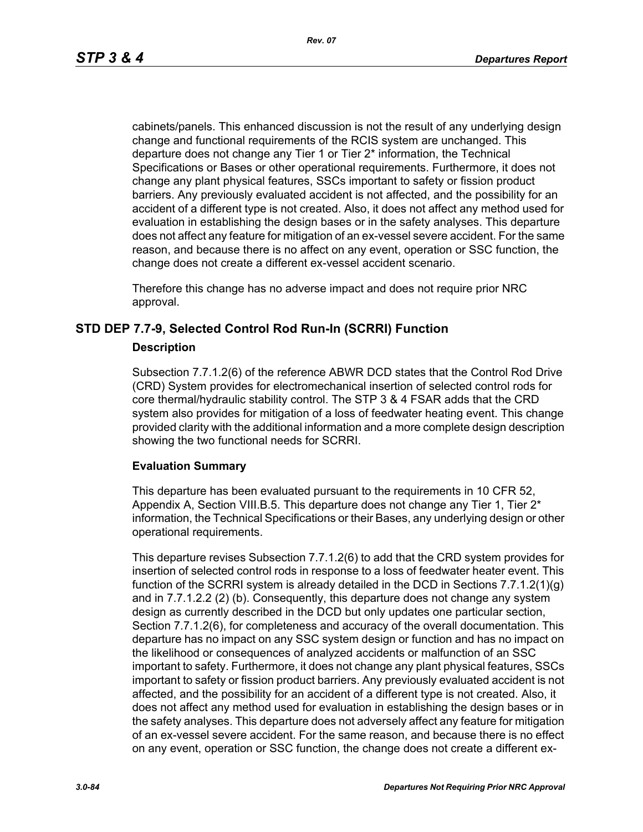cabinets/panels. This enhanced discussion is not the result of any underlying design change and functional requirements of the RCIS system are unchanged. This departure does not change any Tier 1 or Tier 2\* information, the Technical Specifications or Bases or other operational requirements. Furthermore, it does not change any plant physical features, SSCs important to safety or fission product barriers. Any previously evaluated accident is not affected, and the possibility for an accident of a different type is not created. Also, it does not affect any method used for evaluation in establishing the design bases or in the safety analyses. This departure does not affect any feature for mitigation of an ex-vessel severe accident. For the same reason, and because there is no affect on any event, operation or SSC function, the change does not create a different ex-vessel accident scenario.

Therefore this change has no adverse impact and does not require prior NRC approval.

# **STD DEP 7.7-9, Selected Control Rod Run-In (SCRRI) Function**

#### **Description**

Subsection 7.7.1.2(6) of the reference ABWR DCD states that the Control Rod Drive (CRD) System provides for electromechanical insertion of selected control rods for core thermal/hydraulic stability control. The STP 3 & 4 FSAR adds that the CRD system also provides for mitigation of a loss of feedwater heating event. This change provided clarity with the additional information and a more complete design description showing the two functional needs for SCRRI.

# **Evaluation Summary**

This departure has been evaluated pursuant to the requirements in 10 CFR 52, Appendix A, Section VIII.B.5. This departure does not change any Tier 1, Tier  $2^*$ information, the Technical Specifications or their Bases, any underlying design or other operational requirements.

This departure revises Subsection 7.7.1.2(6) to add that the CRD system provides for insertion of selected control rods in response to a loss of feedwater heater event. This function of the SCRRI system is already detailed in the DCD in Sections 7.7.1.2(1)(g) and in 7.7.1.2.2 (2) (b). Consequently, this departure does not change any system design as currently described in the DCD but only updates one particular section, Section 7.7.1.2(6), for completeness and accuracy of the overall documentation. This departure has no impact on any SSC system design or function and has no impact on the likelihood or consequences of analyzed accidents or malfunction of an SSC important to safety. Furthermore, it does not change any plant physical features, SSCs important to safety or fission product barriers. Any previously evaluated accident is not affected, and the possibility for an accident of a different type is not created. Also, it does not affect any method used for evaluation in establishing the design bases or in the safety analyses. This departure does not adversely affect any feature for mitigation of an ex-vessel severe accident. For the same reason, and because there is no effect on any event, operation or SSC function, the change does not create a different ex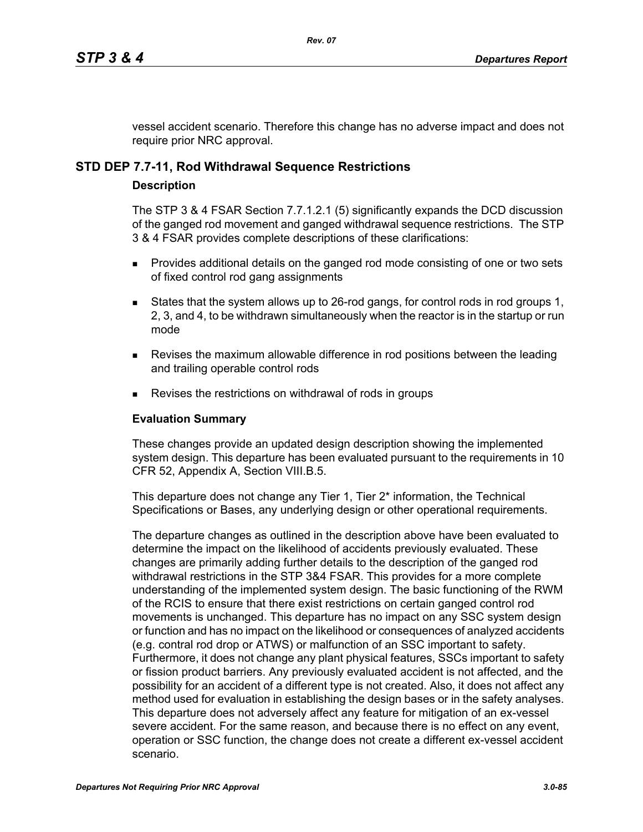vessel accident scenario. Therefore this change has no adverse impact and does not require prior NRC approval.

# **STD DEP 7.7-11, Rod Withdrawal Sequence Restrictions**

#### **Description**

The STP 3 & 4 FSAR Section 7.7.1.2.1 (5) significantly expands the DCD discussion of the ganged rod movement and ganged withdrawal sequence restrictions. The STP 3 & 4 FSAR provides complete descriptions of these clarifications:

- **Provides additional details on the ganged rod mode consisting of one or two sets** of fixed control rod gang assignments
- States that the system allows up to 26-rod gangs, for control rods in rod groups 1, 2, 3, and 4, to be withdrawn simultaneously when the reactor is in the startup or run mode
- **Revises the maximum allowable difference in rod positions between the leading** and trailing operable control rods
- Revises the restrictions on withdrawal of rods in groups

## **Evaluation Summary**

These changes provide an updated design description showing the implemented system design. This departure has been evaluated pursuant to the requirements in 10 CFR 52, Appendix A, Section VIII.B.5.

This departure does not change any Tier 1, Tier 2<sup>\*</sup> information, the Technical Specifications or Bases, any underlying design or other operational requirements.

The departure changes as outlined in the description above have been evaluated to determine the impact on the likelihood of accidents previously evaluated. These changes are primarily adding further details to the description of the ganged rod withdrawal restrictions in the STP 3&4 FSAR. This provides for a more complete understanding of the implemented system design. The basic functioning of the RWM of the RCIS to ensure that there exist restrictions on certain ganged control rod movements is unchanged. This departure has no impact on any SSC system design or function and has no impact on the likelihood or consequences of analyzed accidents (e.g. contral rod drop or ATWS) or malfunction of an SSC important to safety. Furthermore, it does not change any plant physical features, SSCs important to safety or fission product barriers. Any previously evaluated accident is not affected, and the possibility for an accident of a different type is not created. Also, it does not affect any method used for evaluation in establishing the design bases or in the safety analyses. This departure does not adversely affect any feature for mitigation of an ex-vessel severe accident. For the same reason, and because there is no effect on any event, operation or SSC function, the change does not create a different ex-vessel accident scenario.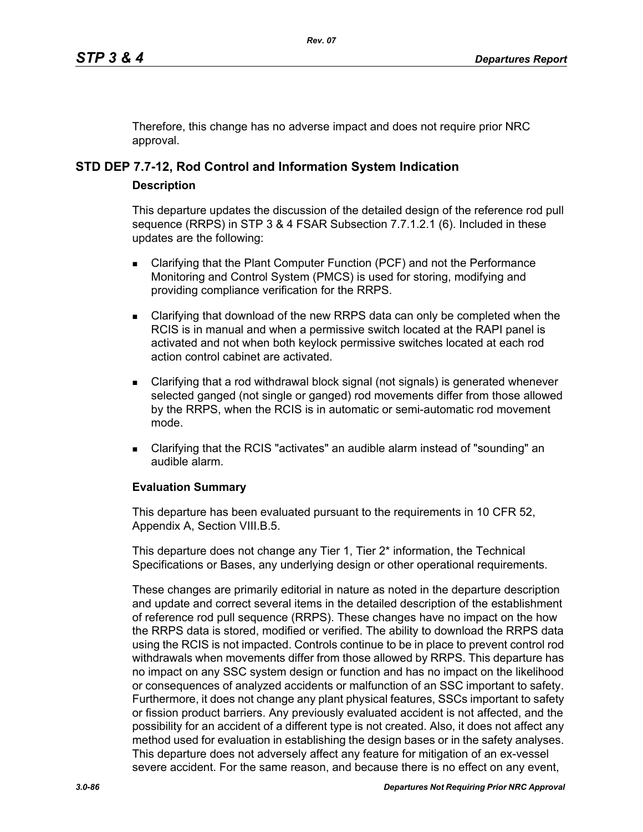Therefore, this change has no adverse impact and does not require prior NRC approval.

# **STD DEP 7.7-12, Rod Control and Information System Indication**

# **Description**

This departure updates the discussion of the detailed design of the reference rod pull sequence (RRPS) in STP 3 & 4 FSAR Subsection 7.7.1.2.1 (6). Included in these updates are the following:

- **EXEC** Clarifying that the Plant Computer Function (PCF) and not the Performance Monitoring and Control System (PMCS) is used for storing, modifying and providing compliance verification for the RRPS.
- Clarifying that download of the new RRPS data can only be completed when the RCIS is in manual and when a permissive switch located at the RAPI panel is activated and not when both keylock permissive switches located at each rod action control cabinet are activated.
- Clarifying that a rod withdrawal block signal (not signals) is generated whenever selected ganged (not single or ganged) rod movements differ from those allowed by the RRPS, when the RCIS is in automatic or semi-automatic rod movement mode.
- Clarifying that the RCIS "activates" an audible alarm instead of "sounding" an audible alarm.

#### **Evaluation Summary**

This departure has been evaluated pursuant to the requirements in 10 CFR 52, Appendix A, Section VIII.B.5.

This departure does not change any Tier 1, Tier 2<sup>\*</sup> information, the Technical Specifications or Bases, any underlying design or other operational requirements.

These changes are primarily editorial in nature as noted in the departure description and update and correct several items in the detailed description of the establishment of reference rod pull sequence (RRPS). These changes have no impact on the how the RRPS data is stored, modified or verified. The ability to download the RRPS data using the RCIS is not impacted. Controls continue to be in place to prevent control rod withdrawals when movements differ from those allowed by RRPS. This departure has no impact on any SSC system design or function and has no impact on the likelihood or consequences of analyzed accidents or malfunction of an SSC important to safety. Furthermore, it does not change any plant physical features, SSCs important to safety or fission product barriers. Any previously evaluated accident is not affected, and the possibility for an accident of a different type is not created. Also, it does not affect any method used for evaluation in establishing the design bases or in the safety analyses. This departure does not adversely affect any feature for mitigation of an ex-vessel severe accident. For the same reason, and because there is no effect on any event,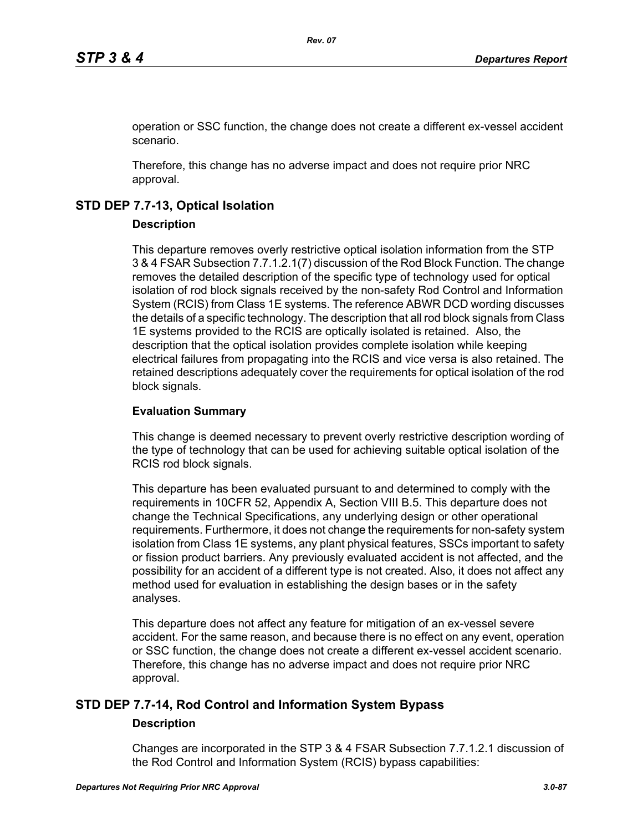operation or SSC function, the change does not create a different ex-vessel accident scenario.

Therefore, this change has no adverse impact and does not require prior NRC approval.

# **STD DEP 7.7-13, Optical Isolation**

# **Description**

This departure removes overly restrictive optical isolation information from the STP 3 & 4 FSAR Subsection 7.7.1.2.1(7) discussion of the Rod Block Function. The change removes the detailed description of the specific type of technology used for optical isolation of rod block signals received by the non-safety Rod Control and Information System (RCIS) from Class 1E systems. The reference ABWR DCD wording discusses the details of a specific technology. The description that all rod block signals from Class 1E systems provided to the RCIS are optically isolated is retained. Also, the description that the optical isolation provides complete isolation while keeping electrical failures from propagating into the RCIS and vice versa is also retained. The retained descriptions adequately cover the requirements for optical isolation of the rod block signals.

# **Evaluation Summary**

This change is deemed necessary to prevent overly restrictive description wording of the type of technology that can be used for achieving suitable optical isolation of the RCIS rod block signals.

This departure has been evaluated pursuant to and determined to comply with the requirements in 10CFR 52, Appendix A, Section VIII B.5. This departure does not change the Technical Specifications, any underlying design or other operational requirements. Furthermore, it does not change the requirements for non-safety system isolation from Class 1E systems, any plant physical features, SSCs important to safety or fission product barriers. Any previously evaluated accident is not affected, and the possibility for an accident of a different type is not created. Also, it does not affect any method used for evaluation in establishing the design bases or in the safety analyses.

This departure does not affect any feature for mitigation of an ex-vessel severe accident. For the same reason, and because there is no effect on any event, operation or SSC function, the change does not create a different ex-vessel accident scenario. Therefore, this change has no adverse impact and does not require prior NRC approval.

# **STD DEP 7.7-14, Rod Control and Information System Bypass**

# **Description**

Changes are incorporated in the STP 3 & 4 FSAR Subsection 7.7.1.2.1 discussion of the Rod Control and Information System (RCIS) bypass capabilities: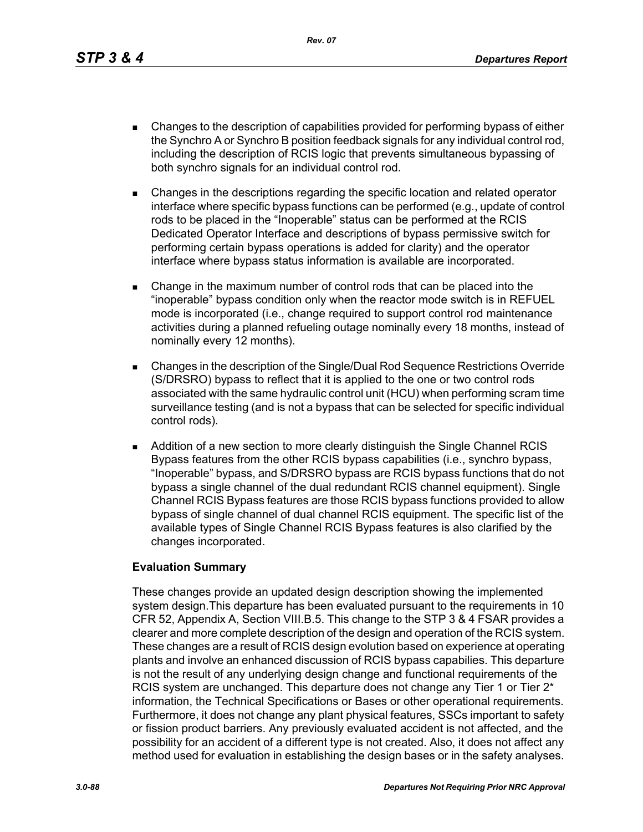*Rev. 07*

- Changes to the description of capabilities provided for performing bypass of either the Synchro A or Synchro B position feedback signals for any individual control rod, including the description of RCIS logic that prevents simultaneous bypassing of both synchro signals for an individual control rod.
- Changes in the descriptions regarding the specific location and related operator interface where specific bypass functions can be performed (e.g., update of control rods to be placed in the "Inoperable" status can be performed at the RCIS Dedicated Operator Interface and descriptions of bypass permissive switch for performing certain bypass operations is added for clarity) and the operator interface where bypass status information is available are incorporated.
- Change in the maximum number of control rods that can be placed into the "inoperable" bypass condition only when the reactor mode switch is in REFUEL mode is incorporated (i.e., change required to support control rod maintenance activities during a planned refueling outage nominally every 18 months, instead of nominally every 12 months).
- Changes in the description of the Single/Dual Rod Sequence Restrictions Override (S/DRSRO) bypass to reflect that it is applied to the one or two control rods associated with the same hydraulic control unit (HCU) when performing scram time surveillance testing (and is not a bypass that can be selected for specific individual control rods).
- **Addition of a new section to more clearly distinguish the Single Channel RCIS** Bypass features from the other RCIS bypass capabilities (i.e., synchro bypass, "Inoperable" bypass, and S/DRSRO bypass are RCIS bypass functions that do not bypass a single channel of the dual redundant RCIS channel equipment). Single Channel RCIS Bypass features are those RCIS bypass functions provided to allow bypass of single channel of dual channel RCIS equipment. The specific list of the available types of Single Channel RCIS Bypass features is also clarified by the changes incorporated.

# **Evaluation Summary**

These changes provide an updated design description showing the implemented system design.This departure has been evaluated pursuant to the requirements in 10 CFR 52, Appendix A, Section VIII.B.5. This change to the STP 3 & 4 FSAR provides a clearer and more complete description of the design and operation of the RCIS system. These changes are a result of RCIS design evolution based on experience at operating plants and involve an enhanced discussion of RCIS bypass capabilies. This departure is not the result of any underlying design change and functional requirements of the RCIS system are unchanged. This departure does not change any Tier 1 or Tier 2<sup>\*</sup> information, the Technical Specifications or Bases or other operational requirements. Furthermore, it does not change any plant physical features, SSCs important to safety or fission product barriers. Any previously evaluated accident is not affected, and the possibility for an accident of a different type is not created. Also, it does not affect any method used for evaluation in establishing the design bases or in the safety analyses.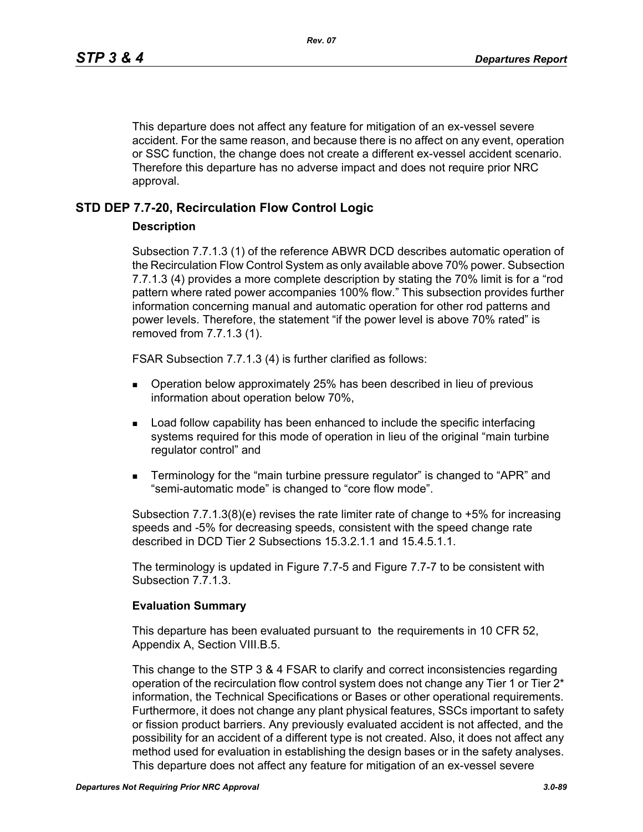This departure does not affect any feature for mitigation of an ex-vessel severe accident. For the same reason, and because there is no affect on any event, operation or SSC function, the change does not create a different ex-vessel accident scenario. Therefore this departure has no adverse impact and does not require prior NRC approval.

# **STD DEP 7.7-20, Recirculation Flow Control Logic**

### **Description**

Subsection 7.7.1.3 (1) of the reference ABWR DCD describes automatic operation of the Recirculation Flow Control System as only available above 70% power. Subsection 7.7.1.3 (4) provides a more complete description by stating the 70% limit is for a "rod pattern where rated power accompanies 100% flow." This subsection provides further information concerning manual and automatic operation for other rod patterns and power levels. Therefore, the statement "if the power level is above 70% rated" is removed from 7.7.1.3 (1).

FSAR Subsection 7.7.1.3 (4) is further clarified as follows:

- Operation below approximately 25% has been described in lieu of previous information about operation below 70%,
- **Load follow capability has been enhanced to include the specific interfacing** systems required for this mode of operation in lieu of the original "main turbine regulator control" and
- Terminology for the "main turbine pressure regulator" is changed to "APR" and "semi-automatic mode" is changed to "core flow mode".

Subsection 7.7.1.3(8)(e) revises the rate limiter rate of change to +5% for increasing speeds and -5% for decreasing speeds, consistent with the speed change rate described in DCD Tier 2 Subsections 15.3.2.1.1 and 15.4.5.1.1.

The terminology is updated in Figure 7.7-5 and Figure 7.7-7 to be consistent with Subsection 7.7.1.3.

#### **Evaluation Summary**

This departure has been evaluated pursuant to the requirements in 10 CFR 52, Appendix A, Section VIII.B.5.

This change to the STP 3 & 4 FSAR to clarify and correct inconsistencies regarding operation of the recirculation flow control system does not change any Tier 1 or Tier  $2^*$ information, the Technical Specifications or Bases or other operational requirements. Furthermore, it does not change any plant physical features, SSCs important to safety or fission product barriers. Any previously evaluated accident is not affected, and the possibility for an accident of a different type is not created. Also, it does not affect any method used for evaluation in establishing the design bases or in the safety analyses. This departure does not affect any feature for mitigation of an ex-vessel severe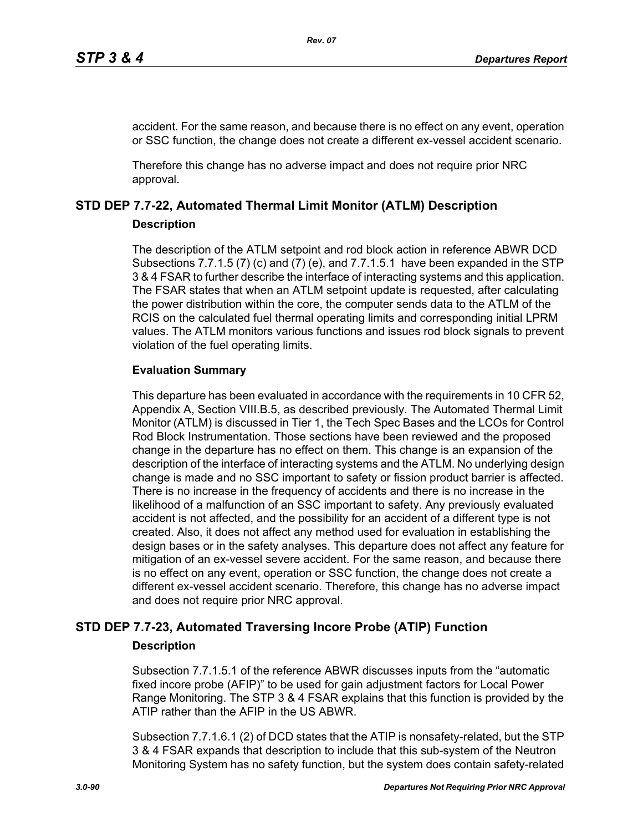accident. For the same reason, and because there is no effect on any event, operation or SSC function, the change does not create a different ex-vessel accident scenario.

Therefore this change has no adverse impact and does not require prior NRC approval.

# **STD DEP 7.7-22, Automated Thermal Limit Monitor (ATLM) Description**

# **Description**

The description of the ATLM setpoint and rod block action in reference ABWR DCD Subsections 7.7.1.5 (7) (c) and (7) (e), and 7.7.1.5.1 have been expanded in the STP 3 & 4 FSAR to further describe the interface of interacting systems and this application. The FSAR states that when an ATLM setpoint update is requested, after calculating the power distribution within the core, the computer sends data to the ATLM of the RCIS on the calculated fuel thermal operating limits and corresponding initial LPRM values. The ATLM monitors various functions and issues rod block signals to prevent violation of the fuel operating limits.

# **Evaluation Summary**

This departure has been evaluated in accordance with the requirements in 10 CFR 52, Appendix A, Section VIII.B.5, as described previously. The Automated Thermal Limit Monitor (ATLM) is discussed in Tier 1, the Tech Spec Bases and the LCOs for Control Rod Block Instrumentation. Those sections have been reviewed and the proposed change in the departure has no effect on them. This change is an expansion of the description of the interface of interacting systems and the ATLM. No underlying design change is made and no SSC important to safety or fission product barrier is affected. There is no increase in the frequency of accidents and there is no increase in the likelihood of a malfunction of an SSC important to safety. Any previously evaluated accident is not affected, and the possibility for an accident of a different type is not created. Also, it does not affect any method used for evaluation in establishing the design bases or in the safety analyses. This departure does not affect any feature for mitigation of an ex-vessel severe accident. For the same reason, and because there is no effect on any event, operation or SSC function, the change does not create a different ex-vessel accident scenario. Therefore, this change has no adverse impact and does not require prior NRC approval.

# **STD DEP 7.7-23, Automated Traversing Incore Probe (ATIP) Function**

# **Description**

Subsection 7.7.1.5.1 of the reference ABWR discusses inputs from the "automatic fixed incore probe (AFIP)" to be used for gain adjustment factors for Local Power Range Monitoring. The STP 3 & 4 FSAR explains that this function is provided by the ATIP rather than the AFIP in the US ABWR.

Subsection 7.7.1.6.1 (2) of DCD states that the ATIP is nonsafety-related, but the STP 3 & 4 FSAR expands that description to include that this sub-system of the Neutron Monitoring System has no safety function, but the system does contain safety-related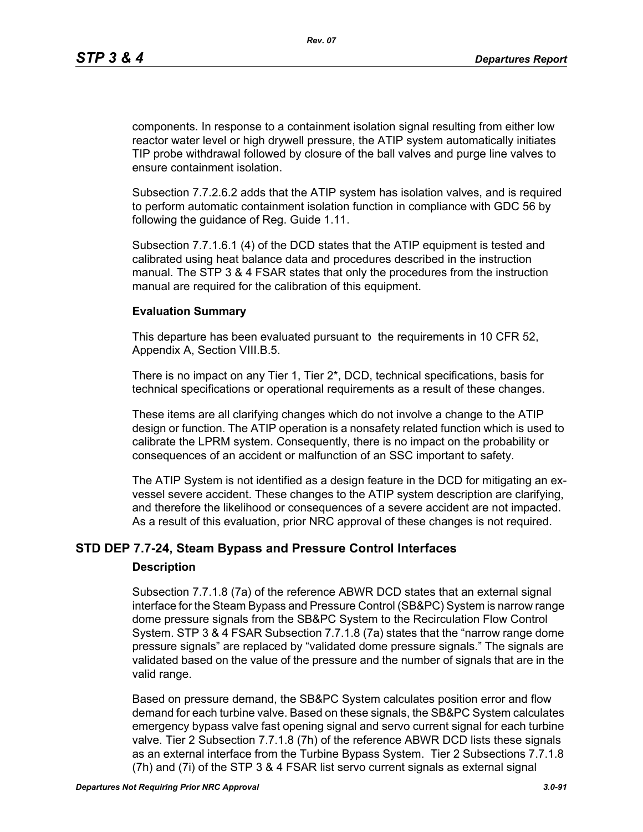components. In response to a containment isolation signal resulting from either low reactor water level or high drywell pressure, the ATIP system automatically initiates TIP probe withdrawal followed by closure of the ball valves and purge line valves to ensure containment isolation.

Subsection 7.7.2.6.2 adds that the ATIP system has isolation valves, and is required to perform automatic containment isolation function in compliance with GDC 56 by following the guidance of Reg. Guide 1.11.

Subsection 7.7.1.6.1 (4) of the DCD states that the ATIP equipment is tested and calibrated using heat balance data and procedures described in the instruction manual. The STP 3 & 4 FSAR states that only the procedures from the instruction manual are required for the calibration of this equipment.

#### **Evaluation Summary**

This departure has been evaluated pursuant to the requirements in 10 CFR 52, Appendix A, Section VIII.B.5.

There is no impact on any Tier 1, Tier 2\*, DCD, technical specifications, basis for technical specifications or operational requirements as a result of these changes.

These items are all clarifying changes which do not involve a change to the ATIP design or function. The ATIP operation is a nonsafety related function which is used to calibrate the LPRM system. Consequently, there is no impact on the probability or consequences of an accident or malfunction of an SSC important to safety.

The ATIP System is not identified as a design feature in the DCD for mitigating an exvessel severe accident. These changes to the ATIP system description are clarifying, and therefore the likelihood or consequences of a severe accident are not impacted. As a result of this evaluation, prior NRC approval of these changes is not required.

# **STD DEP 7.7-24, Steam Bypass and Pressure Control Interfaces**

#### **Description**

Subsection 7.7.1.8 (7a) of the reference ABWR DCD states that an external signal interface for the Steam Bypass and Pressure Control (SB&PC) System is narrow range dome pressure signals from the SB&PC System to the Recirculation Flow Control System. STP 3 & 4 FSAR Subsection 7.7.1.8 (7a) states that the "narrow range dome pressure signals" are replaced by "validated dome pressure signals." The signals are validated based on the value of the pressure and the number of signals that are in the valid range.

Based on pressure demand, the SB&PC System calculates position error and flow demand for each turbine valve. Based on these signals, the SB&PC System calculates emergency bypass valve fast opening signal and servo current signal for each turbine valve. Tier 2 Subsection 7.7.1.8 (7h) of the reference ABWR DCD lists these signals as an external interface from the Turbine Bypass System. Tier 2 Subsections 7.7.1.8 (7h) and (7i) of the STP 3 & 4 FSAR list servo current signals as external signal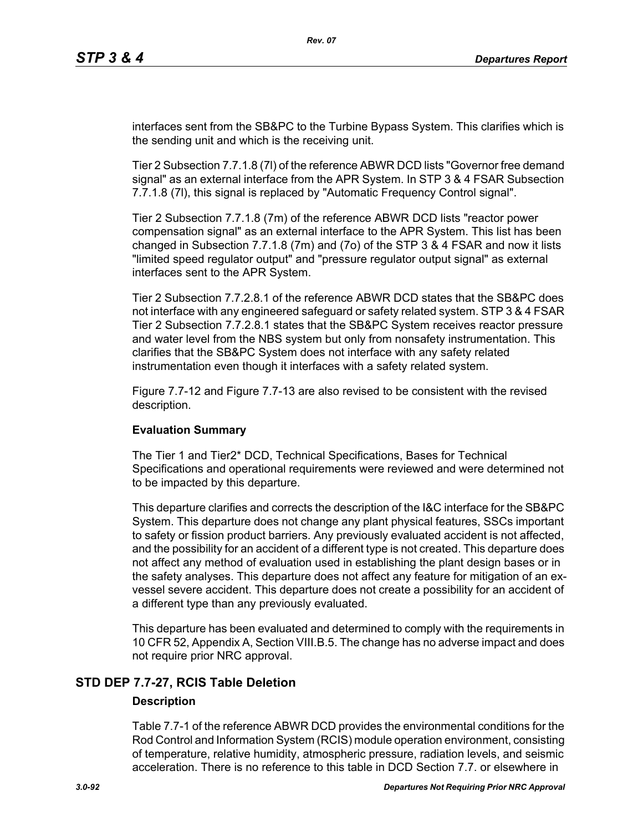interfaces sent from the SB&PC to the Turbine Bypass System. This clarifies which is the sending unit and which is the receiving unit.

Tier 2 Subsection 7.7.1.8 (7l) of the reference ABWR DCD lists "Governor free demand signal" as an external interface from the APR System. In STP 3 & 4 FSAR Subsection 7.7.1.8 (7l), this signal is replaced by "Automatic Frequency Control signal".

Tier 2 Subsection 7.7.1.8 (7m) of the reference ABWR DCD lists "reactor power compensation signal" as an external interface to the APR System. This list has been changed in Subsection 7.7.1.8 (7m) and (7o) of the STP 3 & 4 FSAR and now it lists "limited speed regulator output" and "pressure regulator output signal" as external interfaces sent to the APR System.

Tier 2 Subsection 7.7.2.8.1 of the reference ABWR DCD states that the SB&PC does not interface with any engineered safeguard or safety related system. STP 3 & 4 FSAR Tier 2 Subsection 7.7.2.8.1 states that the SB&PC System receives reactor pressure and water level from the NBS system but only from nonsafety instrumentation. This clarifies that the SB&PC System does not interface with any safety related instrumentation even though it interfaces with a safety related system.

Figure 7.7-12 and Figure 7.7-13 are also revised to be consistent with the revised description.

#### **Evaluation Summary**

The Tier 1 and Tier2\* DCD, Technical Specifications, Bases for Technical Specifications and operational requirements were reviewed and were determined not to be impacted by this departure.

This departure clarifies and corrects the description of the I&C interface for the SB&PC System. This departure does not change any plant physical features, SSCs important to safety or fission product barriers. Any previously evaluated accident is not affected, and the possibility for an accident of a different type is not created. This departure does not affect any method of evaluation used in establishing the plant design bases or in the safety analyses. This departure does not affect any feature for mitigation of an exvessel severe accident. This departure does not create a possibility for an accident of a different type than any previously evaluated.

This departure has been evaluated and determined to comply with the requirements in 10 CFR 52, Appendix A, Section VIII.B.5. The change has no adverse impact and does not require prior NRC approval.

# **STD DEP 7.7-27, RCIS Table Deletion**

#### **Description**

Table 7.7-1 of the reference ABWR DCD provides the environmental conditions for the Rod Control and Information System (RCIS) module operation environment, consisting of temperature, relative humidity, atmospheric pressure, radiation levels, and seismic acceleration. There is no reference to this table in DCD Section 7.7. or elsewhere in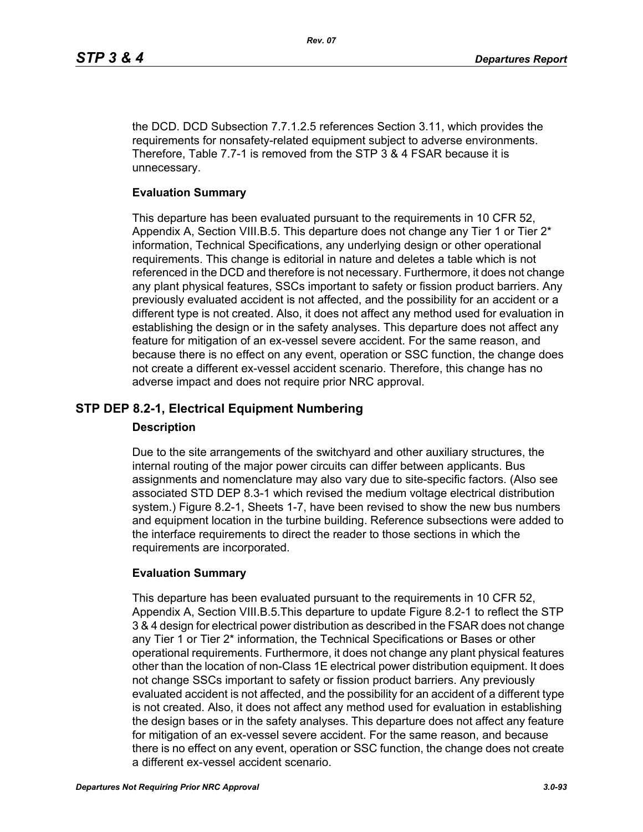the DCD. DCD Subsection 7.7.1.2.5 references Section 3.11, which provides the requirements for nonsafety-related equipment subject to adverse environments. Therefore, Table 7.7-1 is removed from the STP 3 & 4 FSAR because it is unnecessary.

### **Evaluation Summary**

This departure has been evaluated pursuant to the requirements in 10 CFR 52, Appendix A, Section VIII.B.5. This departure does not change any Tier 1 or Tier 2\* information, Technical Specifications, any underlying design or other operational requirements. This change is editorial in nature and deletes a table which is not referenced in the DCD and therefore is not necessary. Furthermore, it does not change any plant physical features, SSCs important to safety or fission product barriers. Any previously evaluated accident is not affected, and the possibility for an accident or a different type is not created. Also, it does not affect any method used for evaluation in establishing the design or in the safety analyses. This departure does not affect any feature for mitigation of an ex-vessel severe accident. For the same reason, and because there is no effect on any event, operation or SSC function, the change does not create a different ex-vessel accident scenario. Therefore, this change has no adverse impact and does not require prior NRC approval.

# **STP DEP 8.2-1, Electrical Equipment Numbering**

#### **Description**

Due to the site arrangements of the switchyard and other auxiliary structures, the internal routing of the major power circuits can differ between applicants. Bus assignments and nomenclature may also vary due to site-specific factors. (Also see associated STD DEP 8.3-1 which revised the medium voltage electrical distribution system.) Figure 8.2-1, Sheets 1-7, have been revised to show the new bus numbers and equipment location in the turbine building. Reference subsections were added to the interface requirements to direct the reader to those sections in which the requirements are incorporated.

#### **Evaluation Summary**

This departure has been evaluated pursuant to the requirements in 10 CFR 52, Appendix A, Section VIII.B.5.This departure to update Figure 8.2-1 to reflect the STP 3 & 4 design for electrical power distribution as described in the FSAR does not change any Tier 1 or Tier 2\* information, the Technical Specifications or Bases or other operational requirements. Furthermore, it does not change any plant physical features other than the location of non-Class 1E electrical power distribution equipment. It does not change SSCs important to safety or fission product barriers. Any previously evaluated accident is not affected, and the possibility for an accident of a different type is not created. Also, it does not affect any method used for evaluation in establishing the design bases or in the safety analyses. This departure does not affect any feature for mitigation of an ex-vessel severe accident. For the same reason, and because there is no effect on any event, operation or SSC function, the change does not create a different ex-vessel accident scenario.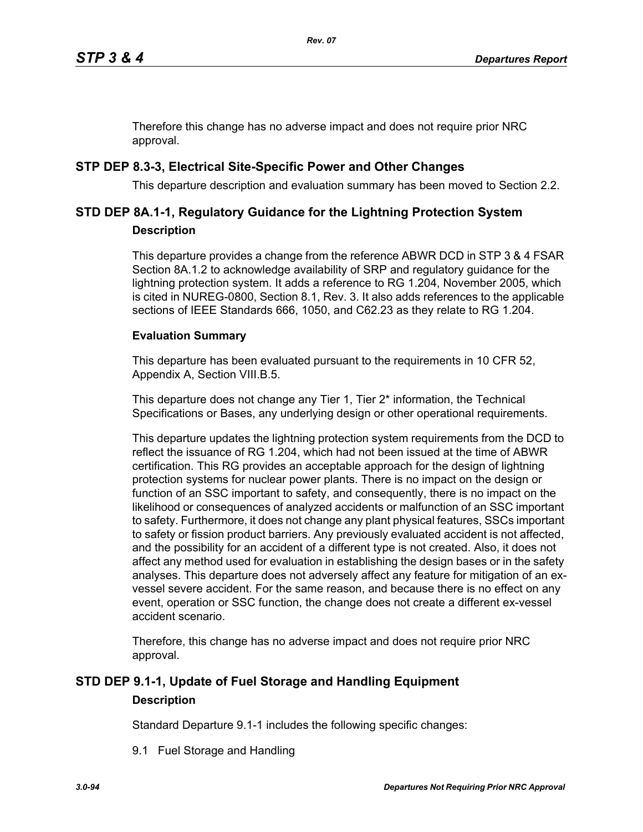Therefore this change has no adverse impact and does not require prior NRC approval.

# **STP DEP 8.3-3, Electrical Site-Specific Power and Other Changes**

This departure description and evaluation summary has been moved to Section 2.2.

# **STD DEP 8A.1-1, Regulatory Guidance for the Lightning Protection System Description**

This departure provides a change from the reference ABWR DCD in STP 3 & 4 FSAR Section 8A.1.2 to acknowledge availability of SRP and regulatory guidance for the lightning protection system. It adds a reference to RG 1.204, November 2005, which is cited in NUREG-0800, Section 8.1, Rev. 3. It also adds references to the applicable sections of IEEE Standards 666, 1050, and C62.23 as they relate to RG 1.204.

# **Evaluation Summary**

This departure has been evaluated pursuant to the requirements in 10 CFR 52, Appendix A, Section VIII.B.5.

This departure does not change any Tier 1, Tier 2<sup>\*</sup> information, the Technical Specifications or Bases, any underlying design or other operational requirements.

This departure updates the lightning protection system requirements from the DCD to reflect the issuance of RG 1.204, which had not been issued at the time of ABWR certification. This RG provides an acceptable approach for the design of lightning protection systems for nuclear power plants. There is no impact on the design or function of an SSC important to safety, and consequently, there is no impact on the likelihood or consequences of analyzed accidents or malfunction of an SSC important to safety. Furthermore, it does not change any plant physical features, SSCs important to safety or fission product barriers. Any previously evaluated accident is not affected, and the possibility for an accident of a different type is not created. Also, it does not affect any method used for evaluation in establishing the design bases or in the safety analyses. This departure does not adversely affect any feature for mitigation of an exvessel severe accident. For the same reason, and because there is no effect on any event, operation or SSC function, the change does not create a different ex-vessel accident scenario.

Therefore, this change has no adverse impact and does not require prior NRC approval.

# **STD DEP 9.1-1, Update of Fuel Storage and Handling Equipment Description**

Standard Departure 9.1-1 includes the following specific changes:

9.1 Fuel Storage and Handling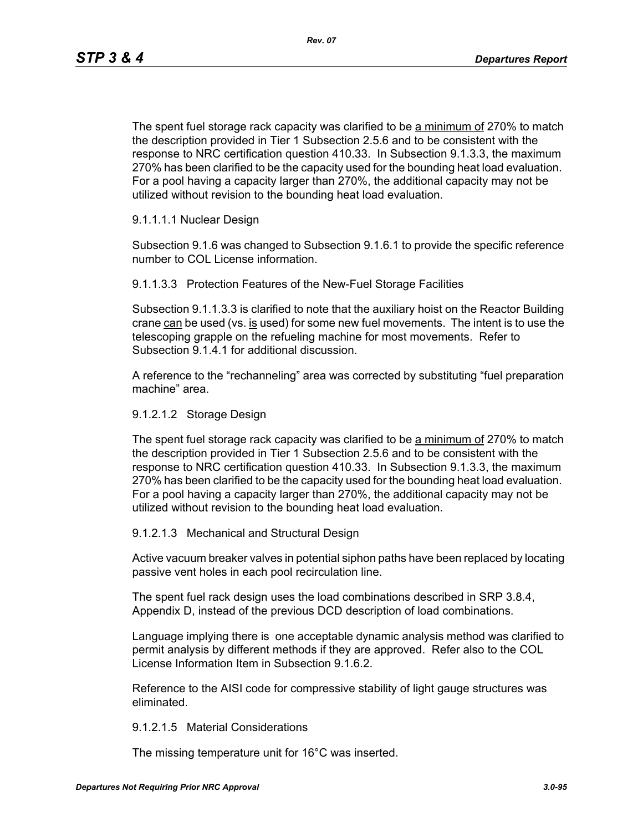*Rev. 07*

The spent fuel storage rack capacity was clarified to be a minimum of 270% to match the description provided in Tier 1 Subsection 2.5.6 and to be consistent with the response to NRC certification question 410.33. In Subsection 9.1.3.3, the maximum 270% has been clarified to be the capacity used for the bounding heat load evaluation. For a pool having a capacity larger than 270%, the additional capacity may not be utilized without revision to the bounding heat load evaluation.

# 9.1.1.1.1 Nuclear Design

Subsection 9.1.6 was changed to Subsection 9.1.6.1 to provide the specific reference number to COL License information.

9.1.1.3.3 Protection Features of the New-Fuel Storage Facilities

Subsection 9.1.1.3.3 is clarified to note that the auxiliary hoist on the Reactor Building crane can be used (vs. is used) for some new fuel movements. The intent is to use the telescoping grapple on the refueling machine for most movements. Refer to Subsection 9.1.4.1 for additional discussion.

A reference to the "rechanneling" area was corrected by substituting "fuel preparation machine" area.

### 9.1.2.1.2 Storage Design

The spent fuel storage rack capacity was clarified to be a minimum of 270% to match the description provided in Tier 1 Subsection 2.5.6 and to be consistent with the response to NRC certification question 410.33. In Subsection 9.1.3.3, the maximum 270% has been clarified to be the capacity used for the bounding heat load evaluation. For a pool having a capacity larger than 270%, the additional capacity may not be utilized without revision to the bounding heat load evaluation.

#### 9.1.2.1.3 Mechanical and Structural Design

Active vacuum breaker valves in potential siphon paths have been replaced by locating passive vent holes in each pool recirculation line.

The spent fuel rack design uses the load combinations described in SRP 3.8.4, Appendix D, instead of the previous DCD description of load combinations.

Language implying there is one acceptable dynamic analysis method was clarified to permit analysis by different methods if they are approved. Refer also to the COL License Information Item in Subsection 9.1.6.2.

Reference to the AISI code for compressive stability of light gauge structures was eliminated.

#### 9.1.2.1.5 Material Considerations

The missing temperature unit for 16°C was inserted.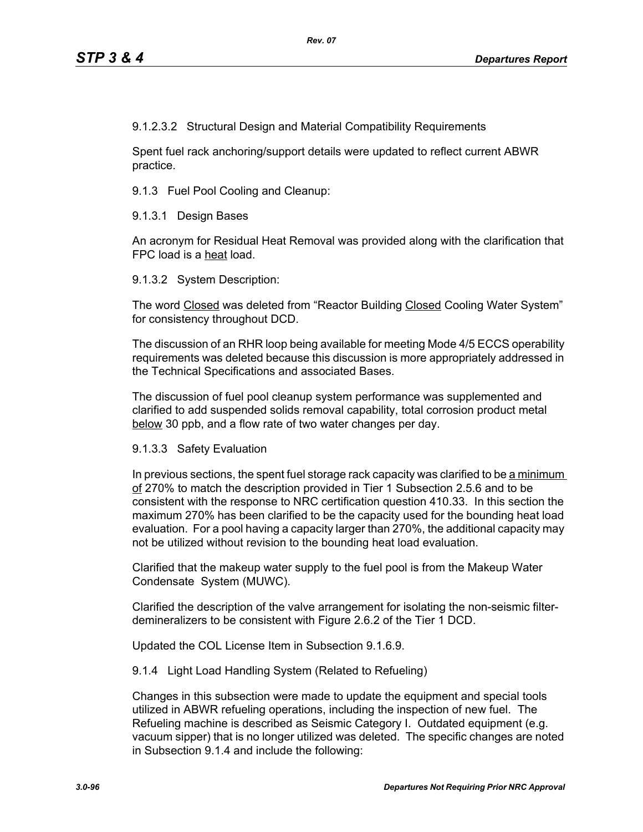9.1.2.3.2 Structural Design and Material Compatibility Requirements

Spent fuel rack anchoring/support details were updated to reflect current ABWR practice.

9.1.3 Fuel Pool Cooling and Cleanup:

9.1.3.1 Design Bases

An acronym for Residual Heat Removal was provided along with the clarification that FPC load is a heat load.

9.1.3.2 System Description:

The word Closed was deleted from "Reactor Building Closed Cooling Water System" for consistency throughout DCD.

The discussion of an RHR loop being available for meeting Mode 4/5 ECCS operability requirements was deleted because this discussion is more appropriately addressed in the Technical Specifications and associated Bases.

The discussion of fuel pool cleanup system performance was supplemented and clarified to add suspended solids removal capability, total corrosion product metal below 30 ppb, and a flow rate of two water changes per day.

9.1.3.3 Safety Evaluation

In previous sections, the spent fuel storage rack capacity was clarified to be a minimum of 270% to match the description provided in Tier 1 Subsection 2.5.6 and to be consistent with the response to NRC certification question 410.33. In this section the maximum 270% has been clarified to be the capacity used for the bounding heat load evaluation. For a pool having a capacity larger than 270%, the additional capacity may not be utilized without revision to the bounding heat load evaluation.

Clarified that the makeup water supply to the fuel pool is from the Makeup Water Condensate System (MUWC).

Clarified the description of the valve arrangement for isolating the non-seismic filterdemineralizers to be consistent with Figure 2.6.2 of the Tier 1 DCD.

Updated the COL License Item in Subsection 9.1.6.9.

9.1.4 Light Load Handling System (Related to Refueling)

Changes in this subsection were made to update the equipment and special tools utilized in ABWR refueling operations, including the inspection of new fuel. The Refueling machine is described as Seismic Category I. Outdated equipment (e.g. vacuum sipper) that is no longer utilized was deleted. The specific changes are noted in Subsection 9.1.4 and include the following: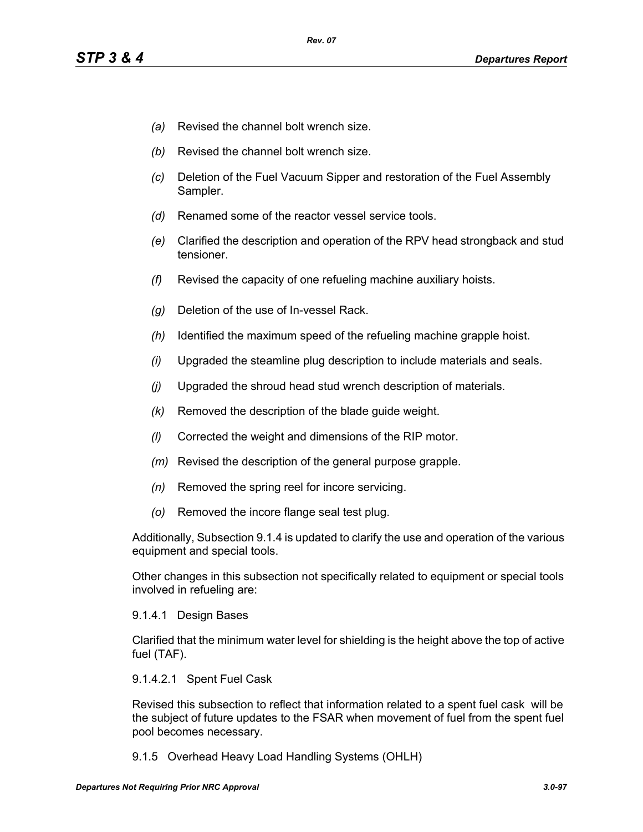- *(a)* Revised the channel bolt wrench size.
- *(b)* Revised the channel bolt wrench size.
- *(c)* Deletion of the Fuel Vacuum Sipper and restoration of the Fuel Assembly Sampler.
- *(d)* Renamed some of the reactor vessel service tools.
- *(e)* Clarified the description and operation of the RPV head strongback and stud tensioner.
- *(f)* Revised the capacity of one refueling machine auxiliary hoists.
- *(g)* Deletion of the use of In-vessel Rack.
- *(h)* Identified the maximum speed of the refueling machine grapple hoist.
- *(i)* Upgraded the steamline plug description to include materials and seals.
- *(j)* Upgraded the shroud head stud wrench description of materials.
- *(k)* Removed the description of the blade guide weight.
- *(l)* Corrected the weight and dimensions of the RIP motor.
- *(m)* Revised the description of the general purpose grapple.
- *(n)* Removed the spring reel for incore servicing.
- *(o)* Removed the incore flange seal test plug.

Additionally, Subsection 9.1.4 is updated to clarify the use and operation of the various equipment and special tools.

Other changes in this subsection not specifically related to equipment or special tools involved in refueling are:

#### 9.1.4.1 Design Bases

Clarified that the minimum water level for shielding is the height above the top of active fuel (TAF).

#### 9.1.4.2.1 Spent Fuel Cask

Revised this subsection to reflect that information related to a spent fuel cask will be the subject of future updates to the FSAR when movement of fuel from the spent fuel pool becomes necessary.

9.1.5 Overhead Heavy Load Handling Systems (OHLH)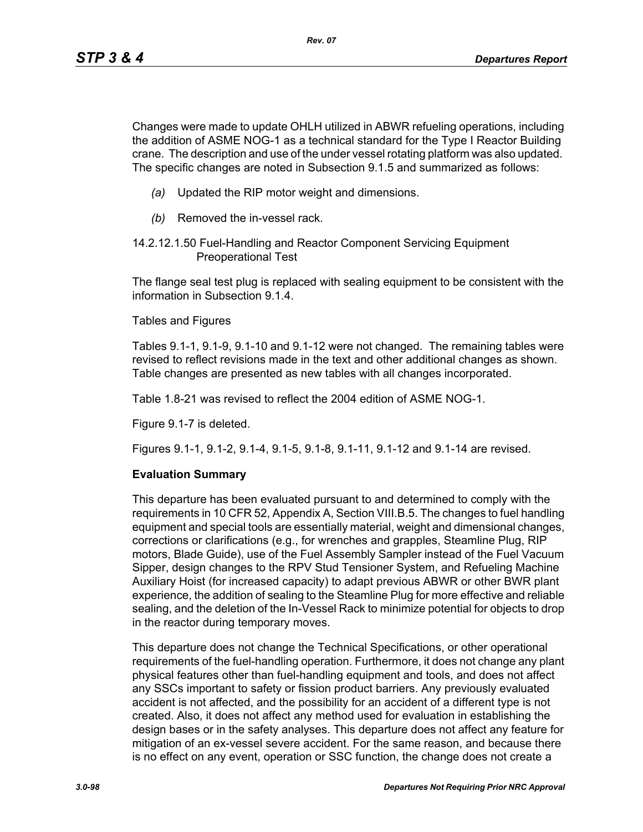Changes were made to update OHLH utilized in ABWR refueling operations, including the addition of ASME NOG-1 as a technical standard for the Type I Reactor Building crane. The description and use of the under vessel rotating platform was also updated. The specific changes are noted in Subsection 9.1.5 and summarized as follows:

- *(a)* Updated the RIP motor weight and dimensions.
- *(b)* Removed the in-vessel rack.
- 14.2.12.1.50 Fuel-Handling and Reactor Component Servicing Equipment Preoperational Test

The flange seal test plug is replaced with sealing equipment to be consistent with the information in Subsection 9.1.4.

Tables and Figures

Tables 9.1-1, 9.1-9, 9.1-10 and 9.1-12 were not changed. The remaining tables were revised to reflect revisions made in the text and other additional changes as shown. Table changes are presented as new tables with all changes incorporated.

Table 1.8-21 was revised to reflect the 2004 edition of ASME NOG-1.

Figure 9.1-7 is deleted.

Figures 9.1-1, 9.1-2, 9.1-4, 9.1-5, 9.1-8, 9.1-11, 9.1-12 and 9.1-14 are revised.

#### **Evaluation Summary**

This departure has been evaluated pursuant to and determined to comply with the requirements in 10 CFR 52, Appendix A, Section VIII.B.5. The changes to fuel handling equipment and special tools are essentially material, weight and dimensional changes, corrections or clarifications (e.g., for wrenches and grapples, Steamline Plug, RIP motors, Blade Guide), use of the Fuel Assembly Sampler instead of the Fuel Vacuum Sipper, design changes to the RPV Stud Tensioner System, and Refueling Machine Auxiliary Hoist (for increased capacity) to adapt previous ABWR or other BWR plant experience, the addition of sealing to the Steamline Plug for more effective and reliable sealing, and the deletion of the In-Vessel Rack to minimize potential for objects to drop in the reactor during temporary moves.

This departure does not change the Technical Specifications, or other operational requirements of the fuel-handling operation. Furthermore, it does not change any plant physical features other than fuel-handling equipment and tools, and does not affect any SSCs important to safety or fission product barriers. Any previously evaluated accident is not affected, and the possibility for an accident of a different type is not created. Also, it does not affect any method used for evaluation in establishing the design bases or in the safety analyses. This departure does not affect any feature for mitigation of an ex-vessel severe accident. For the same reason, and because there is no effect on any event, operation or SSC function, the change does not create a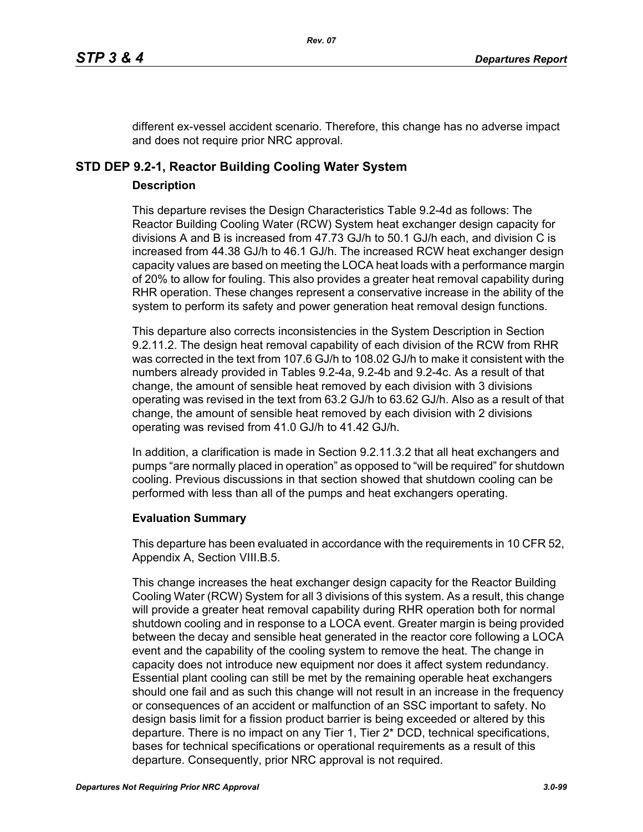different ex-vessel accident scenario. Therefore, this change has no adverse impact and does not require prior NRC approval.

# **STD DEP 9.2-1, Reactor Building Cooling Water System**

# **Description**

This departure revises the Design Characteristics Table 9.2-4d as follows: The Reactor Building Cooling Water (RCW) System heat exchanger design capacity for divisions A and B is increased from 47.73 GJ/h to 50.1 GJ/h each, and division C is increased from 44.38 GJ/h to 46.1 GJ/h. The increased RCW heat exchanger design capacity values are based on meeting the LOCA heat loads with a performance margin of 20% to allow for fouling. This also provides a greater heat removal capability during RHR operation. These changes represent a conservative increase in the ability of the system to perform its safety and power generation heat removal design functions.

This departure also corrects inconsistencies in the System Description in Section 9.2.11.2. The design heat removal capability of each division of the RCW from RHR was corrected in the text from 107.6 GJ/h to 108.02 GJ/h to make it consistent with the numbers already provided in Tables 9.2-4a, 9.2-4b and 9.2-4c. As a result of that change, the amount of sensible heat removed by each division with 3 divisions operating was revised in the text from 63.2 GJ/h to 63.62 GJ/h. Also as a result of that change, the amount of sensible heat removed by each division with 2 divisions operating was revised from 41.0 GJ/h to 41.42 GJ/h.

In addition, a clarification is made in Section 9.2.11.3.2 that all heat exchangers and pumps "are normally placed in operation" as opposed to "will be required" for shutdown cooling. Previous discussions in that section showed that shutdown cooling can be performed with less than all of the pumps and heat exchangers operating.

# **Evaluation Summary**

This departure has been evaluated in accordance with the requirements in 10 CFR 52, Appendix A, Section VIII.B.5.

This change increases the heat exchanger design capacity for the Reactor Building Cooling Water (RCW) System for all 3 divisions of this system. As a result, this change will provide a greater heat removal capability during RHR operation both for normal shutdown cooling and in response to a LOCA event. Greater margin is being provided between the decay and sensible heat generated in the reactor core following a LOCA event and the capability of the cooling system to remove the heat. The change in capacity does not introduce new equipment nor does it affect system redundancy. Essential plant cooling can still be met by the remaining operable heat exchangers should one fail and as such this change will not result in an increase in the frequency or consequences of an accident or malfunction of an SSC important to safety. No design basis limit for a fission product barrier is being exceeded or altered by this departure. There is no impact on any Tier 1, Tier 2\* DCD, technical specifications, bases for technical specifications or operational requirements as a result of this departure. Consequently, prior NRC approval is not required.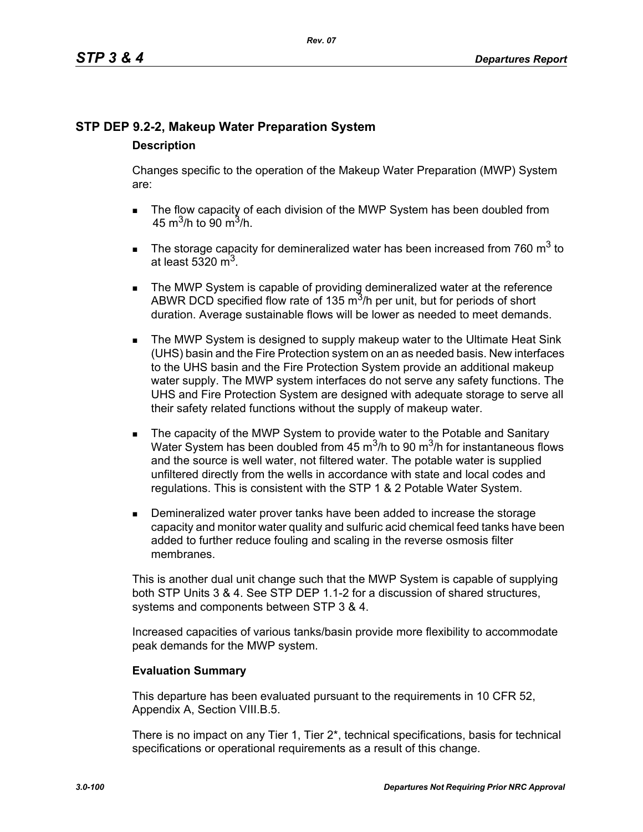# **STP DEP 9.2-2, Makeup Water Preparation System**

# **Description**

Changes specific to the operation of the Makeup Water Preparation (MWP) System are:

- The flow capacity of each division of the MWP System has been doubled from 45 m<sup>3</sup>/h to 90 m<sup>3</sup>/h.
- The storage capacity for demineralized water has been increased from 760  $m^3$  to at least 5320  $m<sup>3</sup>$ .
- **The MWP System is capable of providing demineralized water at the reference** ABWR DCD specified flow rate of 135  $\mathrm{m}^3$ /h per unit, but for periods of short duration. Average sustainable flows will be lower as needed to meet demands.
- **The MWP System is designed to supply makeup water to the Ultimate Heat Sink** (UHS) basin and the Fire Protection system on an as needed basis. New interfaces to the UHS basin and the Fire Protection System provide an additional makeup water supply. The MWP system interfaces do not serve any safety functions. The UHS and Fire Protection System are designed with adequate storage to serve all their safety related functions without the supply of makeup water.
- The capacity of the MWP System to provide water to the Potable and Sanitary Water System has been doubled from 45  $\mathrm{m}^3$ /h to 90  $\mathrm{m}^3$ /h for instantaneous flows and the source is well water, not filtered water. The potable water is supplied unfiltered directly from the wells in accordance with state and local codes and regulations. This is consistent with the STP 1 & 2 Potable Water System.
- **Demineralized water prover tanks have been added to increase the storage** capacity and monitor water quality and sulfuric acid chemical feed tanks have been added to further reduce fouling and scaling in the reverse osmosis filter membranes.

This is another dual unit change such that the MWP System is capable of supplying both STP Units 3 & 4. See STP DEP 1.1-2 for a discussion of shared structures, systems and components between STP 3 & 4.

Increased capacities of various tanks/basin provide more flexibility to accommodate peak demands for the MWP system.

# **Evaluation Summary**

This departure has been evaluated pursuant to the requirements in 10 CFR 52, Appendix A, Section VIII.B.5.

There is no impact on any Tier 1, Tier 2\*, technical specifications, basis for technical specifications or operational requirements as a result of this change.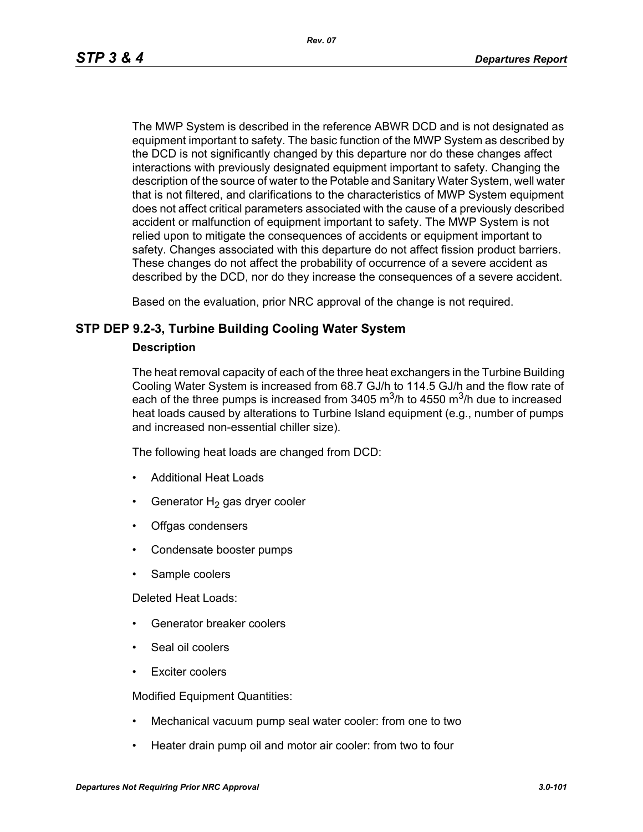*Rev. 07*

The MWP System is described in the reference ABWR DCD and is not designated as equipment important to safety. The basic function of the MWP System as described by the DCD is not significantly changed by this departure nor do these changes affect interactions with previously designated equipment important to safety. Changing the description of the source of water to the Potable and Sanitary Water System, well water that is not filtered, and clarifications to the characteristics of MWP System equipment does not affect critical parameters associated with the cause of a previously described accident or malfunction of equipment important to safety. The MWP System is not relied upon to mitigate the consequences of accidents or equipment important to safety. Changes associated with this departure do not affect fission product barriers. These changes do not affect the probability of occurrence of a severe accident as described by the DCD, nor do they increase the consequences of a severe accident.

Based on the evaluation, prior NRC approval of the change is not required.

# **STP DEP 9.2-3, Turbine Building Cooling Water System**

### **Description**

The heat removal capacity of each of the three heat exchangers in the Turbine Building Cooling Water System is increased from 68.7 GJ/h to 114.5 GJ/h and the flow rate of each of the three pumps is increased from 3405  $\mathrm{m}^3$ /h to 4550  $\mathrm{m}^3$ /h due to increased heat loads caused by alterations to Turbine Island equipment (e.g., number of pumps and increased non-essential chiller size).

The following heat loads are changed from DCD:

- Additional Heat Loads
- Generator  $H_2$  gas dryer cooler
- Offgas condensers
- Condensate booster pumps
- Sample coolers

Deleted Heat Loads:

- Generator breaker coolers
- Seal oil coolers
- Exciter coolers

Modified Equipment Quantities:

- Mechanical vacuum pump seal water cooler: from one to two
- Heater drain pump oil and motor air cooler: from two to four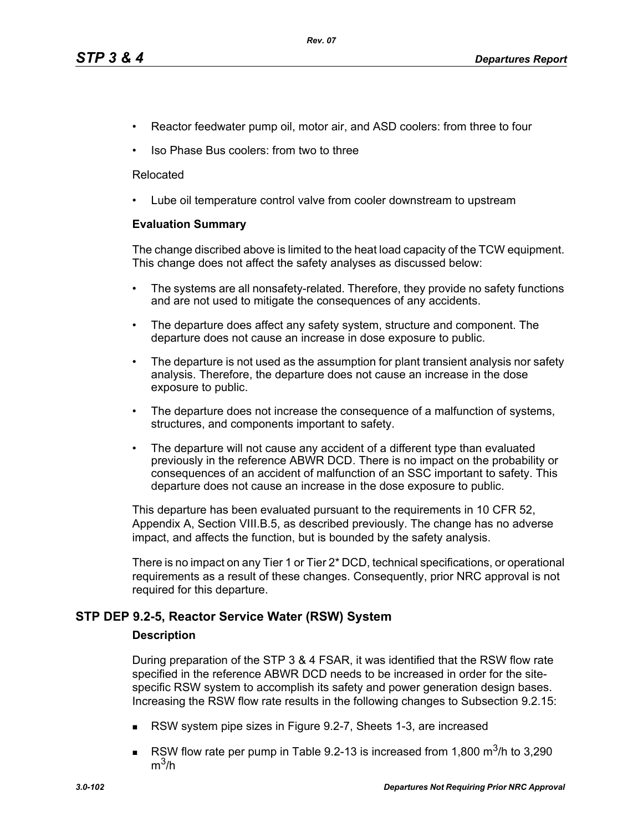- Reactor feedwater pump oil, motor air, and ASD coolers: from three to four
- Iso Phase Bus coolers: from two to three

#### Relocated

• Lube oil temperature control valve from cooler downstream to upstream

### **Evaluation Summary**

The change discribed above is limited to the heat load capacity of the TCW equipment. This change does not affect the safety analyses as discussed below:

- The systems are all nonsafety-related. Therefore, they provide no safety functions and are not used to mitigate the consequences of any accidents.
- The departure does affect any safety system, structure and component. The departure does not cause an increase in dose exposure to public.
- The departure is not used as the assumption for plant transient analysis nor safety analysis. Therefore, the departure does not cause an increase in the dose exposure to public.
- The departure does not increase the consequence of a malfunction of systems, structures, and components important to safety.
- The departure will not cause any accident of a different type than evaluated previously in the reference ABWR DCD. There is no impact on the probability or consequences of an accident of malfunction of an SSC important to safety. This departure does not cause an increase in the dose exposure to public.

This departure has been evaluated pursuant to the requirements in 10 CFR 52, Appendix A, Section VIII.B.5, as described previously. The change has no adverse impact, and affects the function, but is bounded by the safety analysis.

There is no impact on any Tier 1 or Tier 2\* DCD, technical specifications, or operational requirements as a result of these changes. Consequently, prior NRC approval is not required for this departure.

# **STP DEP 9.2-5, Reactor Service Water (RSW) System**

#### **Description**

During preparation of the STP 3 & 4 FSAR, it was identified that the RSW flow rate specified in the reference ABWR DCD needs to be increased in order for the sitespecific RSW system to accomplish its safety and power generation design bases. Increasing the RSW flow rate results in the following changes to Subsection 9.2.15:

- RSW system pipe sizes in Figure 9.2-7, Sheets 1-3, are increased
- RSW flow rate per pump in Table 9.2-13 is increased from 1,800  $\text{m}^3$ /h to 3,290  $m^3/h$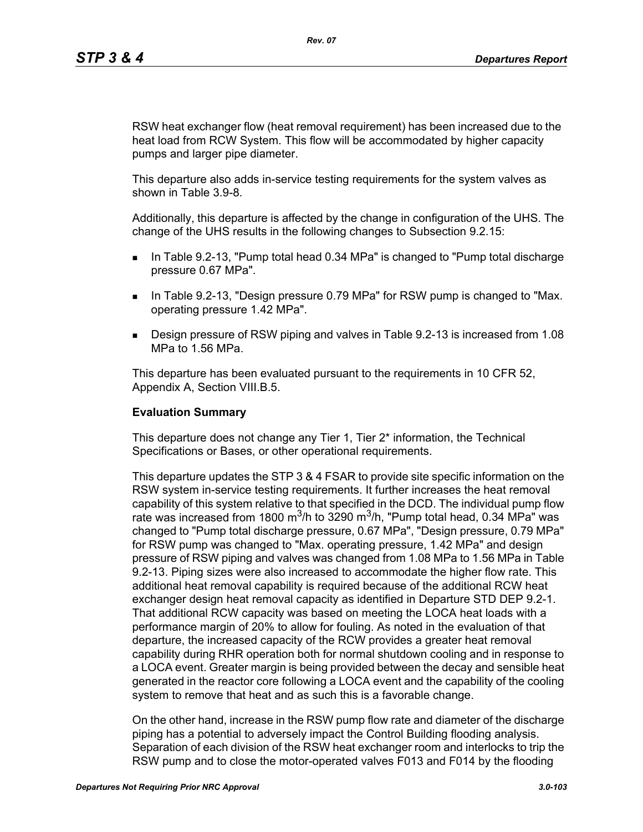RSW heat exchanger flow (heat removal requirement) has been increased due to the heat load from RCW System. This flow will be accommodated by higher capacity pumps and larger pipe diameter.

This departure also adds in-service testing requirements for the system valves as shown in Table 3.9-8.

Additionally, this departure is affected by the change in configuration of the UHS. The change of the UHS results in the following changes to Subsection 9.2.15:

- In Table 9.2-13, "Pump total head 0.34 MPa" is changed to "Pump total discharge pressure 0.67 MPa".
- **IF IN Table 9.2-13, "Design pressure 0.79 MPa" for RSW pump is changed to "Max.** operating pressure 1.42 MPa".
- Design pressure of RSW piping and valves in Table 9.2-13 is increased from 1.08 MPa to 1.56 MPa.

This departure has been evaluated pursuant to the requirements in 10 CFR 52, Appendix A, Section VIII.B.5.

#### **Evaluation Summary**

This departure does not change any Tier 1, Tier 2\* information, the Technical Specifications or Bases, or other operational requirements.

This departure updates the STP 3 & 4 FSAR to provide site specific information on the RSW system in-service testing requirements. It further increases the heat removal capability of this system relative to that specified in the DCD. The individual pump flow rate was increased from 1800 m<sup>3</sup>/h to 3290 m<sup>3</sup>/h, "Pump total head, 0.34 MPa" was changed to "Pump total discharge pressure, 0.67 MPa", "Design pressure, 0.79 MPa" for RSW pump was changed to "Max. operating pressure, 1.42 MPa" and design pressure of RSW piping and valves was changed from 1.08 MPa to 1.56 MPa in Table 9.2-13. Piping sizes were also increased to accommodate the higher flow rate. This additional heat removal capability is required because of the additional RCW heat exchanger design heat removal capacity as identified in Departure STD DEP 9.2-1. That additional RCW capacity was based on meeting the LOCA heat loads with a performance margin of 20% to allow for fouling. As noted in the evaluation of that departure, the increased capacity of the RCW provides a greater heat removal capability during RHR operation both for normal shutdown cooling and in response to a LOCA event. Greater margin is being provided between the decay and sensible heat generated in the reactor core following a LOCA event and the capability of the cooling system to remove that heat and as such this is a favorable change.

On the other hand, increase in the RSW pump flow rate and diameter of the discharge piping has a potential to adversely impact the Control Building flooding analysis. Separation of each division of the RSW heat exchanger room and interlocks to trip the RSW pump and to close the motor-operated valves F013 and F014 by the flooding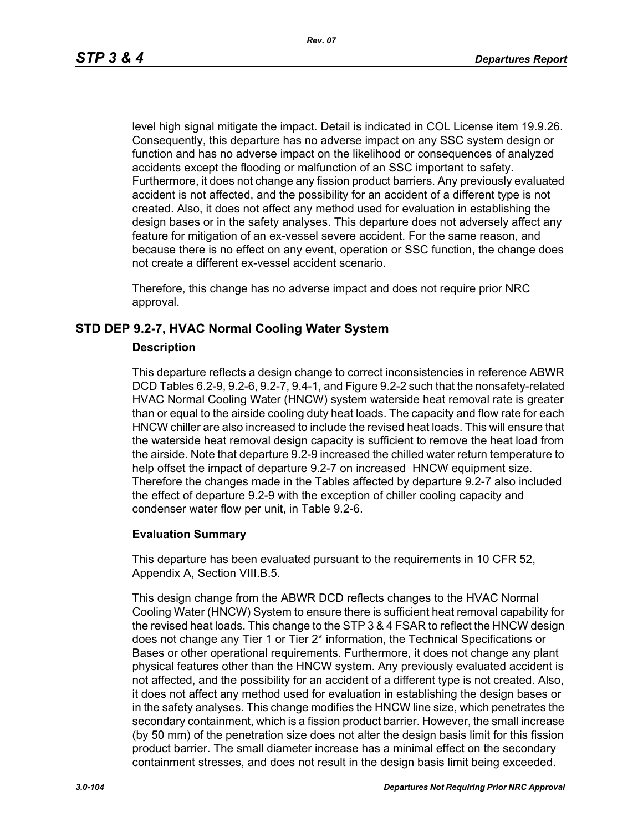level high signal mitigate the impact. Detail is indicated in COL License item 19.9.26. Consequently, this departure has no adverse impact on any SSC system design or function and has no adverse impact on the likelihood or consequences of analyzed accidents except the flooding or malfunction of an SSC important to safety. Furthermore, it does not change any fission product barriers. Any previously evaluated accident is not affected, and the possibility for an accident of a different type is not created. Also, it does not affect any method used for evaluation in establishing the design bases or in the safety analyses. This departure does not adversely affect any feature for mitigation of an ex-vessel severe accident. For the same reason, and because there is no effect on any event, operation or SSC function, the change does not create a different ex-vessel accident scenario.

Therefore, this change has no adverse impact and does not require prior NRC approval.

# **STD DEP 9.2-7, HVAC Normal Cooling Water System**

#### **Description**

This departure reflects a design change to correct inconsistencies in reference ABWR DCD Tables 6.2-9, 9.2-6, 9.2-7, 9.4-1, and Figure 9.2-2 such that the nonsafety-related HVAC Normal Cooling Water (HNCW) system waterside heat removal rate is greater than or equal to the airside cooling duty heat loads. The capacity and flow rate for each HNCW chiller are also increased to include the revised heat loads. This will ensure that the waterside heat removal design capacity is sufficient to remove the heat load from the airside. Note that departure 9.2-9 increased the chilled water return temperature to help offset the impact of departure 9.2-7 on increased HNCW equipment size. Therefore the changes made in the Tables affected by departure 9.2-7 also included the effect of departure 9.2-9 with the exception of chiller cooling capacity and condenser water flow per unit, in Table 9.2-6.

#### **Evaluation Summary**

This departure has been evaluated pursuant to the requirements in 10 CFR 52, Appendix A, Section VIII.B.5.

This design change from the ABWR DCD reflects changes to the HVAC Normal Cooling Water (HNCW) System to ensure there is sufficient heat removal capability for the revised heat loads. This change to the STP 3 & 4 FSAR to reflect the HNCW design does not change any Tier 1 or Tier 2\* information, the Technical Specifications or Bases or other operational requirements. Furthermore, it does not change any plant physical features other than the HNCW system. Any previously evaluated accident is not affected, and the possibility for an accident of a different type is not created. Also, it does not affect any method used for evaluation in establishing the design bases or in the safety analyses. This change modifies the HNCW line size, which penetrates the secondary containment, which is a fission product barrier. However, the small increase (by 50 mm) of the penetration size does not alter the design basis limit for this fission product barrier. The small diameter increase has a minimal effect on the secondary containment stresses, and does not result in the design basis limit being exceeded.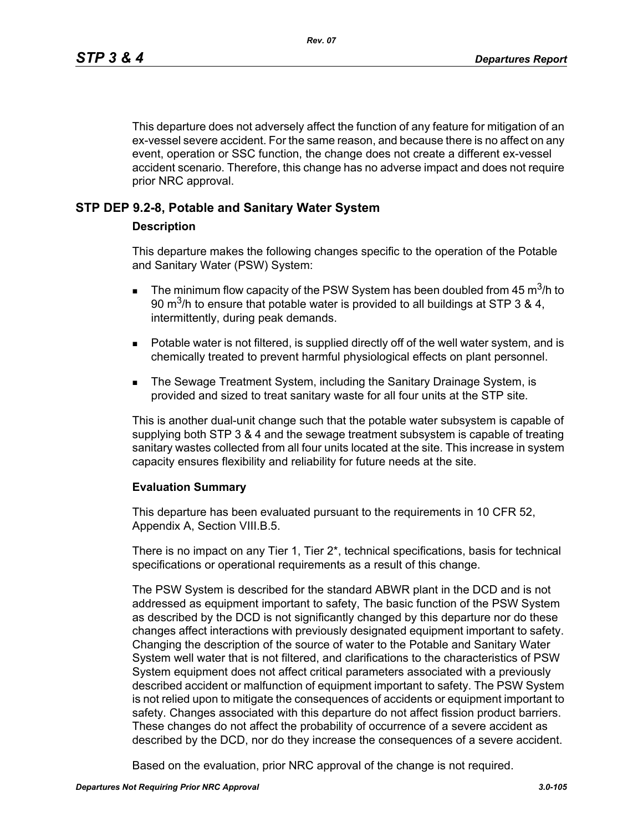This departure does not adversely affect the function of any feature for mitigation of an ex-vessel severe accident. For the same reason, and because there is no affect on any event, operation or SSC function, the change does not create a different ex-vessel accident scenario. Therefore, this change has no adverse impact and does not require prior NRC approval.

# **STP DEP 9.2-8, Potable and Sanitary Water System**

### **Description**

This departure makes the following changes specific to the operation of the Potable and Sanitary Water (PSW) System:

- **The minimum flow capacity of the PSW System has been doubled from 45 m<sup>3</sup>/h to** 90 m<sup>3</sup>/h to ensure that potable water is provided to all buildings at STP 3 & 4, intermittently, during peak demands.
- **Potable water is not filtered, is supplied directly off of the well water system, and is** chemically treated to prevent harmful physiological effects on plant personnel.
- **The Sewage Treatment System, including the Sanitary Drainage System, is** provided and sized to treat sanitary waste for all four units at the STP site.

This is another dual-unit change such that the potable water subsystem is capable of supplying both STP 3 & 4 and the sewage treatment subsystem is capable of treating sanitary wastes collected from all four units located at the site. This increase in system capacity ensures flexibility and reliability for future needs at the site.

#### **Evaluation Summary**

This departure has been evaluated pursuant to the requirements in 10 CFR 52, Appendix A, Section VIII.B.5.

There is no impact on any Tier 1, Tier 2\*, technical specifications, basis for technical specifications or operational requirements as a result of this change.

The PSW System is described for the standard ABWR plant in the DCD and is not addressed as equipment important to safety, The basic function of the PSW System as described by the DCD is not significantly changed by this departure nor do these changes affect interactions with previously designated equipment important to safety. Changing the description of the source of water to the Potable and Sanitary Water System well water that is not filtered, and clarifications to the characteristics of PSW System equipment does not affect critical parameters associated with a previously described accident or malfunction of equipment important to safety. The PSW System is not relied upon to mitigate the consequences of accidents or equipment important to safety. Changes associated with this departure do not affect fission product barriers. These changes do not affect the probability of occurrence of a severe accident as described by the DCD, nor do they increase the consequences of a severe accident.

Based on the evaluation, prior NRC approval of the change is not required.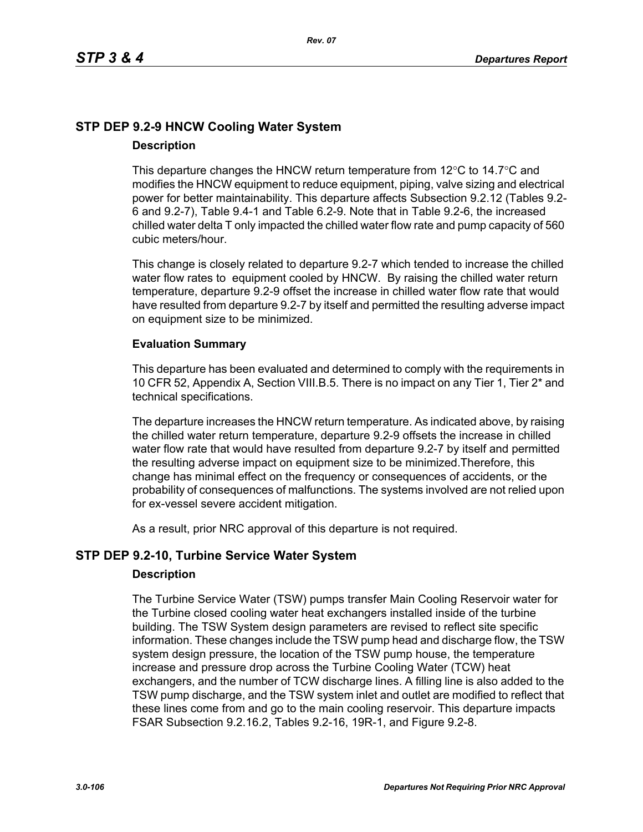# **STP DEP 9.2-9 HNCW Cooling Water System Description**

# This departure changes the HNCW return temperature from  $12^{\circ}$ C to  $14.7^{\circ}$ C and modifies the HNCW equipment to reduce equipment, piping, valve sizing and electrical power for better maintainability. This departure affects Subsection 9.2.12 (Tables 9.2- 6 and 9.2-7), Table 9.4-1 and Table 6.2-9. Note that in Table 9.2-6, the increased chilled water delta T only impacted the chilled water flow rate and pump capacity of 560 cubic meters/hour.

This change is closely related to departure 9.2-7 which tended to increase the chilled water flow rates to equipment cooled by HNCW. By raising the chilled water return temperature, departure 9.2-9 offset the increase in chilled water flow rate that would have resulted from departure 9.2-7 by itself and permitted the resulting adverse impact on equipment size to be minimized.

# **Evaluation Summary**

This departure has been evaluated and determined to comply with the requirements in 10 CFR 52, Appendix A, Section VIII.B.5. There is no impact on any Tier 1, Tier 2\* and technical specifications.

The departure increases the HNCW return temperature. As indicated above, by raising the chilled water return temperature, departure 9.2-9 offsets the increase in chilled water flow rate that would have resulted from departure 9.2-7 by itself and permitted the resulting adverse impact on equipment size to be minimized.Therefore, this change has minimal effect on the frequency or consequences of accidents, or the probability of consequences of malfunctions. The systems involved are not relied upon for ex-vessel severe accident mitigation.

As a result, prior NRC approval of this departure is not required.

# **STP DEP 9.2-10, Turbine Service Water System**

# **Description**

The Turbine Service Water (TSW) pumps transfer Main Cooling Reservoir water for the Turbine closed cooling water heat exchangers installed inside of the turbine building. The TSW System design parameters are revised to reflect site specific information. These changes include the TSW pump head and discharge flow, the TSW system design pressure, the location of the TSW pump house, the temperature increase and pressure drop across the Turbine Cooling Water (TCW) heat exchangers, and the number of TCW discharge lines. A filling line is also added to the TSW pump discharge, and the TSW system inlet and outlet are modified to reflect that these lines come from and go to the main cooling reservoir. This departure impacts FSAR Subsection 9.2.16.2, Tables 9.2-16, 19R-1, and Figure 9.2-8.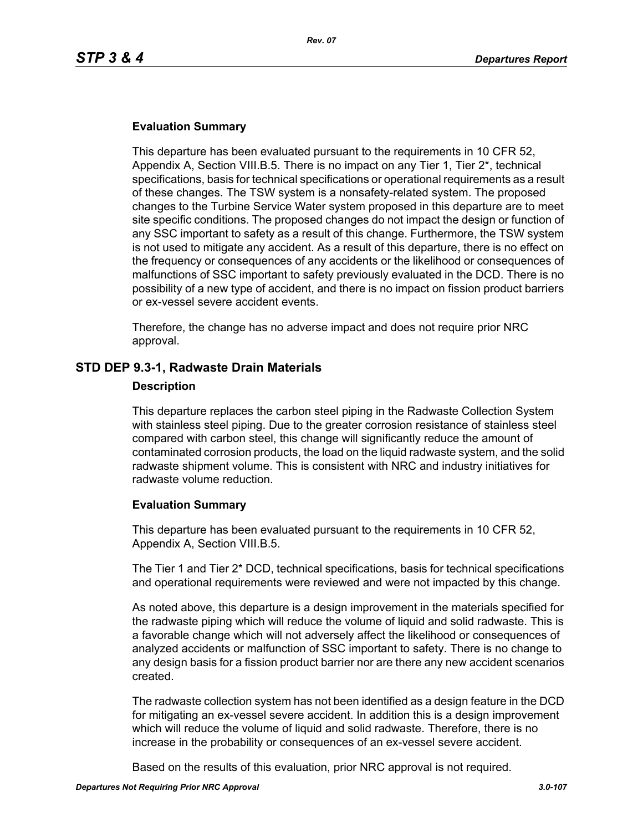### **Evaluation Summary**

This departure has been evaluated pursuant to the requirements in 10 CFR 52, Appendix A, Section VIII.B.5. There is no impact on any Tier 1, Tier 2\*, technical specifications, basis for technical specifications or operational requirements as a result of these changes. The TSW system is a nonsafety-related system. The proposed changes to the Turbine Service Water system proposed in this departure are to meet site specific conditions. The proposed changes do not impact the design or function of any SSC important to safety as a result of this change. Furthermore, the TSW system is not used to mitigate any accident. As a result of this departure, there is no effect on the frequency or consequences of any accidents or the likelihood or consequences of malfunctions of SSC important to safety previously evaluated in the DCD. There is no possibility of a new type of accident, and there is no impact on fission product barriers or ex-vessel severe accident events.

Therefore, the change has no adverse impact and does not require prior NRC approval.

### **STD DEP 9.3-1, Radwaste Drain Materials**

#### **Description**

This departure replaces the carbon steel piping in the Radwaste Collection System with stainless steel piping. Due to the greater corrosion resistance of stainless steel compared with carbon steel, this change will significantly reduce the amount of contaminated corrosion products, the load on the liquid radwaste system, and the solid radwaste shipment volume. This is consistent with NRC and industry initiatives for radwaste volume reduction.

#### **Evaluation Summary**

This departure has been evaluated pursuant to the requirements in 10 CFR 52, Appendix A, Section VIII.B.5.

The Tier 1 and Tier 2\* DCD, technical specifications, basis for technical specifications and operational requirements were reviewed and were not impacted by this change.

As noted above, this departure is a design improvement in the materials specified for the radwaste piping which will reduce the volume of liquid and solid radwaste. This is a favorable change which will not adversely affect the likelihood or consequences of analyzed accidents or malfunction of SSC important to safety. There is no change to any design basis for a fission product barrier nor are there any new accident scenarios created.

The radwaste collection system has not been identified as a design feature in the DCD for mitigating an ex-vessel severe accident. In addition this is a design improvement which will reduce the volume of liquid and solid radwaste. Therefore, there is no increase in the probability or consequences of an ex-vessel severe accident.

Based on the results of this evaluation, prior NRC approval is not required.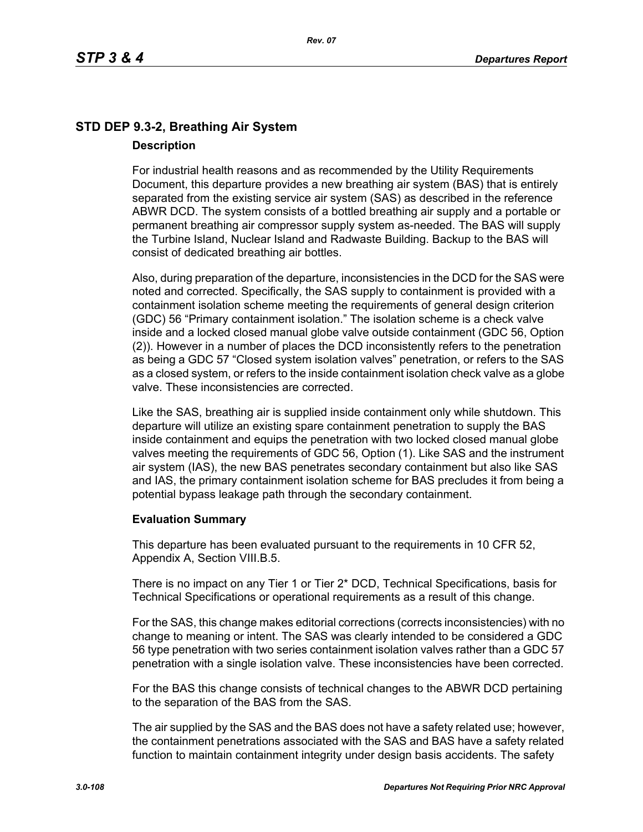# **STD DEP 9.3-2, Breathing Air System Description**

For industrial health reasons and as recommended by the Utility Requirements Document, this departure provides a new breathing air system (BAS) that is entirely separated from the existing service air system (SAS) as described in the reference ABWR DCD. The system consists of a bottled breathing air supply and a portable or permanent breathing air compressor supply system as-needed. The BAS will supply the Turbine Island, Nuclear Island and Radwaste Building. Backup to the BAS will consist of dedicated breathing air bottles.

Also, during preparation of the departure, inconsistencies in the DCD for the SAS were noted and corrected. Specifically, the SAS supply to containment is provided with a containment isolation scheme meeting the requirements of general design criterion (GDC) 56 "Primary containment isolation." The isolation scheme is a check valve inside and a locked closed manual globe valve outside containment (GDC 56, Option (2)). However in a number of places the DCD inconsistently refers to the penetration as being a GDC 57 "Closed system isolation valves" penetration, or refers to the SAS as a closed system, or refers to the inside containment isolation check valve as a globe valve. These inconsistencies are corrected.

Like the SAS, breathing air is supplied inside containment only while shutdown. This departure will utilize an existing spare containment penetration to supply the BAS inside containment and equips the penetration with two locked closed manual globe valves meeting the requirements of GDC 56, Option (1). Like SAS and the instrument air system (IAS), the new BAS penetrates secondary containment but also like SAS and IAS, the primary containment isolation scheme for BAS precludes it from being a potential bypass leakage path through the secondary containment.

# **Evaluation Summary**

This departure has been evaluated pursuant to the requirements in 10 CFR 52, Appendix A, Section VIII.B.5.

There is no impact on any Tier 1 or Tier 2\* DCD, Technical Specifications, basis for Technical Specifications or operational requirements as a result of this change.

For the SAS, this change makes editorial corrections (corrects inconsistencies) with no change to meaning or intent. The SAS was clearly intended to be considered a GDC 56 type penetration with two series containment isolation valves rather than a GDC 57 penetration with a single isolation valve. These inconsistencies have been corrected.

For the BAS this change consists of technical changes to the ABWR DCD pertaining to the separation of the BAS from the SAS.

The air supplied by the SAS and the BAS does not have a safety related use; however, the containment penetrations associated with the SAS and BAS have a safety related function to maintain containment integrity under design basis accidents. The safety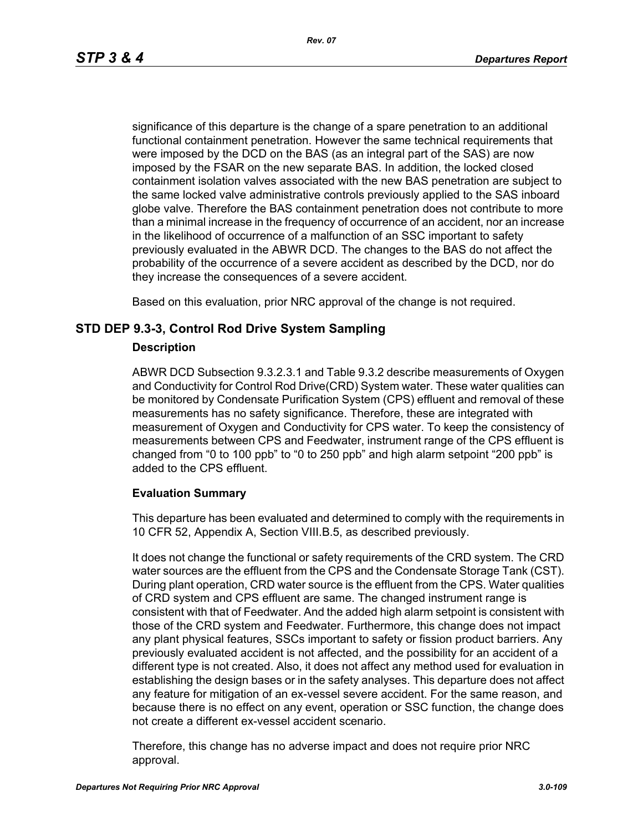significance of this departure is the change of a spare penetration to an additional functional containment penetration. However the same technical requirements that were imposed by the DCD on the BAS (as an integral part of the SAS) are now imposed by the FSAR on the new separate BAS. In addition, the locked closed containment isolation valves associated with the new BAS penetration are subject to the same locked valve administrative controls previously applied to the SAS inboard globe valve. Therefore the BAS containment penetration does not contribute to more than a minimal increase in the frequency of occurrence of an accident, nor an increase in the likelihood of occurrence of a malfunction of an SSC important to safety previously evaluated in the ABWR DCD. The changes to the BAS do not affect the probability of the occurrence of a severe accident as described by the DCD, nor do they increase the consequences of a severe accident.

Based on this evaluation, prior NRC approval of the change is not required.

## **STD DEP 9.3-3, Control Rod Drive System Sampling**

### **Description**

ABWR DCD Subsection 9.3.2.3.1 and Table 9.3.2 describe measurements of Oxygen and Conductivity for Control Rod Drive(CRD) System water. These water qualities can be monitored by Condensate Purification System (CPS) effluent and removal of these measurements has no safety significance. Therefore, these are integrated with measurement of Oxygen and Conductivity for CPS water. To keep the consistency of measurements between CPS and Feedwater, instrument range of the CPS effluent is changed from "0 to 100 ppb" to "0 to 250 ppb" and high alarm setpoint "200 ppb" is added to the CPS effluent.

## **Evaluation Summary**

This departure has been evaluated and determined to comply with the requirements in 10 CFR 52, Appendix A, Section VIII.B.5, as described previously.

It does not change the functional or safety requirements of the CRD system. The CRD water sources are the effluent from the CPS and the Condensate Storage Tank (CST). During plant operation, CRD water source is the effluent from the CPS. Water qualities of CRD system and CPS effluent are same. The changed instrument range is consistent with that of Feedwater. And the added high alarm setpoint is consistent with those of the CRD system and Feedwater. Furthermore, this change does not impact any plant physical features, SSCs important to safety or fission product barriers. Any previously evaluated accident is not affected, and the possibility for an accident of a different type is not created. Also, it does not affect any method used for evaluation in establishing the design bases or in the safety analyses. This departure does not affect any feature for mitigation of an ex-vessel severe accident. For the same reason, and because there is no effect on any event, operation or SSC function, the change does not create a different ex-vessel accident scenario.

Therefore, this change has no adverse impact and does not require prior NRC approval.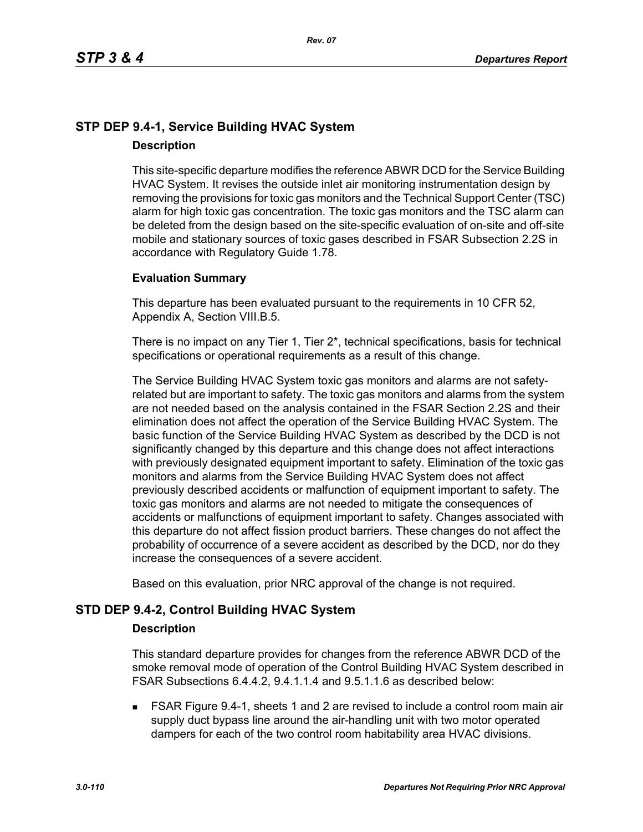## **STP DEP 9.4-1, Service Building HVAC System Description**

This site-specific departure modifies the reference ABWR DCD for the Service Building HVAC System. It revises the outside inlet air monitoring instrumentation design by removing the provisions for toxic gas monitors and the Technical Support Center (TSC) alarm for high toxic gas concentration. The toxic gas monitors and the TSC alarm can be deleted from the design based on the site-specific evaluation of on-site and off-site mobile and stationary sources of toxic gases described in FSAR Subsection 2.2S in accordance with Regulatory Guide 1.78.

## **Evaluation Summary**

This departure has been evaluated pursuant to the requirements in 10 CFR 52, Appendix A, Section VIII.B.5.

There is no impact on any Tier 1, Tier 2\*, technical specifications, basis for technical specifications or operational requirements as a result of this change.

The Service Building HVAC System toxic gas monitors and alarms are not safetyrelated but are important to safety. The toxic gas monitors and alarms from the system are not needed based on the analysis contained in the FSAR Section 2.2S and their elimination does not affect the operation of the Service Building HVAC System. The basic function of the Service Building HVAC System as described by the DCD is not significantly changed by this departure and this change does not affect interactions with previously designated equipment important to safety. Elimination of the toxic gas monitors and alarms from the Service Building HVAC System does not affect previously described accidents or malfunction of equipment important to safety. The toxic gas monitors and alarms are not needed to mitigate the consequences of accidents or malfunctions of equipment important to safety. Changes associated with this departure do not affect fission product barriers. These changes do not affect the probability of occurrence of a severe accident as described by the DCD, nor do they increase the consequences of a severe accident.

Based on this evaluation, prior NRC approval of the change is not required.

## **STD DEP 9.4-2, Control Building HVAC System**

### **Description**

This standard departure provides for changes from the reference ABWR DCD of the smoke removal mode of operation of the Control Building HVAC System described in FSAR Subsections 6.4.4.2, 9.4.1.1.4 and 9.5.1.1.6 as described below:

 FSAR Figure 9.4-1, sheets 1 and 2 are revised to include a control room main air supply duct bypass line around the air-handling unit with two motor operated dampers for each of the two control room habitability area HVAC divisions.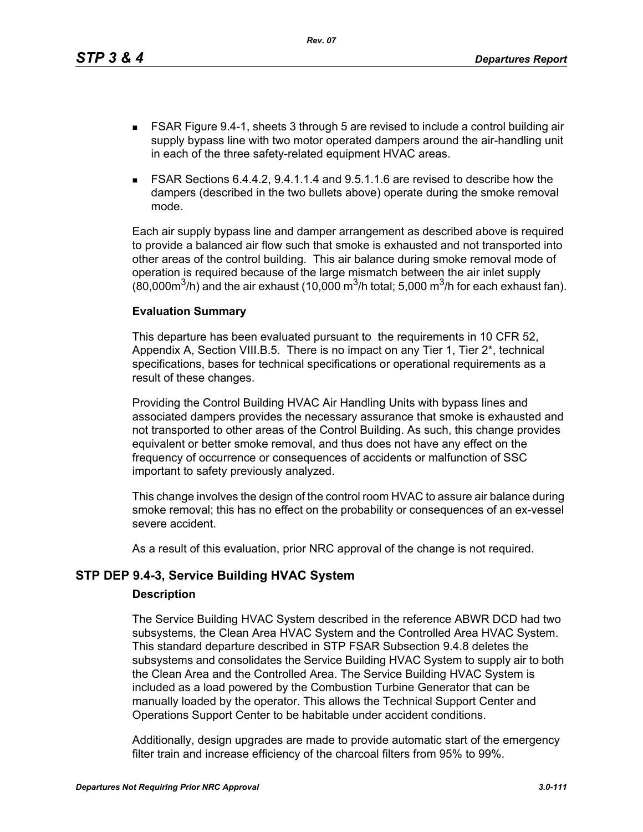This departure has been evaluated pursuant to the requirements in 10 CFR 52, Appendix A, Section VIII.B.5. There is no impact on any Tier 1, Tier 2\*, technical specifications, bases for technical specifications or operational requirements as a result of these changes.

 FSAR Figure 9.4-1, sheets 3 through 5 are revised to include a control building air supply bypass line with two motor operated dampers around the air-handling unit

 FSAR Sections 6.4.4.2, 9.4.1.1.4 and 9.5.1.1.6 are revised to describe how the dampers (described in the two bullets above) operate during the smoke removal

Each air supply bypass line and damper arrangement as described above is required to provide a balanced air flow such that smoke is exhausted and not transported into other areas of the control building. This air balance during smoke removal mode of operation is required because of the large mismatch between the air inlet supply (80,000 $\mathrm{m}^3$ /h) and the air exhaust (10,000  $\mathrm{m}^3$ /h total; 5,000  $\mathrm{m}^3$ /h for each exhaust fan).

in each of the three safety-related equipment HVAC areas.

*Rev. 07*

Providing the Control Building HVAC Air Handling Units with bypass lines and associated dampers provides the necessary assurance that smoke is exhausted and not transported to other areas of the Control Building. As such, this change provides equivalent or better smoke removal, and thus does not have any effect on the frequency of occurrence or consequences of accidents or malfunction of SSC important to safety previously analyzed.

This change involves the design of the control room HVAC to assure air balance during smoke removal; this has no effect on the probability or consequences of an ex-vessel severe accident.

As a result of this evaluation, prior NRC approval of the change is not required.

# **STP DEP 9.4-3, Service Building HVAC System**

## **Description**

mode.

**Evaluation Summary**

The Service Building HVAC System described in the reference ABWR DCD had two subsystems, the Clean Area HVAC System and the Controlled Area HVAC System. This standard departure described in STP FSAR Subsection 9.4.8 deletes the subsystems and consolidates the Service Building HVAC System to supply air to both the Clean Area and the Controlled Area. The Service Building HVAC System is included as a load powered by the Combustion Turbine Generator that can be manually loaded by the operator. This allows the Technical Support Center and Operations Support Center to be habitable under accident conditions.

Additionally, design upgrades are made to provide automatic start of the emergency filter train and increase efficiency of the charcoal filters from 95% to 99%.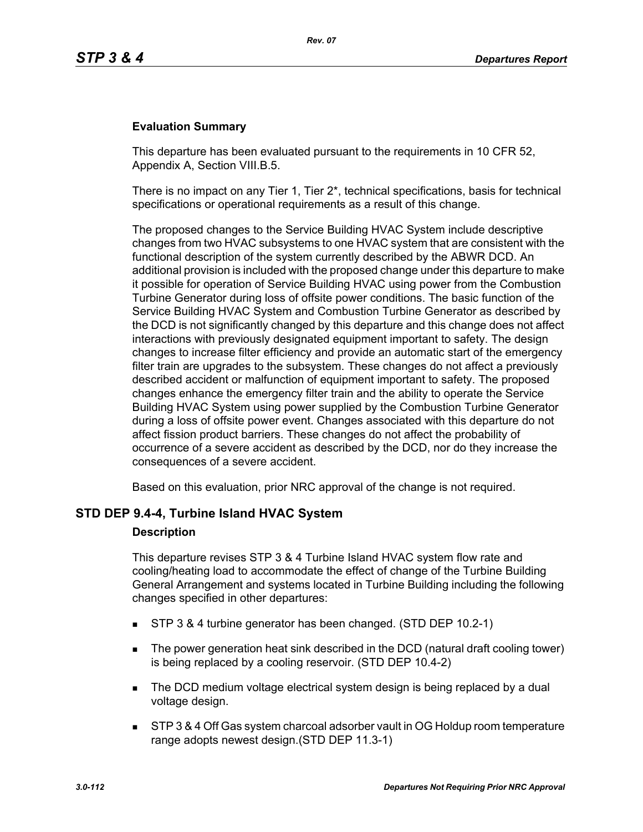### **Evaluation Summary**

This departure has been evaluated pursuant to the requirements in 10 CFR 52, Appendix A, Section VIII.B.5.

There is no impact on any Tier 1, Tier  $2^*$ , technical specifications, basis for technical specifications or operational requirements as a result of this change.

The proposed changes to the Service Building HVAC System include descriptive changes from two HVAC subsystems to one HVAC system that are consistent with the functional description of the system currently described by the ABWR DCD. An additional provision is included with the proposed change under this departure to make it possible for operation of Service Building HVAC using power from the Combustion Turbine Generator during loss of offsite power conditions. The basic function of the Service Building HVAC System and Combustion Turbine Generator as described by the DCD is not significantly changed by this departure and this change does not affect interactions with previously designated equipment important to safety. The design changes to increase filter efficiency and provide an automatic start of the emergency filter train are upgrades to the subsystem. These changes do not affect a previously described accident or malfunction of equipment important to safety. The proposed changes enhance the emergency filter train and the ability to operate the Service Building HVAC System using power supplied by the Combustion Turbine Generator during a loss of offsite power event. Changes associated with this departure do not affect fission product barriers. These changes do not affect the probability of occurrence of a severe accident as described by the DCD, nor do they increase the consequences of a severe accident.

Based on this evaluation, prior NRC approval of the change is not required.

### **STD DEP 9.4-4, Turbine Island HVAC System**

#### **Description**

This departure revises STP 3 & 4 Turbine Island HVAC system flow rate and cooling/heating load to accommodate the effect of change of the Turbine Building General Arrangement and systems located in Turbine Building including the following changes specified in other departures:

- STP 3 & 4 turbine generator has been changed. (STD DEP 10.2-1)
- The power generation heat sink described in the DCD (natural draft cooling tower) is being replaced by a cooling reservoir. (STD DEP 10.4-2)
- The DCD medium voltage electrical system design is being replaced by a dual voltage design.
- STP 3 & 4 Off Gas system charcoal adsorber vault in OG Holdup room temperature range adopts newest design.(STD DEP 11.3-1)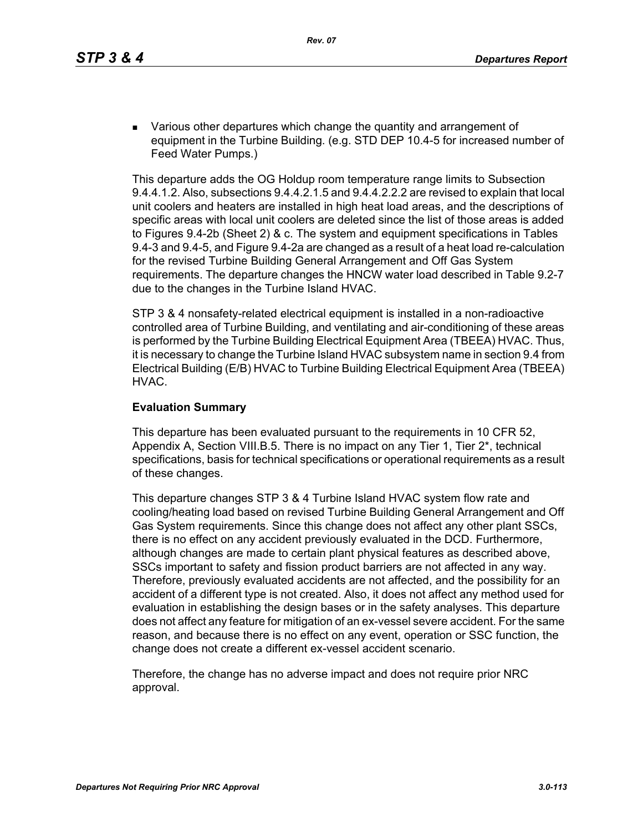**EXECT** Various other departures which change the quantity and arrangement of equipment in the Turbine Building. (e.g. STD DEP 10.4-5 for increased number of Feed Water Pumps.)

This departure adds the OG Holdup room temperature range limits to Subsection 9.4.4.1.2. Also, subsections 9.4.4.2.1.5 and 9.4.4.2.2.2 are revised to explain that local unit coolers and heaters are installed in high heat load areas, and the descriptions of specific areas with local unit coolers are deleted since the list of those areas is added to Figures 9.4-2b (Sheet 2) & c. The system and equipment specifications in Tables 9.4-3 and 9.4-5, and Figure 9.4-2a are changed as a result of a heat load re-calculation for the revised Turbine Building General Arrangement and Off Gas System requirements. The departure changes the HNCW water load described in Table 9.2-7 due to the changes in the Turbine Island HVAC.

STP 3 & 4 nonsafety-related electrical equipment is installed in a non-radioactive controlled area of Turbine Building, and ventilating and air-conditioning of these areas is performed by the Turbine Building Electrical Equipment Area (TBEEA) HVAC. Thus, it is necessary to change the Turbine Island HVAC subsystem name in section 9.4 from Electrical Building (E/B) HVAC to Turbine Building Electrical Equipment Area (TBEEA) HVAC.

### **Evaluation Summary**

This departure has been evaluated pursuant to the requirements in 10 CFR 52, Appendix A, Section VIII.B.5. There is no impact on any Tier 1, Tier 2\*, technical specifications, basis for technical specifications or operational requirements as a result of these changes.

This departure changes STP 3 & 4 Turbine Island HVAC system flow rate and cooling/heating load based on revised Turbine Building General Arrangement and Off Gas System requirements. Since this change does not affect any other plant SSCs, there is no effect on any accident previously evaluated in the DCD. Furthermore, although changes are made to certain plant physical features as described above, SSCs important to safety and fission product barriers are not affected in any way. Therefore, previously evaluated accidents are not affected, and the possibility for an accident of a different type is not created. Also, it does not affect any method used for evaluation in establishing the design bases or in the safety analyses. This departure does not affect any feature for mitigation of an ex-vessel severe accident. For the same reason, and because there is no effect on any event, operation or SSC function, the change does not create a different ex-vessel accident scenario.

Therefore, the change has no adverse impact and does not require prior NRC approval.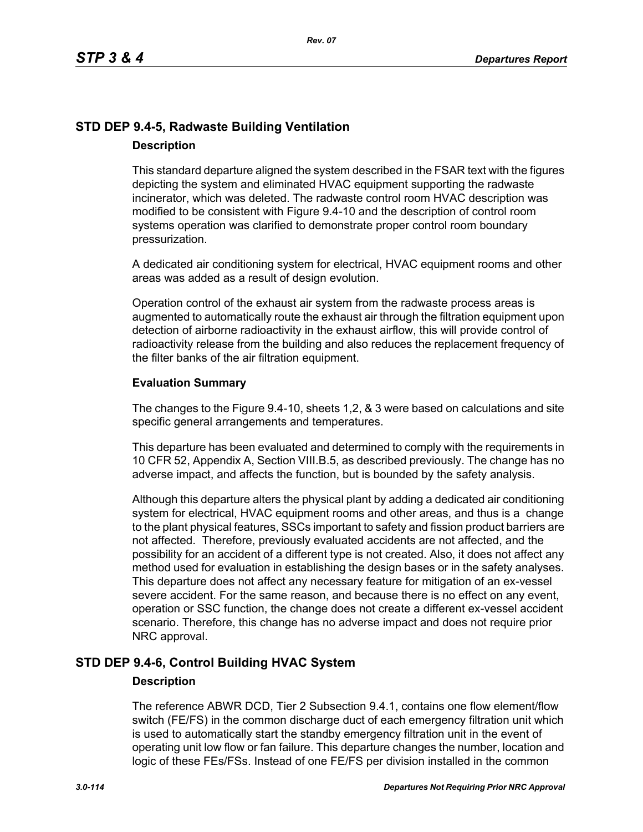# **STD DEP 9.4-5, Radwaste Building Ventilation Description**

This standard departure aligned the system described in the FSAR text with the figures depicting the system and eliminated HVAC equipment supporting the radwaste incinerator, which was deleted. The radwaste control room HVAC description was modified to be consistent with Figure 9.4-10 and the description of control room systems operation was clarified to demonstrate proper control room boundary pressurization.

A dedicated air conditioning system for electrical, HVAC equipment rooms and other areas was added as a result of design evolution.

Operation control of the exhaust air system from the radwaste process areas is augmented to automatically route the exhaust air through the filtration equipment upon detection of airborne radioactivity in the exhaust airflow, this will provide control of radioactivity release from the building and also reduces the replacement frequency of the filter banks of the air filtration equipment.

### **Evaluation Summary**

The changes to the Figure 9.4-10, sheets 1,2, & 3 were based on calculations and site specific general arrangements and temperatures.

This departure has been evaluated and determined to comply with the requirements in 10 CFR 52, Appendix A, Section VIII.B.5, as described previously. The change has no adverse impact, and affects the function, but is bounded by the safety analysis.

Although this departure alters the physical plant by adding a dedicated air conditioning system for electrical, HVAC equipment rooms and other areas, and thus is a change to the plant physical features, SSCs important to safety and fission product barriers are not affected. Therefore, previously evaluated accidents are not affected, and the possibility for an accident of a different type is not created. Also, it does not affect any method used for evaluation in establishing the design bases or in the safety analyses. This departure does not affect any necessary feature for mitigation of an ex-vessel severe accident. For the same reason, and because there is no effect on any event, operation or SSC function, the change does not create a different ex-vessel accident scenario. Therefore, this change has no adverse impact and does not require prior NRC approval.

## **STD DEP 9.4-6, Control Building HVAC System**

### **Description**

The reference ABWR DCD, Tier 2 Subsection 9.4.1, contains one flow element/flow switch (FE/FS) in the common discharge duct of each emergency filtration unit which is used to automatically start the standby emergency filtration unit in the event of operating unit low flow or fan failure. This departure changes the number, location and logic of these FEs/FSs. Instead of one FE/FS per division installed in the common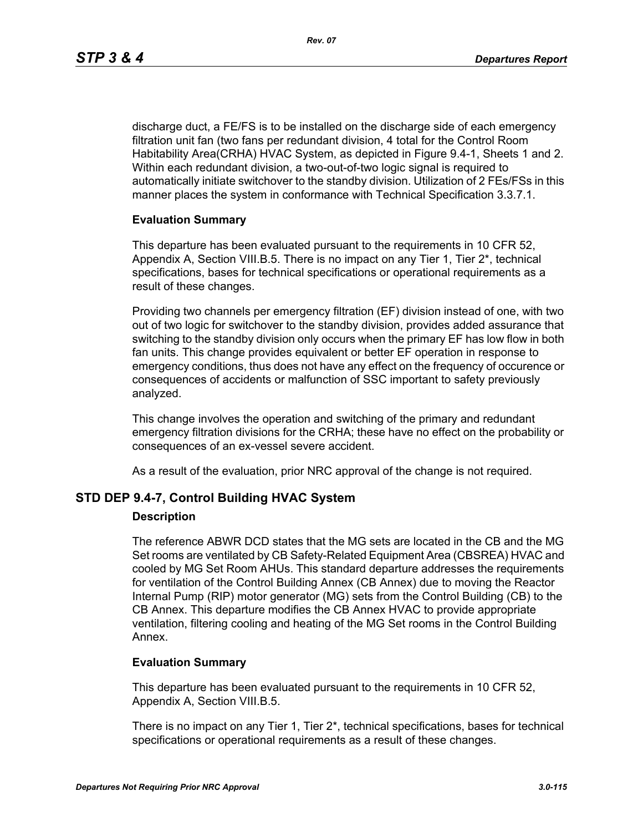discharge duct, a FE/FS is to be installed on the discharge side of each emergency filtration unit fan (two fans per redundant division, 4 total for the Control Room Habitability Area(CRHA) HVAC System, as depicted in Figure 9.4-1, Sheets 1 and 2. Within each redundant division, a two-out-of-two logic signal is required to automatically initiate switchover to the standby division. Utilization of 2 FEs/FSs in this manner places the system in conformance with Technical Specification 3.3.7.1.

### **Evaluation Summary**

This departure has been evaluated pursuant to the requirements in 10 CFR 52, Appendix A, Section VIII.B.5. There is no impact on any Tier 1, Tier 2\*, technical specifications, bases for technical specifications or operational requirements as a result of these changes.

Providing two channels per emergency filtration (EF) division instead of one, with two out of two logic for switchover to the standby division, provides added assurance that switching to the standby division only occurs when the primary EF has low flow in both fan units. This change provides equivalent or better EF operation in response to emergency conditions, thus does not have any effect on the frequency of occurence or consequences of accidents or malfunction of SSC important to safety previously analyzed.

This change involves the operation and switching of the primary and redundant emergency filtration divisions for the CRHA; these have no effect on the probability or consequences of an ex-vessel severe accident.

As a result of the evaluation, prior NRC approval of the change is not required.

## **STD DEP 9.4-7, Control Building HVAC System**

### **Description**

The reference ABWR DCD states that the MG sets are located in the CB and the MG Set rooms are ventilated by CB Safety-Related Equipment Area (CBSREA) HVAC and cooled by MG Set Room AHUs. This standard departure addresses the requirements for ventilation of the Control Building Annex (CB Annex) due to moving the Reactor Internal Pump (RIP) motor generator (MG) sets from the Control Building (CB) to the CB Annex. This departure modifies the CB Annex HVAC to provide appropriate ventilation, filtering cooling and heating of the MG Set rooms in the Control Building Annex.

### **Evaluation Summary**

This departure has been evaluated pursuant to the requirements in 10 CFR 52, Appendix A, Section VIII.B.5.

There is no impact on any Tier 1, Tier 2\*, technical specifications, bases for technical specifications or operational requirements as a result of these changes.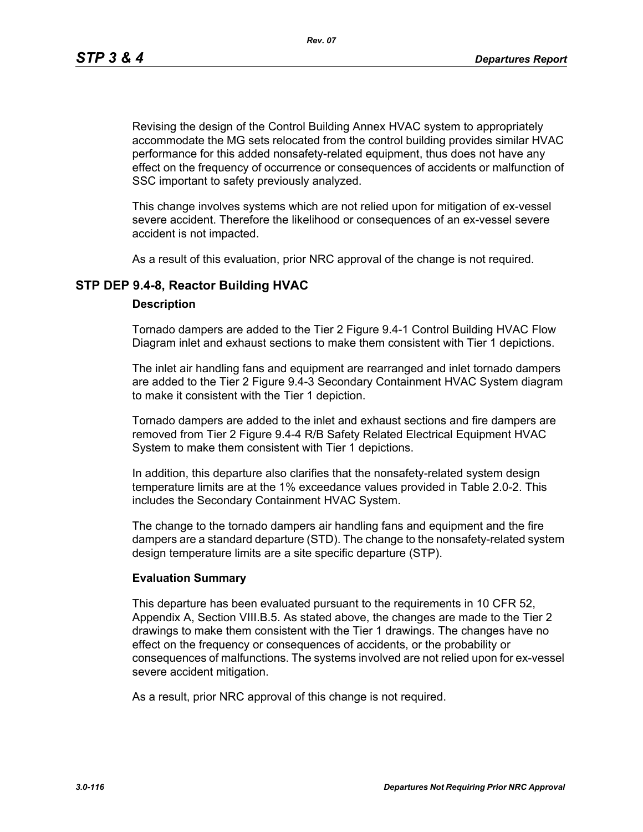*Rev. 07*

Revising the design of the Control Building Annex HVAC system to appropriately accommodate the MG sets relocated from the control building provides similar HVAC performance for this added nonsafety-related equipment, thus does not have any effect on the frequency of occurrence or consequences of accidents or malfunction of SSC important to safety previously analyzed.

This change involves systems which are not relied upon for mitigation of ex-vessel severe accident. Therefore the likelihood or consequences of an ex-vessel severe accident is not impacted.

As a result of this evaluation, prior NRC approval of the change is not required.

## **STP DEP 9.4-8, Reactor Building HVAC**

### **Description**

Tornado dampers are added to the Tier 2 Figure 9.4-1 Control Building HVAC Flow Diagram inlet and exhaust sections to make them consistent with Tier 1 depictions.

The inlet air handling fans and equipment are rearranged and inlet tornado dampers are added to the Tier 2 Figure 9.4-3 Secondary Containment HVAC System diagram to make it consistent with the Tier 1 depiction.

Tornado dampers are added to the inlet and exhaust sections and fire dampers are removed from Tier 2 Figure 9.4-4 R/B Safety Related Electrical Equipment HVAC System to make them consistent with Tier 1 depictions.

In addition, this departure also clarifies that the nonsafety-related system design temperature limits are at the 1% exceedance values provided in Table 2.0-2. This includes the Secondary Containment HVAC System.

The change to the tornado dampers air handling fans and equipment and the fire dampers are a standard departure (STD). The change to the nonsafety-related system design temperature limits are a site specific departure (STP).

### **Evaluation Summary**

This departure has been evaluated pursuant to the requirements in 10 CFR 52, Appendix A, Section VIII.B.5. As stated above, the changes are made to the Tier 2 drawings to make them consistent with the Tier 1 drawings. The changes have no effect on the frequency or consequences of accidents, or the probability or consequences of malfunctions. The systems involved are not relied upon for ex-vessel severe accident mitigation.

As a result, prior NRC approval of this change is not required.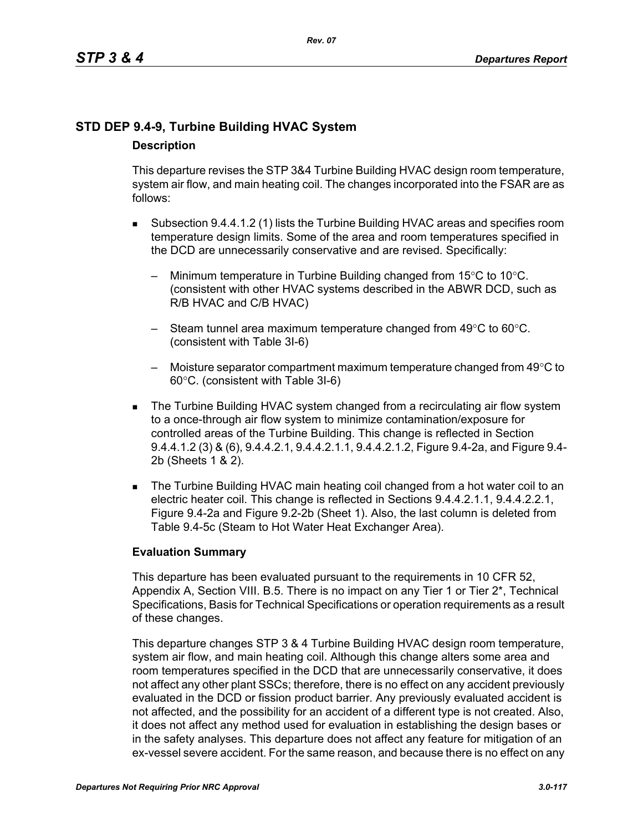# **STD DEP 9.4-9, Turbine Building HVAC System Description**

This departure revises the STP 3&4 Turbine Building HVAC design room temperature, system air flow, and main heating coil. The changes incorporated into the FSAR are as follows:

- Subsection 9.4.4.1.2 (1) lists the Turbine Building HVAC areas and specifies room temperature design limits. Some of the area and room temperatures specified in the DCD are unnecessarily conservative and are revised. Specifically:
	- Minimum temperature in Turbine Building changed from  $15^{\circ}$ C to  $10^{\circ}$ C. (consistent with other HVAC systems described in the ABWR DCD, such as R/B HVAC and C/B HVAC)
	- Steam tunnel area maximum temperature changed from 49°C to 60°C. (consistent with Table 3I-6)
	- Moisture separator compartment maximum temperature changed from  $49^{\circ}$ C to 60°C. (consistent with Table 3I-6)
- The Turbine Building HVAC system changed from a recirculating air flow system to a once-through air flow system to minimize contamination/exposure for controlled areas of the Turbine Building. This change is reflected in Section 9.4.4.1.2 (3) & (6), 9.4.4.2.1, 9.4.4.2.1.1, 9.4.4.2.1.2, Figure 9.4-2a, and Figure 9.4- 2b (Sheets 1 & 2).
- The Turbine Building HVAC main heating coil changed from a hot water coil to an electric heater coil. This change is reflected in Sections 9.4.4.2.1.1, 9.4.4.2.2.1, Figure 9.4-2a and Figure 9.2-2b (Sheet 1). Also, the last column is deleted from Table 9.4-5c (Steam to Hot Water Heat Exchanger Area).

## **Evaluation Summary**

This departure has been evaluated pursuant to the requirements in 10 CFR 52, Appendix A, Section VIII. B.5. There is no impact on any Tier 1 or Tier 2<sup>\*</sup>, Technical Specifications, Basis for Technical Specifications or operation requirements as a result of these changes.

This departure changes STP 3 & 4 Turbine Building HVAC design room temperature, system air flow, and main heating coil. Although this change alters some area and room temperatures specified in the DCD that are unnecessarily conservative, it does not affect any other plant SSCs; therefore, there is no effect on any accident previously evaluated in the DCD or fission product barrier. Any previously evaluated accident is not affected, and the possibility for an accident of a different type is not created. Also, it does not affect any method used for evaluation in establishing the design bases or in the safety analyses. This departure does not affect any feature for mitigation of an ex-vessel severe accident. For the same reason, and because there is no effect on any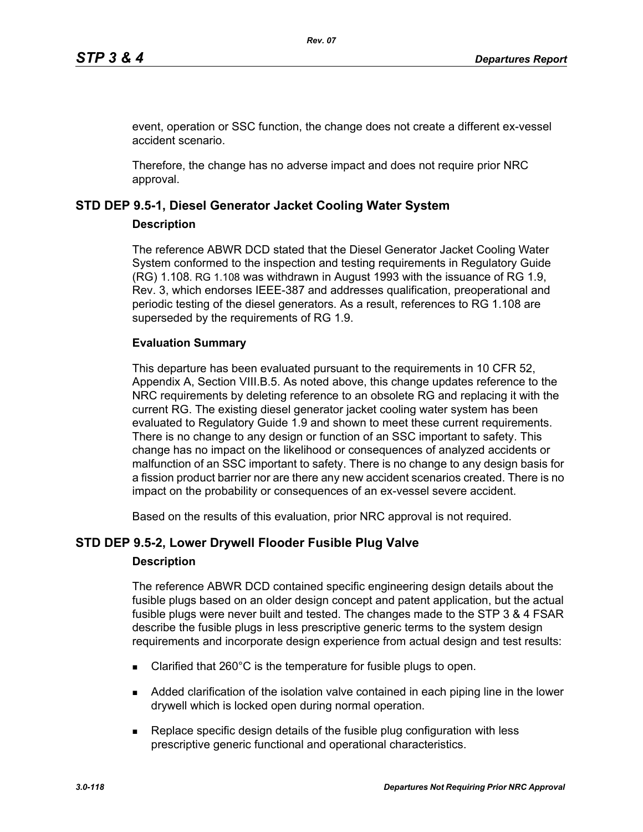event, operation or SSC function, the change does not create a different ex-vessel accident scenario.

Therefore, the change has no adverse impact and does not require prior NRC approval.

## **STD DEP 9.5-1, Diesel Generator Jacket Cooling Water System**

### **Description**

The reference ABWR DCD stated that the Diesel Generator Jacket Cooling Water System conformed to the inspection and testing requirements in Regulatory Guide (RG) 1.108. RG 1.108 was withdrawn in August 1993 with the issuance of RG 1.9, Rev. 3, which endorses IEEE-387 and addresses qualification, preoperational and periodic testing of the diesel generators. As a result, references to RG 1.108 are superseded by the requirements of RG 1.9.

## **Evaluation Summary**

This departure has been evaluated pursuant to the requirements in 10 CFR 52, Appendix A, Section VIII.B.5. As noted above, this change updates reference to the NRC requirements by deleting reference to an obsolete RG and replacing it with the current RG. The existing diesel generator jacket cooling water system has been evaluated to Regulatory Guide 1.9 and shown to meet these current requirements. There is no change to any design or function of an SSC important to safety. This change has no impact on the likelihood or consequences of analyzed accidents or malfunction of an SSC important to safety. There is no change to any design basis for a fission product barrier nor are there any new accident scenarios created. There is no impact on the probability or consequences of an ex-vessel severe accident.

Based on the results of this evaluation, prior NRC approval is not required.

## **STD DEP 9.5-2, Lower Drywell Flooder Fusible Plug Valve**

## **Description**

The reference ABWR DCD contained specific engineering design details about the fusible plugs based on an older design concept and patent application, but the actual fusible plugs were never built and tested. The changes made to the STP 3 & 4 FSAR describe the fusible plugs in less prescriptive generic terms to the system design requirements and incorporate design experience from actual design and test results:

- Clarified that 260°C is the temperature for fusible plugs to open.
- Added clarification of the isolation valve contained in each piping line in the lower drywell which is locked open during normal operation.
- Replace specific design details of the fusible plug configuration with less prescriptive generic functional and operational characteristics.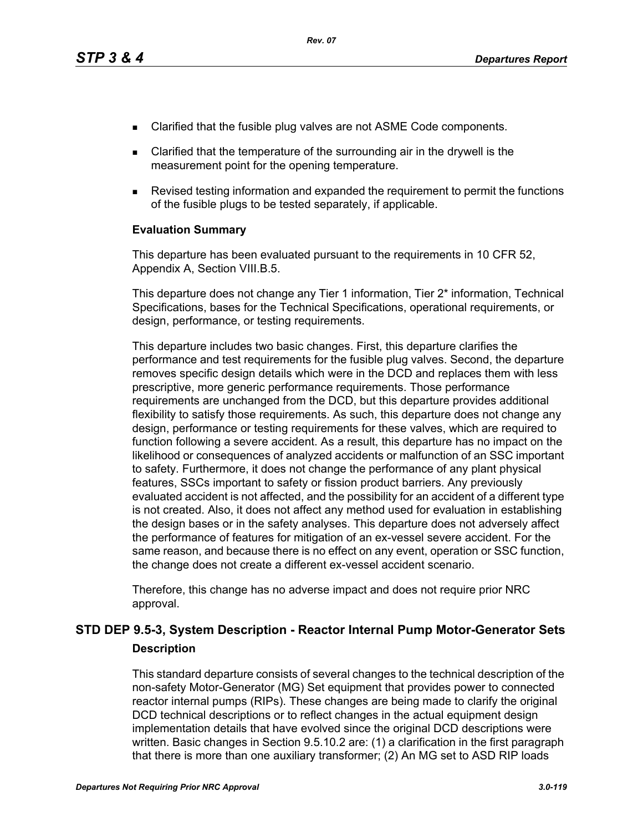- Clarified that the fusible plug valves are not ASME Code components.
- Clarified that the temperature of the surrounding air in the drywell is the measurement point for the opening temperature.
- Revised testing information and expanded the requirement to permit the functions of the fusible plugs to be tested separately, if applicable.

### **Evaluation Summary**

This departure has been evaluated pursuant to the requirements in 10 CFR 52, Appendix A, Section VIII.B.5.

This departure does not change any Tier 1 information, Tier 2\* information, Technical Specifications, bases for the Technical Specifications, operational requirements, or design, performance, or testing requirements.

This departure includes two basic changes. First, this departure clarifies the performance and test requirements for the fusible plug valves. Second, the departure removes specific design details which were in the DCD and replaces them with less prescriptive, more generic performance requirements. Those performance requirements are unchanged from the DCD, but this departure provides additional flexibility to satisfy those requirements. As such, this departure does not change any design, performance or testing requirements for these valves, which are required to function following a severe accident. As a result, this departure has no impact on the likelihood or consequences of analyzed accidents or malfunction of an SSC important to safety. Furthermore, it does not change the performance of any plant physical features, SSCs important to safety or fission product barriers. Any previously evaluated accident is not affected, and the possibility for an accident of a different type is not created. Also, it does not affect any method used for evaluation in establishing the design bases or in the safety analyses. This departure does not adversely affect the performance of features for mitigation of an ex-vessel severe accident. For the same reason, and because there is no effect on any event, operation or SSC function, the change does not create a different ex-vessel accident scenario.

Therefore, this change has no adverse impact and does not require prior NRC approval.

# **STD DEP 9.5-3, System Description - Reactor Internal Pump Motor-Generator Sets Description**

This standard departure consists of several changes to the technical description of the non-safety Motor-Generator (MG) Set equipment that provides power to connected reactor internal pumps (RIPs). These changes are being made to clarify the original DCD technical descriptions or to reflect changes in the actual equipment design implementation details that have evolved since the original DCD descriptions were written. Basic changes in Section 9.5.10.2 are: (1) a clarification in the first paragraph that there is more than one auxiliary transformer; (2) An MG set to ASD RIP loads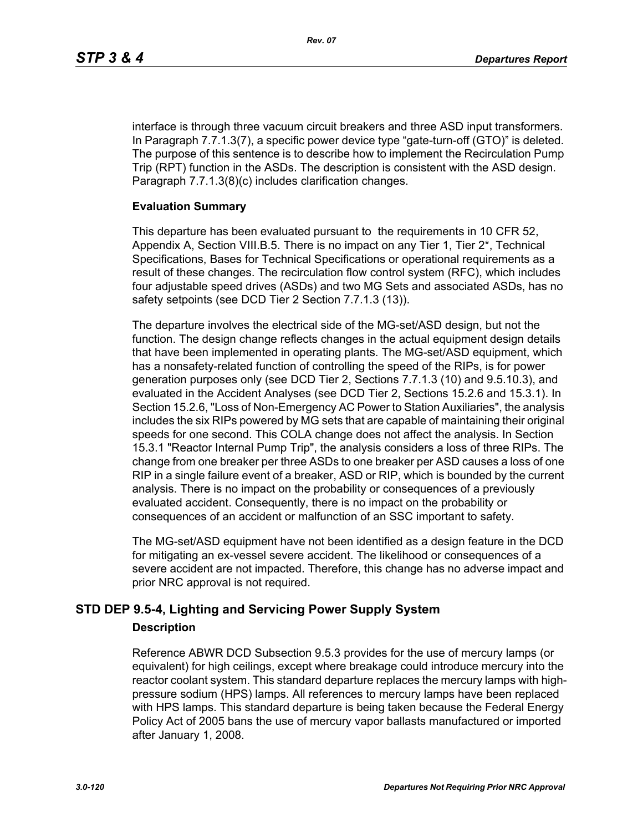interface is through three vacuum circuit breakers and three ASD input transformers. In Paragraph 7.7.1.3(7), a specific power device type "gate-turn-off (GTO)" is deleted. The purpose of this sentence is to describe how to implement the Recirculation Pump Trip (RPT) function in the ASDs. The description is consistent with the ASD design. Paragraph 7.7.1.3(8)(c) includes clarification changes.

### **Evaluation Summary**

This departure has been evaluated pursuant to the requirements in 10 CFR 52, Appendix A, Section VIII.B.5. There is no impact on any Tier 1, Tier 2\*, Technical Specifications, Bases for Technical Specifications or operational requirements as a result of these changes. The recirculation flow control system (RFC), which includes four adjustable speed drives (ASDs) and two MG Sets and associated ASDs, has no safety setpoints (see DCD Tier 2 Section 7.7.1.3 (13)).

The departure involves the electrical side of the MG-set/ASD design, but not the function. The design change reflects changes in the actual equipment design details that have been implemented in operating plants. The MG-set/ASD equipment, which has a nonsafety-related function of controlling the speed of the RIPs, is for power generation purposes only (see DCD Tier 2, Sections 7.7.1.3 (10) and 9.5.10.3), and evaluated in the Accident Analyses (see DCD Tier 2, Sections 15.2.6 and 15.3.1). In Section 15.2.6, "Loss of Non-Emergency AC Power to Station Auxiliaries", the analysis includes the six RIPs powered by MG sets that are capable of maintaining their original speeds for one second. This COLA change does not affect the analysis. In Section 15.3.1 "Reactor Internal Pump Trip", the analysis considers a loss of three RIPs. The change from one breaker per three ASDs to one breaker per ASD causes a loss of one RIP in a single failure event of a breaker, ASD or RIP, which is bounded by the current analysis. There is no impact on the probability or consequences of a previously evaluated accident. Consequently, there is no impact on the probability or consequences of an accident or malfunction of an SSC important to safety.

The MG-set/ASD equipment have not been identified as a design feature in the DCD for mitigating an ex-vessel severe accident. The likelihood or consequences of a severe accident are not impacted. Therefore, this change has no adverse impact and prior NRC approval is not required.

# **STD DEP 9.5-4, Lighting and Servicing Power Supply System**

## **Description**

Reference ABWR DCD Subsection 9.5.3 provides for the use of mercury lamps (or equivalent) for high ceilings, except where breakage could introduce mercury into the reactor coolant system. This standard departure replaces the mercury lamps with highpressure sodium (HPS) lamps. All references to mercury lamps have been replaced with HPS lamps. This standard departure is being taken because the Federal Energy Policy Act of 2005 bans the use of mercury vapor ballasts manufactured or imported after January 1, 2008.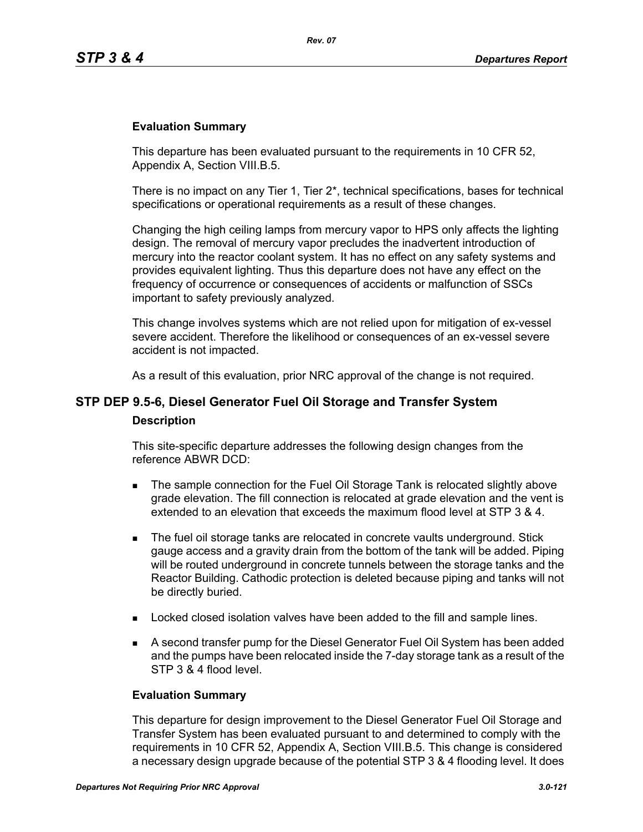### **Evaluation Summary**

This departure has been evaluated pursuant to the requirements in 10 CFR 52, Appendix A, Section VIII.B.5.

There is no impact on any Tier 1, Tier  $2^*$ , technical specifications, bases for technical specifications or operational requirements as a result of these changes.

Changing the high ceiling lamps from mercury vapor to HPS only affects the lighting design. The removal of mercury vapor precludes the inadvertent introduction of mercury into the reactor coolant system. It has no effect on any safety systems and provides equivalent lighting. Thus this departure does not have any effect on the frequency of occurrence or consequences of accidents or malfunction of SSCs important to safety previously analyzed.

This change involves systems which are not relied upon for mitigation of ex-vessel severe accident. Therefore the likelihood or consequences of an ex-vessel severe accident is not impacted.

As a result of this evaluation, prior NRC approval of the change is not required.

# **STP DEP 9.5-6, Diesel Generator Fuel Oil Storage and Transfer System Description**

This site-specific departure addresses the following design changes from the reference ABWR DCD:

- The sample connection for the Fuel Oil Storage Tank is relocated slightly above grade elevation. The fill connection is relocated at grade elevation and the vent is extended to an elevation that exceeds the maximum flood level at STP 3 & 4.
- **The fuel oil storage tanks are relocated in concrete vaults underground. Stick** gauge access and a gravity drain from the bottom of the tank will be added. Piping will be routed underground in concrete tunnels between the storage tanks and the Reactor Building. Cathodic protection is deleted because piping and tanks will not be directly buried.
- **Locked closed isolation valves have been added to the fill and sample lines.**
- A second transfer pump for the Diesel Generator Fuel Oil System has been added and the pumps have been relocated inside the 7-day storage tank as a result of the STP 3 & 4 flood level.

### **Evaluation Summary**

This departure for design improvement to the Diesel Generator Fuel Oil Storage and Transfer System has been evaluated pursuant to and determined to comply with the requirements in 10 CFR 52, Appendix A, Section VIII.B.5. This change is considered a necessary design upgrade because of the potential STP 3 & 4 flooding level. It does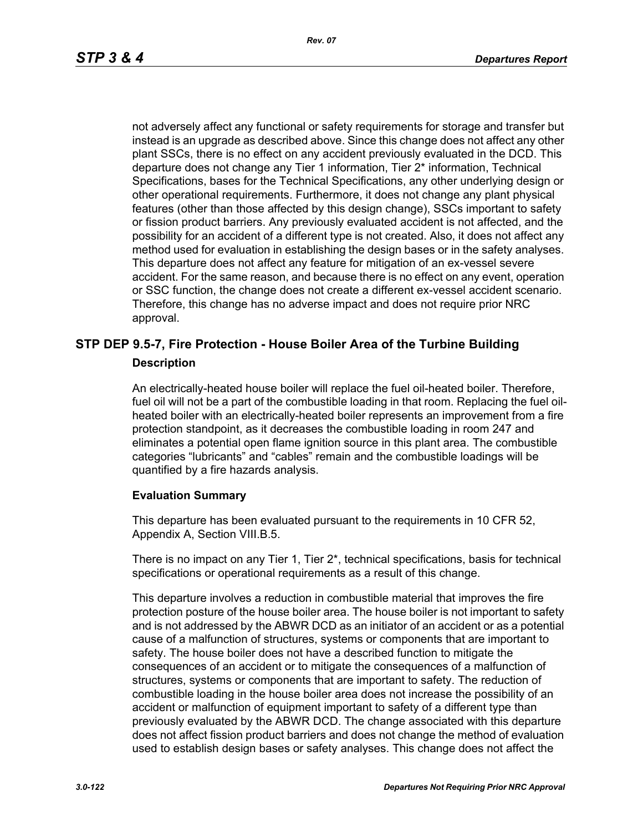not adversely affect any functional or safety requirements for storage and transfer but instead is an upgrade as described above. Since this change does not affect any other plant SSCs, there is no effect on any accident previously evaluated in the DCD. This departure does not change any Tier 1 information, Tier 2\* information, Technical Specifications, bases for the Technical Specifications, any other underlying design or other operational requirements. Furthermore, it does not change any plant physical features (other than those affected by this design change), SSCs important to safety or fission product barriers. Any previously evaluated accident is not affected, and the possibility for an accident of a different type is not created. Also, it does not affect any method used for evaluation in establishing the design bases or in the safety analyses. This departure does not affect any feature for mitigation of an ex-vessel severe accident. For the same reason, and because there is no effect on any event, operation or SSC function, the change does not create a different ex-vessel accident scenario. Therefore, this change has no adverse impact and does not require prior NRC approval.

## **STP DEP 9.5-7, Fire Protection - House Boiler Area of the Turbine Building Description**

An electrically-heated house boiler will replace the fuel oil-heated boiler. Therefore, fuel oil will not be a part of the combustible loading in that room. Replacing the fuel oilheated boiler with an electrically-heated boiler represents an improvement from a fire protection standpoint, as it decreases the combustible loading in room 247 and eliminates a potential open flame ignition source in this plant area. The combustible categories "lubricants" and "cables" remain and the combustible loadings will be quantified by a fire hazards analysis.

### **Evaluation Summary**

This departure has been evaluated pursuant to the requirements in 10 CFR 52, Appendix A, Section VIII.B.5.

There is no impact on any Tier 1, Tier 2\*, technical specifications, basis for technical specifications or operational requirements as a result of this change.

This departure involves a reduction in combustible material that improves the fire protection posture of the house boiler area. The house boiler is not important to safety and is not addressed by the ABWR DCD as an initiator of an accident or as a potential cause of a malfunction of structures, systems or components that are important to safety. The house boiler does not have a described function to mitigate the consequences of an accident or to mitigate the consequences of a malfunction of structures, systems or components that are important to safety. The reduction of combustible loading in the house boiler area does not increase the possibility of an accident or malfunction of equipment important to safety of a different type than previously evaluated by the ABWR DCD. The change associated with this departure does not affect fission product barriers and does not change the method of evaluation used to establish design bases or safety analyses. This change does not affect the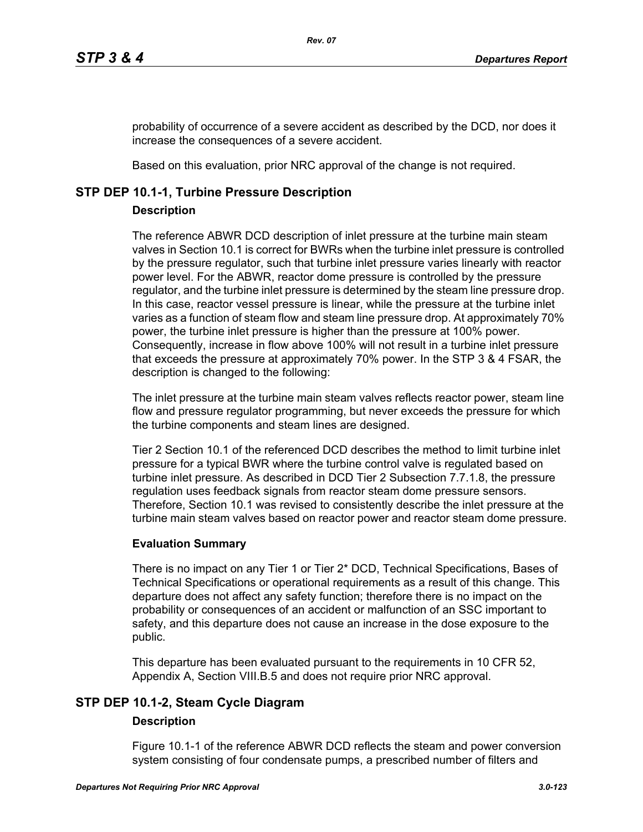probability of occurrence of a severe accident as described by the DCD, nor does it increase the consequences of a severe accident.

Based on this evaluation, prior NRC approval of the change is not required.

## **STP DEP 10.1-1, Turbine Pressure Description**

## **Description**

The reference ABWR DCD description of inlet pressure at the turbine main steam valves in Section 10.1 is correct for BWRs when the turbine inlet pressure is controlled by the pressure regulator, such that turbine inlet pressure varies linearly with reactor power level. For the ABWR, reactor dome pressure is controlled by the pressure regulator, and the turbine inlet pressure is determined by the steam line pressure drop. In this case, reactor vessel pressure is linear, while the pressure at the turbine inlet varies as a function of steam flow and steam line pressure drop. At approximately 70% power, the turbine inlet pressure is higher than the pressure at 100% power. Consequently, increase in flow above 100% will not result in a turbine inlet pressure that exceeds the pressure at approximately 70% power. In the STP 3 & 4 FSAR, the description is changed to the following:

The inlet pressure at the turbine main steam valves reflects reactor power, steam line flow and pressure regulator programming, but never exceeds the pressure for which the turbine components and steam lines are designed.

Tier 2 Section 10.1 of the referenced DCD describes the method to limit turbine inlet pressure for a typical BWR where the turbine control valve is regulated based on turbine inlet pressure. As described in DCD Tier 2 Subsection 7.7.1.8, the pressure regulation uses feedback signals from reactor steam dome pressure sensors. Therefore, Section 10.1 was revised to consistently describe the inlet pressure at the turbine main steam valves based on reactor power and reactor steam dome pressure.

## **Evaluation Summary**

There is no impact on any Tier 1 or Tier 2\* DCD, Technical Specifications, Bases of Technical Specifications or operational requirements as a result of this change. This departure does not affect any safety function; therefore there is no impact on the probability or consequences of an accident or malfunction of an SSC important to safety, and this departure does not cause an increase in the dose exposure to the public.

This departure has been evaluated pursuant to the requirements in 10 CFR 52, Appendix A, Section VIII.B.5 and does not require prior NRC approval.

# **STP DEP 10.1-2, Steam Cycle Diagram**

## **Description**

Figure 10.1-1 of the reference ABWR DCD reflects the steam and power conversion system consisting of four condensate pumps, a prescribed number of filters and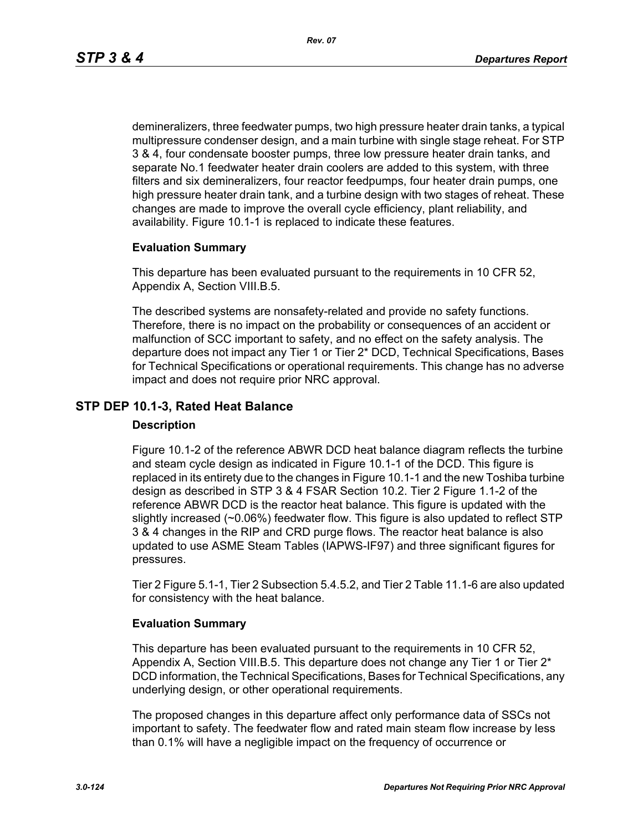demineralizers, three feedwater pumps, two high pressure heater drain tanks, a typical multipressure condenser design, and a main turbine with single stage reheat. For STP 3 & 4, four condensate booster pumps, three low pressure heater drain tanks, and separate No.1 feedwater heater drain coolers are added to this system, with three filters and six demineralizers, four reactor feedpumps, four heater drain pumps, one high pressure heater drain tank, and a turbine design with two stages of reheat. These changes are made to improve the overall cycle efficiency, plant reliability, and availability. Figure 10.1-1 is replaced to indicate these features.

### **Evaluation Summary**

This departure has been evaluated pursuant to the requirements in 10 CFR 52, Appendix A, Section VIII.B.5.

The described systems are nonsafety-related and provide no safety functions. Therefore, there is no impact on the probability or consequences of an accident or malfunction of SCC important to safety, and no effect on the safety analysis. The departure does not impact any Tier 1 or Tier 2\* DCD, Technical Specifications, Bases for Technical Specifications or operational requirements. This change has no adverse impact and does not require prior NRC approval.

## **STP DEP 10.1-3, Rated Heat Balance**

### **Description**

Figure 10.1-2 of the reference ABWR DCD heat balance diagram reflects the turbine and steam cycle design as indicated in Figure 10.1-1 of the DCD. This figure is replaced in its entirety due to the changes in Figure 10.1-1 and the new Toshiba turbine design as described in STP 3 & 4 FSAR Section 10.2. Tier 2 Figure 1.1-2 of the reference ABWR DCD is the reactor heat balance. This figure is updated with the slightly increased (~0.06%) feedwater flow. This figure is also updated to reflect STP 3 & 4 changes in the RIP and CRD purge flows. The reactor heat balance is also updated to use ASME Steam Tables (IAPWS-IF97) and three significant figures for pressures.

Tier 2 Figure 5.1-1, Tier 2 Subsection 5.4.5.2, and Tier 2 Table 11.1-6 are also updated for consistency with the heat balance.

### **Evaluation Summary**

This departure has been evaluated pursuant to the requirements in 10 CFR 52, Appendix A, Section VIII.B.5. This departure does not change any Tier 1 or Tier  $2^*$ DCD information, the Technical Specifications, Bases for Technical Specifications, any underlying design, or other operational requirements.

The proposed changes in this departure affect only performance data of SSCs not important to safety. The feedwater flow and rated main steam flow increase by less than 0.1% will have a negligible impact on the frequency of occurrence or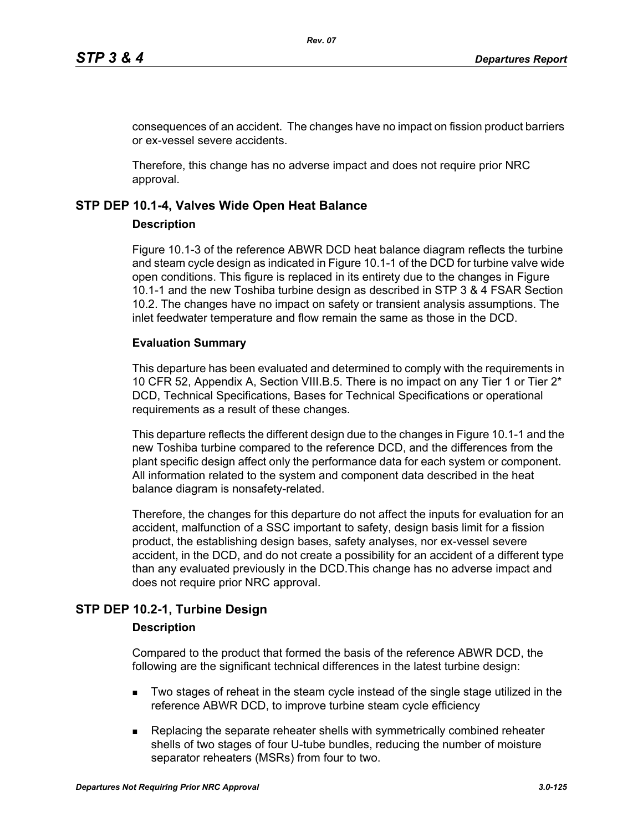consequences of an accident. The changes have no impact on fission product barriers or ex-vessel severe accidents.

Therefore, this change has no adverse impact and does not require prior NRC approval.

### **STP DEP 10.1-4, Valves Wide Open Heat Balance**

### **Description**

Figure 10.1-3 of the reference ABWR DCD heat balance diagram reflects the turbine and steam cycle design as indicated in Figure 10.1-1 of the DCD for turbine valve wide open conditions. This figure is replaced in its entirety due to the changes in Figure 10.1-1 and the new Toshiba turbine design as described in STP 3 & 4 FSAR Section 10.2. The changes have no impact on safety or transient analysis assumptions. The inlet feedwater temperature and flow remain the same as those in the DCD.

### **Evaluation Summary**

This departure has been evaluated and determined to comply with the requirements in 10 CFR 52, Appendix A, Section VIII.B.5. There is no impact on any Tier 1 or Tier 2\* DCD, Technical Specifications, Bases for Technical Specifications or operational requirements as a result of these changes.

This departure reflects the different design due to the changes in Figure 10.1-1 and the new Toshiba turbine compared to the reference DCD, and the differences from the plant specific design affect only the performance data for each system or component. All information related to the system and component data described in the heat balance diagram is nonsafety-related.

Therefore, the changes for this departure do not affect the inputs for evaluation for an accident, malfunction of a SSC important to safety, design basis limit for a fission product, the establishing design bases, safety analyses, nor ex-vessel severe accident, in the DCD, and do not create a possibility for an accident of a different type than any evaluated previously in the DCD.This change has no adverse impact and does not require prior NRC approval.

## **STP DEP 10.2-1, Turbine Design**

### **Description**

Compared to the product that formed the basis of the reference ABWR DCD, the following are the significant technical differences in the latest turbine design:

- Two stages of reheat in the steam cycle instead of the single stage utilized in the reference ABWR DCD, to improve turbine steam cycle efficiency
- **Replacing the separate reheater shells with symmetrically combined reheater** shells of two stages of four U-tube bundles, reducing the number of moisture separator reheaters (MSRs) from four to two.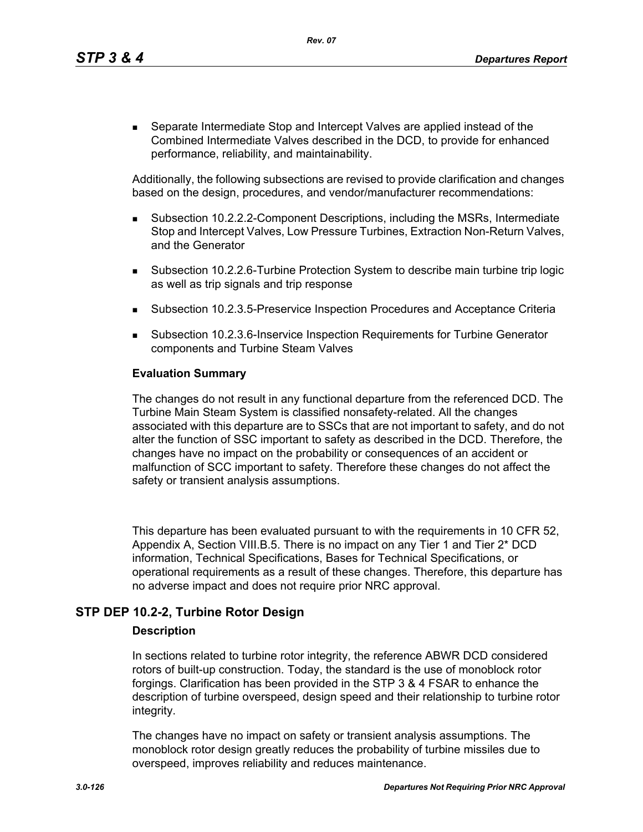*Rev. 07*

 Separate Intermediate Stop and Intercept Valves are applied instead of the Combined Intermediate Valves described in the DCD, to provide for enhanced performance, reliability, and maintainability.

Additionally, the following subsections are revised to provide clarification and changes based on the design, procedures, and vendor/manufacturer recommendations:

- Subsection 10.2.2.2-Component Descriptions, including the MSRs, Intermediate Stop and Intercept Valves, Low Pressure Turbines, Extraction Non-Return Valves, and the Generator
- Subsection 10.2.2.6-Turbine Protection System to describe main turbine trip logic as well as trip signals and trip response
- Subsection 10.2.3.5-Preservice Inspection Procedures and Acceptance Criteria
- Subsection 10.2.3.6-Inservice Inspection Requirements for Turbine Generator components and Turbine Steam Valves

### **Evaluation Summary**

The changes do not result in any functional departure from the referenced DCD. The Turbine Main Steam System is classified nonsafety-related. All the changes associated with this departure are to SSCs that are not important to safety, and do not alter the function of SSC important to safety as described in the DCD. Therefore, the changes have no impact on the probability or consequences of an accident or malfunction of SCC important to safety. Therefore these changes do not affect the safety or transient analysis assumptions.

This departure has been evaluated pursuant to with the requirements in 10 CFR 52, Appendix A, Section VIII.B.5. There is no impact on any Tier 1 and Tier 2\* DCD information, Technical Specifications, Bases for Technical Specifications, or operational requirements as a result of these changes. Therefore, this departure has no adverse impact and does not require prior NRC approval.

## **STP DEP 10.2-2, Turbine Rotor Design**

### **Description**

In sections related to turbine rotor integrity, the reference ABWR DCD considered rotors of built-up construction. Today, the standard is the use of monoblock rotor forgings. Clarification has been provided in the STP 3 & 4 FSAR to enhance the description of turbine overspeed, design speed and their relationship to turbine rotor integrity.

The changes have no impact on safety or transient analysis assumptions. The monoblock rotor design greatly reduces the probability of turbine missiles due to overspeed, improves reliability and reduces maintenance.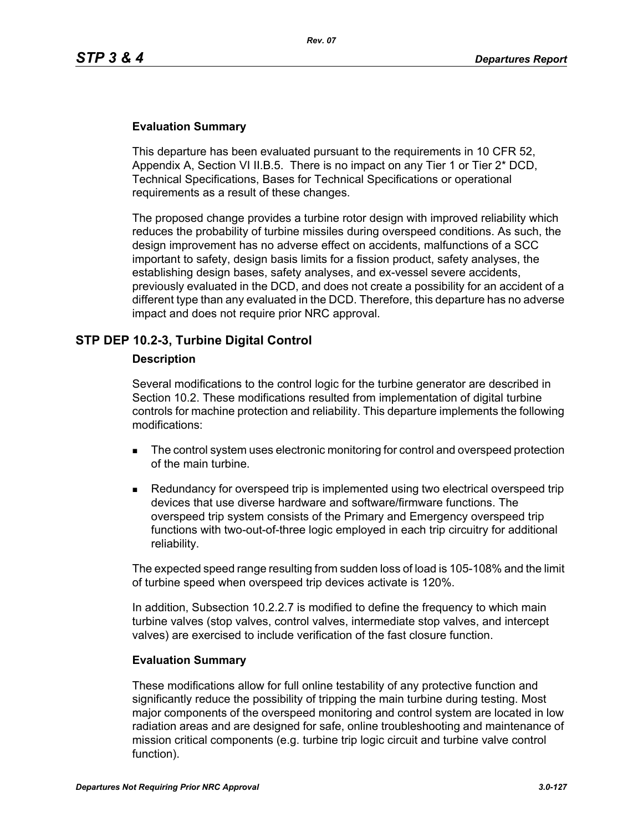## **Evaluation Summary**

This departure has been evaluated pursuant to the requirements in 10 CFR 52, Appendix A, Section VI II.B.5. There is no impact on any Tier 1 or Tier 2\* DCD, Technical Specifications, Bases for Technical Specifications or operational requirements as a result of these changes.

The proposed change provides a turbine rotor design with improved reliability which reduces the probability of turbine missiles during overspeed conditions. As such, the design improvement has no adverse effect on accidents, malfunctions of a SCC important to safety, design basis limits for a fission product, safety analyses, the establishing design bases, safety analyses, and ex-vessel severe accidents, previously evaluated in the DCD, and does not create a possibility for an accident of a different type than any evaluated in the DCD. Therefore, this departure has no adverse impact and does not require prior NRC approval.

## **STP DEP 10.2-3, Turbine Digital Control**

### **Description**

Several modifications to the control logic for the turbine generator are described in Section 10.2. These modifications resulted from implementation of digital turbine controls for machine protection and reliability. This departure implements the following modifications:

- The control system uses electronic monitoring for control and overspeed protection of the main turbine.
- **Redundancy for overspeed trip is implemented using two electrical overspeed trip** devices that use diverse hardware and software/firmware functions. The overspeed trip system consists of the Primary and Emergency overspeed trip functions with two-out-of-three logic employed in each trip circuitry for additional reliability.

The expected speed range resulting from sudden loss of load is 105-108% and the limit of turbine speed when overspeed trip devices activate is 120%.

In addition, Subsection 10.2.2.7 is modified to define the frequency to which main turbine valves (stop valves, control valves, intermediate stop valves, and intercept valves) are exercised to include verification of the fast closure function.

### **Evaluation Summary**

These modifications allow for full online testability of any protective function and significantly reduce the possibility of tripping the main turbine during testing. Most major components of the overspeed monitoring and control system are located in low radiation areas and are designed for safe, online troubleshooting and maintenance of mission critical components (e.g. turbine trip logic circuit and turbine valve control function).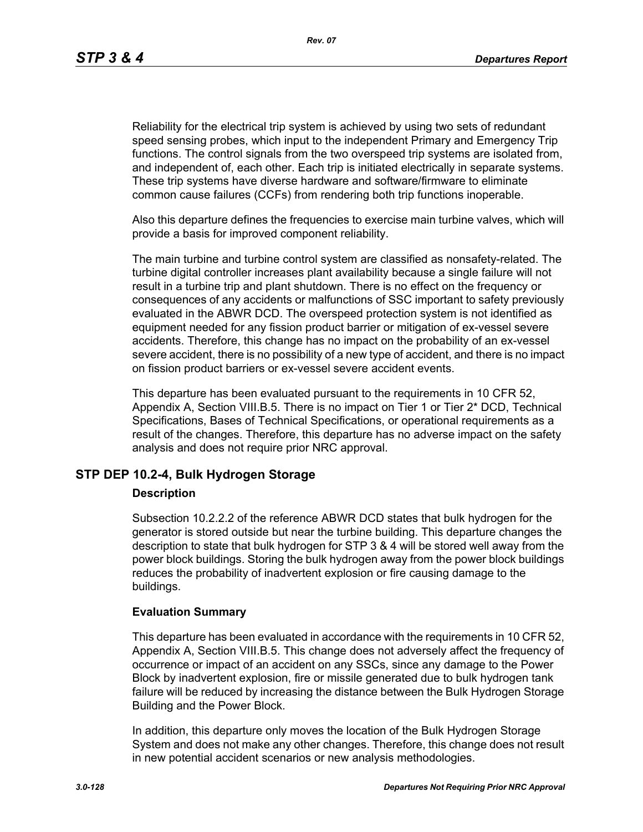*Rev. 07*

Reliability for the electrical trip system is achieved by using two sets of redundant speed sensing probes, which input to the independent Primary and Emergency Trip functions. The control signals from the two overspeed trip systems are isolated from, and independent of, each other. Each trip is initiated electrically in separate systems. These trip systems have diverse hardware and software/firmware to eliminate common cause failures (CCFs) from rendering both trip functions inoperable.

Also this departure defines the frequencies to exercise main turbine valves, which will provide a basis for improved component reliability.

The main turbine and turbine control system are classified as nonsafety-related. The turbine digital controller increases plant availability because a single failure will not result in a turbine trip and plant shutdown. There is no effect on the frequency or consequences of any accidents or malfunctions of SSC important to safety previously evaluated in the ABWR DCD. The overspeed protection system is not identified as equipment needed for any fission product barrier or mitigation of ex-vessel severe accidents. Therefore, this change has no impact on the probability of an ex-vessel severe accident, there is no possibility of a new type of accident, and there is no impact on fission product barriers or ex-vessel severe accident events.

This departure has been evaluated pursuant to the requirements in 10 CFR 52, Appendix A, Section VIII.B.5. There is no impact on Tier 1 or Tier 2\* DCD, Technical Specifications, Bases of Technical Specifications, or operational requirements as a result of the changes. Therefore, this departure has no adverse impact on the safety analysis and does not require prior NRC approval.

## **STP DEP 10.2-4, Bulk Hydrogen Storage**

### **Description**

Subsection 10.2.2.2 of the reference ABWR DCD states that bulk hydrogen for the generator is stored outside but near the turbine building. This departure changes the description to state that bulk hydrogen for STP 3 & 4 will be stored well away from the power block buildings. Storing the bulk hydrogen away from the power block buildings reduces the probability of inadvertent explosion or fire causing damage to the buildings.

## **Evaluation Summary**

This departure has been evaluated in accordance with the requirements in 10 CFR 52, Appendix A, Section VIII.B.5. This change does not adversely affect the frequency of occurrence or impact of an accident on any SSCs, since any damage to the Power Block by inadvertent explosion, fire or missile generated due to bulk hydrogen tank failure will be reduced by increasing the distance between the Bulk Hydrogen Storage Building and the Power Block.

In addition, this departure only moves the location of the Bulk Hydrogen Storage System and does not make any other changes. Therefore, this change does not result in new potential accident scenarios or new analysis methodologies.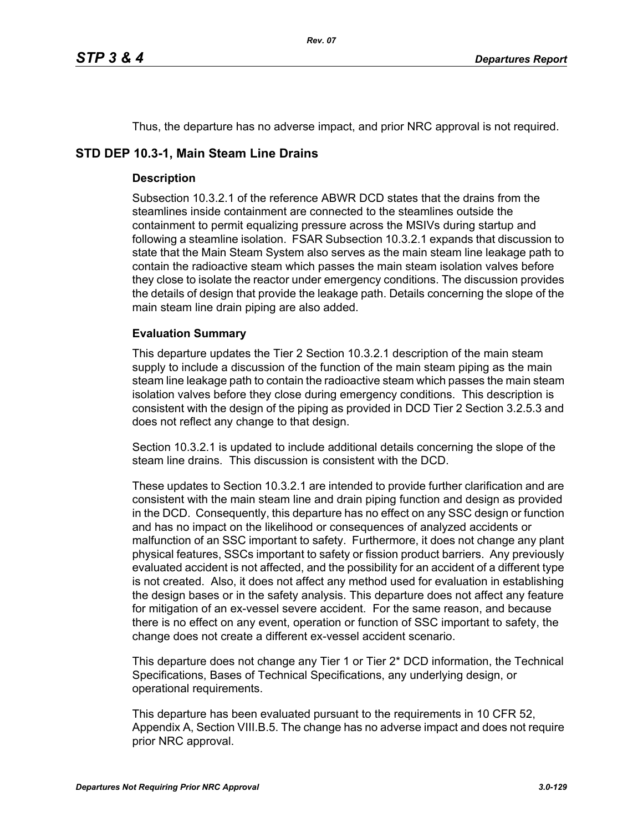Thus, the departure has no adverse impact, and prior NRC approval is not required.

## **STD DEP 10.3-1, Main Steam Line Drains**

## **Description**

Subsection 10.3.2.1 of the reference ABWR DCD states that the drains from the steamlines inside containment are connected to the steamlines outside the containment to permit equalizing pressure across the MSIVs during startup and following a steamline isolation. FSAR Subsection 10.3.2.1 expands that discussion to state that the Main Steam System also serves as the main steam line leakage path to contain the radioactive steam which passes the main steam isolation valves before they close to isolate the reactor under emergency conditions. The discussion provides the details of design that provide the leakage path. Details concerning the slope of the main steam line drain piping are also added.

## **Evaluation Summary**

This departure updates the Tier 2 Section 10.3.2.1 description of the main steam supply to include a discussion of the function of the main steam piping as the main steam line leakage path to contain the radioactive steam which passes the main steam isolation valves before they close during emergency conditions. This description is consistent with the design of the piping as provided in DCD Tier 2 Section 3.2.5.3 and does not reflect any change to that design.

Section 10.3.2.1 is updated to include additional details concerning the slope of the steam line drains. This discussion is consistent with the DCD.

These updates to Section 10.3.2.1 are intended to provide further clarification and are consistent with the main steam line and drain piping function and design as provided in the DCD. Consequently, this departure has no effect on any SSC design or function and has no impact on the likelihood or consequences of analyzed accidents or malfunction of an SSC important to safety. Furthermore, it does not change any plant physical features, SSCs important to safety or fission product barriers. Any previously evaluated accident is not affected, and the possibility for an accident of a different type is not created. Also, it does not affect any method used for evaluation in establishing the design bases or in the safety analysis. This departure does not affect any feature for mitigation of an ex-vessel severe accident. For the same reason, and because there is no effect on any event, operation or function of SSC important to safety, the change does not create a different ex-vessel accident scenario.

This departure does not change any Tier 1 or Tier 2\* DCD information, the Technical Specifications, Bases of Technical Specifications, any underlying design, or operational requirements.

This departure has been evaluated pursuant to the requirements in 10 CFR 52, Appendix A, Section VIII.B.5. The change has no adverse impact and does not require prior NRC approval.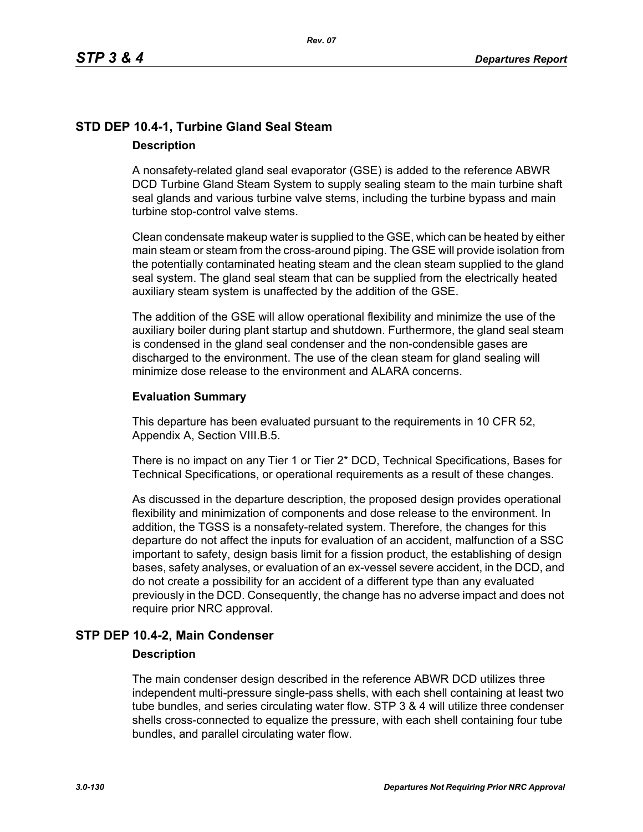# **STD DEP 10.4-1, Turbine Gland Seal Steam Description**

A nonsafety-related gland seal evaporator (GSE) is added to the reference ABWR DCD Turbine Gland Steam System to supply sealing steam to the main turbine shaft seal glands and various turbine valve stems, including the turbine bypass and main turbine stop-control valve stems.

Clean condensate makeup water is supplied to the GSE, which can be heated by either main steam or steam from the cross-around piping. The GSE will provide isolation from the potentially contaminated heating steam and the clean steam supplied to the gland seal system. The gland seal steam that can be supplied from the electrically heated auxiliary steam system is unaffected by the addition of the GSE.

The addition of the GSE will allow operational flexibility and minimize the use of the auxiliary boiler during plant startup and shutdown. Furthermore, the gland seal steam is condensed in the gland seal condenser and the non-condensible gases are discharged to the environment. The use of the clean steam for gland sealing will minimize dose release to the environment and ALARA concerns.

### **Evaluation Summary**

This departure has been evaluated pursuant to the requirements in 10 CFR 52, Appendix A, Section VIII.B.5.

There is no impact on any Tier 1 or Tier 2\* DCD, Technical Specifications, Bases for Technical Specifications, or operational requirements as a result of these changes.

As discussed in the departure description, the proposed design provides operational flexibility and minimization of components and dose release to the environment. In addition, the TGSS is a nonsafety-related system. Therefore, the changes for this departure do not affect the inputs for evaluation of an accident, malfunction of a SSC important to safety, design basis limit for a fission product, the establishing of design bases, safety analyses, or evaluation of an ex-vessel severe accident, in the DCD, and do not create a possibility for an accident of a different type than any evaluated previously in the DCD. Consequently, the change has no adverse impact and does not require prior NRC approval.

## **STP DEP 10.4-2, Main Condenser**

### **Description**

The main condenser design described in the reference ABWR DCD utilizes three independent multi-pressure single-pass shells, with each shell containing at least two tube bundles, and series circulating water flow. STP 3 & 4 will utilize three condenser shells cross-connected to equalize the pressure, with each shell containing four tube bundles, and parallel circulating water flow.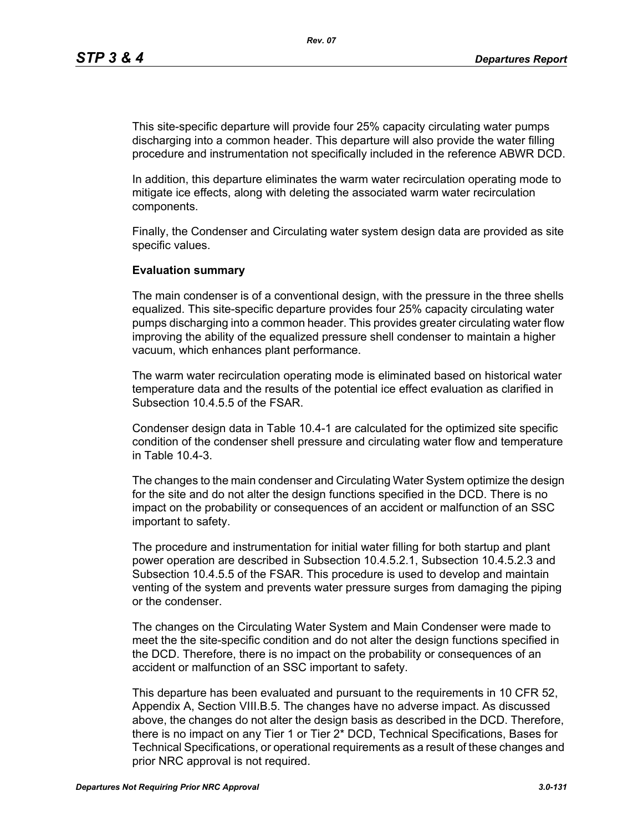This site-specific departure will provide four 25% capacity circulating water pumps discharging into a common header. This departure will also provide the water filling procedure and instrumentation not specifically included in the reference ABWR DCD.

In addition, this departure eliminates the warm water recirculation operating mode to mitigate ice effects, along with deleting the associated warm water recirculation components.

Finally, the Condenser and Circulating water system design data are provided as site specific values.

#### **Evaluation summary**

The main condenser is of a conventional design, with the pressure in the three shells equalized. This site-specific departure provides four 25% capacity circulating water pumps discharging into a common header. This provides greater circulating water flow improving the ability of the equalized pressure shell condenser to maintain a higher vacuum, which enhances plant performance.

The warm water recirculation operating mode is eliminated based on historical water temperature data and the results of the potential ice effect evaluation as clarified in Subsection 10.4.5.5 of the FSAR.

Condenser design data in Table 10.4-1 are calculated for the optimized site specific condition of the condenser shell pressure and circulating water flow and temperature in Table 10.4-3.

The changes to the main condenser and Circulating Water System optimize the design for the site and do not alter the design functions specified in the DCD. There is no impact on the probability or consequences of an accident or malfunction of an SSC important to safety.

The procedure and instrumentation for initial water filling for both startup and plant power operation are described in Subsection 10.4.5.2.1, Subsection 10.4.5.2.3 and Subsection 10.4.5.5 of the FSAR. This procedure is used to develop and maintain venting of the system and prevents water pressure surges from damaging the piping or the condenser.

The changes on the Circulating Water System and Main Condenser were made to meet the the site-specific condition and do not alter the design functions specified in the DCD. Therefore, there is no impact on the probability or consequences of an accident or malfunction of an SSC important to safety.

This departure has been evaluated and pursuant to the requirements in 10 CFR 52, Appendix A, Section VIII.B.5. The changes have no adverse impact. As discussed above, the changes do not alter the design basis as described in the DCD. Therefore, there is no impact on any Tier 1 or Tier 2\* DCD, Technical Specifications, Bases for Technical Specifications, or operational requirements as a result of these changes and prior NRC approval is not required.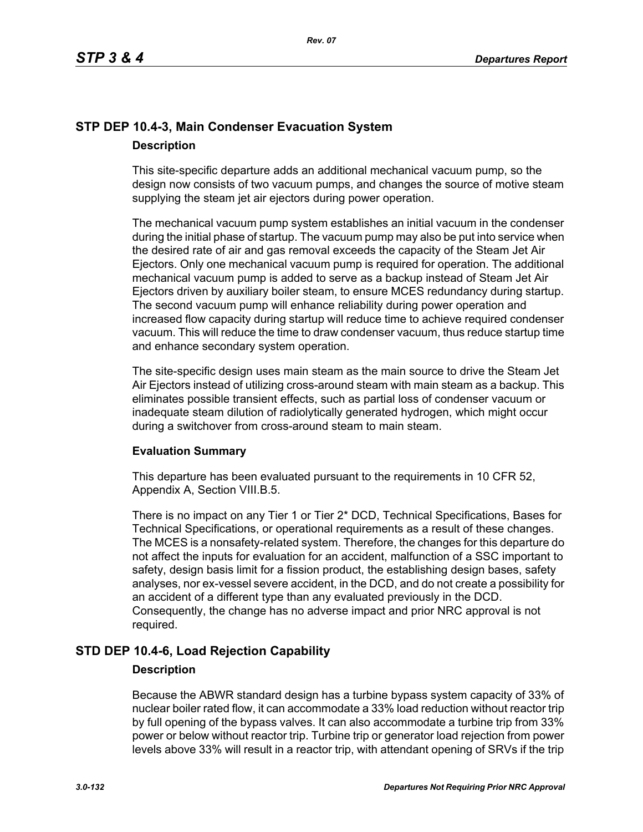# **STP DEP 10.4-3, Main Condenser Evacuation System Description**

This site-specific departure adds an additional mechanical vacuum pump, so the design now consists of two vacuum pumps, and changes the source of motive steam supplying the steam jet air ejectors during power operation.

The mechanical vacuum pump system establishes an initial vacuum in the condenser during the initial phase of startup. The vacuum pump may also be put into service when the desired rate of air and gas removal exceeds the capacity of the Steam Jet Air Ejectors. Only one mechanical vacuum pump is required for operation. The additional mechanical vacuum pump is added to serve as a backup instead of Steam Jet Air Ejectors driven by auxiliary boiler steam, to ensure MCES redundancy during startup. The second vacuum pump will enhance reliability during power operation and increased flow capacity during startup will reduce time to achieve required condenser vacuum. This will reduce the time to draw condenser vacuum, thus reduce startup time and enhance secondary system operation.

The site-specific design uses main steam as the main source to drive the Steam Jet Air Ejectors instead of utilizing cross-around steam with main steam as a backup. This eliminates possible transient effects, such as partial loss of condenser vacuum or inadequate steam dilution of radiolytically generated hydrogen, which might occur during a switchover from cross-around steam to main steam.

## **Evaluation Summary**

This departure has been evaluated pursuant to the requirements in 10 CFR 52, Appendix A, Section VIII.B.5.

There is no impact on any Tier 1 or Tier 2\* DCD, Technical Specifications, Bases for Technical Specifications, or operational requirements as a result of these changes. The MCES is a nonsafety-related system. Therefore, the changes for this departure do not affect the inputs for evaluation for an accident, malfunction of a SSC important to safety, design basis limit for a fission product, the establishing design bases, safety analyses, nor ex-vessel severe accident, in the DCD, and do not create a possibility for an accident of a different type than any evaluated previously in the DCD. Consequently, the change has no adverse impact and prior NRC approval is not required.

## **STD DEP 10.4-6, Load Rejection Capability**

### **Description**

Because the ABWR standard design has a turbine bypass system capacity of 33% of nuclear boiler rated flow, it can accommodate a 33% load reduction without reactor trip by full opening of the bypass valves. It can also accommodate a turbine trip from 33% power or below without reactor trip. Turbine trip or generator load rejection from power levels above 33% will result in a reactor trip, with attendant opening of SRVs if the trip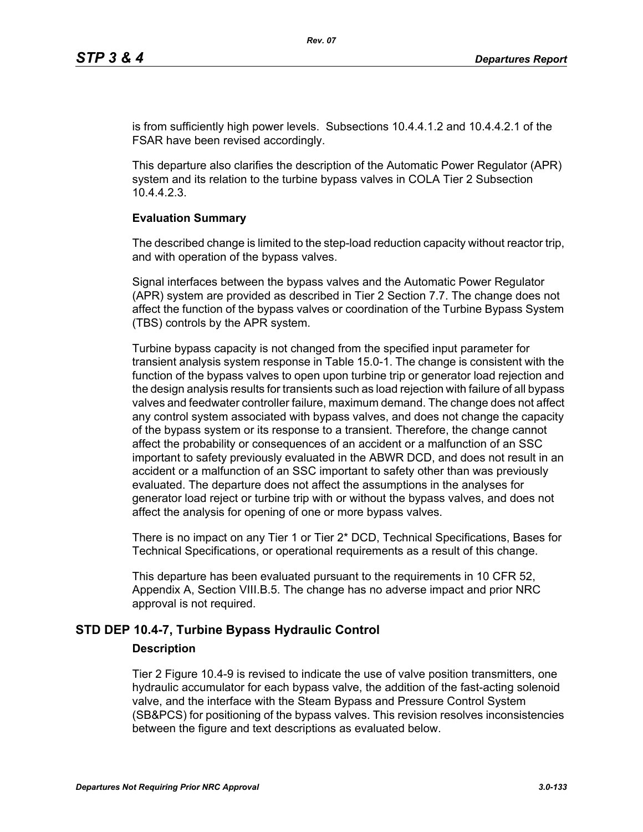is from sufficiently high power levels. Subsections 10.4.4.1.2 and 10.4.4.2.1 of the FSAR have been revised accordingly.

This departure also clarifies the description of the Automatic Power Regulator (APR) system and its relation to the turbine bypass valves in COLA Tier 2 Subsection 10.4.4.2.3.

### **Evaluation Summary**

The described change is limited to the step-load reduction capacity without reactor trip, and with operation of the bypass valves.

Signal interfaces between the bypass valves and the Automatic Power Regulator (APR) system are provided as described in Tier 2 Section 7.7. The change does not affect the function of the bypass valves or coordination of the Turbine Bypass System (TBS) controls by the APR system.

Turbine bypass capacity is not changed from the specified input parameter for transient analysis system response in Table 15.0-1. The change is consistent with the function of the bypass valves to open upon turbine trip or generator load rejection and the design analysis results for transients such as load rejection with failure of all bypass valves and feedwater controller failure, maximum demand. The change does not affect any control system associated with bypass valves, and does not change the capacity of the bypass system or its response to a transient. Therefore, the change cannot affect the probability or consequences of an accident or a malfunction of an SSC important to safety previously evaluated in the ABWR DCD, and does not result in an accident or a malfunction of an SSC important to safety other than was previously evaluated. The departure does not affect the assumptions in the analyses for generator load reject or turbine trip with or without the bypass valves, and does not affect the analysis for opening of one or more bypass valves.

There is no impact on any Tier 1 or Tier 2\* DCD, Technical Specifications, Bases for Technical Specifications, or operational requirements as a result of this change.

This departure has been evaluated pursuant to the requirements in 10 CFR 52, Appendix A, Section VIII.B.5. The change has no adverse impact and prior NRC approval is not required.

## **STD DEP 10.4-7, Turbine Bypass Hydraulic Control**

### **Description**

Tier 2 Figure 10.4-9 is revised to indicate the use of valve position transmitters, one hydraulic accumulator for each bypass valve, the addition of the fast-acting solenoid valve, and the interface with the Steam Bypass and Pressure Control System (SB&PCS) for positioning of the bypass valves. This revision resolves inconsistencies between the figure and text descriptions as evaluated below.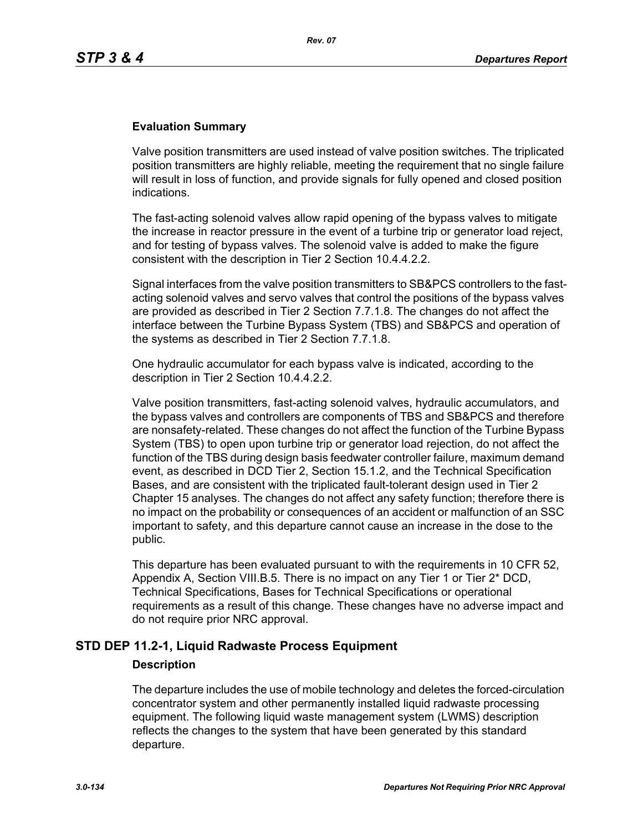### **Evaluation Summary**

Valve position transmitters are used instead of valve position switches. The triplicated position transmitters are highly reliable, meeting the requirement that no single failure will result in loss of function, and provide signals for fully opened and closed position indications.

The fast-acting solenoid valves allow rapid opening of the bypass valves to mitigate the increase in reactor pressure in the event of a turbine trip or generator load reject, and for testing of bypass valves. The solenoid valve is added to make the figure consistent with the description in Tier 2 Section 10.4.4.2.2.

Signal interfaces from the valve position transmitters to SB&PCS controllers to the fastacting solenoid valves and servo valves that control the positions of the bypass valves are provided as described in Tier 2 Section 7.7.1.8. The changes do not affect the interface between the Turbine Bypass System (TBS) and SB&PCS and operation of the systems as described in Tier 2 Section 7.7.1.8.

One hydraulic accumulator for each bypass valve is indicated, according to the description in Tier 2 Section 10.4.4.2.2.

Valve position transmitters, fast-acting solenoid valves, hydraulic accumulators, and the bypass valves and controllers are components of TBS and SB&PCS and therefore are nonsafety-related. These changes do not affect the function of the Turbine Bypass System (TBS) to open upon turbine trip or generator load rejection, do not affect the function of the TBS during design basis feedwater controller failure, maximum demand event, as described in DCD Tier 2, Section 15.1.2, and the Technical Specification Bases, and are consistent with the triplicated fault-tolerant design used in Tier 2 Chapter 15 analyses. The changes do not affect any safety function; therefore there is no impact on the probability or consequences of an accident or malfunction of an SSC important to safety, and this departure cannot cause an increase in the dose to the public.

This departure has been evaluated pursuant to with the requirements in 10 CFR 52, Appendix A, Section VIII.B.5. There is no impact on any Tier 1 or Tier 2\* DCD, Technical Specifications, Bases for Technical Specifications or operational requirements as a result of this change. These changes have no adverse impact and do not require prior NRC approval.

## **STD DEP 11.2-1, Liquid Radwaste Process Equipment**

### **Description**

The departure includes the use of mobile technology and deletes the forced-circulation concentrator system and other permanently installed liquid radwaste processing equipment. The following liquid waste management system (LWMS) description reflects the changes to the system that have been generated by this standard departure.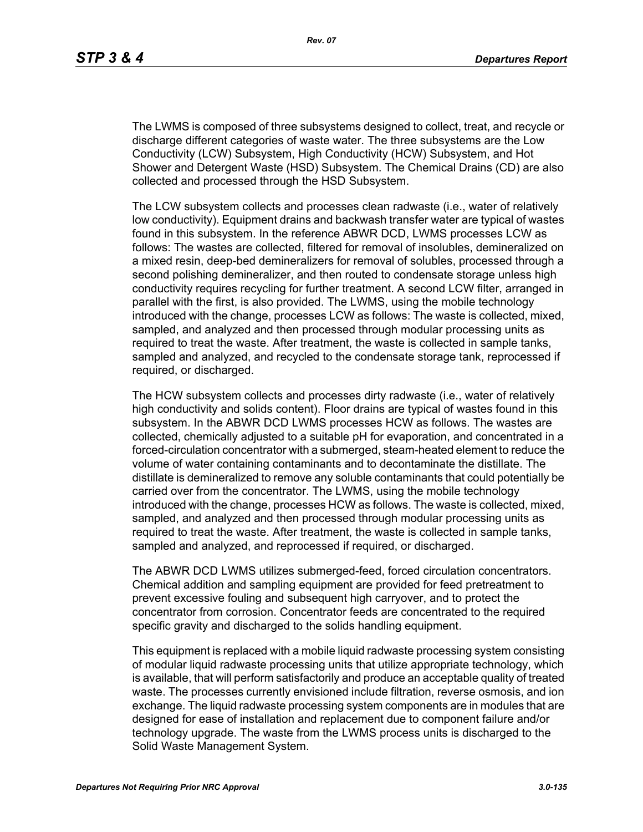The LWMS is composed of three subsystems designed to collect, treat, and recycle or discharge different categories of waste water. The three subsystems are the Low Conductivity (LCW) Subsystem, High Conductivity (HCW) Subsystem, and Hot Shower and Detergent Waste (HSD) Subsystem. The Chemical Drains (CD) are also collected and processed through the HSD Subsystem.

The LCW subsystem collects and processes clean radwaste (i.e., water of relatively low conductivity). Equipment drains and backwash transfer water are typical of wastes found in this subsystem. In the reference ABWR DCD, LWMS processes LCW as follows: The wastes are collected, filtered for removal of insolubles, demineralized on a mixed resin, deep-bed demineralizers for removal of solubles, processed through a second polishing demineralizer, and then routed to condensate storage unless high conductivity requires recycling for further treatment. A second LCW filter, arranged in parallel with the first, is also provided. The LWMS, using the mobile technology introduced with the change, processes LCW as follows: The waste is collected, mixed, sampled, and analyzed and then processed through modular processing units as required to treat the waste. After treatment, the waste is collected in sample tanks, sampled and analyzed, and recycled to the condensate storage tank, reprocessed if required, or discharged.

The HCW subsystem collects and processes dirty radwaste (i.e., water of relatively high conductivity and solids content). Floor drains are typical of wastes found in this subsystem. In the ABWR DCD LWMS processes HCW as follows. The wastes are collected, chemically adjusted to a suitable pH for evaporation, and concentrated in a forced-circulation concentrator with a submerged, steam-heated element to reduce the volume of water containing contaminants and to decontaminate the distillate. The distillate is demineralized to remove any soluble contaminants that could potentially be carried over from the concentrator. The LWMS, using the mobile technology introduced with the change, processes HCW as follows. The waste is collected, mixed, sampled, and analyzed and then processed through modular processing units as required to treat the waste. After treatment, the waste is collected in sample tanks, sampled and analyzed, and reprocessed if required, or discharged.

The ABWR DCD LWMS utilizes submerged-feed, forced circulation concentrators. Chemical addition and sampling equipment are provided for feed pretreatment to prevent excessive fouling and subsequent high carryover, and to protect the concentrator from corrosion. Concentrator feeds are concentrated to the required specific gravity and discharged to the solids handling equipment.

This equipment is replaced with a mobile liquid radwaste processing system consisting of modular liquid radwaste processing units that utilize appropriate technology, which is available, that will perform satisfactorily and produce an acceptable quality of treated waste. The processes currently envisioned include filtration, reverse osmosis, and ion exchange. The liquid radwaste processing system components are in modules that are designed for ease of installation and replacement due to component failure and/or technology upgrade. The waste from the LWMS process units is discharged to the Solid Waste Management System.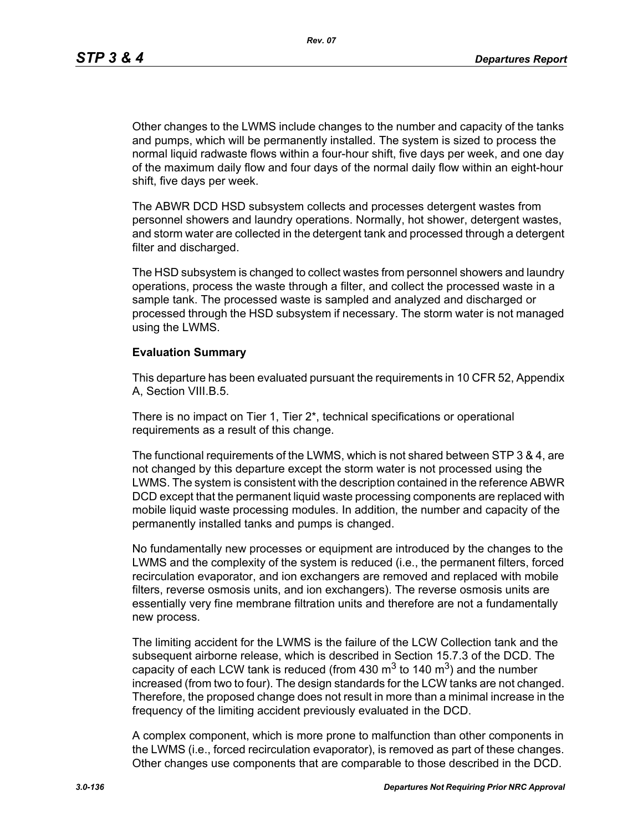*Rev. 07*

Other changes to the LWMS include changes to the number and capacity of the tanks and pumps, which will be permanently installed. The system is sized to process the normal liquid radwaste flows within a four-hour shift, five days per week, and one day of the maximum daily flow and four days of the normal daily flow within an eight-hour shift, five days per week.

The ABWR DCD HSD subsystem collects and processes detergent wastes from personnel showers and laundry operations. Normally, hot shower, detergent wastes, and storm water are collected in the detergent tank and processed through a detergent filter and discharged.

The HSD subsystem is changed to collect wastes from personnel showers and laundry operations, process the waste through a filter, and collect the processed waste in a sample tank. The processed waste is sampled and analyzed and discharged or processed through the HSD subsystem if necessary. The storm water is not managed using the LWMS.

### **Evaluation Summary**

This departure has been evaluated pursuant the requirements in 10 CFR 52, Appendix A, Section VIII.B.5.

There is no impact on Tier 1, Tier 2\*, technical specifications or operational requirements as a result of this change.

The functional requirements of the LWMS, which is not shared between STP 3 & 4, are not changed by this departure except the storm water is not processed using the LWMS. The system is consistent with the description contained in the reference ABWR DCD except that the permanent liquid waste processing components are replaced with mobile liquid waste processing modules. In addition, the number and capacity of the permanently installed tanks and pumps is changed.

No fundamentally new processes or equipment are introduced by the changes to the LWMS and the complexity of the system is reduced (i.e., the permanent filters, forced recirculation evaporator, and ion exchangers are removed and replaced with mobile filters, reverse osmosis units, and ion exchangers). The reverse osmosis units are essentially very fine membrane filtration units and therefore are not a fundamentally new process.

The limiting accident for the LWMS is the failure of the LCW Collection tank and the subsequent airborne release, which is described in Section 15.7.3 of the DCD. The capacity of each LCW tank is reduced (from 430  $\text{m}^3$  to 140  $\text{m}^3$ ) and the number increased (from two to four). The design standards for the LCW tanks are not changed. Therefore, the proposed change does not result in more than a minimal increase in the frequency of the limiting accident previously evaluated in the DCD.

A complex component, which is more prone to malfunction than other components in the LWMS (i.e., forced recirculation evaporator), is removed as part of these changes. Other changes use components that are comparable to those described in the DCD.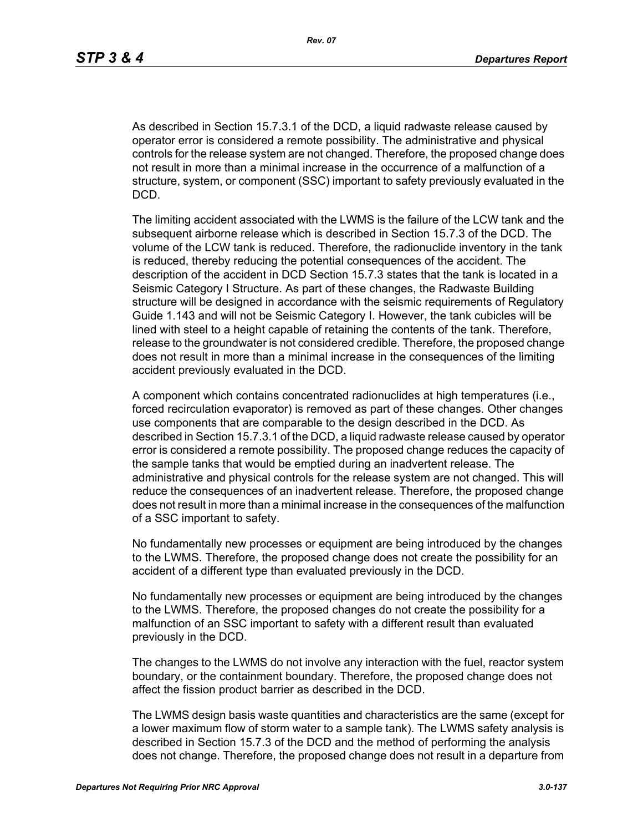As described in Section 15.7.3.1 of the DCD, a liquid radwaste release caused by operator error is considered a remote possibility. The administrative and physical controls for the release system are not changed. Therefore, the proposed change does not result in more than a minimal increase in the occurrence of a malfunction of a structure, system, or component (SSC) important to safety previously evaluated in the DCD.

The limiting accident associated with the LWMS is the failure of the LCW tank and the subsequent airborne release which is described in Section 15.7.3 of the DCD. The volume of the LCW tank is reduced. Therefore, the radionuclide inventory in the tank is reduced, thereby reducing the potential consequences of the accident. The description of the accident in DCD Section 15.7.3 states that the tank is located in a Seismic Category I Structure. As part of these changes, the Radwaste Building structure will be designed in accordance with the seismic requirements of Regulatory Guide 1.143 and will not be Seismic Category I. However, the tank cubicles will be lined with steel to a height capable of retaining the contents of the tank. Therefore, release to the groundwater is not considered credible. Therefore, the proposed change does not result in more than a minimal increase in the consequences of the limiting accident previously evaluated in the DCD.

A component which contains concentrated radionuclides at high temperatures (i.e., forced recirculation evaporator) is removed as part of these changes. Other changes use components that are comparable to the design described in the DCD. As described in Section 15.7.3.1 of the DCD, a liquid radwaste release caused by operator error is considered a remote possibility. The proposed change reduces the capacity of the sample tanks that would be emptied during an inadvertent release. The administrative and physical controls for the release system are not changed. This will reduce the consequences of an inadvertent release. Therefore, the proposed change does not result in more than a minimal increase in the consequences of the malfunction of a SSC important to safety.

No fundamentally new processes or equipment are being introduced by the changes to the LWMS. Therefore, the proposed change does not create the possibility for an accident of a different type than evaluated previously in the DCD.

No fundamentally new processes or equipment are being introduced by the changes to the LWMS. Therefore, the proposed changes do not create the possibility for a malfunction of an SSC important to safety with a different result than evaluated previously in the DCD.

The changes to the LWMS do not involve any interaction with the fuel, reactor system boundary, or the containment boundary. Therefore, the proposed change does not affect the fission product barrier as described in the DCD.

The LWMS design basis waste quantities and characteristics are the same (except for a lower maximum flow of storm water to a sample tank). The LWMS safety analysis is described in Section 15.7.3 of the DCD and the method of performing the analysis does not change. Therefore, the proposed change does not result in a departure from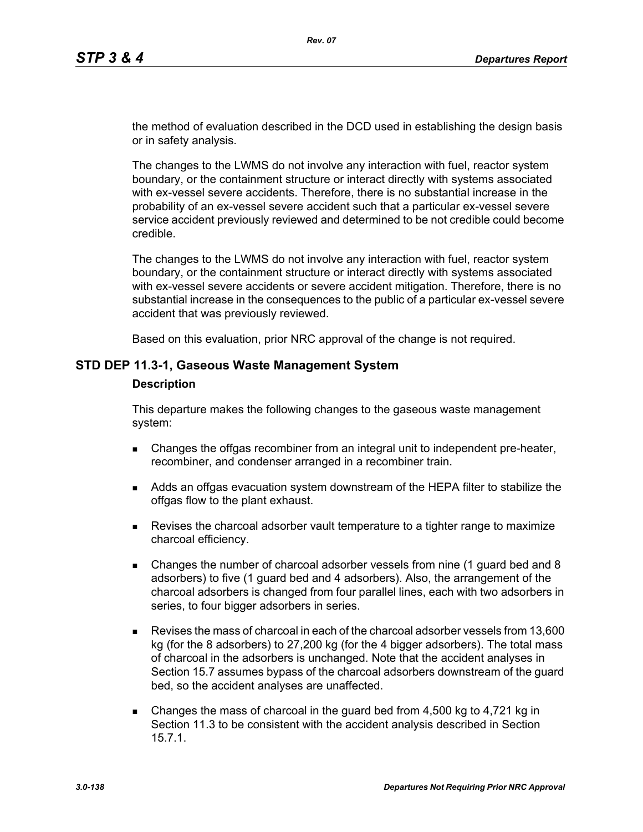the method of evaluation described in the DCD used in establishing the design basis or in safety analysis.

The changes to the LWMS do not involve any interaction with fuel, reactor system boundary, or the containment structure or interact directly with systems associated with ex-vessel severe accidents. Therefore, there is no substantial increase in the probability of an ex-vessel severe accident such that a particular ex-vessel severe service accident previously reviewed and determined to be not credible could become credible.

The changes to the LWMS do not involve any interaction with fuel, reactor system boundary, or the containment structure or interact directly with systems associated with ex-vessel severe accidents or severe accident mitigation. Therefore, there is no substantial increase in the consequences to the public of a particular ex-vessel severe accident that was previously reviewed.

Based on this evaluation, prior NRC approval of the change is not required.

### **STD DEP 11.3-1, Gaseous Waste Management System**

#### **Description**

This departure makes the following changes to the gaseous waste management system:

- **EXA** Changes the offgas recombiner from an integral unit to independent pre-heater, recombiner, and condenser arranged in a recombiner train.
- Adds an offgas evacuation system downstream of the HEPA filter to stabilize the offgas flow to the plant exhaust.
- **Revises the charcoal adsorber vault temperature to a tighter range to maximize** charcoal efficiency.
- Changes the number of charcoal adsorber vessels from nine (1 guard bed and 8 adsorbers) to five (1 guard bed and 4 adsorbers). Also, the arrangement of the charcoal adsorbers is changed from four parallel lines, each with two adsorbers in series, to four bigger adsorbers in series.
- Revises the mass of charcoal in each of the charcoal adsorber vessels from 13,600 kg (for the 8 adsorbers) to 27,200 kg (for the 4 bigger adsorbers). The total mass of charcoal in the adsorbers is unchanged. Note that the accident analyses in Section 15.7 assumes bypass of the charcoal adsorbers downstream of the guard bed, so the accident analyses are unaffected.
- Changes the mass of charcoal in the guard bed from 4,500 kg to 4,721 kg in Section 11.3 to be consistent with the accident analysis described in Section 15.7.1.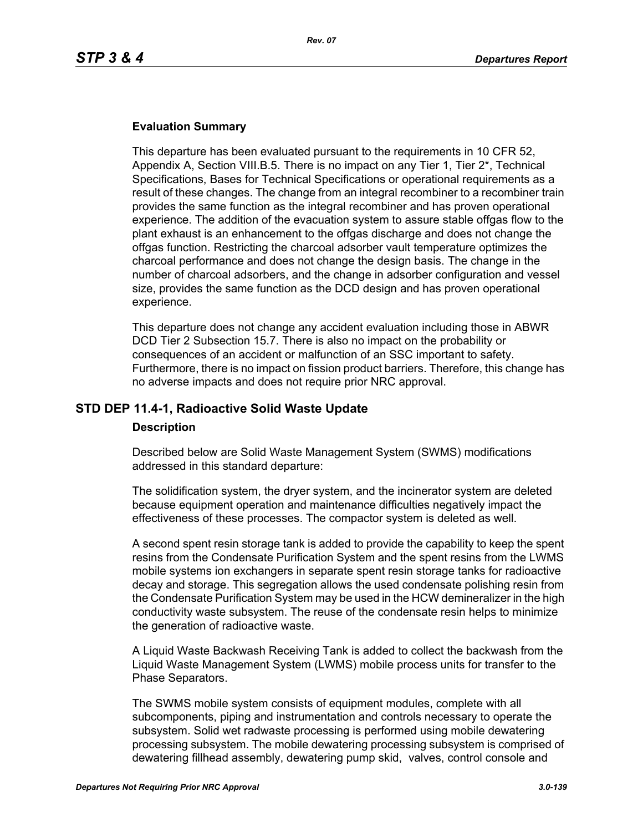### **Evaluation Summary**

This departure has been evaluated pursuant to the requirements in 10 CFR 52, Appendix A, Section VIII.B.5. There is no impact on any Tier 1, Tier 2\*, Technical Specifications, Bases for Technical Specifications or operational requirements as a result of these changes. The change from an integral recombiner to a recombiner train provides the same function as the integral recombiner and has proven operational experience. The addition of the evacuation system to assure stable offgas flow to the plant exhaust is an enhancement to the offgas discharge and does not change the offgas function. Restricting the charcoal adsorber vault temperature optimizes the charcoal performance and does not change the design basis. The change in the number of charcoal adsorbers, and the change in adsorber configuration and vessel size, provides the same function as the DCD design and has proven operational experience.

This departure does not change any accident evaluation including those in ABWR DCD Tier 2 Subsection 15.7. There is also no impact on the probability or consequences of an accident or malfunction of an SSC important to safety. Furthermore, there is no impact on fission product barriers. Therefore, this change has no adverse impacts and does not require prior NRC approval.

### **STD DEP 11.4-1, Radioactive Solid Waste Update**

### **Description**

Described below are Solid Waste Management System (SWMS) modifications addressed in this standard departure:

The solidification system, the dryer system, and the incinerator system are deleted because equipment operation and maintenance difficulties negatively impact the effectiveness of these processes. The compactor system is deleted as well.

A second spent resin storage tank is added to provide the capability to keep the spent resins from the Condensate Purification System and the spent resins from the LWMS mobile systems ion exchangers in separate spent resin storage tanks for radioactive decay and storage. This segregation allows the used condensate polishing resin from the Condensate Purification System may be used in the HCW demineralizer in the high conductivity waste subsystem. The reuse of the condensate resin helps to minimize the generation of radioactive waste.

A Liquid Waste Backwash Receiving Tank is added to collect the backwash from the Liquid Waste Management System (LWMS) mobile process units for transfer to the Phase Separators.

The SWMS mobile system consists of equipment modules, complete with all subcomponents, piping and instrumentation and controls necessary to operate the subsystem. Solid wet radwaste processing is performed using mobile dewatering processing subsystem. The mobile dewatering processing subsystem is comprised of dewatering fillhead assembly, dewatering pump skid, valves, control console and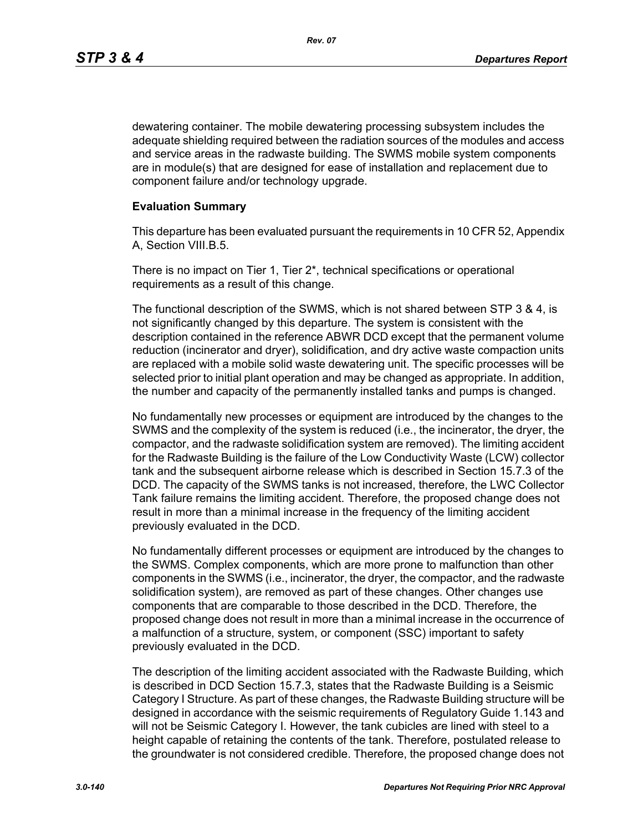*Rev. 07*

dewatering container. The mobile dewatering processing subsystem includes the adequate shielding required between the radiation sources of the modules and access and service areas in the radwaste building. The SWMS mobile system components are in module(s) that are designed for ease of installation and replacement due to component failure and/or technology upgrade.

### **Evaluation Summary**

This departure has been evaluated pursuant the requirements in 10 CFR 52, Appendix A, Section VIII.B.5.

There is no impact on Tier 1, Tier 2\*, technical specifications or operational requirements as a result of this change.

The functional description of the SWMS, which is not shared between STP 3 & 4, is not significantly changed by this departure. The system is consistent with the description contained in the reference ABWR DCD except that the permanent volume reduction (incinerator and dryer), solidification, and dry active waste compaction units are replaced with a mobile solid waste dewatering unit. The specific processes will be selected prior to initial plant operation and may be changed as appropriate. In addition, the number and capacity of the permanently installed tanks and pumps is changed.

No fundamentally new processes or equipment are introduced by the changes to the SWMS and the complexity of the system is reduced (i.e., the incinerator, the dryer, the compactor, and the radwaste solidification system are removed). The limiting accident for the Radwaste Building is the failure of the Low Conductivity Waste (LCW) collector tank and the subsequent airborne release which is described in Section 15.7.3 of the DCD. The capacity of the SWMS tanks is not increased, therefore, the LWC Collector Tank failure remains the limiting accident. Therefore, the proposed change does not result in more than a minimal increase in the frequency of the limiting accident previously evaluated in the DCD.

No fundamentally different processes or equipment are introduced by the changes to the SWMS. Complex components, which are more prone to malfunction than other components in the SWMS (i.e., incinerator, the dryer, the compactor, and the radwaste solidification system), are removed as part of these changes. Other changes use components that are comparable to those described in the DCD. Therefore, the proposed change does not result in more than a minimal increase in the occurrence of a malfunction of a structure, system, or component (SSC) important to safety previously evaluated in the DCD.

The description of the limiting accident associated with the Radwaste Building, which is described in DCD Section 15.7.3, states that the Radwaste Building is a Seismic Category I Structure. As part of these changes, the Radwaste Building structure will be designed in accordance with the seismic requirements of Regulatory Guide 1.143 and will not be Seismic Category I. However, the tank cubicles are lined with steel to a height capable of retaining the contents of the tank. Therefore, postulated release to the groundwater is not considered credible. Therefore, the proposed change does not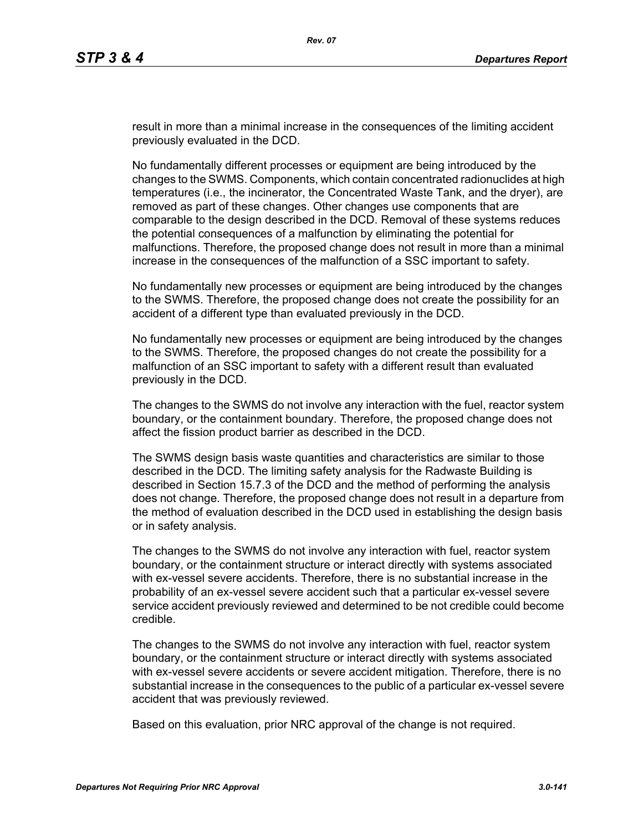result in more than a minimal increase in the consequences of the limiting accident previously evaluated in the DCD.

No fundamentally different processes or equipment are being introduced by the changes to the SWMS. Components, which contain concentrated radionuclides at high temperatures (i.e., the incinerator, the Concentrated Waste Tank, and the dryer), are removed as part of these changes. Other changes use components that are comparable to the design described in the DCD. Removal of these systems reduces the potential consequences of a malfunction by eliminating the potential for malfunctions. Therefore, the proposed change does not result in more than a minimal increase in the consequences of the malfunction of a SSC important to safety.

No fundamentally new processes or equipment are being introduced by the changes to the SWMS. Therefore, the proposed change does not create the possibility for an accident of a different type than evaluated previously in the DCD.

No fundamentally new processes or equipment are being introduced by the changes to the SWMS. Therefore, the proposed changes do not create the possibility for a malfunction of an SSC important to safety with a different result than evaluated previously in the DCD.

The changes to the SWMS do not involve any interaction with the fuel, reactor system boundary, or the containment boundary. Therefore, the proposed change does not affect the fission product barrier as described in the DCD.

The SWMS design basis waste quantities and characteristics are similar to those described in the DCD. The limiting safety analysis for the Radwaste Building is described in Section 15.7.3 of the DCD and the method of performing the analysis does not change. Therefore, the proposed change does not result in a departure from the method of evaluation described in the DCD used in establishing the design basis or in safety analysis.

The changes to the SWMS do not involve any interaction with fuel, reactor system boundary, or the containment structure or interact directly with systems associated with ex-vessel severe accidents. Therefore, there is no substantial increase in the probability of an ex-vessel severe accident such that a particular ex-vessel severe service accident previously reviewed and determined to be not credible could become credible.

The changes to the SWMS do not involve any interaction with fuel, reactor system boundary, or the containment structure or interact directly with systems associated with ex-vessel severe accidents or severe accident mitigation. Therefore, there is no substantial increase in the consequences to the public of a particular ex-vessel severe accident that was previously reviewed.

Based on this evaluation, prior NRC approval of the change is not required.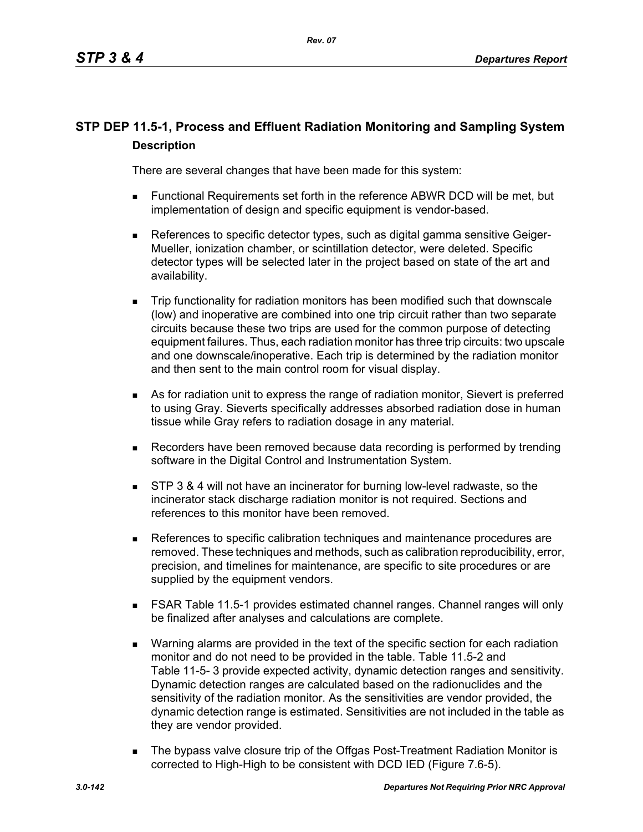# **STP DEP 11.5-1, Process and Effluent Radiation Monitoring and Sampling System Description**

There are several changes that have been made for this system:

- Functional Requirements set forth in the reference ABWR DCD will be met, but implementation of design and specific equipment is vendor-based.
- **References to specific detector types, such as digital gamma sensitive Geiger-**Mueller, ionization chamber, or scintillation detector, were deleted. Specific detector types will be selected later in the project based on state of the art and availability.
- Trip functionality for radiation monitors has been modified such that downscale (low) and inoperative are combined into one trip circuit rather than two separate circuits because these two trips are used for the common purpose of detecting equipment failures. Thus, each radiation monitor has three trip circuits: two upscale and one downscale/inoperative. Each trip is determined by the radiation monitor and then sent to the main control room for visual display.
- As for radiation unit to express the range of radiation monitor, Sievert is preferred to using Gray. Sieverts specifically addresses absorbed radiation dose in human tissue while Gray refers to radiation dosage in any material.
- Recorders have been removed because data recording is performed by trending software in the Digital Control and Instrumentation System.
- **STP 3 & 4 will not have an incinerator for burning low-level radwaste, so the** incinerator stack discharge radiation monitor is not required. Sections and references to this monitor have been removed.
- References to specific calibration techniques and maintenance procedures are removed. These techniques and methods, such as calibration reproducibility, error, precision, and timelines for maintenance, are specific to site procedures or are supplied by the equipment vendors.
- FSAR Table 11.5-1 provides estimated channel ranges. Channel ranges will only be finalized after analyses and calculations are complete.
- Warning alarms are provided in the text of the specific section for each radiation monitor and do not need to be provided in the table. Table 11.5-2 and Table 11-5- 3 provide expected activity, dynamic detection ranges and sensitivity. Dynamic detection ranges are calculated based on the radionuclides and the sensitivity of the radiation monitor. As the sensitivities are vendor provided, the dynamic detection range is estimated. Sensitivities are not included in the table as they are vendor provided.
- The bypass valve closure trip of the Offgas Post-Treatment Radiation Monitor is corrected to High-High to be consistent with DCD IED (Figure 7.6-5).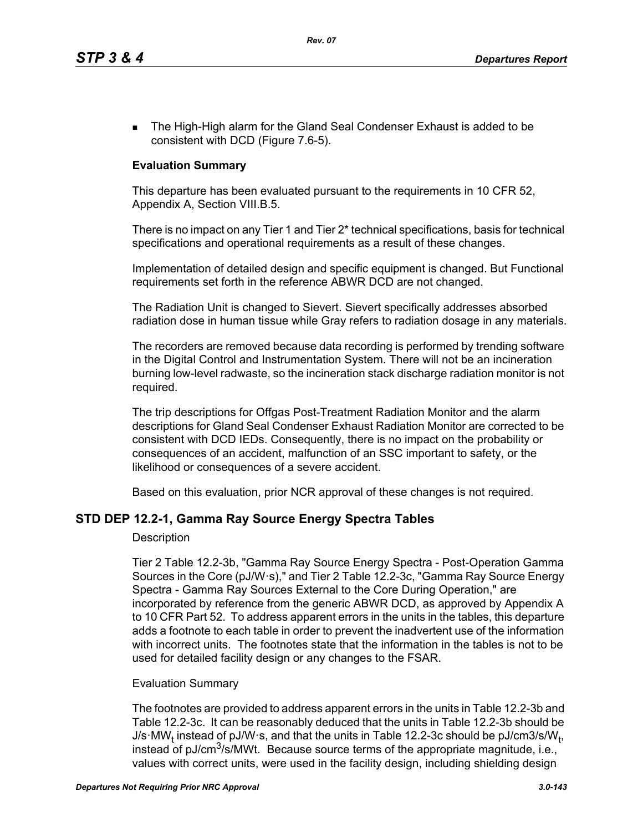**The High-High alarm for the Gland Seal Condenser Exhaust is added to be** consistent with DCD (Figure 7.6-5).

## **Evaluation Summary**

This departure has been evaluated pursuant to the requirements in 10 CFR 52, Appendix A, Section VIII.B.5.

There is no impact on any Tier 1 and Tier 2\* technical specifications, basis for technical specifications and operational requirements as a result of these changes.

Implementation of detailed design and specific equipment is changed. But Functional requirements set forth in the reference ABWR DCD are not changed.

The Radiation Unit is changed to Sievert. Sievert specifically addresses absorbed radiation dose in human tissue while Gray refers to radiation dosage in any materials.

The recorders are removed because data recording is performed by trending software in the Digital Control and Instrumentation System. There will not be an incineration burning low-level radwaste, so the incineration stack discharge radiation monitor is not required.

The trip descriptions for Offgas Post-Treatment Radiation Monitor and the alarm descriptions for Gland Seal Condenser Exhaust Radiation Monitor are corrected to be consistent with DCD IEDs. Consequently, there is no impact on the probability or consequences of an accident, malfunction of an SSC important to safety, or the likelihood or consequences of a severe accident.

Based on this evaluation, prior NCR approval of these changes is not required.

## **STD DEP 12.2-1, Gamma Ray Source Energy Spectra Tables**

### **Description**

Tier 2 Table 12.2-3b, "Gamma Ray Source Energy Spectra - Post-Operation Gamma Sources in the Core (pJ/W·s)," and Tier 2 Table 12.2-3c, "Gamma Ray Source Energy Spectra - Gamma Ray Sources External to the Core During Operation," are incorporated by reference from the generic ABWR DCD, as approved by Appendix A to 10 CFR Part 52. To address apparent errors in the units in the tables, this departure adds a footnote to each table in order to prevent the inadvertent use of the information with incorrect units. The footnotes state that the information in the tables is not to be used for detailed facility design or any changes to the FSAR.

### Evaluation Summary

The footnotes are provided to address apparent errors in the units in Table 12.2-3b and Table 12.2-3c. It can be reasonably deduced that the units in Table 12.2-3b should be J/s·MW<sub>t</sub> instead of pJ/W·s, and that the units in Table 12.2-3c should be pJ/cm3/s/W<sub>t</sub>, instead of  $pJ/cm<sup>3</sup>/s/MWt$ . Because source terms of the appropriate magnitude, i.e., values with correct units, were used in the facility design, including shielding design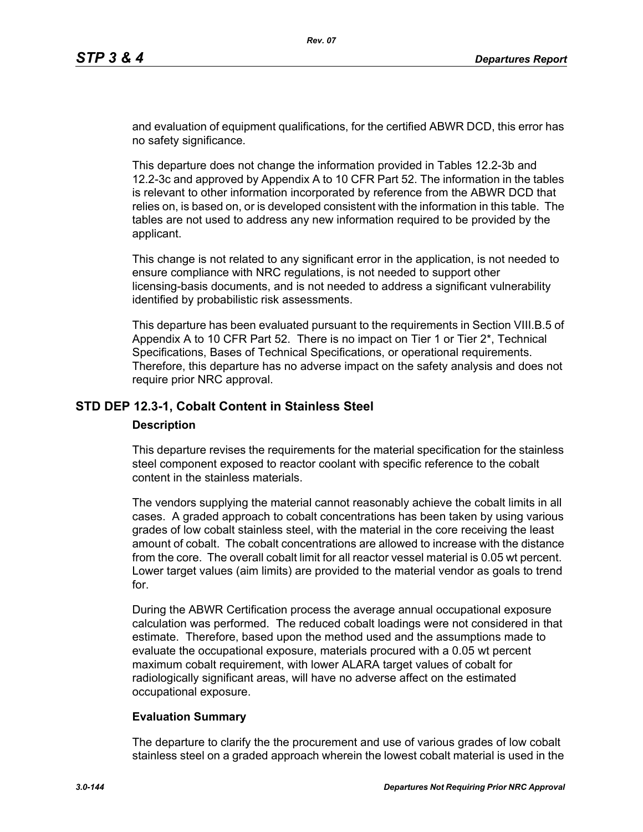and evaluation of equipment qualifications, for the certified ABWR DCD, this error has no safety significance.

This departure does not change the information provided in Tables 12.2-3b and 12.2-3c and approved by Appendix A to 10 CFR Part 52. The information in the tables is relevant to other information incorporated by reference from the ABWR DCD that relies on, is based on, or is developed consistent with the information in this table. The tables are not used to address any new information required to be provided by the applicant.

This change is not related to any significant error in the application, is not needed to ensure compliance with NRC regulations, is not needed to support other licensing-basis documents, and is not needed to address a significant vulnerability identified by probabilistic risk assessments.

This departure has been evaluated pursuant to the requirements in Section VIII.B.5 of Appendix A to 10 CFR Part 52. There is no impact on Tier 1 or Tier 2\*, Technical Specifications, Bases of Technical Specifications, or operational requirements. Therefore, this departure has no adverse impact on the safety analysis and does not require prior NRC approval.

## **STD DEP 12.3-1, Cobalt Content in Stainless Steel**

### **Description**

This departure revises the requirements for the material specification for the stainless steel component exposed to reactor coolant with specific reference to the cobalt content in the stainless materials.

The vendors supplying the material cannot reasonably achieve the cobalt limits in all cases. A graded approach to cobalt concentrations has been taken by using various grades of low cobalt stainless steel, with the material in the core receiving the least amount of cobalt. The cobalt concentrations are allowed to increase with the distance from the core. The overall cobalt limit for all reactor vessel material is 0.05 wt percent. Lower target values (aim limits) are provided to the material vendor as goals to trend for.

During the ABWR Certification process the average annual occupational exposure calculation was performed. The reduced cobalt loadings were not considered in that estimate. Therefore, based upon the method used and the assumptions made to evaluate the occupational exposure, materials procured with a 0.05 wt percent maximum cobalt requirement, with lower ALARA target values of cobalt for radiologically significant areas, will have no adverse affect on the estimated occupational exposure.

### **Evaluation Summary**

The departure to clarify the the procurement and use of various grades of low cobalt stainless steel on a graded approach wherein the lowest cobalt material is used in the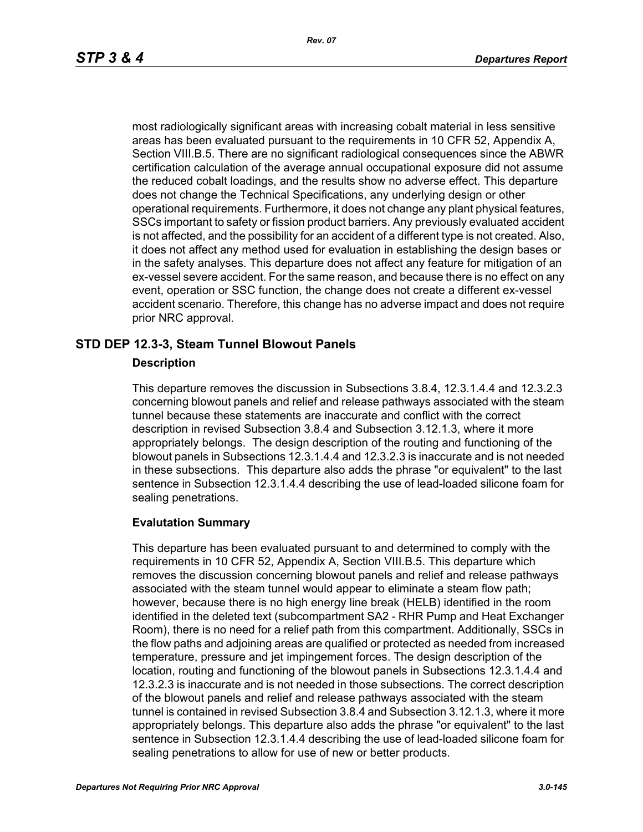most radiologically significant areas with increasing cobalt material in less sensitive areas has been evaluated pursuant to the requirements in 10 CFR 52, Appendix A, Section VIII.B.5. There are no significant radiological consequences since the ABWR certification calculation of the average annual occupational exposure did not assume the reduced cobalt loadings, and the results show no adverse effect. This departure does not change the Technical Specifications, any underlying design or other operational requirements. Furthermore, it does not change any plant physical features, SSCs important to safety or fission product barriers. Any previously evaluated accident is not affected, and the possibility for an accident of a different type is not created. Also, it does not affect any method used for evaluation in establishing the design bases or in the safety analyses. This departure does not affect any feature for mitigation of an ex-vessel severe accident. For the same reason, and because there is no effect on any event, operation or SSC function, the change does not create a different ex-vessel accident scenario. Therefore, this change has no adverse impact and does not require prior NRC approval.

## **STD DEP 12.3-3, Steam Tunnel Blowout Panels**

### **Description**

This departure removes the discussion in Subsections 3.8.4, 12.3.1.4.4 and 12.3.2.3 concerning blowout panels and relief and release pathways associated with the steam tunnel because these statements are inaccurate and conflict with the correct description in revised Subsection 3.8.4 and Subsection 3.12.1.3, where it more appropriately belongs. The design description of the routing and functioning of the blowout panels in Subsections 12.3.1.4.4 and 12.3.2.3 is inaccurate and is not needed in these subsections. This departure also adds the phrase "or equivalent" to the last sentence in Subsection 12.3.1.4.4 describing the use of lead-loaded silicone foam for sealing penetrations.

### **Evalutation Summary**

This departure has been evaluated pursuant to and determined to comply with the requirements in 10 CFR 52, Appendix A, Section VIII.B.5. This departure which removes the discussion concerning blowout panels and relief and release pathways associated with the steam tunnel would appear to eliminate a steam flow path; however, because there is no high energy line break (HELB) identified in the room identified in the deleted text (subcompartment SA2 - RHR Pump and Heat Exchanger Room), there is no need for a relief path from this compartment. Additionally, SSCs in the flow paths and adjoining areas are qualified or protected as needed from increased temperature, pressure and jet impingement forces. The design description of the location, routing and functioning of the blowout panels in Subsections 12.3.1.4.4 and 12.3.2.3 is inaccurate and is not needed in those subsections. The correct description of the blowout panels and relief and release pathways associated with the steam tunnel is contained in revised Subsection 3.8.4 and Subsection 3.12.1.3, where it more appropriately belongs. This departure also adds the phrase "or equivalent" to the last sentence in Subsection 12.3.1.4.4 describing the use of lead-loaded silicone foam for sealing penetrations to allow for use of new or better products.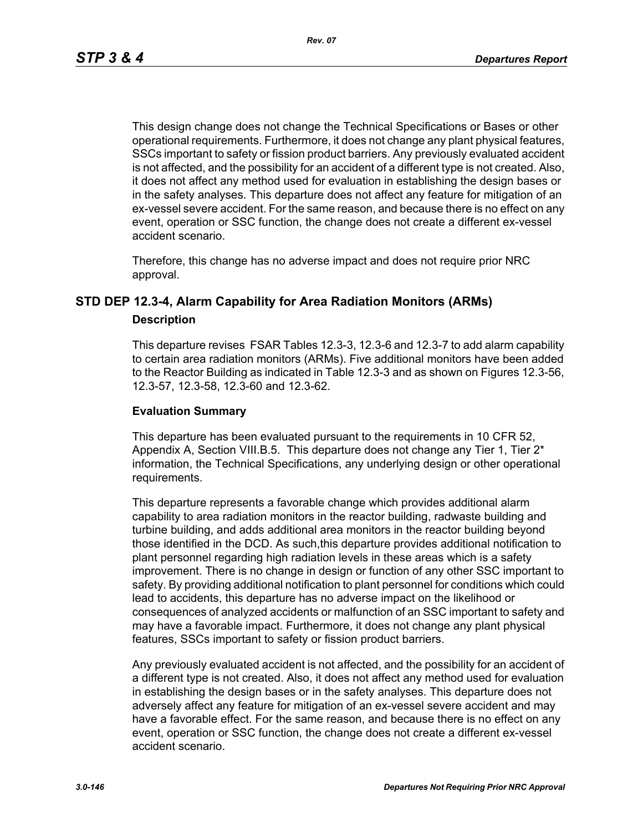This design change does not change the Technical Specifications or Bases or other operational requirements. Furthermore, it does not change any plant physical features, SSCs important to safety or fission product barriers. Any previously evaluated accident is not affected, and the possibility for an accident of a different type is not created. Also, it does not affect any method used for evaluation in establishing the design bases or in the safety analyses. This departure does not affect any feature for mitigation of an ex-vessel severe accident. For the same reason, and because there is no effect on any event, operation or SSC function, the change does not create a different ex-vessel accident scenario.

Therefore, this change has no adverse impact and does not require prior NRC approval.

# **STD DEP 12.3-4, Alarm Capability for Area Radiation Monitors (ARMs)**

#### **Description**

This departure revises FSAR Tables 12.3-3, 12.3-6 and 12.3-7 to add alarm capability to certain area radiation monitors (ARMs). Five additional monitors have been added to the Reactor Building as indicated in Table 12.3-3 and as shown on Figures 12.3-56, 12.3-57, 12.3-58, 12.3-60 and 12.3-62.

### **Evaluation Summary**

This departure has been evaluated pursuant to the requirements in 10 CFR 52, Appendix A, Section VIII.B.5. This departure does not change any Tier 1, Tier 2<sup>\*</sup> information, the Technical Specifications, any underlying design or other operational requirements.

This departure represents a favorable change which provides additional alarm capability to area radiation monitors in the reactor building, radwaste building and turbine building, and adds additional area monitors in the reactor building beyond those identified in the DCD. As such,this departure provides additional notification to plant personnel regarding high radiation levels in these areas which is a safety improvement. There is no change in design or function of any other SSC important to safety. By providing additional notification to plant personnel for conditions which could lead to accidents, this departure has no adverse impact on the likelihood or consequences of analyzed accidents or malfunction of an SSC important to safety and may have a favorable impact. Furthermore, it does not change any plant physical features, SSCs important to safety or fission product barriers.

Any previously evaluated accident is not affected, and the possibility for an accident of a different type is not created. Also, it does not affect any method used for evaluation in establishing the design bases or in the safety analyses. This departure does not adversely affect any feature for mitigation of an ex-vessel severe accident and may have a favorable effect. For the same reason, and because there is no effect on any event, operation or SSC function, the change does not create a different ex-vessel accident scenario.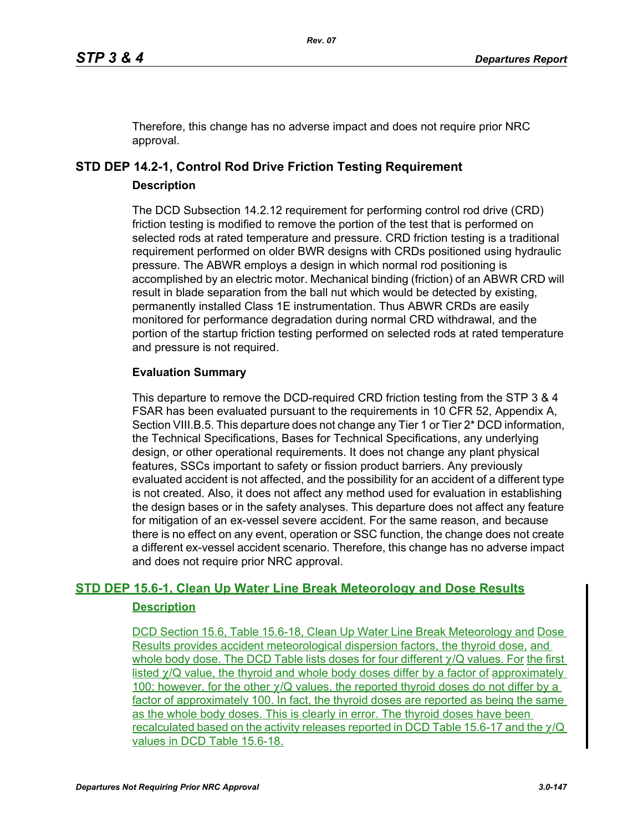Therefore, this change has no adverse impact and does not require prior NRC approval.

# **STD DEP 14.2-1, Control Rod Drive Friction Testing Requirement**

### **Description**

The DCD Subsection 14.2.12 requirement for performing control rod drive (CRD) friction testing is modified to remove the portion of the test that is performed on selected rods at rated temperature and pressure. CRD friction testing is a traditional requirement performed on older BWR designs with CRDs positioned using hydraulic pressure. The ABWR employs a design in which normal rod positioning is accomplished by an electric motor. Mechanical binding (friction) of an ABWR CRD will result in blade separation from the ball nut which would be detected by existing, permanently installed Class 1E instrumentation. Thus ABWR CRDs are easily monitored for performance degradation during normal CRD withdrawal, and the portion of the startup friction testing performed on selected rods at rated temperature and pressure is not required.

# **Evaluation Summary**

This departure to remove the DCD-required CRD friction testing from the STP 3 & 4 FSAR has been evaluated pursuant to the requirements in 10 CFR 52, Appendix A, Section VIII.B.5. This departure does not change any Tier 1 or Tier 2\* DCD information, the Technical Specifications, Bases for Technical Specifications, any underlying design, or other operational requirements. It does not change any plant physical features, SSCs important to safety or fission product barriers. Any previously evaluated accident is not affected, and the possibility for an accident of a different type is not created. Also, it does not affect any method used for evaluation in establishing the design bases or in the safety analyses. This departure does not affect any feature for mitigation of an ex-vessel severe accident. For the same reason, and because there is no effect on any event, operation or SSC function, the change does not create a different ex-vessel accident scenario. Therefore, this change has no adverse impact and does not require prior NRC approval.

# **STD DEP 15.6-1, Clean Up Water Line Break Meteorology and Dose Results Description**

DCD Section 15.6, Table 15.6-18, Clean Up Water Line Break Meteorology and Dose Results provides accident meteorological dispersion factors, the thyroid dose, and whole body dose. The DCD Table lists doses for four different  $\gamma/Q$  values. For the first listed  $\gamma$ /Q value, the thyroid and whole body doses differ by a factor of approximately 100; however, for the other  $\gamma$ /Q values, the reported thyroid doses do not differ by a factor of approximately 100. In fact, the thyroid doses are reported as being the same as the whole body doses. This is clearly in error. The thyroid doses have been recalculated based on the activity releases reported in DCD Table 15.6-17 and the χ/Q values in DCD Table 15.6-18.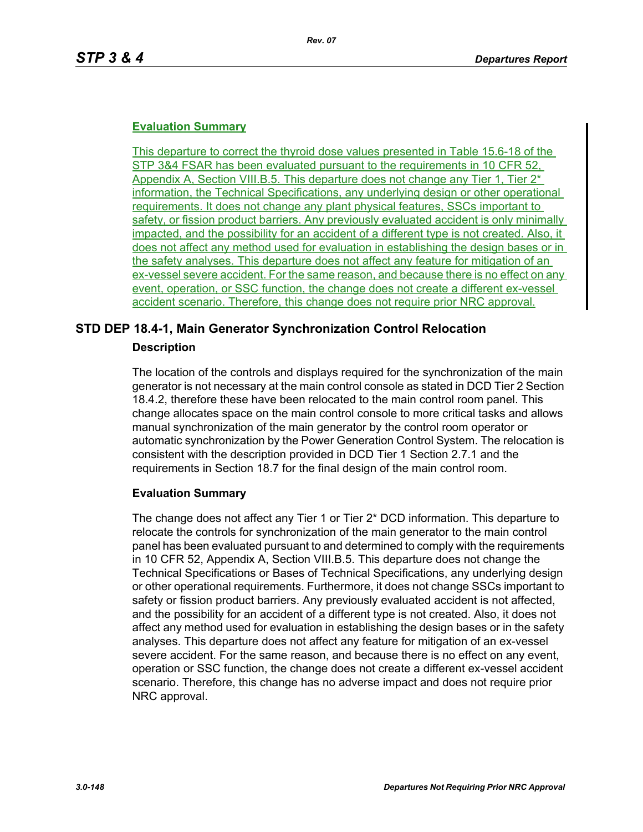### **Evaluation Summary**

This departure to correct the thyroid dose values presented in Table 15.6-18 of the STP 3&4 FSAR has been evaluated pursuant to the requirements in 10 CFR 52, Appendix A, Section VIII.B.5. This departure does not change any Tier 1, Tier 2<sup>\*</sup> information, the Technical Specifications, any underlying design or other operational requirements. It does not change any plant physical features, SSCs important to safety, or fission product barriers. Any previously evaluated accident is only minimally impacted, and the possibility for an accident of a different type is not created. Also, it does not affect any method used for evaluation in establishing the design bases or in the safety analyses. This departure does not affect any feature for mitigation of an ex-vessel severe accident. For the same reason, and because there is no effect on any event, operation, or SSC function, the change does not create a different ex-vessel accident scenario. Therefore, this change does not require prior NRC approval.

## **STD DEP 18.4-1, Main Generator Synchronization Control Relocation**

### **Description**

The location of the controls and displays required for the synchronization of the main generator is not necessary at the main control console as stated in DCD Tier 2 Section 18.4.2, therefore these have been relocated to the main control room panel. This change allocates space on the main control console to more critical tasks and allows manual synchronization of the main generator by the control room operator or automatic synchronization by the Power Generation Control System. The relocation is consistent with the description provided in DCD Tier 1 Section 2.7.1 and the requirements in Section 18.7 for the final design of the main control room.

### **Evaluation Summary**

The change does not affect any Tier 1 or Tier 2\* DCD information. This departure to relocate the controls for synchronization of the main generator to the main control panel has been evaluated pursuant to and determined to comply with the requirements in 10 CFR 52, Appendix A, Section VIII.B.5. This departure does not change the Technical Specifications or Bases of Technical Specifications, any underlying design or other operational requirements. Furthermore, it does not change SSCs important to safety or fission product barriers. Any previously evaluated accident is not affected, and the possibility for an accident of a different type is not created. Also, it does not affect any method used for evaluation in establishing the design bases or in the safety analyses. This departure does not affect any feature for mitigation of an ex-vessel severe accident. For the same reason, and because there is no effect on any event, operation or SSC function, the change does not create a different ex-vessel accident scenario. Therefore, this change has no adverse impact and does not require prior NRC approval.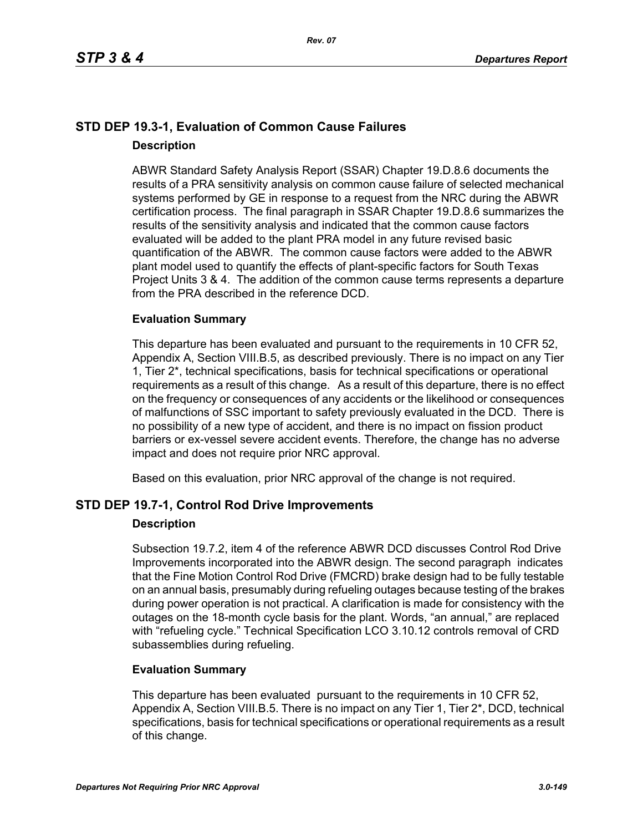# **STD DEP 19.3-1, Evaluation of Common Cause Failures Description**

ABWR Standard Safety Analysis Report (SSAR) Chapter 19.D.8.6 documents the results of a PRA sensitivity analysis on common cause failure of selected mechanical systems performed by GE in response to a request from the NRC during the ABWR certification process. The final paragraph in SSAR Chapter 19.D.8.6 summarizes the results of the sensitivity analysis and indicated that the common cause factors evaluated will be added to the plant PRA model in any future revised basic quantification of the ABWR. The common cause factors were added to the ABWR plant model used to quantify the effects of plant-specific factors for South Texas Project Units 3 & 4. The addition of the common cause terms represents a departure from the PRA described in the reference DCD.

### **Evaluation Summary**

This departure has been evaluated and pursuant to the requirements in 10 CFR 52, Appendix A, Section VIII.B.5, as described previously. There is no impact on any Tier 1, Tier 2\*, technical specifications, basis for technical specifications or operational requirements as a result of this change. As a result of this departure, there is no effect on the frequency or consequences of any accidents or the likelihood or consequences of malfunctions of SSC important to safety previously evaluated in the DCD. There is no possibility of a new type of accident, and there is no impact on fission product barriers or ex-vessel severe accident events. Therefore, the change has no adverse impact and does not require prior NRC approval.

Based on this evaluation, prior NRC approval of the change is not required.

# **STD DEP 19.7-1, Control Rod Drive Improvements**

### **Description**

Subsection 19.7.2, item 4 of the reference ABWR DCD discusses Control Rod Drive Improvements incorporated into the ABWR design. The second paragraph indicates that the Fine Motion Control Rod Drive (FMCRD) brake design had to be fully testable on an annual basis, presumably during refueling outages because testing of the brakes during power operation is not practical. A clarification is made for consistency with the outages on the 18-month cycle basis for the plant. Words, "an annual," are replaced with "refueling cycle." Technical Specification LCO 3.10.12 controls removal of CRD subassemblies during refueling.

### **Evaluation Summary**

This departure has been evaluated pursuant to the requirements in 10 CFR 52, Appendix A, Section VIII.B.5. There is no impact on any Tier 1, Tier 2<sup>\*</sup>, DCD, technical specifications, basis for technical specifications or operational requirements as a result of this change.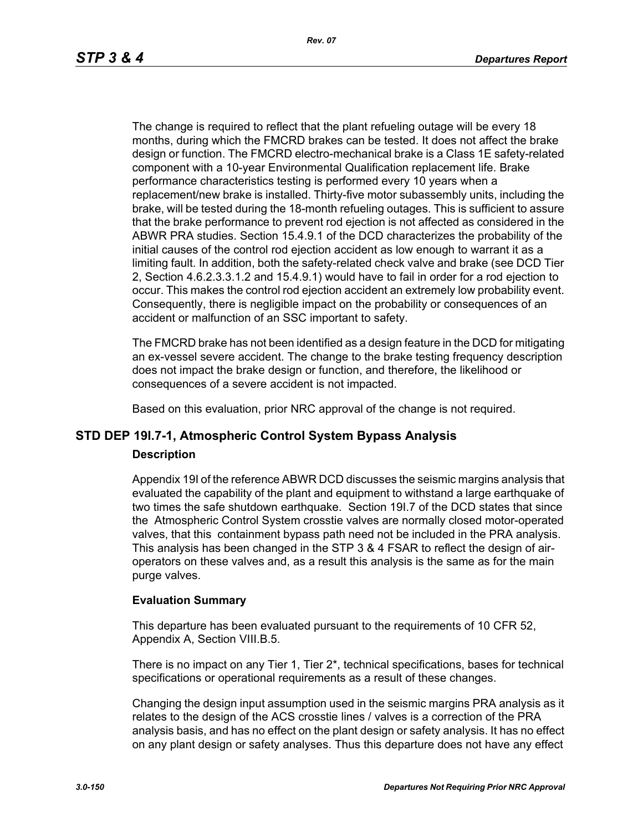The change is required to reflect that the plant refueling outage will be every 18 months, during which the FMCRD brakes can be tested. It does not affect the brake design or function. The FMCRD electro-mechanical brake is a Class 1E safety-related component with a 10-year Environmental Qualification replacement life. Brake performance characteristics testing is performed every 10 years when a replacement/new brake is installed. Thirty-five motor subassembly units, including the brake, will be tested during the 18-month refueling outages. This is sufficient to assure that the brake performance to prevent rod ejection is not affected as considered in the ABWR PRA studies. Section 15.4.9.1 of the DCD characterizes the probability of the initial causes of the control rod ejection accident as low enough to warrant it as a limiting fault. In addition, both the safety-related check valve and brake (see DCD Tier 2, Section 4.6.2.3.3.1.2 and 15.4.9.1) would have to fail in order for a rod ejection to occur. This makes the control rod ejection accident an extremely low probability event. Consequently, there is negligible impact on the probability or consequences of an accident or malfunction of an SSC important to safety.

The FMCRD brake has not been identified as a design feature in the DCD for mitigating an ex-vessel severe accident. The change to the brake testing frequency description does not impact the brake design or function, and therefore, the likelihood or consequences of a severe accident is not impacted.

Based on this evaluation, prior NRC approval of the change is not required.

# **STD DEP 19I.7-1, Atmospheric Control System Bypass Analysis**

#### **Description**

Appendix 19I of the reference ABWR DCD discusses the seismic margins analysis that evaluated the capability of the plant and equipment to withstand a large earthquake of two times the safe shutdown earthquake. Section 19I.7 of the DCD states that since the Atmospheric Control System crosstie valves are normally closed motor-operated valves, that this containment bypass path need not be included in the PRA analysis. This analysis has been changed in the STP 3 & 4 FSAR to reflect the design of airoperators on these valves and, as a result this analysis is the same as for the main purge valves.

### **Evaluation Summary**

This departure has been evaluated pursuant to the requirements of 10 CFR 52, Appendix A, Section VIII.B.5.

There is no impact on any Tier 1, Tier 2\*, technical specifications, bases for technical specifications or operational requirements as a result of these changes.

Changing the design input assumption used in the seismic margins PRA analysis as it relates to the design of the ACS crosstie lines / valves is a correction of the PRA analysis basis, and has no effect on the plant design or safety analysis. It has no effect on any plant design or safety analyses. Thus this departure does not have any effect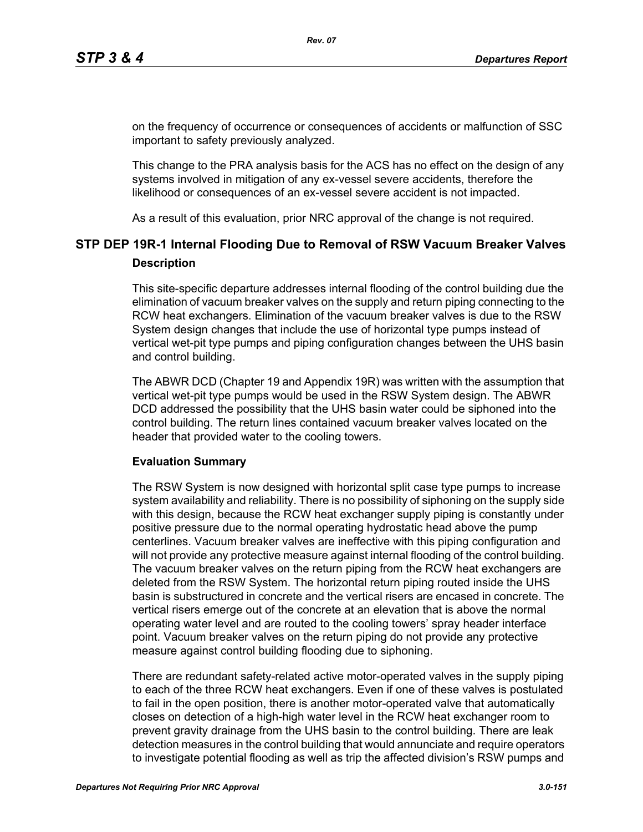on the frequency of occurrence or consequences of accidents or malfunction of SSC important to safety previously analyzed.

This change to the PRA analysis basis for the ACS has no effect on the design of any systems involved in mitigation of any ex-vessel severe accidents, therefore the likelihood or consequences of an ex-vessel severe accident is not impacted.

As a result of this evaluation, prior NRC approval of the change is not required.

# **STP DEP 19R-1 Internal Flooding Due to Removal of RSW Vacuum Breaker Valves Description**

This site-specific departure addresses internal flooding of the control building due the elimination of vacuum breaker valves on the supply and return piping connecting to the RCW heat exchangers. Elimination of the vacuum breaker valves is due to the RSW System design changes that include the use of horizontal type pumps instead of vertical wet-pit type pumps and piping configuration changes between the UHS basin and control building.

The ABWR DCD (Chapter 19 and Appendix 19R) was written with the assumption that vertical wet-pit type pumps would be used in the RSW System design. The ABWR DCD addressed the possibility that the UHS basin water could be siphoned into the control building. The return lines contained vacuum breaker valves located on the header that provided water to the cooling towers.

### **Evaluation Summary**

The RSW System is now designed with horizontal split case type pumps to increase system availability and reliability. There is no possibility of siphoning on the supply side with this design, because the RCW heat exchanger supply piping is constantly under positive pressure due to the normal operating hydrostatic head above the pump centerlines. Vacuum breaker valves are ineffective with this piping configuration and will not provide any protective measure against internal flooding of the control building. The vacuum breaker valves on the return piping from the RCW heat exchangers are deleted from the RSW System. The horizontal return piping routed inside the UHS basin is substructured in concrete and the vertical risers are encased in concrete. The vertical risers emerge out of the concrete at an elevation that is above the normal operating water level and are routed to the cooling towers' spray header interface point. Vacuum breaker valves on the return piping do not provide any protective measure against control building flooding due to siphoning.

There are redundant safety-related active motor-operated valves in the supply piping to each of the three RCW heat exchangers. Even if one of these valves is postulated to fail in the open position, there is another motor-operated valve that automatically closes on detection of a high-high water level in the RCW heat exchanger room to prevent gravity drainage from the UHS basin to the control building. There are leak detection measures in the control building that would annunciate and require operators to investigate potential flooding as well as trip the affected division's RSW pumps and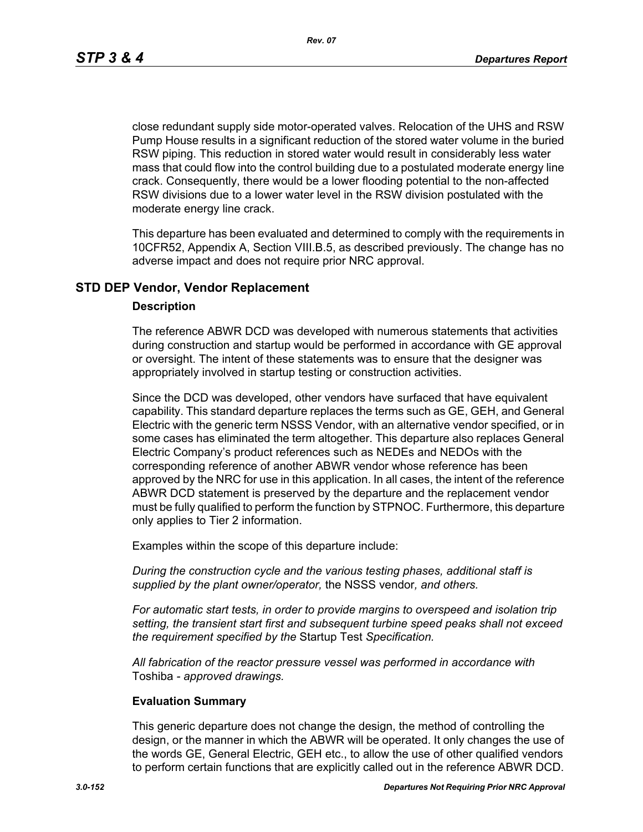*Rev. 07*

close redundant supply side motor-operated valves. Relocation of the UHS and RSW Pump House results in a significant reduction of the stored water volume in the buried RSW piping. This reduction in stored water would result in considerably less water mass that could flow into the control building due to a postulated moderate energy line crack. Consequently, there would be a lower flooding potential to the non-affected RSW divisions due to a lower water level in the RSW division postulated with the moderate energy line crack.

This departure has been evaluated and determined to comply with the requirements in 10CFR52, Appendix A, Section VIII.B.5, as described previously. The change has no adverse impact and does not require prior NRC approval.

### **STD DEP Vendor, Vendor Replacement**

#### **Description**

The reference ABWR DCD was developed with numerous statements that activities during construction and startup would be performed in accordance with GE approval or oversight. The intent of these statements was to ensure that the designer was appropriately involved in startup testing or construction activities.

Since the DCD was developed, other vendors have surfaced that have equivalent capability. This standard departure replaces the terms such as GE, GEH, and General Electric with the generic term NSSS Vendor, with an alternative vendor specified, or in some cases has eliminated the term altogether. This departure also replaces General Electric Company's product references such as NEDEs and NEDOs with the corresponding reference of another ABWR vendor whose reference has been approved by the NRC for use in this application. In all cases, the intent of the reference ABWR DCD statement is preserved by the departure and the replacement vendor must be fully qualified to perform the function by STPNOC. Furthermore, this departure only applies to Tier 2 information.

Examples within the scope of this departure include:

*During the construction cycle and the various testing phases, additional staff is supplied by the plant owner/operator,* the NSSS vendor*, and others.*

*For automatic start tests, in order to provide margins to overspeed and isolation trip setting, the transient start first and subsequent turbine speed peaks shall not exceed the requirement specified by the* Startup Test *Specification.*

*All fabrication of the reactor pressure vessel was performed in accordance with*  Toshiba *- approved drawings.*

#### **Evaluation Summary**

This generic departure does not change the design, the method of controlling the design, or the manner in which the ABWR will be operated. It only changes the use of the words GE, General Electric, GEH etc., to allow the use of other qualified vendors to perform certain functions that are explicitly called out in the reference ABWR DCD.